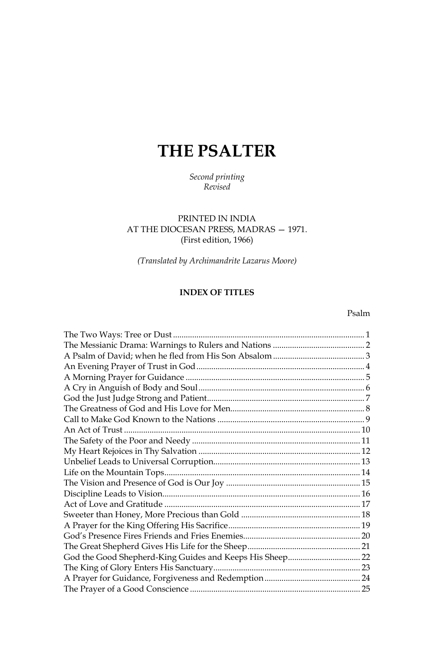# **THE PSALTER**

# Second printing Revised

# PRINTED IN INDIA AT THE DIOCESAN PRESS, MADRAS - 1971. (First edition, 1966)

(Translated by Archimandrite Lazarus Moore)

# **INDEX OF TITLES**

## Psalm

| God the Good Shepherd-King Guides and Keeps His Sheep 22 |  |
|----------------------------------------------------------|--|
|                                                          |  |
|                                                          |  |
|                                                          |  |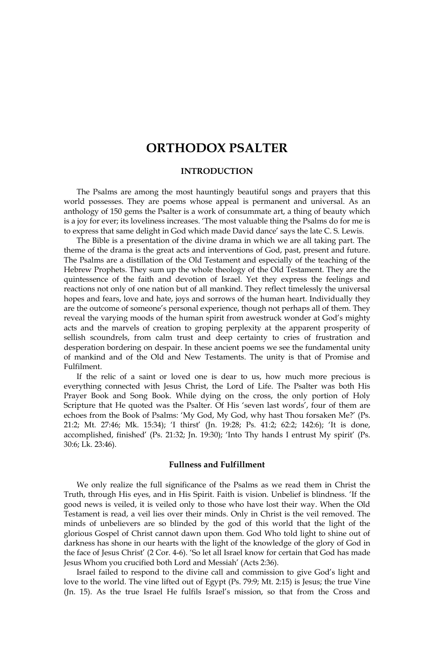# **ORTHODOX PSALTER**

#### **INTRODUCTION**

The Psalms are among the most hauntingly beautiful songs and prayers that this world possesses. They are poems whose appeal is permanent and universal. As an anthology of 150 gems the Psalter is a work of consummate art, a thing of beauty which is a joy for ever; its loveliness increases. 'The most valuable thing the Psalms do for me is to express that same delight in God which made David dance' says the late C. S. Lewis.

The Bible is a presentation of the divine drama in which we are all taking part. The theme of the drama is the great acts and interventions of God, past, present and future. The Psalms are a distillation of the Old Testament and especially of the teaching of the Hebrew Prophets. They sum up the whole theology of the Old Testament. They are the quintessence of the faith and devotion of Israel. Yet they express the feelings and reactions not only of one nation but of all mankind. They reflect timelessly the universal hopes and fears, love and hate, joys and sorrows of the human heart. Individually they are the outcome of someone's personal experience, though not perhaps all of them. They reveal the varying moods of the human spirit from awestruck wonder at God's mighty acts and the marvels of creation to groping perplexity at the apparent prosperity of sellish scoundrels, from calm trust and deep certainty to cries of frustration and desperation bordering on despair. In these ancient poems we see the fundamental unity of mankind and of the Old and New Testaments. The unity is that of Promise and **Fulfilment** 

If the relic of a saint or loved one is dear to us, how much more precious is everything connected with Jesus Christ, the Lord of Life. The Psalter was both His Prayer Book and Song Book. While dying on the cross, the only portion of Holy Scripture that He quoted was the Psalter. Of His 'seven last words', four of them are echoes from the Book of Psalms: 'My God, My God, why hast Thou forsaken Me?' (Ps. 21:2; Mt. 27:46; Mk. 15:34); 'I thirst' (Jn. 19:28; Ps. 41:2; 62:2; 142:6); 'It is done, accomplished, finished' (Ps. 21:32; Jn. 19:30); 'Into Thy hands I entrust My spirit' (Ps. 30:6; Lk. 23:46).

#### **Fullness and Fulfillment**

We only realize the full significance of the Psalms as we read them in Christ the Truth, through His eyes, and in His Spirit. Faith is vision. Unbelief is blindness. 'If the good news is veiled, it is veiled only to those who have lost their way. When the Old Testament is read, a veil lies over their minds. Only in Christ is the veil removed. The minds of unbelievers are so blinded by the god of this world that the light of the glorious Gospel of Christ cannot dawn upon them. God Who told light to shine out of darkness has shone in our hearts with the light of the knowledge of the glory of God in the face of Jesus Christ' (2 Cor. 4-6). 'So let all Israel know for certain that God has made Jesus Whom you crucified both Lord and Messiah' (Acts 2:36).

Israel failed to respond to the divine call and commission to give God's light and love to the world. The vine lifted out of Egypt (Ps. 79:9; Mt. 2:15) is Jesus; the true Vine (Jn. 15). As the true Israel He fulfils Israel's mission, so that from the Cross and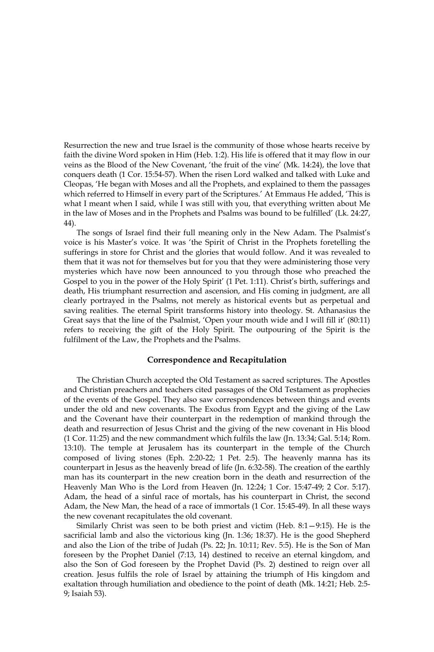Resurrection the new and true Israel is the community of those whose hearts receive by faith the divine Word spoken in Him (Heb. 1:2). His life is offered that it may flow in our veins as the Blood of the New Covenant, 'the fruit of the vine' (Mk. 14:24), the love that conquers death (1 Cor. 15:54-57). When the risen Lord walked and talked with Luke and Cleopas, 'He began with Moses and all the Prophets, and explained to them the passages which referred to Himself in every part of the Scriptures.' At Emmaus He added, 'This is what I meant when I said, while I was still with you, that everything written about Me in the law of Moses and in the Prophets and Psalms was bound to be fulfilled' (Lk. 24:27, 44).

The songs of Israel find their full meaning only in the New Adam. The Psalmist's voice is his Master's voice. It was 'the Spirit of Christ in the Prophets foretelling the sufferings in store for Christ and the glories that would follow. And it was revealed to them that it was not for themselves but for you that they were administering those very mysteries which have now been announced to you through those who preached the Gospel to you in the power of the Holy Spirit' (1 Pet. 1:11). Christ's birth, sufferings and death, His triumphant resurrection and ascension, and His coming in judgment, are all clearly portrayed in the Psalms, not merely as historical events but as perpetual and saving realities. The eternal Spirit transforms history into theology. St. Athanasius the Great says that the line of the Psalmist, 'Open your mouth wide and I will fill it' (80:11) refers to receiving the gift of the Holy Spirit. The outpouring of the Spirit is the fulfilment of the Law, the Prophets and the Psalms.

#### **Correspondence and Recapitulation**

The Christian Church accepted the Old Testament as sacred scriptures. The Apostles and Christian preachers and teachers cited passages of the Old Testament as prophecies of the events of the Gospel. They also saw correspondences between things and events under the old and new covenants. The Exodus from Egypt and the giving of the Law and the Covenant have their counterpart in the redemption of mankind through the death and resurrection of Jesus Christ and the giving of the new covenant in His blood (1 Cor. 11:25) and the new commandment which fulfils the law (Jn. 13:34; Gal. 5:14; Rom. 13:10). The temple at Jerusalem has its counterpart in the temple of the Church composed of living stones (Eph. 2:20-22; 1 Pet. 2:5). The heavenly manna has its counterpart in Jesus as the heavenly bread of life (Jn. 6:32-58). The creation of the earthly man has its counterpart in the new creation born in the death and resurrection of the Heavenly Man Who is the Lord from Heaven (Jn. 12:24; 1 Cor. 15:47-49; 2 Cor. 5:17). Adam, the head of a sinful race of mortals, has his counterpart in Christ, the second Adam, the New Man, the head of a race of immortals (1 Cor. 15:45-49). In all these ways the new covenant recapitulates the old covenant.

Similarly Christ was seen to be both priest and victim (Heb.  $8:1-9:15$ ). He is the sacrificial lamb and also the victorious king (Jn. 1:36; 18:37). He is the good Shepherd and also the Lion of the tribe of Judah (Ps. 22; Jn. 10:11; Rev. 5:5). He is the Son of Man foreseen by the Prophet Daniel (7:13, 14) destined to receive an eternal kingdom, and also the Son of God foreseen by the Prophet David (Ps. 2) destined to reign over all creation. Jesus fulfils the role of Israel by attaining the triumph of His kingdom and exaltation through humiliation and obedience to the point of death (Mk. 14:21; Heb. 2:5-9; Isaiah 53).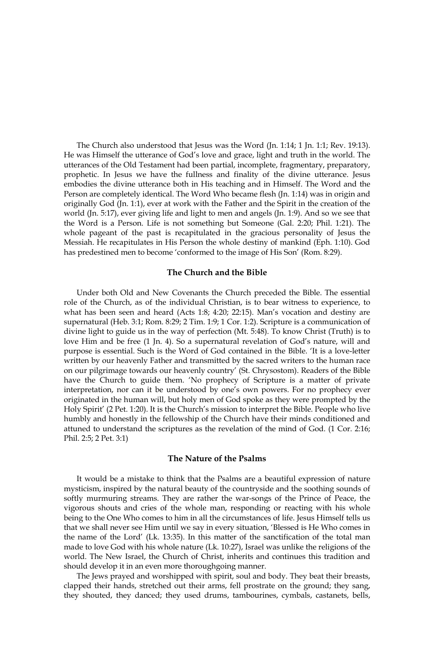The Church also understood that Jesus was the Word (Jn. 1:14; 1 Jn. 1:1; Rev. 19:13). He was Himself the utterance of God's love and grace, light and truth in the world. The utterances of the Old Testament had been partial, incomplete, fragmentary, preparatory, prophetic. In Jesus we have the fullness and finality of the divine utterance. Jesus embodies the divine utterance both in His teaching and in Himself. The Word and the Person are completely identical. The Word Who became flesh (Jn. 1:14) was in origin and originally God (Jn. 1:1), ever at work with the Father and the Spirit in the creation of the world (Jn. 5:17), ever giving life and light to men and angels (Jn. 1:9). And so we see that the Word is a Person. Life is not something but Someone (Gal. 2:20; Phil. 1:21). The whole pageant of the past is recapitulated in the gracious personality of Jesus the Messiah. He recapitulates in His Person the whole destiny of mankind (Eph. 1:10). God has predestined men to become 'conformed to the image of His Son' (Rom. 8:29).

#### The Church and the Bible

Under both Old and New Covenants the Church preceded the Bible. The essential role of the Church, as of the individual Christian, is to bear witness to experience, to what has been seen and heard (Acts 1:8; 4:20; 22:15). Man's vocation and destiny are supernatural (Heb. 3:1; Rom. 8:29; 2 Tim. 1:9; 1 Cor. 1:2). Scripture is a communication of divine light to guide us in the way of perfection (Mt. 5:48). To know Christ (Truth) is to love Him and be free (1 Jn. 4). So a supernatural revelation of God's nature, will and purpose is essential. Such is the Word of God contained in the Bible. 'It is a love-letter written by our heavenly Father and transmitted by the sacred writers to the human race on our pilgrimage towards our heavenly country' (St. Chrysostom). Readers of the Bible have the Church to guide them. 'No prophecy of Scripture is a matter of private interpretation, nor can it be understood by one's own powers. For no prophecy ever originated in the human will, but holy men of God spoke as they were prompted by the Holy Spirit' (2 Pet. 1:20). It is the Church's mission to interpret the Bible. People who live humbly and honestly in the fellowship of the Church have their minds conditioned and attuned to understand the scriptures as the revelation of the mind of God. (1 Cor. 2:16; Phil. 2:5; 2 Pet. 3:1)

#### The Nature of the Psalms

It would be a mistake to think that the Psalms are a beautiful expression of nature mysticism, inspired by the natural beauty of the countryside and the soothing sounds of softly murmuring streams. They are rather the war-songs of the Prince of Peace, the vigorous shouts and cries of the whole man, responding or reacting with his whole being to the One Who comes to him in all the circumstances of life. Jesus Himself tells us that we shall never see Him until we say in every situation, 'Blessed is He Who comes in the name of the Lord' (Lk. 13:35). In this matter of the sanctification of the total man made to love God with his whole nature (Lk. 10:27), Israel was unlike the religions of the world. The New Israel, the Church of Christ, inherits and continues this tradition and should develop it in an even more thoroughgoing manner.

The Jews prayed and worshipped with spirit, soul and body. They beat their breasts, clapped their hands, stretched out their arms, fell prostrate on the ground; they sang, they shouted, they danced; they used drums, tambourines, cymbals, castanets, bells,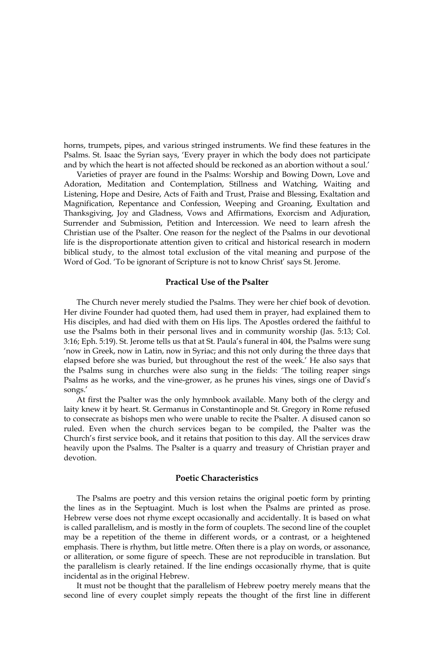horns, trumpets, pipes, and various stringed instruments. We find these features in the Psalms. St. Isaac the Syrian says, 'Every prayer in which the body does not participate and by which the heart is not affected should be reckoned as an abortion without a soul.'

Varieties of prayer are found in the Psalms: Worship and Bowing Down, Love and Adoration, Meditation and Contemplation, Stillness and Watching, Waiting and Listening, Hope and Desire, Acts of Faith and Trust, Praise and Blessing, Exaltation and Magnification, Repentance and Confession, Weeping and Groaning, Exultation and Thanksgiving, Joy and Gladness, Vows and Affirmations, Exorcism and Adjuration, Surrender and Submission, Petition and Intercession. We need to learn afresh the Christian use of the Psalter. One reason for the neglect of the Psalms in our devotional life is the disproportionate attention given to critical and historical research in modern biblical study, to the almost total exclusion of the vital meaning and purpose of the Word of God. 'To be ignorant of Scripture is not to know Christ' says St. Jerome.

#### **Practical Use of the Psalter**

The Church never merely studied the Psalms. They were her chief book of devotion. Her divine Founder had quoted them, had used them in prayer, had explained them to His disciples, and had died with them on His lips. The Apostles ordered the faithful to use the Psalms both in their personal lives and in community worship (Jas. 5:13; Col. 3:16; Eph. 5:19). St. Jerome tells us that at St. Paula's funeral in 404, the Psalms were sung 'now in Greek, now in Latin, now in Syriac; and this not only during the three days that elapsed before she was buried, but throughout the rest of the week.' He also says that the Psalms sung in churches were also sung in the fields: 'The toiling reaper sings Psalms as he works, and the vine-grower, as he prunes his vines, sings one of David's songs.'

At first the Psalter was the only hymnbook available. Many both of the clergy and laity knew it by heart. St. Germanus in Constantinople and St. Gregory in Rome refused to consecrate as bishops men who were unable to recite the Psalter. A disused canon so ruled. Even when the church services began to be compiled, the Psalter was the Church's first service book, and it retains that position to this day. All the services draw heavily upon the Psalms. The Psalter is a quarry and treasury of Christian prayer and devotion.

#### **Poetic Characteristics**

The Psalms are poetry and this version retains the original poetic form by printing the lines as in the Septuagint. Much is lost when the Psalms are printed as prose. Hebrew verse does not rhyme except occasionally and accidentally. It is based on what is called parallelism, and is mostly in the form of couplets. The second line of the couplet may be a repetition of the theme in different words, or a contrast, or a heightened emphasis. There is rhythm, but little metre. Often there is a play on words, or assonance, or alliteration, or some figure of speech. These are not reproducible in translation. But the parallelism is clearly retained. If the line endings occasionally rhyme, that is quite incidental as in the original Hebrew.

It must not be thought that the parallelism of Hebrew poetry merely means that the second line of every couplet simply repeats the thought of the first line in different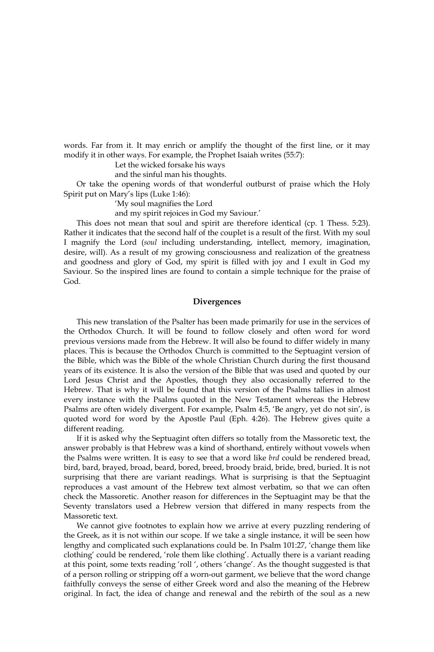words. Far from it. It may enrich or amplify the thought of the first line, or it may modify it in other ways. For example, the Prophet Isaiah writes (55:7):

Let the wicked forsake his ways

and the sinful man his thoughts.

Or take the opening words of that wonderful outburst of praise which the Holy Spirit put on Mary's lips (Luke 1:46):

'My soul magnifies the Lord

and my spirit rejoices in God my Saviour.'

This does not mean that soul and spirit are therefore identical (cp. 1 Thess. 5:23). Rather it indicates that the second half of the couplet is a result of the first. With my soul I magnify the Lord (soul including understanding, intellect, memory, imagination, desire, will). As a result of my growing consciousness and realization of the greatness and goodness and glory of God, my spirit is filled with joy and I exult in God my Saviour. So the inspired lines are found to contain a simple technique for the praise of God

#### Divergences

This new translation of the Psalter has been made primarily for use in the services of the Orthodox Church. It will be found to follow closely and often word for word previous versions made from the Hebrew. It will also be found to differ widely in many places. This is because the Orthodox Church is committed to the Septuagint version of the Bible, which was the Bible of the whole Christian Church during the first thousand years of its existence. It is also the version of the Bible that was used and quoted by our Lord Jesus Christ and the Apostles, though they also occasionally referred to the Hebrew. That is why it will be found that this version of the Psalms tallies in almost every instance with the Psalms quoted in the New Testament whereas the Hebrew Psalms are often widely divergent. For example, Psalm 4:5, 'Be angry, yet do not sin', is quoted word for word by the Apostle Paul (Eph. 4:26). The Hebrew gives quite a different reading.

If it is asked why the Septuagint often differs so totally from the Massoretic text, the answer probably is that Hebrew was a kind of shorthand, entirely without vowels when the Psalms were written. It is easy to see that a word like brd could be rendered bread, bird, bard, brayed, broad, beard, bored, breed, broody braid, bride, bred, buried. It is not surprising that there are variant readings. What is surprising is that the Septuagint reproduces a vast amount of the Hebrew text almost verbatim, so that we can often check the Massoretic. Another reason for differences in the Septuagint may be that the Seventy translators used a Hebrew version that differed in many respects from the Massoretic text.

We cannot give footnotes to explain how we arrive at every puzzling rendering of the Greek, as it is not within our scope. If we take a single instance, it will be seen how lengthy and complicated such explanations could be. In Psalm 101:27, 'change them like clothing' could be rendered, 'role them like clothing'. Actually there is a variant reading at this point, some texts reading 'roll', others 'change'. As the thought suggested is that of a person rolling or stripping off a worn-out garment, we believe that the word change faithfully conveys the sense of either Greek word and also the meaning of the Hebrew original. In fact, the idea of change and renewal and the rebirth of the soul as a new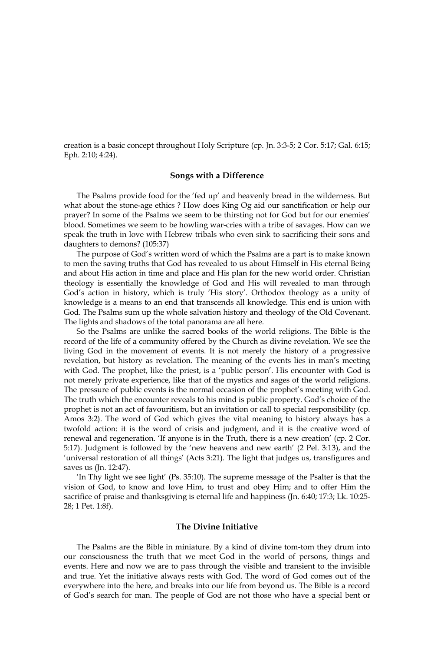creation is a basic concept throughout Holy Scripture (cp. Jn. 3:3-5; 2 Cor. 5:17; Gal. 6:15; Eph. 2:10; 4:24).

#### Songs with a Difference

The Psalms provide food for the 'fed up' and heavenly bread in the wilderness. But what about the stone-age ethics ? How does King Og aid our sanctification or help our prayer? In some of the Psalms we seem to be thirsting not for God but for our enemies' blood. Sometimes we seem to be howling war-cries with a tribe of savages. How can we speak the truth in love with Hebrew tribals who even sink to sacrificing their sons and daughters to demons? (105:37)

The purpose of God's written word of which the Psalms are a part is to make known to men the saving truths that God has revealed to us about Himself in His eternal Being and about His action in time and place and His plan for the new world order. Christian theology is essentially the knowledge of God and His will revealed to man through God's action in history, which is truly 'His story'. Orthodox theology as a unity of knowledge is a means to an end that transcends all knowledge. This end is union with God. The Psalms sum up the whole salvation history and theology of the Old Covenant. The lights and shadows of the total panorama are all here.

So the Psalms are unlike the sacred books of the world religions. The Bible is the record of the life of a community offered by the Church as divine revelation. We see the living God in the movement of events. It is not merely the history of a progressive revelation, but history as revelation. The meaning of the events lies in man's meeting with God. The prophet, like the priest, is a 'public person'. His encounter with God is not merely private experience, like that of the mystics and sages of the world religions. The pressure of public events is the normal occasion of the prophet's meeting with God. The truth which the encounter reveals to his mind is public property. God's choice of the prophet is not an act of favouritism, but an invitation or call to special responsibility (cp. Amos 3:2). The word of God which gives the vital meaning to history always has a twofold action: it is the word of crisis and judgment, and it is the creative word of renewal and regeneration. 'If anyone is in the Truth, there is a new creation' (cp. 2 Cor. 5:17). Judgment is followed by the 'new heavens and new earth' (2 Pel. 3:13), and the 'universal restoration of all things' (Acts 3:21). The light that judges us, transfigures and saves us (Jn. 12:47).

'In Thy light we see light' (Ps. 35:10). The supreme message of the Psalter is that the vision of God, to know and love Him, to trust and obey Him; and to offer Him the sacrifice of praise and thanksgiving is eternal life and happiness (Jn. 6:40; 17:3; Lk. 10:25-28; 1 Pet. 1:8f).

#### The Divine Initiative

The Psalms are the Bible in miniature. By a kind of divine tom-tom they drum into our consciousness the truth that we meet God in the world of persons, things and events. Here and now we are to pass through the visible and transient to the invisible and true. Yet the initiative always rests with God. The word of God comes out of the everywhere into the here, and breaks into our life from beyond us. The Bible is a record of God's search for man. The people of God are not those who have a special bent or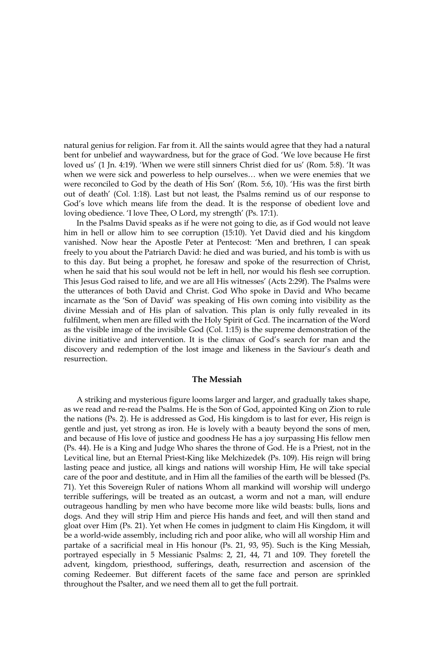natural genius for religion. Far from it. All the saints would agree that they had a natural bent for unbelief and waywardness, but for the grace of God. 'We love because He first loved us' (1 Jn. 4:19). 'When we were still sinners Christ died for us' (Rom. 5:8). 'It was when we were sick and powerless to help ourselves... when we were enemies that we were reconciled to God by the death of His Son' (Rom. 5:6, 10). 'His was the first birth out of death' (Col. 1:18). Last but not least, the Psalms remind us of our response to God's love which means life from the dead. It is the response of obedient love and loving obedience. 'I love Thee, O Lord, my strength' (Ps. 17:1).

In the Psalms David speaks as if he were not going to die, as if God would not leave him in hell or allow him to see corruption (15:10). Yet David died and his kingdom vanished. Now hear the Apostle Peter at Pentecost: 'Men and brethren, I can speak freely to you about the Patriarch David: he died and was buried, and his tomb is with us to this day. But being a prophet, he foresaw and spoke of the resurrection of Christ, when he said that his soul would not be left in hell, nor would his flesh see corruption. This Jesus God raised to life, and we are all His witnesses' (Acts 2:29f). The Psalms were the utterances of both David and Christ. God Who spoke in David and Who became incarnate as the 'Son of David' was speaking of His own coming into visibility as the divine Messiah and of His plan of salvation. This plan is only fully revealed in its fulfilment, when men are filled with the Holy Spirit of Gcd. The incarnation of the Word as the visible image of the invisible God (Col. 1:15) is the supreme demonstration of the divine initiative and intervention. It is the climax of God's search for man and the discovery and redemption of the lost image and likeness in the Saviour's death and resurrection.

#### The Messiah

A striking and mysterious figure looms larger and larger, and gradually takes shape, as we read and re-read the Psalms. He is the Son of God, appointed King on Zion to rule the nations (Ps. 2). He is addressed as God, His kingdom is to last for ever, His reign is gentle and just, yet strong as iron. He is lovely with a beauty beyond the sons of men, and because of His love of justice and goodness He has a joy surpassing His fellow men (Ps. 44). He is a King and Judge Who shares the throne of God. He is a Priest, not in the Levitical line, but an Eternal Priest-King like Melchizedek (Ps. 109). His reign will bring lasting peace and justice, all kings and nations will worship Him, He will take special care of the poor and destitute, and in Him all the families of the earth will be blessed (Ps. 71). Yet this Sovereign Ruler of nations Whom all mankind will worship will undergo terrible sufferings, will be treated as an outcast, a worm and not a man, will endure outrageous handling by men who have become more like wild beasts: bulls, lions and dogs. And they will strip Him and pierce His hands and feet, and will then stand and gloat over Him (Ps. 21). Yet when He comes in judgment to claim His Kingdom, it will be a world-wide assembly, including rich and poor alike, who will all worship Him and partake of a sacrificial meal in His honour (Ps. 21, 93, 95). Such is the King Messiah, portrayed especially in 5 Messianic Psalms: 2, 21, 44, 71 and 109. They foretell the advent, kingdom, priesthood, sufferings, death, resurrection and ascension of the coming Redeemer. But different facets of the same face and person are sprinkled throughout the Psalter, and we need them all to get the full portrait.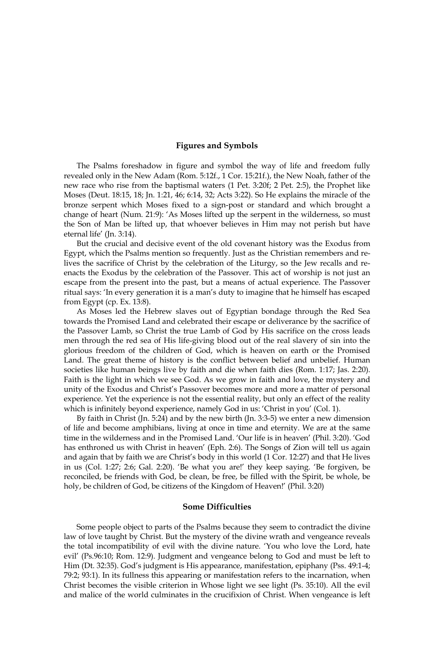### **Figures and Symbols**

The Psalms foreshadow in figure and symbol the way of life and freedom fully revealed only in the New Adam (Rom. 5:12f., 1 Cor. 15:21f.), the New Noah, father of the new race who rise from the baptismal waters (1 Pet. 3:20f; 2 Pet. 2:5), the Prophet like Moses (Deut. 18:15, 18; Jn. 1:21, 46; 6:14, 32; Acts 3:22). So He explains the miracle of the bronze serpent which Moses fixed to a sign-post or standard and which brought a change of heart (Num. 21:9): 'As Moses lifted up the serpent in the wilderness, so must the Son of Man be lifted up, that whoever believes in Him may not perish but have eternal life' (Jn. 3:14).

But the crucial and decisive event of the old covenant history was the Exodus from Egypt, which the Psalms mention so frequently. Just as the Christian remembers and relives the sacrifice of Christ by the celebration of the Liturgy, so the Jew recalls and reenacts the Exodus by the celebration of the Passover. This act of worship is not just an escape from the present into the past, but a means of actual experience. The Passover ritual says: 'In every generation it is a man's duty to imagine that he himself has escaped from Egypt (cp. Ex.  $13:8$ ).

As Moses led the Hebrew slaves out of Egyptian bondage through the Red Sea towards the Promised Land and celebrated their escape or deliverance by the sacrifice of the Passover Lamb, so Christ the true Lamb of God by His sacrifice on the cross leads men through the red sea of His life-giving blood out of the real slavery of sin into the glorious freedom of the children of God, which is heaven on earth or the Promised Land. The great theme of history is the conflict between belief and unbelief. Human societies like human beings live by faith and die when faith dies (Rom. 1:17; Jas. 2:20). Faith is the light in which we see God. As we grow in faith and love, the mystery and unity of the Exodus and Christ's Passover becomes more and more a matter of personal experience. Yet the experience is not the essential reality, but only an effect of the reality which is infinitely beyond experience, namely God in us: 'Christ in you' (Col. 1).

By faith in Christ (Jn. 5:24) and by the new birth (Jn. 3:3-5) we enter a new dimension of life and become amphibians, living at once in time and eternity. We are at the same time in the wilderness and in the Promised Land. 'Our life is in heaven' (Phil. 3:20). 'God has enthroned us with Christ in heaven' (Eph. 2:6). The Songs of Zion will tell us again and again that by faith we are Christ's body in this world (1 Cor. 12:27) and that He lives in us (Col. 1:27; 2:6; Gal. 2:20). 'Be what you are!' they keep saying. 'Be forgiven, be reconciled, be friends with God, be clean, be free, be filled with the Spirit, be whole, be holy, be children of God, be citizens of the Kingdom of Heaven!' (Phil. 3:20)

#### **Some Difficulties**

Some people object to parts of the Psalms because they seem to contradict the divine law of love taught by Christ. But the mystery of the divine wrath and vengeance reveals the total incompatibility of evil with the divine nature. 'You who love the Lord, hate evil' (Ps.96:10; Rom. 12:9). Judgment and vengeance belong to God and must be left to Him (Dt. 32:35). God's judgment is His appearance, manifestation, epiphany (Pss. 49:1-4; 79:2; 93:1). In its fullness this appearing or manifestation refers to the incarnation, when Christ becomes the visible criterion in Whose light we see light (Ps. 35:10). All the evil and malice of the world culminates in the crucifixion of Christ. When vengeance is left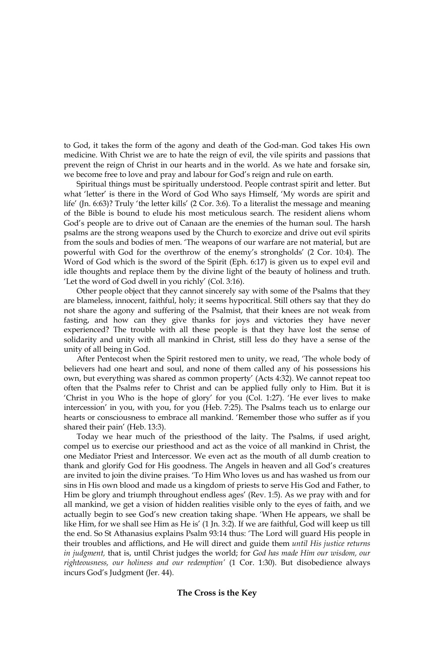to God, it takes the form of the agony and death of the God-man. God takes His own medicine. With Christ we are to hate the reign of evil, the vile spirits and passions that prevent the reign of Christ in our hearts and in the world. As we hate and forsake sin, we become free to love and pray and labour for God's reign and rule on earth.

Spiritual things must be spiritually understood. People contrast spirit and letter. But what 'letter' is there in the Word of God Who says Himself, 'My words are spirit and life' (Jn. 6:63)? Truly 'the letter kills' (2 Cor. 3:6). To a literalist the message and meaning of the Bible is bound to elude his most meticulous search. The resident aliens whom God's people are to drive out of Canaan are the enemies of the human soul. The harsh psalms are the strong weapons used by the Church to exorcize and drive out evil spirits from the souls and bodies of men. 'The weapons of our warfare are not material, but are powerful with God for the overthrow of the enemy's strongholds' (2 Cor. 10:4). The Word of God which is the sword of the Spirit (Eph. 6:17) is given us to expel evil and idle thoughts and replace them by the divine light of the beauty of holiness and truth. 'Let the word of God dwell in you richly' (Col. 3:16).

Other people object that they cannot sincerely say with some of the Psalms that they are blameless, innocent, faithful, holy; it seems hypocritical. Still others say that they do not share the agony and suffering of the Psalmist, that their knees are not weak from fasting, and how can they give thanks for joys and victories they have never experienced? The trouble with all these people is that they have lost the sense of solidarity and unity with all mankind in Christ, still less do they have a sense of the unity of all being in God.

After Pentecost when the Spirit restored men to unity, we read, 'The whole body of believers had one heart and soul, and none of them called any of his possessions his own, but everything was shared as common property' (Acts 4:32). We cannot repeat too often that the Psalms refer to Christ and can be applied fully only to Him. But it is 'Christ in you Who is the hope of glory' for you (Col. 1:27). 'He ever lives to make intercession' in you, with you, for you (Heb. 7:25). The Psalms teach us to enlarge our hearts or consciousness to embrace all mankind. 'Remember those who suffer as if you shared their pain' (Heb. 13:3).

Today we hear much of the priesthood of the laity. The Psalms, if used aright, compel us to exercise our priesthood and act as the voice of all mankind in Christ, the one Mediator Priest and Intercessor. We even act as the mouth of all dumb creation to thank and glorify God for His goodness. The Angels in heaven and all God's creatures are invited to join the divine praises. 'To Him Who loves us and has washed us from our sins in His own blood and made us a kingdom of priests to serve His God and Father, to Him be glory and triumph throughout endless ages' (Rev. 1:5). As we pray with and for all mankind, we get a vision of hidden realities visible only to the eyes of faith, and we actually begin to see God's new creation taking shape. 'When He appears, we shall be like Him, for we shall see Him as He is' (1 Jn. 3:2). If we are faithful, God will keep us till the end. So St Athanasius explains Psalm 93:14 thus: 'The Lord will guard His people in their troubles and afflictions, and He will direct and guide them until His justice returns in judgment, that is, until Christ judges the world; for God has made Him our wisdom, our righteousness, our holiness and our redemption' (1 Cor. 1:30). But disobedience always incurs God's Judgment (Jer. 44).

## The Cross is the Key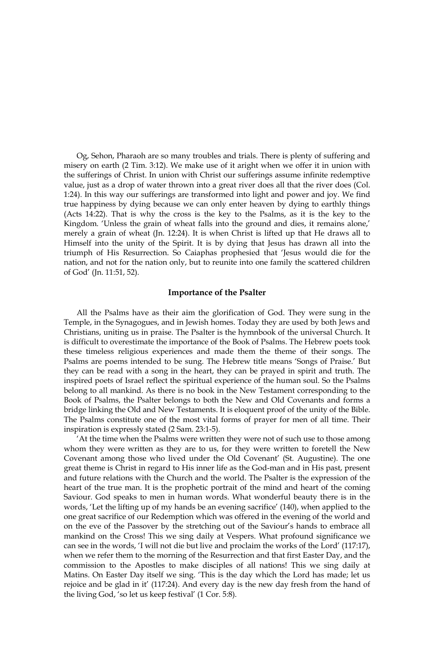Og, Sehon, Pharaoh are so many troubles and trials. There is plenty of suffering and misery on earth (2 Tim, 3:12). We make use of it aright when we offer it in union with the sufferings of Christ. In union with Christ our sufferings assume infinite redemptive value, just as a drop of water thrown into a great river does all that the river does (Col. 1:24). In this way our sufferings are transformed into light and power and joy. We find true happiness by dying because we can only enter heaven by dying to earthly things (Acts 14:22). That is why the cross is the key to the Psalms, as it is the key to the Kingdom. 'Unless the grain of wheat falls into the ground and dies, it remains alone,' merely a grain of wheat (Jn. 12:24). It is when Christ is lifted up that He draws all to Himself into the unity of the Spirit. It is by dying that Jesus has drawn all into the triumph of His Resurrection. So Caiaphas prophesied that 'Jesus would die for the nation, and not for the nation only, but to reunite into one family the scattered children of God' (Jn. 11:51, 52).

#### **Importance of the Psalter**

All the Psalms have as their aim the glorification of God. They were sung in the Temple, in the Synagogues, and in Jewish homes. Today they are used by both Jews and Christians, uniting us in praise. The Psalter is the hymnbook of the universal Church. It is difficult to overestimate the importance of the Book of Psalms. The Hebrew poets took these timeless religious experiences and made them the theme of their songs. The Psalms are poems intended to be sung. The Hebrew title means 'Songs of Praise.' But they can be read with a song in the heart, they can be prayed in spirit and truth. The inspired poets of Israel reflect the spiritual experience of the human soul. So the Psalms belong to all mankind. As there is no book in the New Testament corresponding to the Book of Psalms, the Psalter belongs to both the New and Old Covenants and forms a bridge linking the Old and New Testaments. It is eloquent proof of the unity of the Bible. The Psalms constitute one of the most vital forms of prayer for men of all time. Their inspiration is expressly stated (2 Sam. 23:1-5).

At the time when the Psalms were written they were not of such use to those among whom they were written as they are to us, for they were written to foretell the New Covenant among those who lived under the Old Covenant' (St. Augustine). The one great theme is Christ in regard to His inner life as the God-man and in His past, present and future relations with the Church and the world. The Psalter is the expression of the heart of the true man. It is the prophetic portrait of the mind and heart of the coming Saviour. God speaks to men in human words. What wonderful beauty there is in the words, 'Let the lifting up of my hands be an evening sacrifice' (140), when applied to the one great sacrifice of our Redemption which was offered in the evening of the world and on the eve of the Passover by the stretching out of the Saviour's hands to embrace all mankind on the Cross! This we sing daily at Vespers. What profound significance we can see in the words, 'I will not die but live and proclaim the works of the Lord' (117:17), when we refer them to the morning of the Resurrection and that first Easter Day, and the commission to the Apostles to make disciples of all nations! This we sing daily at Matins. On Easter Day itself we sing. 'This is the day which the Lord has made; let us rejoice and be glad in it' (117:24). And every day is the new day fresh from the hand of the living God, 'so let us keep festival' (1 Cor. 5:8).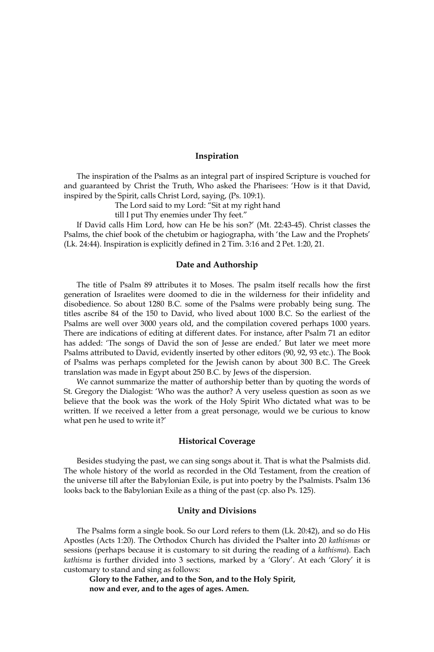#### Inspiration

The inspiration of the Psalms as an integral part of inspired Scripture is vouched for and guaranteed by Christ the Truth, Who asked the Pharisees: 'How is it that David, inspired by the Spirit, calls Christ Lord, saying, (Ps. 109:1).

The Lord said to my Lord: "Sit at my right hand

till I put Thy enemies under Thy feet."

If David calls Him Lord, how can He be his son?' (Mt. 22:43-45). Christ classes the Psalms, the chief book of the chetubim or hagiographa, with 'the Law and the Prophets' (Lk. 24:44). Inspiration is explicitly defined in 2 Tim. 3:16 and 2 Pet. 1:20, 21.

## Date and Authorship

The title of Psalm 89 attributes it to Moses. The psalm itself recalls how the first generation of Israelites were doomed to die in the wilderness for their infidelity and disobedience. So about 1280 B.C. some of the Psalms were probably being sung. The titles ascribe 84 of the 150 to David, who lived about 1000 B.C. So the earliest of the Psalms are well over 3000 years old, and the compilation covered perhaps 1000 years. There are indications of editing at different dates. For instance, after Psalm 71 an editor has added: 'The songs of David the son of Jesse are ended.' But later we meet more Psalms attributed to David, evidently inserted by other editors (90, 92, 93 etc.). The Book of Psalms was perhaps completed for the Jewish canon by about 300 B.C. The Greek translation was made in Egypt about 250 B.C. by Jews of the dispersion.

We cannot summarize the matter of authorship better than by quoting the words of St. Gregory the Dialogist: 'Who was the author? A very useless question as soon as we believe that the book was the work of the Holy Spirit Who dictated what was to be written. If we received a letter from a great personage, would we be curious to know what pen he used to write it?'

## **Historical Coverage**

Besides studying the past, we can sing songs about it. That is what the Psalmists did. The whole history of the world as recorded in the Old Testament, from the creation of the universe till after the Babylonian Exile, is put into poetry by the Psalmists. Psalm 136 looks back to the Babylonian Exile as a thing of the past (cp. also Ps. 125).

## **Unity and Divisions**

The Psalms form a single book. So our Lord refers to them (Lk. 20:42), and so do His Apostles (Acts 1:20). The Orthodox Church has divided the Psalter into 20 kathismas or sessions (perhaps because it is customary to sit during the reading of a kathisma). Each kathisma is further divided into 3 sections, marked by a 'Glory'. At each 'Glory' it is customary to stand and sing as follows:

Glory to the Father, and to the Son, and to the Holy Spirit, now and ever, and to the ages of ages. Amen.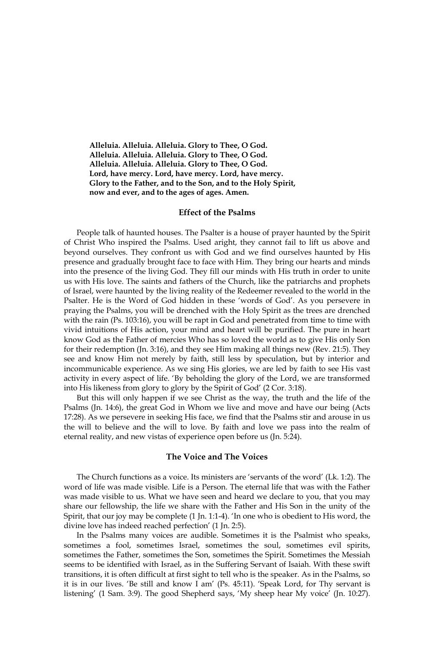Alleluia. Alleluia. Alleluia. Glory to Thee, O God. Alleluia. Alleluia. Alleluia. Glory to Thee, O God. Alleluia. Alleluia. Alleluia. Glory to Thee, O God. Lord, have mercy. Lord, have mercy. Lord, have mercy. Glory to the Father, and to the Son, and to the Holy Spirit, now and ever, and to the ages of ages. Amen.

#### **Effect of the Psalms**

People talk of haunted houses. The Psalter is a house of prayer haunted by the Spirit of Christ Who inspired the Psalms. Used aright, they cannot fail to lift us above and beyond ourselves. They confront us with God and we find ourselves haunted by His presence and gradually brought face to face with Him. They bring our hearts and minds into the presence of the living God. They fill our minds with His truth in order to unite us with His love. The saints and fathers of the Church, like the patriarchs and prophets of Israel, were haunted by the living reality of the Redeemer revealed to the world in the Psalter. He is the Word of God hidden in these 'words of God'. As you persevere in praying the Psalms, you will be drenched with the Holy Spirit as the trees are drenched with the rain (Ps. 103:16), you will be rapt in God and penetrated from time to time with vivid intuitions of His action, your mind and heart will be purified. The pure in heart know God as the Father of mercies Who has so loved the world as to give His only Son for their redemption (Jn. 3:16), and they see Him making all things new (Rev. 21:5). They see and know Him not merely by faith, still less by speculation, but by interior and incommunicable experience. As we sing His glories, we are led by faith to see His vast activity in every aspect of life. 'By beholding the glory of the Lord, we are transformed into His likeness from glory to glory by the Spirit of God' (2 Cor. 3:18).

But this will only happen if we see Christ as the way, the truth and the life of the Psalms (Jn. 14:6), the great God in Whom we live and move and have our being (Acts 17:28). As we persevere in seeking His face, we find that the Psalms stir and arouse in us the will to believe and the will to love. By faith and love we pass into the realm of eternal reality, and new vistas of experience open before us (Jn. 5:24).

#### The Voice and The Voices

The Church functions as a voice. Its ministers are 'servants of the word' (Lk. 1:2). The word of life was made visible. Life is a Person. The eternal life that was with the Father was made visible to us. What we have seen and heard we declare to you, that you may share our fellowship, the life we share with the Father and His Son in the unity of the Spirit, that our joy may be complete (1 Jn. 1:1-4). 'In one who is obedient to His word, the divine love has indeed reached perfection' (1 Jn. 2:5).

In the Psalms many voices are audible. Sometimes it is the Psalmist who speaks, sometimes a fool, sometimes Israel, sometimes the soul, sometimes evil spirits, sometimes the Father, sometimes the Son, sometimes the Spirit. Sometimes the Messiah seems to be identified with Israel, as in the Suffering Servant of Isaiah. With these swift transitions, it is often difficult at first sight to tell who is the speaker. As in the Psalms, so it is in our lives. 'Be still and know I am' (Ps. 45:11). 'Speak Lord, for Thy servant is listening' (1 Sam. 3:9). The good Shepherd says, 'My sheep hear My voice' (Jn. 10:27).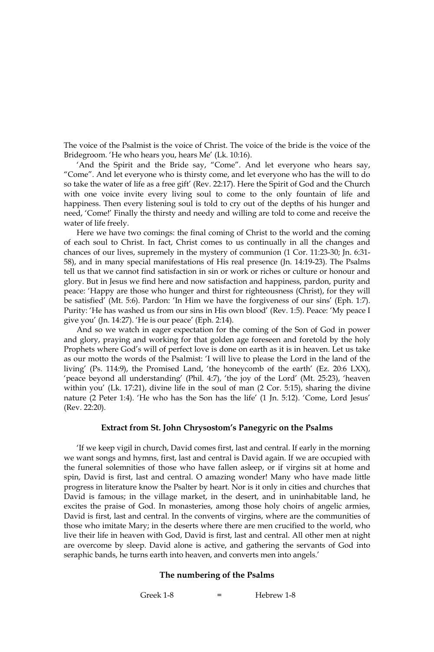The voice of the Psalmist is the voice of Christ. The voice of the bride is the voice of the Bridegroom. 'He who hears you, hears Me' (Lk. 10:16).

'And the Spirit and the Bride say, "Come". And let everyone who hears say, "Come". And let everyone who is thirsty come, and let everyone who has the will to do so take the water of life as a free gift' (Rev. 22:17). Here the Spirit of God and the Church with one voice invite every living soul to come to the only fountain of life and happiness. Then every listening soul is told to cry out of the depths of his hunger and need, 'Come!' Finally the thirsty and needy and willing are told to come and receive the water of life freely.

Here we have two comings: the final coming of Christ to the world and the coming of each soul to Christ. In fact, Christ comes to us continually in all the changes and chances of our lives, supremely in the mystery of communion (1 Cor. 11:23-30; Jn. 6:31-58), and in many special manifestations of His real presence (Jn. 14:19-23). The Psalms tell us that we cannot find satisfaction in sin or work or riches or culture or honour and glory. But in Jesus we find here and now satisfaction and happiness, pardon, purity and peace: 'Happy are those who hunger and thirst for righteousness (Christ), for they will be satisfied' (Mt. 5:6). Pardon: 'In Him we have the forgiveness of our sins' (Eph. 1:7). Purity: 'He has washed us from our sins in His own blood' (Rev. 1:5). Peace: 'My peace I give you' (Jn. 14:27). 'He is our peace' (Eph. 2:14).

And so we watch in eager expectation for the coming of the Son of God in power and glory, praying and working for that golden age foreseen and foretold by the holy Prophets where God's will of perfect love is done on earth as it is in heaven. Let us take as our motto the words of the Psalmist: 'I will live to please the Lord in the land of the living' (Ps. 114:9), the Promised Land, 'the honeycomb of the earth' (Ez. 20:6 LXX), 'peace beyond all understanding' (Phil. 4:7), 'the joy of the Lord' (Mt. 25:23), 'heaven within you' (Lk. 17:21), divine life in the soul of man  $(2 \text{ Cor. } 5:15)$ , sharing the divine nature (2 Peter 1:4). 'He who has the Son has the life' (1 Jn. 5:12). 'Come, Lord Jesus' (Rev. 22:20).

#### Extract from St. John Chrysostom's Panegyric on the Psalms

'If we keep vigil in church, David comes first, last and central. If early in the morning we want songs and hymns, first, last and central is David again. If we are occupied with the funeral solemnities of those who have fallen asleep, or if virgins sit at home and spin, David is first, last and central. O amazing wonder! Many who have made little progress in literature know the Psalter by heart. Nor is it only in cities and churches that David is famous; in the village market, in the desert, and in uninhabitable land, he excites the praise of God. In monasteries, among those holy choirs of angelic armies, David is first, last and central. In the convents of virgins, where are the communities of those who imitate Mary; in the deserts where there are men crucified to the world, who live their life in heaven with God, David is first, last and central. All other men at night are overcome by sleep. David alone is active, and gathering the servants of God into seraphic bands, he turns earth into heaven, and converts men into angels.'

#### The numbering of the Psalms

Greek 1-8  $\overline{a}$ Hebrew 1-8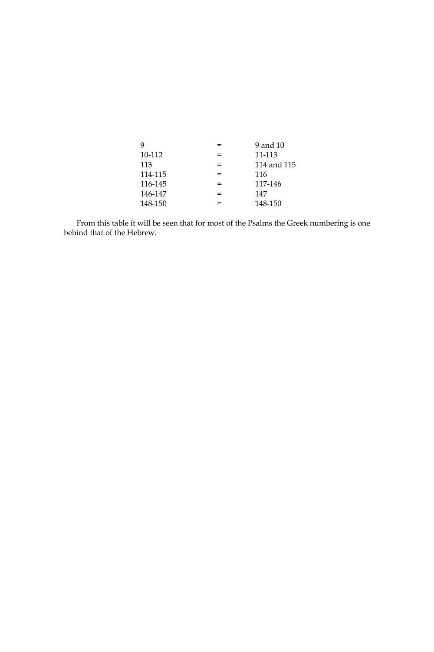| g       |                          | 9 and 10    |
|---------|--------------------------|-------------|
| 10-112  |                          | 11-113      |
| 113     | =                        | 114 and 115 |
| 114-115 | =                        | 116         |
| 116-145 | $=$                      | 117-146     |
| 146-147 | $\overline{\phantom{0}}$ | 147         |
| 148-150 |                          | 148-150     |

From this table it will be seen that for most of the Psalms the Greek numbering is one behind that of the Hebrew.  $\,$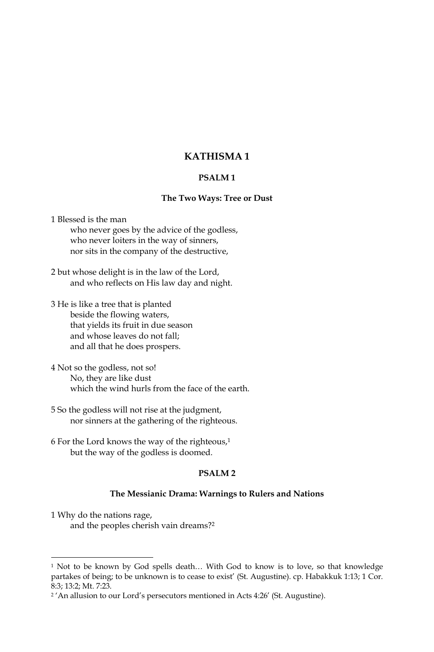# **KATHISMA1**

# **PSALM1**

## The Two Ways: Tree or Dust

1 Blessed is the man who never goes by the advice of the godless, who never loiters in the way of sinners, nor sits in the company of the destructive,

2 but whose delight is in the law of the Lord, and who reflects on His law day and night.

3 He is like a tree that is planted beside the flowing waters, that yields its fruit in due season and whose leaves do not fall; and all that he does prospers.

4 Not so the godless, not so! No, they are like dust which the wind hurls from the face of the earth.

5 So the godless will not rise at the judgment, nor sinners at the gathering of the righteous.

6 For the Lord knows the way of the righteous,<sup>1</sup> but the way of the godless is doomed.

#### **PSALM2**

## The Messianic Drama: Warnings to Rulers and Nations

1 Why do the nations rage, and the peoples cherish vain dreams?<sup>2</sup>

<sup>&</sup>lt;sup>1</sup> Not to be known by God spells death... With God to know is to love, so that knowledge partakes of being; to be unknown is to cease to exist' (St. Augustine). cp. Habakkuk 1:13; 1 Cor. 8:3; 13:2; Mt. 7:23.

<sup>&</sup>lt;sup>2</sup>'An allusion to our Lord's persecutors mentioned in Acts 4:26' (St. Augustine).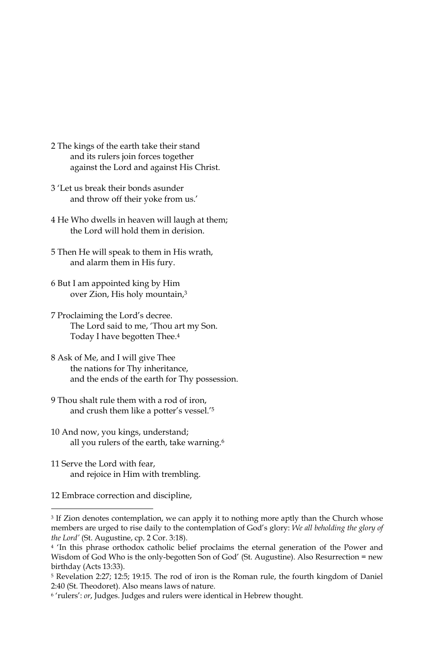- 2 The kings of the earth take their stand and its rulers join forces together against the Lord and against His Christ.
- 3 'Let us break their bonds asunder and throw off their yoke from us.'
- 4 He Who dwells in heaven will laugh at them; the Lord will hold them in derision.
- 5 Then He will speak to them in His wrath, and alarm them in His fury.
- 6 But I am appointed king by Him over Zion, His holy mountain,3
- 7 Proclaiming the Lord's decree. The Lord said to me, 'Thou art my Son. Today I have begotten Thee.<sup>4</sup>
- 8 Ask of Me, and I will give Thee the nations for Thy inheritance, and the ends of the earth for Thy possession.
- 9 Thou shalt rule them with a rod of iron. and crush them like a potter's vessel.'5
- 10 And now, you kings, understand; all you rulers of the earth, take warning.<sup>6</sup>
- 11 Serve the Lord with fear, and rejoice in Him with trembling.
- 12 Embrace correction and discipline,

<sup>&</sup>lt;sup>3</sup> If Zion denotes contemplation, we can apply it to nothing more aptly than the Church whose members are urged to rise daily to the contemplation of God's glory: We all beholding the glory of the Lord' (St. Augustine, cp. 2 Cor. 3:18).

<sup>&</sup>lt;sup>4</sup> 'In this phrase orthodox catholic belief proclaims the eternal generation of the Power and Wisdom of God Who is the only-begotten Son of God' (St. Augustine). Also Resurrection = new birthday (Acts 13:33).

<sup>&</sup>lt;sup>5</sup> Revelation 2:27; 12:5; 19:15. The rod of iron is the Roman rule, the fourth kingdom of Daniel 2:40 (St. Theodoret). Also means laws of nature.

<sup>&</sup>lt;sup>6</sup> 'rulers': or, Judges. Judges and rulers were identical in Hebrew thought.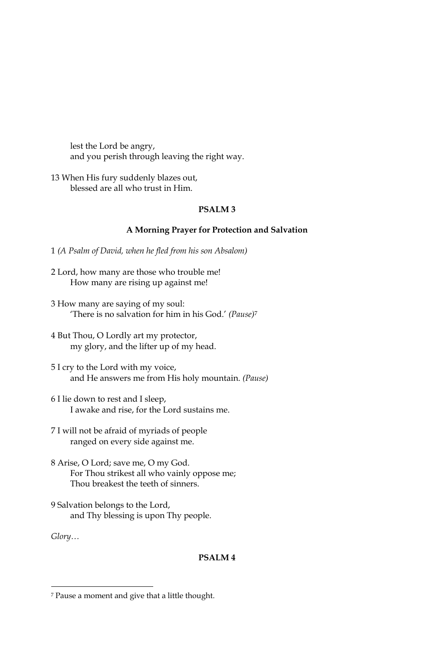lest the Lord be angry, and you perish through leaving the right way.

13 When His fury suddenly blazes out, blessed are all who trust in Him.

## **PSALM3**

## A Morning Prayer for Protection and Salvation

1 (A Psalm of David, when he fled from his son Absalom)

- 2 Lord, how many are those who trouble me! How many are rising up against me!
- 3 How many are saying of my soul: 'There is no salvation for him in his God.' (Pause)<sup>7</sup>
- 4 But Thou, O Lordly art my protector, my glory, and the lifter up of my head.
- 5 I cry to the Lord with my voice, and He answers me from His holy mountain. (Pause)
- 6 I lie down to rest and I sleep, I awake and rise, for the Lord sustains me.

7 I will not be afraid of myriads of people ranged on every side against me.

- 8 Arise, O Lord; save me, O my God. For Thou strikest all who vainly oppose me; Thou breakest the teeth of sinners.
- 9 Salvation belongs to the Lord, and Thy blessing is upon Thy people.

 $Glory...$ 

# PSALM<sub>4</sub>

<sup>7</sup> Pause a moment and give that a little thought.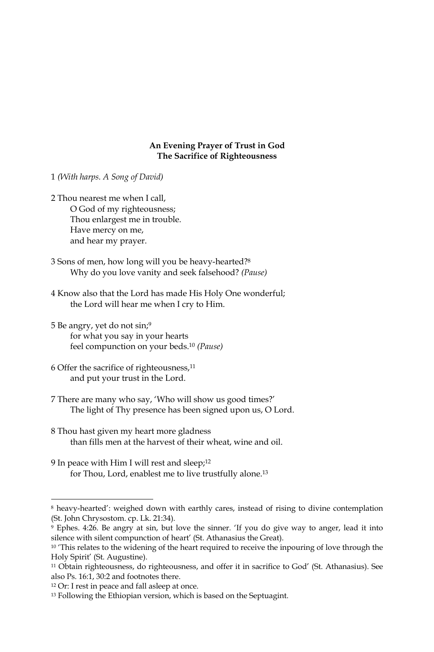## An Evening Prayer of Trust in God The Sacrifice of Righteousness

1 (With harps. A Song of David)

- 2 Thou nearest me when I call, O God of my righteousness; Thou enlargest me in trouble. Have mercy on me, and hear my prayer.
- 3 Sons of men, how long will you be heavy-hearted?<sup>8</sup> Why do you love vanity and seek falsehood? (Pause)
- 4 Know also that the Lord has made His Holy One wonderful; the Lord will hear me when I cry to Him.
- 5 Be angry, yet do not sin;<sup>9</sup> for what you say in your hearts feel compunction on your beds.<sup>10</sup> (Pause)
- 6 Offer the sacrifice of righteousness,<sup>11</sup> and put your trust in the Lord.
- 7 There are many who say, 'Who will show us good times?' The light of Thy presence has been signed upon us, O Lord.
- 8 Thou hast given my heart more gladness than fills men at the harvest of their wheat, wine and oil.
- 9 In peace with Him I will rest and sleep;<sup>12</sup> for Thou, Lord, enablest me to live trustfully alone.<sup>13</sup>

<sup>&</sup>lt;sup>8</sup> heavy-hearted': weighed down with earthly cares, instead of rising to divine contemplation (St. John Chrysostom. cp. Lk. 21:34).

<sup>&</sup>lt;sup>9</sup> Ephes. 4:26. Be angry at sin, but love the sinner. 'If you do give way to anger, lead it into silence with silent compunction of heart' (St. Athanasius the Great).

<sup>&</sup>lt;sup>10</sup> This relates to the widening of the heart required to receive the inpouring of love through the Holy Spirit' (St. Augustine).

<sup>&</sup>lt;sup>11</sup> Obtain righteousness, do righteousness, and offer it in sacrifice to God' (St. Athanasius). See also Ps. 16:1, 30:2 and footnotes there.

<sup>&</sup>lt;sup>12</sup> Or: I rest in peace and fall asleep at once.

<sup>&</sup>lt;sup>13</sup> Following the Ethiopian version, which is based on the Septuagint.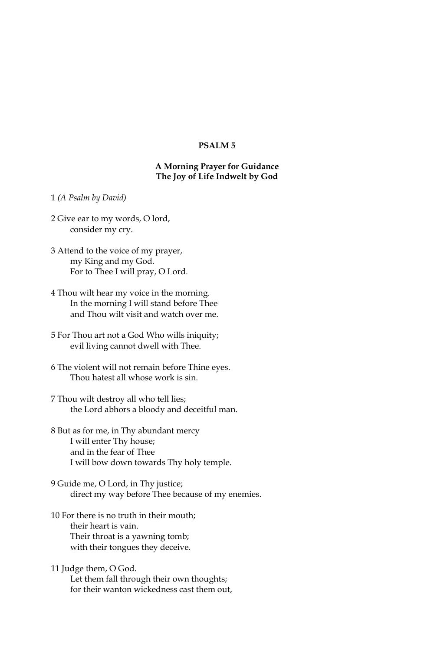# **PSALM5**

# A Morning Prayer for Guidance The Joy of Life Indwelt by God

- 1 (A Psalm by David)
- 2 Give ear to my words, O lord, consider my cry.
- 3 Attend to the voice of my prayer, my King and my God. For to Thee I will pray, O Lord.
- 4 Thou wilt hear my voice in the morning. In the morning I will stand before Thee and Thou wilt visit and watch over me.
- 5 For Thou art not a God Who wills iniquity; evil living cannot dwell with Thee.
- 6 The violent will not remain before Thine eyes. Thou hatest all whose work is sin.
- 7 Thou wilt destroy all who tell lies; the Lord abhors a bloody and deceitful man.
- 8 But as for me, in Thy abundant mercy I will enter Thy house; and in the fear of Thee I will bow down towards Thy holy temple.
- 9 Guide me, O Lord, in Thy justice; direct my way before Thee because of my enemies.
- 10 For there is no truth in their mouth; their heart is vain. Their throat is a yawning tomb; with their tongues they deceive.
- 11 Judge them, O God. Let them fall through their own thoughts; for their wanton wickedness cast them out,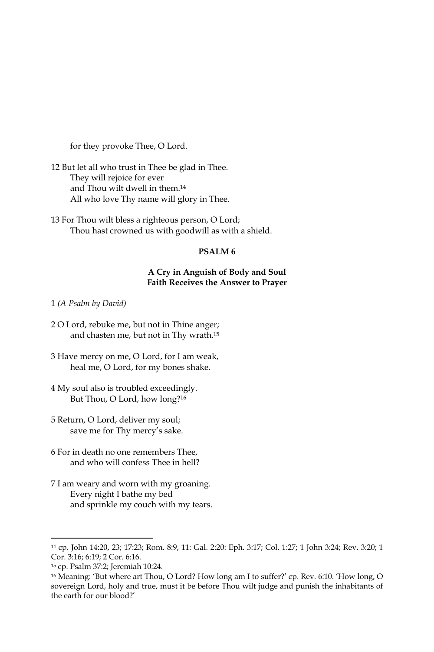for they provoke Thee, O Lord.

12 But let all who trust in Thee be glad in Thee. They will rejoice for ever and Thou wilt dwell in them.<sup>14</sup> All who love Thy name will glory in Thee.

13 For Thou wilt bless a righteous person, O Lord; Thou hast crowned us with goodwill as with a shield.

# PSALM<sub>6</sub>

## A Cry in Anguish of Body and Soul **Faith Receives the Answer to Prayer**

1 (A Psalm by David)

- 2 O Lord, rebuke me, but not in Thine anger; and chasten me, but not in Thy wrath.<sup>15</sup>
- 3 Have mercy on me, O Lord, for I am weak, heal me, O Lord, for my bones shake.
- 4 My soul also is troubled exceedingly. But Thou, O Lord, how long?<sup>16</sup>
- 5 Return, O Lord, deliver my soul; save me for Thy mercy's sake.
- 6 For in death no one remembers Thee, and who will confess Thee in hell?
- 7 I am weary and worn with my groaning. Every night I bathe my bed and sprinkle my couch with my tears.

<sup>&</sup>lt;sup>14</sup> cp. John 14:20, 23; 17:23; Rom. 8:9, 11: Gal. 2:20: Eph. 3:17; Col. 1:27; 1 John 3:24; Rev. 3:20; 1 Cor. 3:16; 6:19; 2 Cor. 6:16.

<sup>&</sup>lt;sup>15</sup> cp. Psalm 37:2; Jeremiah 10:24.

<sup>&</sup>lt;sup>16</sup> Meaning: 'But where art Thou, O Lord? How long am I to suffer?' cp. Rev. 6:10. 'How long, O sovereign Lord, holy and true, must it be before Thou wilt judge and punish the inhabitants of the earth for our blood?'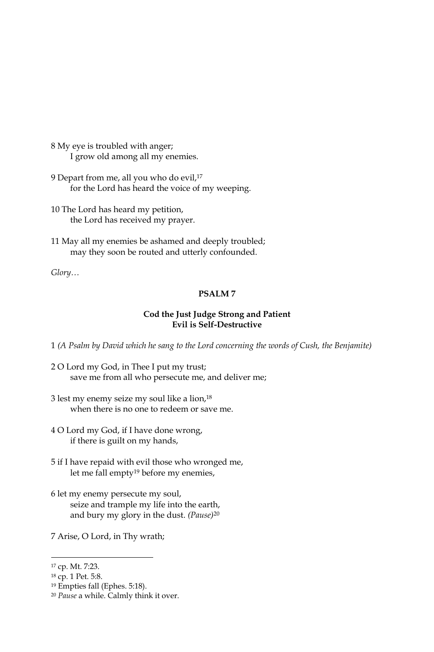- 8 My eye is troubled with anger; I grow old among all my enemies.
- 9 Depart from me, all you who do evil,<sup>17</sup> for the Lord has heard the voice of my weeping.
- 10 The Lord has heard my petition, the Lord has received my prayer.
- 11 May all my enemies be ashamed and deeply troubled; may they soon be routed and utterly confounded.

 $Glory...$ 

# **PSALM7**

# Cod the Just Judge Strong and Patient **Evil is Self-Destructive**

1 (A Psalm by David which he sang to the Lord concerning the words of Cush, the Benjamite)

- 2 O Lord my God, in Thee I put my trust; save me from all who persecute me, and deliver me;
- 3 lest my enemy seize my soul like a lion,<sup>18</sup> when there is no one to redeem or save me.
- 4 O Lord my God, if I have done wrong, if there is guilt on my hands,
- 5 if I have repaid with evil those who wronged me, let me fall empty<sup>19</sup> before my enemies,
- 6 let my enemy persecute my soul, seize and trample my life into the earth, and bury my glory in the dust. (Pause)<sup>20</sup>
- 7 Arise, O Lord, in Thy wrath;

<sup>&</sup>lt;sup>17</sup> cp. Mt. 7:23.

<sup>&</sup>lt;sup>18</sup> cp. 1 Pet. 5:8.

<sup>&</sup>lt;sup>19</sup> Empties fall (Ephes, 5:18).

<sup>&</sup>lt;sup>20</sup> Pause a while. Calmly think it over.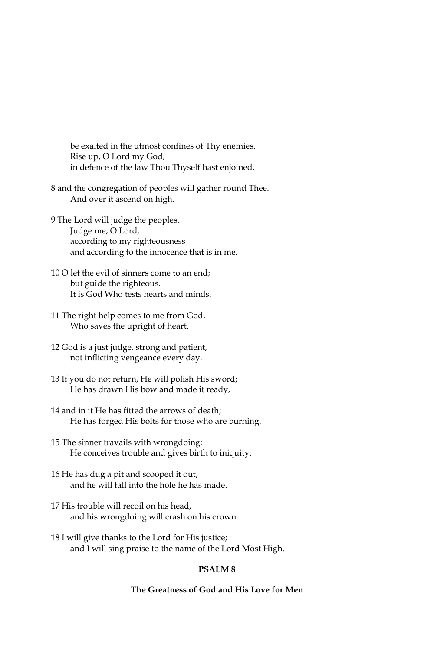be exalted in the utmost confines of Thy enemies. Rise up, O Lord my God, in defence of the law Thou Thyself hast enjoined,

8 and the congregation of peoples will gather round Thee. And over it ascend on high.

- 9 The Lord will judge the peoples. Judge me, O Lord, according to my righteousness and according to the innocence that is in me.
- 10 O let the evil of sinners come to an end; but guide the righteous. It is God Who tests hearts and minds.
- 11 The right help comes to me from God, Who saves the upright of heart.
- 12 God is a just judge, strong and patient, not inflicting vengeance every day.
- 13 If you do not return, He will polish His sword; He has drawn His bow and made it ready,
- 14 and in it He has fitted the arrows of death; He has forged His bolts for those who are burning.
- 15 The sinner travails with wrongdoing; He conceives trouble and gives birth to iniquity.
- 16 He has dug a pit and scooped it out, and he will fall into the hole he has made.
- 17 His trouble will recoil on his head, and his wrongdoing will crash on his crown.
- 18 I will give thanks to the Lord for His justice; and I will sing praise to the name of the Lord Most High.

# **PSALM8**

# The Greatness of God and His Love for Men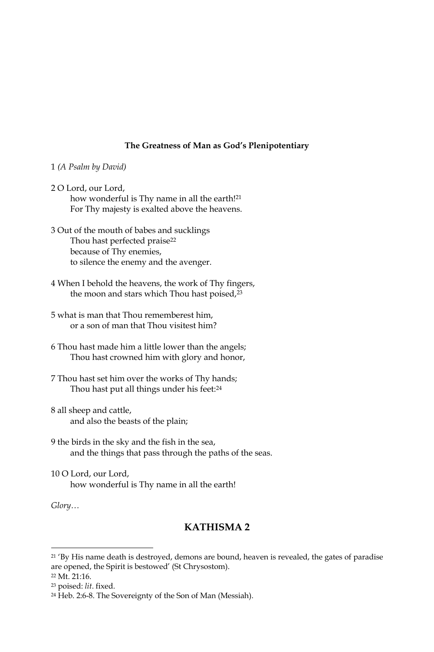## The Greatness of Man as God's Plenipotentiary

#### 1 (A Psalm by David)

- 2 O Lord, our Lord, how wonderful is Thy name in all the earth!<sup>21</sup> For Thy majesty is exalted above the heavens.
- 3 Out of the mouth of babes and sucklings Thou hast perfected praise<sup>22</sup> because of Thy enemies, to silence the enemy and the avenger.
- 4 When I behold the heavens, the work of Thy fingers, the moon and stars which Thou hast poised,<sup>23</sup>
- 5 what is man that Thou rememberest him. or a son of man that Thou visitest him?
- 6 Thou hast made him a little lower than the angels; Thou hast crowned him with glory and honor,
- 7 Thou hast set him over the works of Thy hands; Thou hast put all things under his feet:<sup>24</sup>
- 8 all sheep and cattle, and also the beasts of the plain;
- 9 the birds in the sky and the fish in the sea, and the things that pass through the paths of the seas.
- 10 O Lord, our Lord, how wonderful is Thy name in all the earth!

 $Glory...$ 

# **KATHISMA2**

<sup>22</sup> Mt. 21:16.

<sup>&</sup>lt;sup>21</sup>'By His name death is destroyed, demons are bound, heaven is revealed, the gates of paradise are opened, the Spirit is bestowed' (St Chrysostom).

<sup>&</sup>lt;sup>23</sup> poised: lit. fixed.

<sup>&</sup>lt;sup>24</sup> Heb. 2:6-8. The Sovereignty of the Son of Man (Messiah).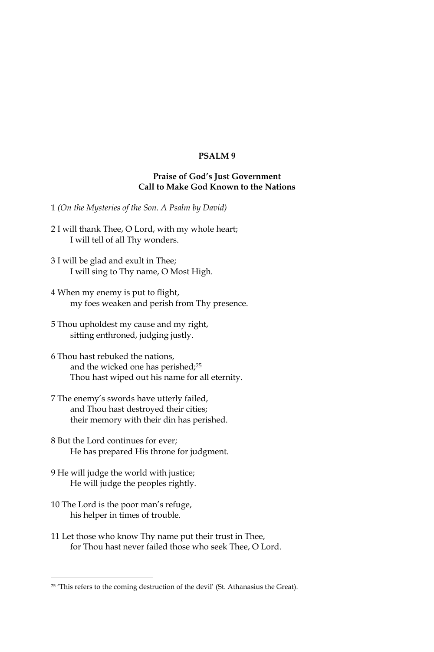# PSALM<sub>9</sub>

## **Praise of God's Just Government** Call to Make God Known to the Nations

1 (On the Mysteries of the Son. A Psalm by David)

- 2 I will thank Thee, O Lord, with my whole heart; I will tell of all Thy wonders.
- 3 I will be glad and exult in Thee; I will sing to Thy name, O Most High.
- 4 When my enemy is put to flight, my foes weaken and perish from Thy presence.
- 5 Thou upholdest my cause and my right, sitting enthroned, judging justly.
- 6 Thou hast rebuked the nations, and the wicked one has perished;<sup>25</sup> Thou hast wiped out his name for all eternity.
- 7 The enemy's swords have utterly failed, and Thou hast destroyed their cities; their memory with their din has perished.
- 8 But the Lord continues for ever: He has prepared His throne for judgment.
- 9 He will judge the world with justice; He will judge the peoples rightly.
- 10 The Lord is the poor man's refuge, his helper in times of trouble.
- 11 Let those who know Thy name put their trust in Thee, for Thou hast never failed those who seek Thee, O Lord.

<sup>&</sup>lt;sup>25</sup> 'This refers to the coming destruction of the devil' (St. Athanasius the Great).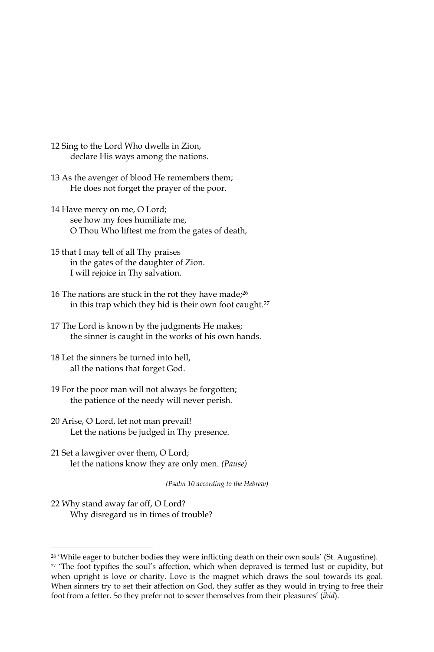- 12 Sing to the Lord Who dwells in Zion, declare His ways among the nations.
- 13 As the avenger of blood He remembers them; He does not forget the prayer of the poor.
- 14 Have mercy on me, O Lord; see how my foes humiliate me, O Thou Who liftest me from the gates of death,
- 15 that I may tell of all Thy praises in the gates of the daughter of Zion. I will rejoice in Thy salvation.
- 16 The nations are stuck in the rot they have made;<sup>26</sup> in this trap which they hid is their own foot caught.<sup>27</sup>
- 17 The Lord is known by the judgments He makes; the sinner is caught in the works of his own hands.
- 18 Let the sinners be turned into hell, all the nations that forget God.
- 19 For the poor man will not always be forgotten; the patience of the needy will never perish.
- 20 Arise, O Lord, let not man prevail! Let the nations be judged in Thy presence.
- 21 Set a lawgiver over them, O Lord; let the nations know they are only men. (Pause)

(Psalm 10 according to the Hebrew)

22 Why stand away far off, O Lord? Why disregard us in times of trouble?

<sup>&</sup>lt;sup>26</sup> 'While eager to butcher bodies they were inflicting death on their own souls' (St. Augustine).

<sup>&</sup>lt;sup>27</sup> 'The foot typifies the soul's affection, which when depraved is termed lust or cupidity, but when upright is love or charity. Love is the magnet which draws the soul towards its goal. When sinners try to set their affection on God, they suffer as they would in trying to free their foot from a fetter. So they prefer not to sever themselves from their pleasures' (ibid).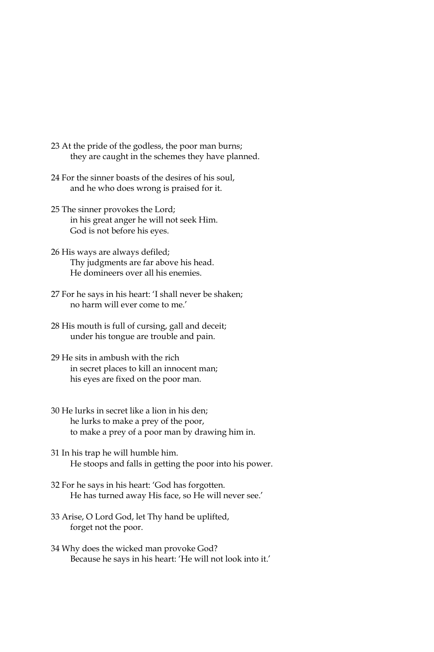- 23 At the pride of the godless, the poor man burns; they are caught in the schemes they have planned.
- 24 For the sinner boasts of the desires of his soul, and he who does wrong is praised for it.
- 25 The sinner provokes the Lord; in his great anger he will not seek Him. God is not before his eyes.
- 26 His ways are always defiled; Thy judgments are far above his head. He domineers over all his enemies.
- 27 For he says in his heart: 'I shall never be shaken; no harm will ever come to me.'
- 28 His mouth is full of cursing, gall and deceit; under his tongue are trouble and pain.
- 29 He sits in ambush with the rich in secret places to kill an innocent man; his eyes are fixed on the poor man.
- 30 He lurks in secret like a lion in his den; he lurks to make a prey of the poor, to make a prey of a poor man by drawing him in.
- 31 In his trap he will humble him. He stoops and falls in getting the poor into his power.
- 32 For he says in his heart: 'God has forgotten. He has turned away His face, so He will never see.'
- 33 Arise, O Lord God, let Thy hand be uplifted, forget not the poor.
- 34 Why does the wicked man provoke God? Because he says in his heart: 'He will not look into it.'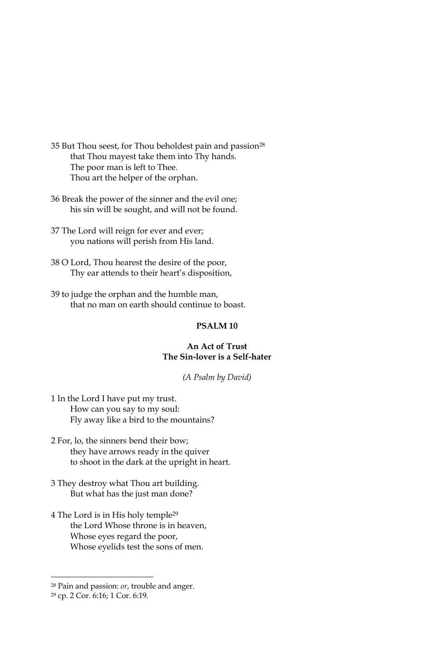35 But Thou seest, for Thou beholdest pain and passion<sup>28</sup> that Thou mayest take them into Thy hands. The poor man is left to Thee. Thou art the helper of the orphan.

36 Break the power of the sinner and the evil one; his sin will be sought, and will not be found.

37 The Lord will reign for ever and ever; you nations will perish from His land.

38 O Lord, Thou hearest the desire of the poor, Thy ear attends to their heart's disposition,

39 to judge the orphan and the humble man, that no man on earth should continue to boast.

## PSALM<sub>10</sub>

## An Act of Trust The Sin-lover is a Self-hater

(A Psalm by David)

1 In the Lord I have put my trust. How can you say to my soul: Fly away like a bird to the mountains?

2 For, lo, the sinners bend their bow; they have arrows ready in the quiver to shoot in the dark at the upright in heart.

3 They destroy what Thou art building. But what has the just man done?

4 The Lord is in His holy temple<sup>29</sup> the Lord Whose throne is in heaven, Whose eyes regard the poor, Whose eyelids test the sons of men.

<sup>&</sup>lt;sup>28</sup> Pain and passion: *or*, trouble and anger.

<sup>&</sup>lt;sup>29</sup> cp. 2 Cor. 6:16; 1 Cor. 6:19.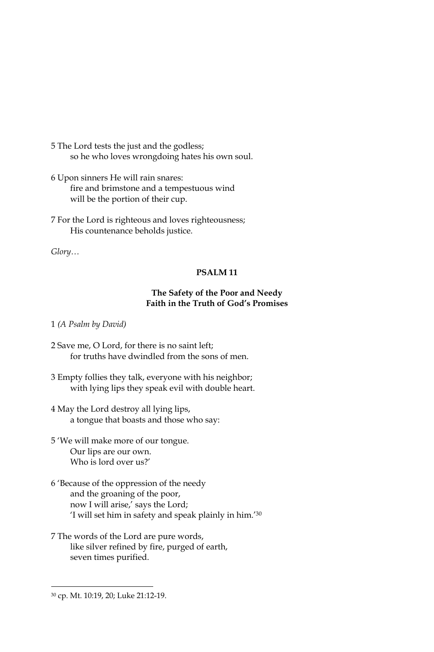- 5 The Lord tests the just and the godless; so he who loves wrongdoing hates his own soul.
- 6 Upon sinners He will rain snares: fire and brimstone and a tempestuous wind will be the portion of their cup.
- 7 For the Lord is righteous and loves righteousness; His countenance beholds justice.

 $Glory...$ 

# PSALM<sub>11</sub>

# The Safety of the Poor and Needy Faith in the Truth of God's Promises

1 (A Psalm by David)

- 2 Save me, O Lord, for there is no saint left; for truths have dwindled from the sons of men.
- 3 Empty follies they talk, everyone with his neighbor; with lying lips they speak evil with double heart.
- 4 May the Lord destroy all lying lips, a tongue that boasts and those who say:
- 5 'We will make more of our tongue. Our lips are our own. Who is lord over us?'
- 6 'Because of the oppression of the needy and the groaning of the poor, now I will arise,' says the Lord; 'I will set him in safety and speak plainly in him.'30
- 7 The words of the Lord are pure words, like silver refined by fire, purged of earth, seven times purified.

<sup>&</sup>lt;sup>30</sup> cp. Mt. 10:19, 20; Luke 21:12-19.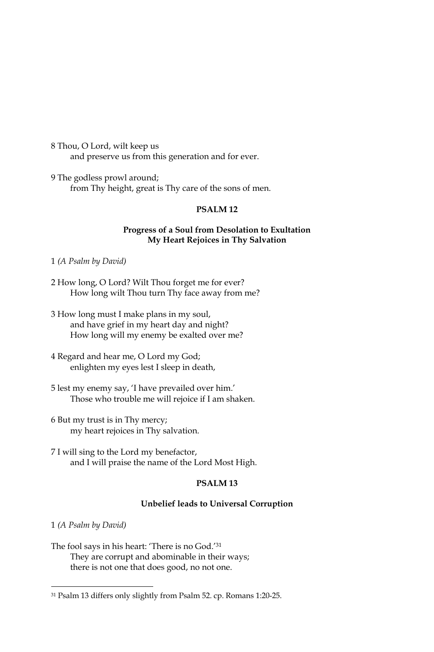8 Thou, O Lord, wilt keep us and preserve us from this generation and for ever.

9 The godless prowl around; from Thy height, great is Thy care of the sons of men.

## PSALM<sub>12</sub>

# Progress of a Soul from Desolation to Exultation My Heart Rejoices in Thy Salvation

1 (A Psalm by David)

- 2 How long, O Lord? Wilt Thou forget me for ever? How long wilt Thou turn Thy face away from me?
- 3 How long must I make plans in my soul, and have grief in my heart day and night? How long will my enemy be exalted over me?
- 4 Regard and hear me, O Lord my God; enlighten my eyes lest I sleep in death,
- 5 lest my enemy say, 'I have prevailed over him.' Those who trouble me will rejoice if I am shaken.
- 6 But my trust is in Thy mercy; my heart rejoices in Thy salvation.
- 7 I will sing to the Lord my benefactor, and I will praise the name of the Lord Most High.

# PSALM<sub>13</sub>

## Unbelief leads to Universal Corruption

1 (A Psalm by David)

The fool says in his heart: 'There is no God.'31 They are corrupt and abominable in their ways; there is not one that does good, no not one.

<sup>&</sup>lt;sup>31</sup> Psalm 13 differs only slightly from Psalm 52. cp. Romans 1:20-25.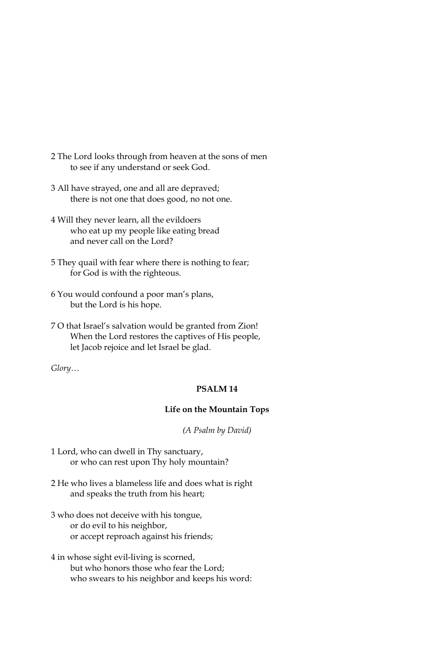- 2 The Lord looks through from heaven at the sons of men to see if any understand or seek God.
- 3 All have straved, one and all are depraved; there is not one that does good, no not one.
- 4 Will they never learn, all the evildoers who eat up my people like eating bread and never call on the Lord?
- 5 They quail with fear where there is nothing to fear; for God is with the righteous.
- 6 You would confound a poor man's plans, but the Lord is his hope.
- 7 O that Israel's salvation would be granted from Zion! When the Lord restores the captives of His people, let Jacob rejoice and let Israel be glad.

Glory...

# PSALM<sub>14</sub>

#### Life on the Mountain Tops

(A Psalm by David)

- 1 Lord, who can dwell in Thy sanctuary, or who can rest upon Thy holy mountain?
- 2 He who lives a blameless life and does what is right and speaks the truth from his heart;
- 3 who does not deceive with his tongue, or do evil to his neighbor, or accept reproach against his friends;
- 4 in whose sight evil-living is scorned, but who honors those who fear the Lord; who swears to his neighbor and keeps his word: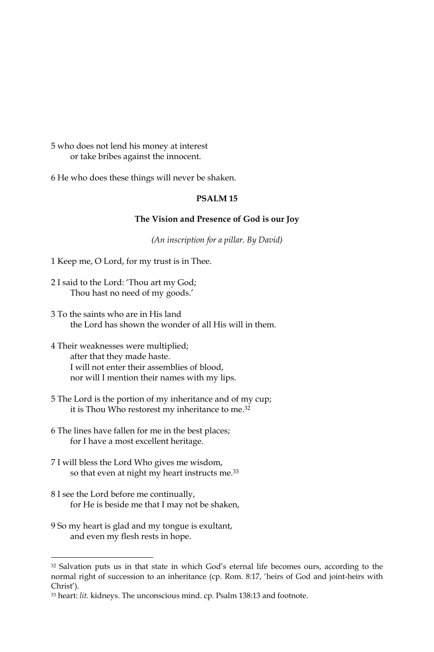5 who does not lend his money at interest or take bribes against the innocent.

6 He who does these things will never be shaken.

# PSALM<sub>15</sub>

## The Vision and Presence of God is our Joy

(An inscription for a pillar. By David)

- 1 Keep me, O Lord, for my trust is in Thee.
- 2 I said to the Lord: 'Thou art my God; Thou hast no need of my goods.'
- 3 To the saints who are in His land the Lord has shown the wonder of all His will in them.
- 4 Their weaknesses were multiplied; after that they made haste. I will not enter their assemblies of blood, nor will I mention their names with my lips.
- 5 The Lord is the portion of my inheritance and of my cup; it is Thou Who restorest my inheritance to me.<sup>32</sup>
- 6 The lines have fallen for me in the best places; for I have a most excellent heritage.
- 7 I will bless the Lord Who gives me wisdom, so that even at night my heart instructs me.<sup>33</sup>
- 8 I see the Lord before me continually, for He is beside me that I may not be shaken,
- 9 So my heart is glad and my tongue is exultant, and even my flesh rests in hope.

<sup>32</sup> Salvation puts us in that state in which God's eternal life becomes ours, according to the normal right of succession to an inheritance (cp. Rom. 8:17, 'heirs of God and joint-heirs with Christ').

<sup>33</sup> heart: lit. kidneys. The unconscious mind. cp. Psalm 138:13 and footnote.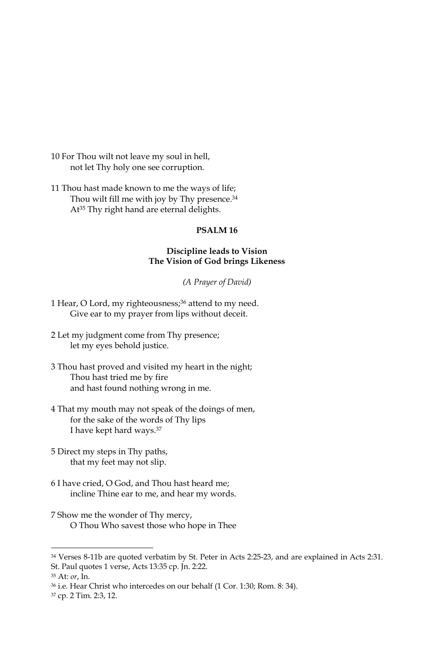10 For Thou wilt not leave my soul in hell, not let Thy holy one see corruption.

11 Thou hast made known to me the ways of life; Thou wilt fill me with joy by Thy presence.<sup>34</sup> At<sup>35</sup> Thy right hand are eternal delights.

## PSALM<sub>16</sub>

## Discipline leads to Vision The Vision of God brings Likeness

(A Prayer of David)

- 1 Hear, O Lord, my righteousness;<sup>36</sup> attend to my need. Give ear to my prayer from lips without deceit.
- 2 Let my judgment come from Thy presence; let my eyes behold justice.
- 3 Thou hast proved and visited my heart in the night; Thou hast tried me by fire and hast found nothing wrong in me.
- 4 That my mouth may not speak of the doings of men, for the sake of the words of Thy lips I have kept hard ways.<sup>37</sup>
- 5 Direct my steps in Thy paths, that my feet may not slip.
- 6 I have cried, O God, and Thou hast heard me; incline Thine ear to me, and hear my words.
- 7 Show me the wonder of Thy mercy, O Thou Who savest those who hope in Thee
- <sup>34</sup> Verses 8-11b are quoted verbatim by St. Peter in Acts 2:25-23, and are explained in Acts 2:31. St. Paul quotes 1 verse, Acts 13:35 cp. Jn. 2:22.

<sup>&</sup>lt;sup>35</sup> At: *or*, In.

<sup>&</sup>lt;sup>36</sup> i.e. Hear Christ who intercedes on our behalf (1 Cor. 1:30; Rom. 8: 34).

<sup>&</sup>lt;sup>37</sup> cp. 2 Tim. 2:3, 12.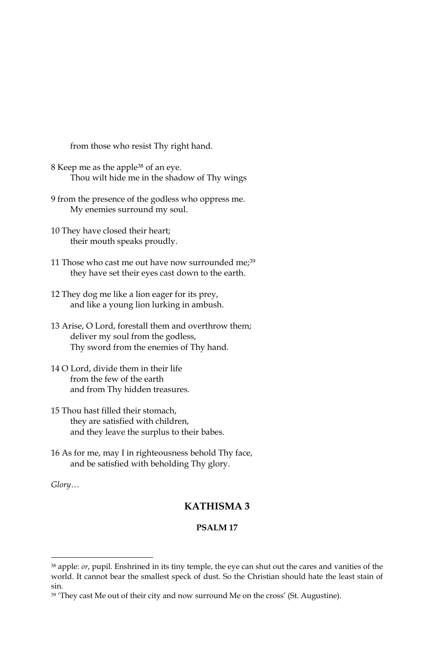from those who resist Thy right hand.

- 8 Keep me as the apple<sup>38</sup> of an eye. Thou wilt hide me in the shadow of Thy wings
- 9 from the presence of the godless who oppress me. My enemies surround my soul.
- 10 They have closed their heart; their mouth speaks proudly.
- 11 Those who cast me out have now surrounded me;<sup>39</sup> they have set their eyes cast down to the earth.
- 12 They dog me like a lion eager for its prey, and like a young lion lurking in ambush.
- 13 Arise, O Lord, forestall them and overthrow them; deliver my soul from the godless, Thy sword from the enemies of Thy hand.
- 14 O Lord, divide them in their life from the few of the earth and from Thy hidden treasures.
- 15 Thou hast filled their stomach, they are satisfied with children, and they leave the surplus to their babes.
- 16 As for me, may I in righteousness behold Thy face, and be satisfied with beholding Thy glory.

Glory...

# **KATHISMA3**

#### **PSALM17**

<sup>&</sup>lt;sup>38</sup> apple: or, pupil. Enshrined in its tiny temple, the eye can shut out the cares and vanities of the world. It cannot bear the smallest speck of dust. So the Christian should hate the least stain of sin

<sup>39 &#</sup>x27;They cast Me out of their city and now surround Me on the cross' (St. Augustine).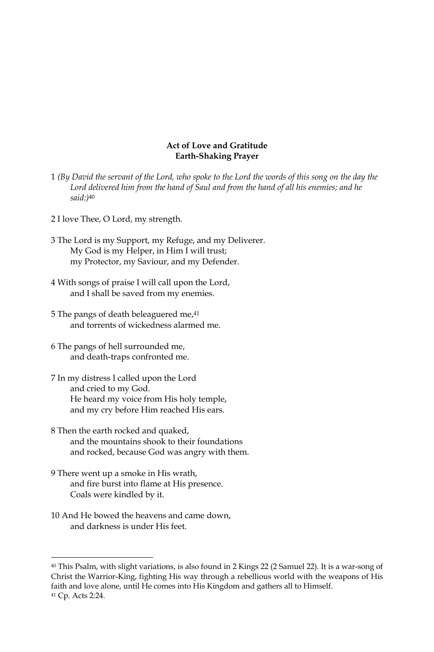### **Act of Love and Gratitude Earth-Shaking Prayer**

- 1 (By David the servant of the Lord, who spoke to the Lord the words of this song on the day the Lord delivered him from the hand of Saul and from the hand of all his enemies; and he  $said$ :)40
- 2 I love Thee, O Lord, my strength.
- 3 The Lord is my Support, my Refuge, and my Deliverer. My God is my Helper, in Him I will trust; my Protector, my Saviour, and my Defender.
- 4 With songs of praise I will call upon the Lord, and I shall be saved from my enemies.
- 5 The pangs of death beleaguered me,<sup>41</sup> and forrents of wickedness alarmed me
- 6 The pangs of hell surrounded me, and death-traps confronted me.
- 7 In my distress I called upon the Lord and cried to my God. He heard my voice from His holy temple, and my cry before Him reached His ears.
- 8 Then the earth rocked and quaked, and the mountains shook to their foundations and rocked, because God was angry with them.
- 9 There went up a smoke in His wrath, and fire burst into flame at His presence. Coals were kindled by it.
- 10 And He bowed the heavens and came down. and darkness is under His feet.

<sup>&</sup>lt;sup>40</sup> This Psalm, with slight variations, is also found in 2 Kings 22 (2 Samuel 22). It is a war-song of Christ the Warrior-King, fighting His way through a rebellious world with the weapons of His faith and love alone, until He comes into His Kingdom and gathers all to Himself. <sup>41</sup> Cp. Acts 2:24.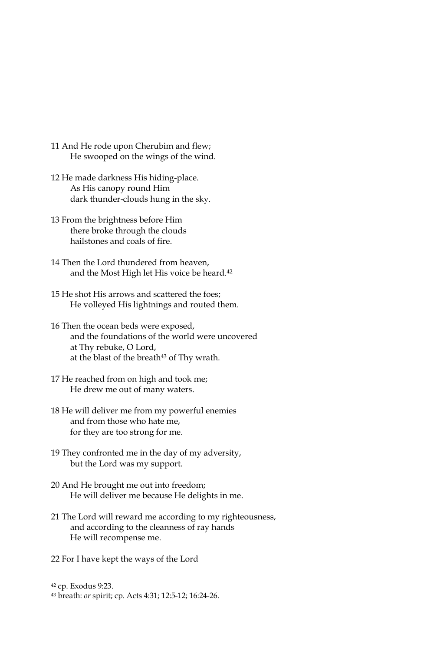- 11 And He rode upon Cherubim and flew; He swooped on the wings of the wind.
- 12 He made darkness His hiding-place. As His canopy round Him dark thunder-clouds hung in the sky.
- 13 From the brightness before Him there broke through the clouds hailstones and coals of fire.
- 14 Then the Lord thundered from heaven, and the Most High let His voice be heard.<sup>42</sup>
- 15 He shot His arrows and scattered the foes; He volleyed His lightnings and routed them.
- 16 Then the ocean beds were exposed, and the foundations of the world were uncovered at Thy rebuke, O Lord, at the blast of the breath<sup>43</sup> of Thy wrath.
- 17 He reached from on high and took me; He drew me out of many waters.
- 18 He will deliver me from my powerful enemies and from those who hate me, for they are too strong for me.
- 19 They confronted me in the day of my adversity, but the Lord was my support.
- 20 And He brought me out into freedom; He will deliver me because He delights in me.
- 21 The Lord will reward me according to my righteousness, and according to the cleanness of ray hands He will recompense me.
- 22 For I have kept the ways of the Lord

<sup>&</sup>lt;sup>42</sup> cp. Exodus 9:23.

<sup>43</sup> breath: or spirit; cp. Acts 4:31; 12:5-12; 16:24-26.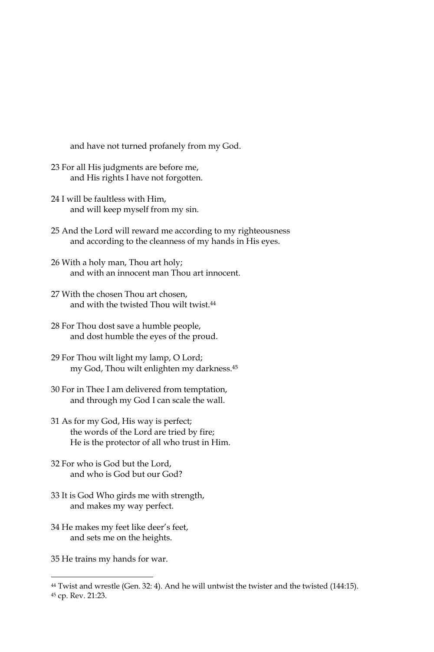and have not turned profanely from my God.

- 23 For all His judgments are before me, and His rights I have not forgotten.
- 24 I will be faultless with Him. and will keep myself from my sin.
- 25 And the Lord will reward me according to my righteousness and according to the cleanness of my hands in His eyes.
- 26 With a holy man, Thou art holy; and with an innocent man Thou art innocent.
- 27 With the chosen Thou art chosen, and with the twisted Thou wilt twist.<sup>44</sup>
- 28 For Thou dost save a humble people, and dost humble the eyes of the proud.
- 29 For Thou wilt light my lamp, O Lord; my God, Thou wilt enlighten my darkness.<sup>45</sup>
- 30 For in Thee I am delivered from temptation, and through my God I can scale the wall.
- 31 As for my God, His way is perfect; the words of the Lord are tried by fire; He is the protector of all who trust in Him.
- 32 For who is God but the Lord. and who is God but our God?
- 33 It is God Who girds me with strength, and makes my way perfect.
- 34 He makes my feet like deer's feet, and sets me on the heights.

35 He trains my hands for war.

<sup>&</sup>lt;sup>44</sup> Twist and wrestle (Gen. 32: 4). And he will untwist the twister and the twisted (144:15).

<sup>45</sup> cp. Rev. 21:23.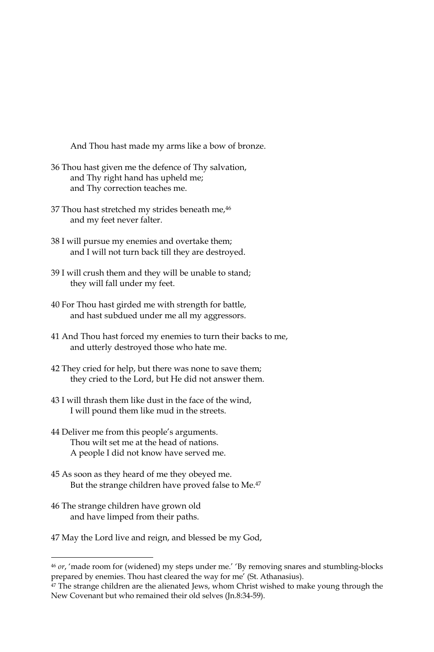And Thou hast made my arms like a bow of bronze.

- 36 Thou hast given me the defence of Thy salvation, and Thy right hand has upheld me; and Thy correction teaches me.
- 37 Thou hast stretched my strides beneath me, 46 and my feet never falter.
- 38 I will pursue my enemies and overtake them; and I will not turn back till they are destroyed.
- 39 I will crush them and they will be unable to stand; they will fall under my feet.
- 40 For Thou hast girded me with strength for battle, and hast subdued under me all my aggressors.
- 41 And Thou hast forced my enemies to turn their backs to me, and utterly destroyed those who hate me.
- 42 They cried for help, but there was none to save them; they cried to the Lord, but He did not answer them.
- 43 I will thrash them like dust in the face of the wind. I will pound them like mud in the streets.
- 44 Deliver me from this people's arguments. Thou wilt set me at the head of nations. A people I did not know have served me.
- 45 As soon as they heard of me they obeyed me. But the strange children have proved false to Me.<sup>47</sup>
- 46 The strange children have grown old and have limped from their paths.
- 47 May the Lord live and reign, and blessed be my God,

<sup>&</sup>lt;sup>46</sup> or, 'made room for (widened) my steps under me.' 'By removing snares and stumbling-blocks prepared by enemies. Thou hast cleared the way for me' (St. Athanasius).

 $47$  The strange children are the alienated Jews, whom Christ wished to make young through the New Covenant but who remained their old selves (Jn.8:34-59).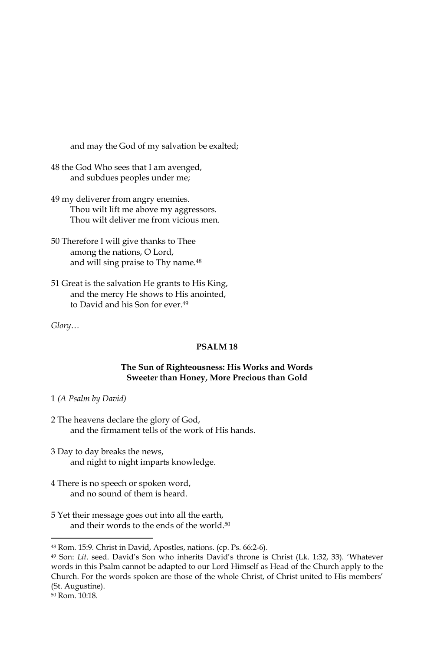and may the God of my salvation be exalted;

48 the God Who sees that I am avenged, and subdues peoples under me;

- 49 my deliverer from angry enemies. Thou wilt lift me above my aggressors. Thou wilt deliver me from vicious men.
- 50 Therefore I will give thanks to Thee among the nations, O Lord, and will sing praise to Thy name.<sup>48</sup>
- 51 Great is the salvation He grants to His King, and the mercy He shows to His anointed, to David and his Son for ever.<sup>49</sup>

Glory...

# PSALM<sub>18</sub>

### The Sun of Righteousness: His Works and Words Sweeter than Honey, More Precious than Gold

### 1 (A Psalm by David)

- 2 The heavens declare the glory of God, and the firmament tells of the work of His hands.
- 3 Day to day breaks the news, and night to night imparts knowledge.
- 4 There is no speech or spoken word, and no sound of them is heard.
- 5 Yet their message goes out into all the earth, and their words to the ends of the world.<sup>50</sup>

<sup>&</sup>lt;sup>48</sup> Rom. 15:9. Christ in David, Apostles, nations. (cp. Ps. 66:2-6).

<sup>&</sup>lt;sup>49</sup> Son: Lit. seed. David's Son who inherits David's throne is Christ (Lk. 1:32, 33). 'Whatever words in this Psalm cannot be adapted to our Lord Himself as Head of the Church apply to the Church. For the words spoken are those of the whole Christ, of Christ united to His members' (St. Augustine).

<sup>&</sup>lt;sup>50</sup> Rom. 10:18.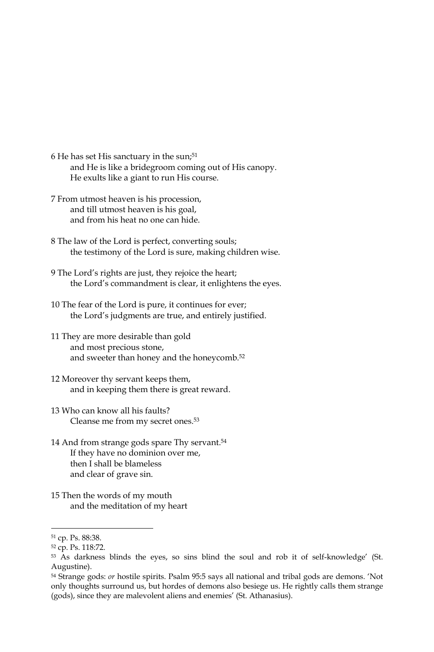- 6 He has set His sanctuary in the sun;<sup>51</sup> and He is like a bridegroom coming out of His canopy. He exults like a giant to run His course.
- 7 From utmost heaven is his procession, and till utmost heaven is his goal, and from his heat no one can hide.
- 8 The law of the Lord is perfect, converting souls; the testimony of the Lord is sure, making children wise.
- 9 The Lord's rights are just, they rejoice the heart; the Lord's commandment is clear, it enlightens the eyes.
- 10 The fear of the Lord is pure, it continues for ever; the Lord's judgments are true, and entirely justified.
- 11 They are more desirable than gold and most precious stone, and sweeter than honey and the honeycomb.<sup>52</sup>
- 12 Moreover thy servant keeps them, and in keeping them there is great reward.
- 13 Who can know all his faults? Cleanse me from my secret ones.<sup>53</sup>
- 14 And from strange gods spare Thy servant.<sup>54</sup> If they have no dominion over me, then I shall be blameless and clear of grave sin.
- 15 Then the words of my mouth and the meditation of my heart

<sup>&</sup>lt;sup>51</sup> cp. Ps. 88:38.

<sup>&</sup>lt;sup>52</sup> cp. Ps. 118:72.

<sup>53</sup> As darkness blinds the eyes, so sins blind the soul and rob it of self-knowledge' (St. Augustine).

<sup>&</sup>lt;sup>54</sup> Strange gods: *or* hostile spirits. Psalm 95:5 says all national and tribal gods are demons. 'Not only thoughts surround us, but hordes of demons also besiege us. He rightly calls them strange (gods), since they are malevolent aliens and enemies' (St. Athanasius).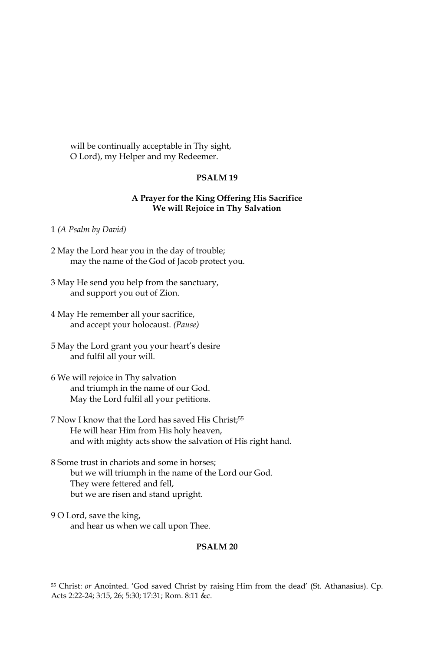will be continually acceptable in Thy sight, O Lord), my Helper and my Redeemer.

# PSALM<sub>19</sub>

### A Prayer for the King Offering His Sacrifice We will Rejoice in Thy Salvation

#### 1 (A Psalm by David)

- 2 May the Lord hear you in the day of trouble; may the name of the God of Jacob protect you.
- 3 May He send you help from the sanctuary, and support you out of Zion.
- 4 May He remember all your sacrifice, and accept your holocaust. (Pause)
- 5 May the Lord grant you your heart's desire and fulfil all your will.
- 6 We will rejoice in Thy salvation and triumph in the name of our God. May the Lord fulfil all your petitions.
- 7 Now I know that the Lord has saved His Christ:<sup>55</sup> He will hear Him from His holy heaven, and with mighty acts show the salvation of His right hand.
- 8 Some trust in chariots and some in horses; but we will triumph in the name of the Lord our God. They were fettered and fell, but we are risen and stand upright.
- 9 O Lord, save the king, and hear us when we call upon Thee.

#### PSALM<sub>20</sub>

<sup>&</sup>lt;sup>55</sup> Christ: or Anointed. 'God saved Christ by raising Him from the dead' (St. Athanasius). Cp. Acts 2:22-24; 3:15, 26; 5:30; 17:31; Rom. 8:11 &c.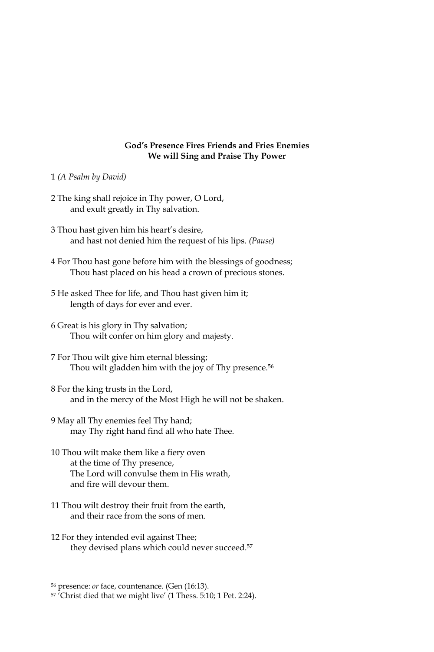#### **God's Presence Fires Friends and Fries Enemies** We will Sing and Praise Thy Power

- 1 (A Psalm by David)
- 2 The king shall rejoice in Thy power, O Lord, and exult greatly in Thy salvation.
- 3 Thou hast given him his heart's desire, and hast not denied him the request of his lips. (Pause)
- 4 For Thou hast gone before him with the blessings of goodness; Thou hast placed on his head a crown of precious stones.
- 5 He asked Thee for life, and Thou hast given him it; length of days for ever and ever.
- 6 Great is his glory in Thy salvation; Thou wilt confer on him glory and majesty.
- 7 For Thou wilt give him eternal blessing; Thou wilt gladden him with the joy of Thy presence.<sup>56</sup>
- 8 For the king trusts in the Lord, and in the mercy of the Most High he will not be shaken.
- 9 May all Thy enemies feel Thy hand; may Thy right hand find all who hate Thee.
- 10 Thou wilt make them like a fiery oven at the time of Thy presence, The Lord will convulse them in His wrath, and fire will devour them.
- 11 Thou wilt destroy their fruit from the earth, and their race from the sons of men.
- 12 For they intended evil against Thee; they devised plans which could never succeed.<sup>57</sup>

<sup>&</sup>lt;sup>56</sup> presence: *or* face, countenance. (Gen (16:13).

<sup>&</sup>lt;sup>57</sup> Christ died that we might live' (1 Thess. 5:10; 1 Pet. 2:24).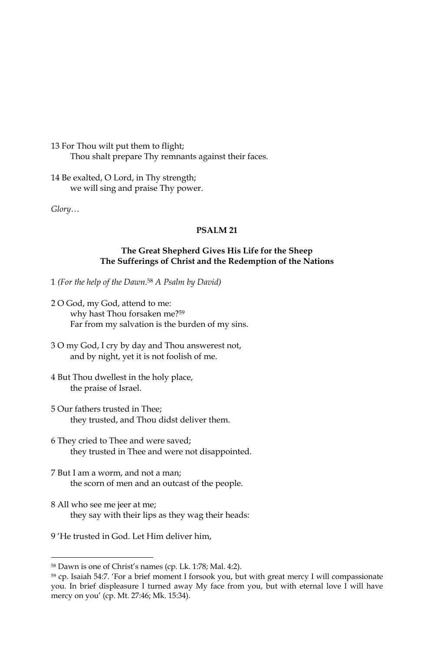13 For Thou wilt put them to flight; Thou shalt prepare Thy remnants against their faces.

14 Be exalted, O Lord, in Thy strength; we will sing and praise Thy power.

Glory...

# **PSALM 21**

# The Great Shepherd Gives His Life for the Sheep The Sufferings of Christ and the Redemption of the Nations

1 (For the help of the Dawn.<sup>58</sup> A Psalm by David)

- 2 O God, my God, attend to me: why hast Thou forsaken me?<sup>59</sup> Far from my salvation is the burden of my sins.
- 3 O my God, I cry by day and Thou answerest not, and by night, yet it is not foolish of me.
- 4 But Thou dwellest in the holy place, the praise of Israel.
- 5 Our fathers trusted in Thee; they trusted, and Thou didst deliver them.
- 6 They cried to Thee and were saved; they trusted in Thee and were not disappointed.
- 7 But I am a worm, and not a man; the scorn of men and an outcast of the people.
- 8 All who see me jeer at me; they say with their lips as they wag their heads:
- 9 'He trusted in God. Let Him deliver him.

<sup>&</sup>lt;sup>58</sup> Dawn is one of Christ's names (cp. Lk. 1:78; Mal. 4:2).

<sup>&</sup>lt;sup>59</sup> cp. Isaiah 54:7. 'For a brief moment I forsook you, but with great mercy I will compassionate you. In brief displeasure I turned away My face from you, but with eternal love I will have mercy on you' (cp. Mt. 27:46; Mk. 15:34).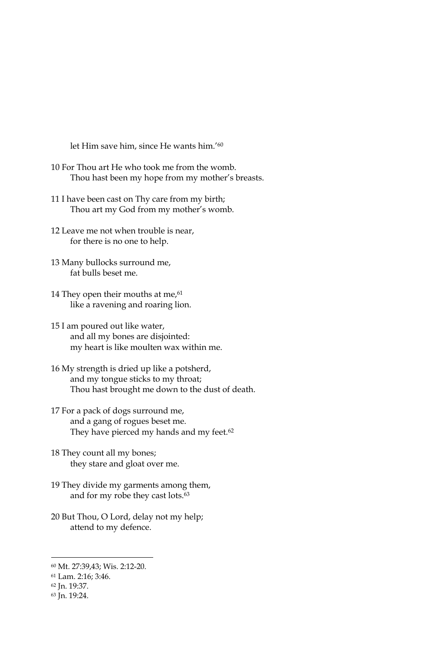let Him save him, since He wants him.'60

- 10 For Thou art He who took me from the womb. Thou hast been my hope from my mother's breasts.
- 11 I have been cast on Thy care from my birth; Thou art my God from my mother's womb.
- 12 Leave me not when trouble is near, for there is no one to help.
- 13 Many bullocks surround me, fat bulls beset me.
- 14 They open their mouths at me,<sup>61</sup> like a ravening and roaring lion.
- 15 I am poured out like water, and all my bones are disjointed: my heart is like moulten wax within me.
- 16 My strength is dried up like a potsherd, and my tongue sticks to my throat; Thou hast brought me down to the dust of death.
- 17 For a pack of dogs surround me, and a gang of rogues beset me. They have pierced my hands and my feet.<sup>62</sup>
- 18 They count all my bones; they stare and gloat over me.
- 19 They divide my garments among them, and for my robe they cast lots.<sup>63</sup>
- 20 But Thou, O Lord, delay not my help; attend to my defence.

<sup>60</sup> Mt. 27:39,43; Wis. 2:12-20.

<sup>61</sup> Lam. 2:16; 3:46.

<sup>62</sup> Jn. 19:37.

<sup>63</sup> Jn. 19:24.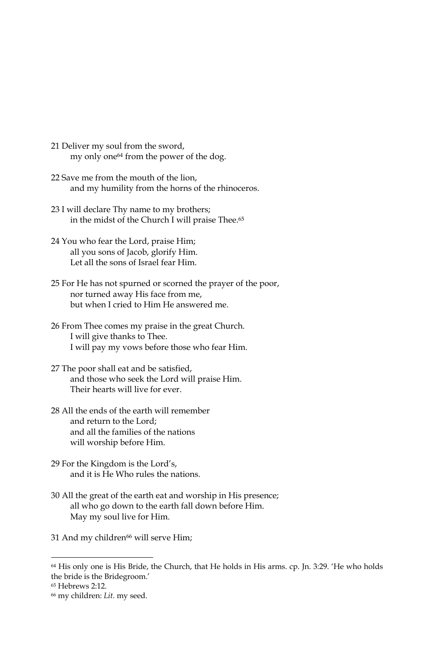- 21 Deliver my soul from the sword, my only one<sup>64</sup> from the power of the dog.
- 22 Save me from the mouth of the lion, and my humility from the horns of the rhinoceros.
- 23 I will declare Thy name to my brothers; in the midst of the Church I will praise Thee.<sup>65</sup>
- 24 You who fear the Lord, praise Him; all you sons of Jacob, glorify Him. Let all the sons of Israel fear Him.
- 25 For He has not spurned or scorned the prayer of the poor, nor turned away His face from me, but when I cried to Him He answered me.
- 26 From Thee comes my praise in the great Church. I will give thanks to Thee. I will pay my vows before those who fear Him.
- 27 The poor shall eat and be satisfied, and those who seek the Lord will praise Him. Their hearts will live for ever
- 28 All the ends of the earth will remember and return to the Lord: and all the families of the nations will worship before Him.
- 29 For the Kingdom is the Lord's, and it is He Who rules the nations.
- 30 All the great of the earth eat and worship in His presence; all who go down to the earth fall down before Him. May my soul live for Him.
- 31 And my children<sup>66</sup> will serve Him;

<sup>&</sup>lt;sup>64</sup> His only one is His Bride, the Church, that He holds in His arms. cp. Jn. 3:29. 'He who holds the bride is the Bridegroom.'

<sup>&</sup>lt;sup>65</sup> Hebrews 2:12.

<sup>&</sup>lt;sup>66</sup> my children: Lit. my seed.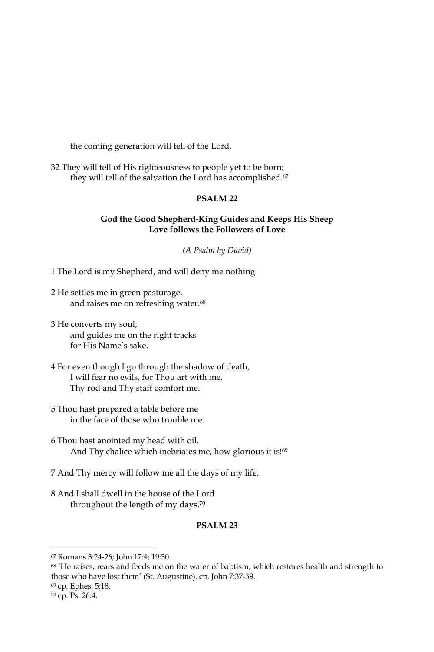the coming generation will tell of the Lord.

32 They will tell of His righteousness to people yet to be born; they will tell of the salvation the Lord has accomplished.<sup>67</sup>

# **PSALM 22**

### God the Good Shepherd-King Guides and Keeps His Sheep Love follows the Followers of Love

(A Psalm by David)

1 The Lord is my Shepherd, and will deny me nothing.

- 2 He settles me in green pasturage, and raises me on refreshing water.<sup>68</sup>
- 3 He converts my soul, and guides me on the right tracks for His Name's sake.
- 4 For even though I go through the shadow of death, I will fear no evils, for Thou art with me. Thy rod and Thy staff comfort me.
- 5 Thou hast prepared a table before me in the face of those who trouble me.
- 6 Thou hast anointed my head with oil. And Thy chalice which inebriates me, how glorious it is!<sup>69</sup>
- 7 And Thy mercy will follow me all the days of my life.
- 8 And I shall dwell in the house of the Lord throughout the length of my days.<sup>70</sup>

### PSALM<sub>23</sub>

<sup>70</sup> cp. Ps. 26:4.

<sup>67</sup> Romans 3:24-26; John 17:4; 19:30.

<sup>&</sup>lt;sup>68</sup> 'He raises, rears and feeds me on the water of baptism, which restores health and strength to those who have lost them' (St. Augustine). cp. John 7:37-39.

<sup>69</sup> cp. Ephes. 5:18.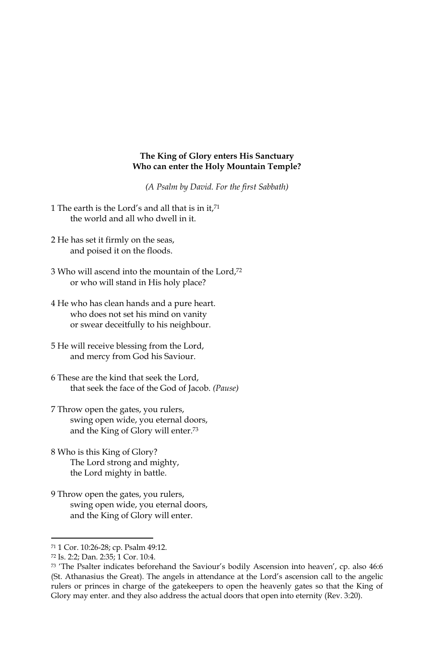#### The King of Glory enters His Sanctuary Who can enter the Holy Mountain Temple?

(A Psalm by David. For the first Sabbath)

- 1 The earth is the Lord's and all that is in it,71 the world and all who dwell in it.
- 2 He has set it firmly on the seas, and poised it on the floods.
- 3 Who will ascend into the mountain of the Lord,72 or who will stand in His holy place?
- 4 He who has clean hands and a pure heart. who does not set his mind on vanity or swear deceitfully to his neighbour.
- 5 He will receive blessing from the Lord, and mercy from God his Saviour.
- 6 These are the kind that seek the Lord, that seek the face of the God of Jacob. (Pause)
- 7 Throw open the gates, you rulers, swing open wide, you eternal doors, and the King of Glory will enter.<sup>73</sup>
- 8 Who is this King of Glory? The Lord strong and mighty, the Lord mighty in battle.
- 9 Throw open the gates, you rulers, swing open wide, you eternal doors, and the King of Glory will enter.

<sup>71 1</sup> Cor. 10:26-28; cp. Psalm 49:12.

<sup>72</sup> Is. 2:2; Dan. 2:35; 1 Cor. 10:4.

<sup>73 &#</sup>x27;The Psalter indicates beforehand the Saviour's bodily Ascension into heaven', cp. also 46:6 (St. Athanasius the Great). The angels in attendance at the Lord's ascension call to the angelic rulers or princes in charge of the gatekeepers to open the heavenly gates so that the King of Glory may enter. and they also address the actual doors that open into eternity (Rev. 3:20).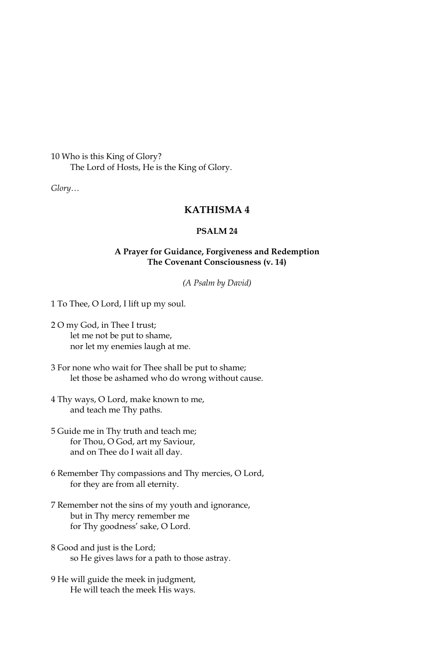10 Who is this King of Glory? The Lord of Hosts, He is the King of Glory.

 $Glory...$ 

# **KATHISMA4**

# **PSALM 24**

### A Prayer for Guidance, Forgiveness and Redemption The Covenant Consciousness (v. 14)

(A Psalm by David)

1 To Thee, O Lord, I lift up my soul.

- 2 O my God, in Thee I trust; let me not be put to shame, nor let my enemies laugh at me.
- 3 For none who wait for Thee shall be put to shame; let those be ashamed who do wrong without cause.
- 4 Thy ways, O Lord, make known to me, and teach me Thy paths.
- 5 Guide me in Thy truth and teach me; for Thou, O God, art my Saviour, and on Thee do I wait all day.
- 6 Remember Thy compassions and Thy mercies, O Lord, for they are from all eternity.
- 7 Remember not the sins of my youth and ignorance, but in Thy mercy remember me for Thy goodness' sake, O Lord.
- 8 Good and just is the Lord; so He gives laws for a path to those astray.
- 9 He will guide the meek in judgment, He will teach the meek His ways.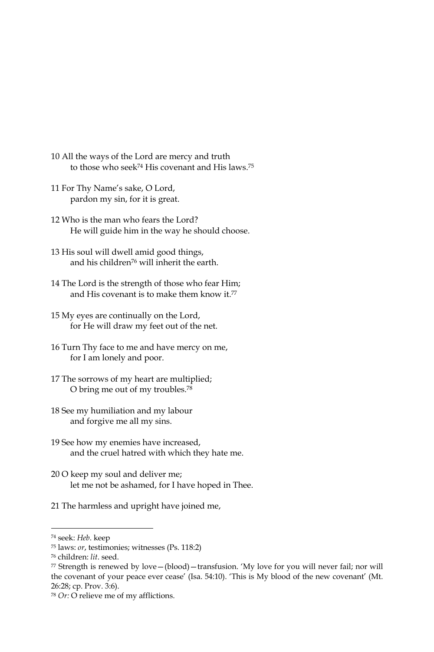- 10 All the ways of the Lord are mercy and truth to those who seek<sup>74</sup> His covenant and His laws.<sup>75</sup>
- 11 For Thy Name's sake, O Lord, pardon my sin, for it is great.
- 12 Who is the man who fears the Lord? He will guide him in the way he should choose.
- 13 His soul will dwell amid good things, and his children<sup>76</sup> will inherit the earth.
- 14 The Lord is the strength of those who fear Him; and His covenant is to make them know it.77
- 15 My eyes are continually on the Lord, for He will draw my feet out of the net.
- 16 Turn Thy face to me and have mercy on me, for I am lonely and poor.
- 17 The sorrows of my heart are multiplied; O bring me out of my troubles.<sup>78</sup>
- 18 See my humiliation and my labour and forgive me all my sins.
- 19 See how my enemies have increased, and the cruel hatred with which they hate me.
- 20 O keep my soul and deliver me; let me not be ashamed, for I have hoped in Thee.
- 21 The harmless and upright have joined me,

<sup>&</sup>lt;sup>74</sup> seek: Heb. keep

<sup>&</sup>lt;sup>75</sup> laws: *or*, testimonies; witnesses (Ps. 118:2)

<sup>&</sup>lt;sup>76</sup> children: lit. seed.

<sup>77</sup> Strength is renewed by love - (blood) - transfusion. 'My love for you will never fail; nor will the covenant of your peace ever cease' (Isa. 54:10). 'This is My blood of the new covenant' (Mt. 26:28; cp. Prov. 3:6).

<sup>78</sup> Or: O relieve me of my afflictions.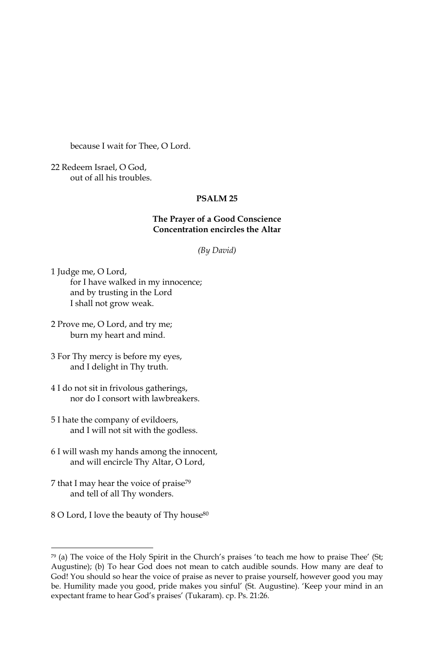because I wait for Thee, O Lord.

22 Redeem Israel, O God, out of all his troubles.

# **PSALM 25**

### The Prayer of a Good Conscience **Concentration encircles the Altar**

(By David)

1 Judge me, O Lord, for I have walked in my innocence; and by trusting in the Lord I shall not grow weak.

2 Prove me, O Lord, and try me; burn my heart and mind.

- 3 For Thy mercy is before my eyes, and I delight in Thy truth.
- 4 I do not sit in frivolous gatherings, nor do I consort with lawbreakers.
- 5 I hate the company of evildoers, and I will not sit with the godless.
- 6 I will wash my hands among the innocent, and will encircle Thy Altar, O Lord,
- 7 that I may hear the voice of praise<sup>79</sup> and tell of all Thy wonders.
- 8 O Lord, I love the beauty of Thy house<sup>80</sup>

<sup>79 (</sup>a) The voice of the Holy Spirit in the Church's praises 'to teach me how to praise Thee' (St; Augustine); (b) To hear God does not mean to catch audible sounds. How many are deaf to God! You should so hear the voice of praise as never to praise yourself, however good you may be. Humility made you good, pride makes you sinful' (St. Augustine). 'Keep your mind in an expectant frame to hear God's praises' (Tukaram). cp. Ps. 21:26.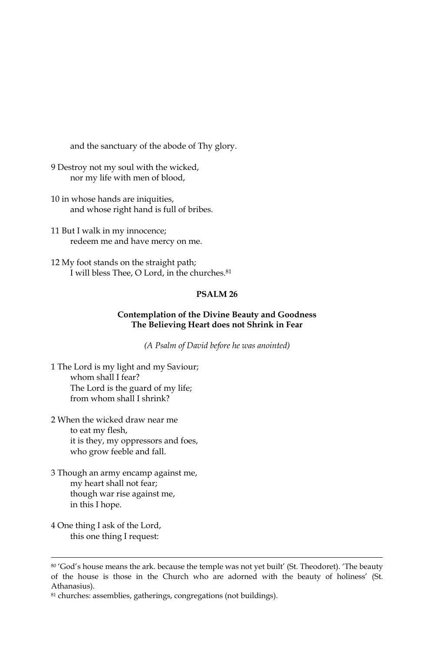and the sanctuary of the abode of Thy glory.

- 9 Destroy not my soul with the wicked, nor my life with men of blood,
- 10 in whose hands are iniquities, and whose right hand is full of bribes.
- 11 But I walk in my innocence; redeem me and have mercy on me.
- 12 My foot stands on the straight path; I will bless Thee, O Lord, in the churches.<sup>81</sup>

#### PSALM<sub>26</sub>

### Contemplation of the Divine Beauty and Goodness The Believing Heart does not Shrink in Fear

(A Psalm of David before he was anointed)

1 The Lord is my light and my Saviour; whom shall I fear? The Lord is the guard of my life; from whom shall I shrink?

- 2 When the wicked draw near me to eat my flesh, it is they, my oppressors and foes, who grow feeble and fall.
- 3 Though an army encamp against me, my heart shall not fear; though war rise against me, in this I hope.
- 4 One thing I ask of the Lord, this one thing I request:

<sup>80 &#</sup>x27;God's house means the ark. because the temple was not yet built' (St. Theodoret). 'The beauty of the house is those in the Church who are adorned with the beauty of holiness' (St. Athanasius).

<sup>81</sup> churches: assemblies, gatherings, congregations (not buildings).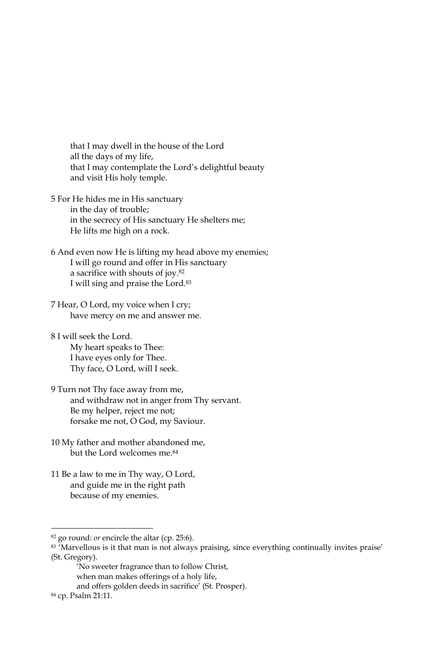that I may dwell in the house of the Lord all the days of my life, that I may contemplate the Lord's delightful beauty and visit His holy temple.

- 5 For He hides me in His sanctuary in the day of trouble; in the secrecy of His sanctuary He shelters me; He lifts me high on a rock.
- 6 And even now He is lifting my head above my enemies; I will go round and offer in His sanctuary a sacrifice with shouts of joy.<sup>82</sup> I will sing and praise the Lord.<sup>83</sup>
- 7 Hear, O Lord, my voice when I cry; have mercy on me and answer me.
- 8 I will seek the Lord. My heart speaks to Thee: I have eyes only for Thee. Thy face, O Lord, will I seek.
- 9 Turn not Thy face away from me, and withdraw not in anger from Thy servant. Be my helper, reject me not; forsake me not, O God, my Saviour.
- 10 My father and mother abandoned me, but the Lord welcomes me.<sup>84</sup>
- 11 Be a law to me in Thy way, O Lord, and guide me in the right path because of my enemies.

<sup>&</sup>lt;sup>82</sup> go round: *or* encircle the altar (cp. 25:6).

<sup>83 &#</sup>x27;Marvellous is it that man is not always praising, since everything continually invites praise' (St. Gregory).

<sup>&#</sup>x27;No sweeter fragrance than to follow Christ, when man makes offerings of a holy life, and offers golden deeds in sacrifice' (St. Prosper).

<sup>84</sup> cp. Psalm 21:11.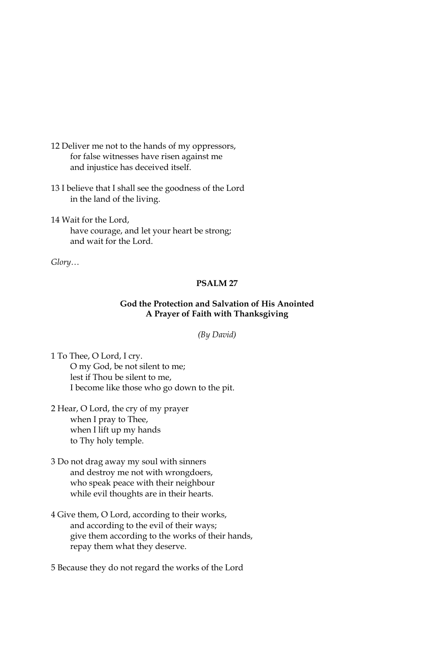- 12 Deliver me not to the hands of my oppressors, for false witnesses have risen against me and injustice has deceived itself.
- 13 I believe that I shall see the goodness of the Lord in the land of the living.
- 14 Wait for the Lord, have courage, and let your heart be strong; and wait for the Lord.

 $Glory...$ 

#### **PSALM 27**

# God the Protection and Salvation of His Anointed A Prayer of Faith with Thanksgiving

(By David)

1 To Thee, O Lord, I cry. O my God, be not silent to me; lest if Thou be silent to me, I become like those who go down to the pit.

- 2 Hear, O Lord, the cry of my prayer when I pray to Thee, when I lift up my hands to Thy holy temple.
- 3 Do not drag away my soul with sinners and destroy me not with wrongdoers, who speak peace with their neighbour while evil thoughts are in their hearts.
- 4 Give them, O Lord, according to their works, and according to the evil of their ways; give them according to the works of their hands, repay them what they deserve.

5 Because they do not regard the works of the Lord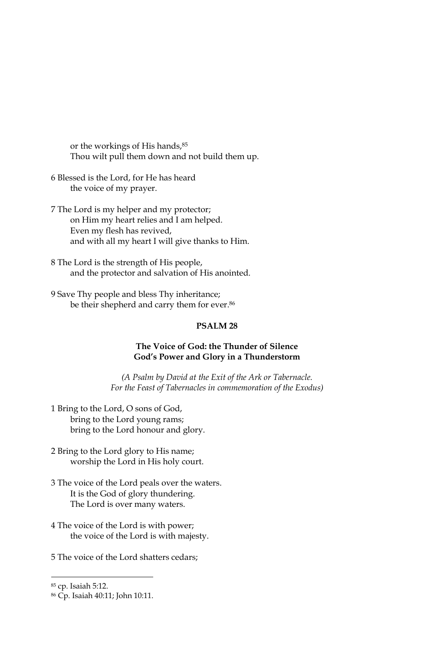or the workings of His hands, 85 Thou wilt pull them down and not build them up.

- 6 Blessed is the Lord, for He has heard the voice of my prayer.
- 7 The Lord is my helper and my protector; on Him my heart relies and I am helped. Even my flesh has revived, and with all my heart I will give thanks to Him.
- 8 The Lord is the strength of His people, and the protector and salvation of His anointed.
- 9 Save Thy people and bless Thy inheritance; be their shepherd and carry them for ever.86

#### PSALM<sub>28</sub>

#### The Voice of God: the Thunder of Silence God's Power and Glory in a Thunderstorm

(A Psalm by David at the Exit of the Ark or Tabernacle. For the Feast of Tabernacles in commemoration of the Exodus)

- 1 Bring to the Lord, O sons of God, bring to the Lord young rams; bring to the Lord honour and glory.
- 2 Bring to the Lord glory to His name; worship the Lord in His holy court.
- 3 The voice of the Lord peals over the waters. It is the God of glory thundering. The Lord is over many waters.
- 4 The voice of the Lord is with power; the voice of the Lord is with majesty.
- 5 The voice of the Lord shatters cedars;

<sup>&</sup>lt;sup>85</sup> cp. Isaiah 5:12.

<sup>&</sup>lt;sup>86</sup> Cp. Isaiah 40:11; John 10:11.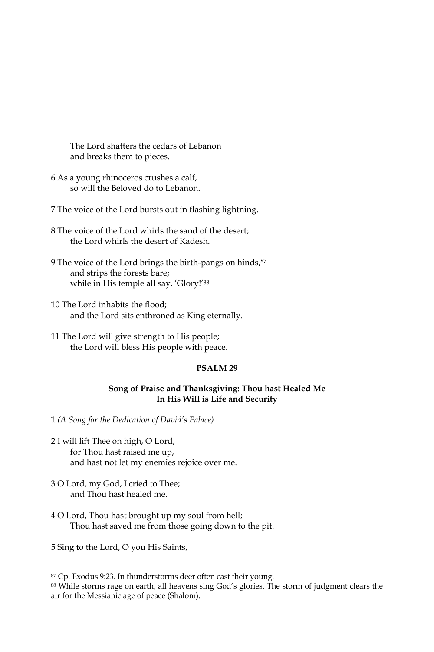The Lord shatters the cedars of Lebanon and breaks them to pieces.

6 As a young rhinoceros crushes a calf, so will the Beloved do to Lebanon.

7 The voice of the Lord bursts out in flashing lightning.

- 8 The voice of the Lord whirls the sand of the desert; the Lord whirls the desert of Kadesh.
- 9 The voice of the Lord brings the birth-pangs on hinds, 87 and strips the forests bare; while in His temple all say, 'Glory!'88
- 10 The Lord inhabits the flood; and the Lord sits enthroned as King eternally.
- 11 The Lord will give strength to His people; the Lord will bless His people with peace.

#### PSALM<sub>29</sub>

#### Song of Praise and Thanksgiving: Thou hast Healed Me In His Will is Life and Security

1 (A Song for the Dedication of David's Palace)

- 2 I will lift Thee on high, O Lord, for Thou hast raised me up, and hast not let my enemies rejoice over me.
- 3 O Lord, my God, I cried to Thee; and Thou hast healed me.
- 4 O Lord, Thou hast brought up my soul from hell; Thou hast saved me from those going down to the pit.

5 Sing to the Lord, O you His Saints,

<sup>&</sup>lt;sup>87</sup> Cp. Exodus 9:23. In thunderstorms deer often cast their young.

<sup>88</sup> While storms rage on earth, all heavens sing God's glories. The storm of judgment clears the air for the Messianic age of peace (Shalom).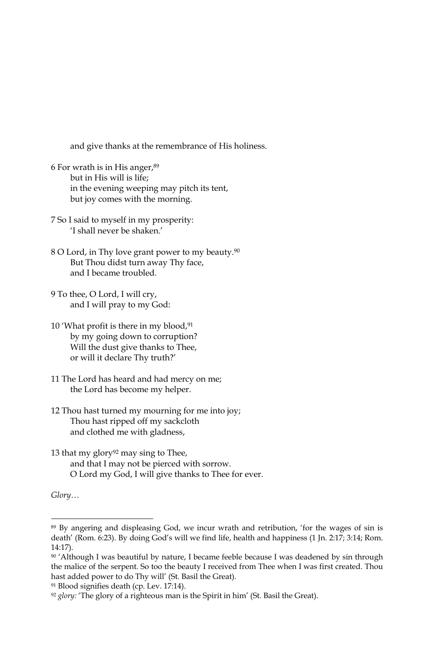and give thanks at the remembrance of His holiness.

- 6 For wrath is in His anger, 89 but in His will is life: in the evening weeping may pitch its tent, but joy comes with the morning.
- 7 So I said to myself in my prosperity: 'I shall never be shaken.'
- 8 O Lord, in Thy love grant power to my beauty.<sup>90</sup> But Thou didst turn away Thy face, and I became troubled.
- 9 To thee, O Lord, I will cry, and I will pray to my God:
- 10 'What profit is there in my blood,<sup>91</sup> by my going down to corruption? Will the dust give thanks to Thee, or will it declare Thy truth?'
- 11 The Lord has heard and had mercy on me; the Lord has become my helper.
- 12 Thou hast turned my mourning for me into joy; Thou hast ripped off my sackcloth and clothed me with gladness,
- 13 that my glory<sup>92</sup> may sing to Thee, and that I may not be pierced with sorrow. O Lord my God, I will give thanks to Thee for ever.

 $Glory...$ 

91 Blood signifies death (cp. Lev. 17:14).

<sup>&</sup>lt;sup>89</sup> By angering and displeasing God, we incur wrath and retribution, 'for the wages of sin is death' (Rom. 6:23). By doing God's will we find life, health and happiness (1 Jn. 2:17; 3:14; Rom.  $14:17$ ).

<sup>90 &#</sup>x27;Although I was beautiful by nature, I became feeble because I was deadened by sin through the malice of the serpent. So too the beauty I received from Thee when I was first created. Thou hast added power to do Thy will' (St. Basil the Great).

<sup>&</sup>lt;sup>92</sup> glory: 'The glory of a righteous man is the Spirit in him' (St. Basil the Great).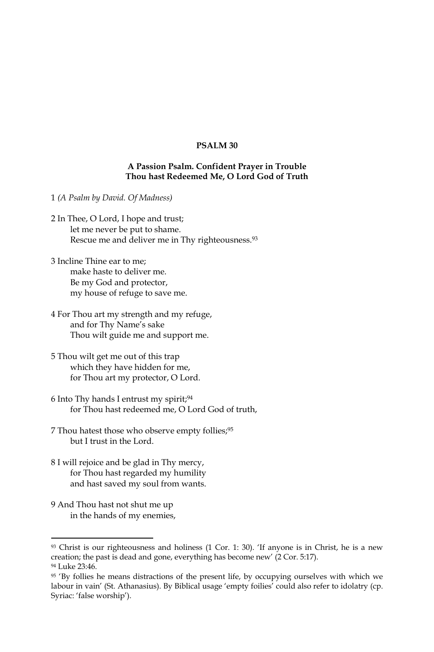# PSALM<sub>30</sub>

### A Passion Psalm. Confident Prayer in Trouble Thou hast Redeemed Me, O Lord God of Truth

- 1 (A Psalm by David. Of Madness)
- 2 In Thee, O Lord, I hope and trust; let me never be put to shame. Rescue me and deliver me in Thy righteousness.<sup>93</sup>
- 3 Incline Thine ear to me: make haste to deliver me. Be my God and protector, my house of refuge to save me.
- 4 For Thou art my strength and my refuge, and for Thy Name's sake Thou wilt guide me and support me.
- 5 Thou wilt get me out of this trap which they have hidden for me, for Thou art my protector, O Lord.
- 6 Into Thy hands I entrust my spirit;94 for Thou hast redeemed me, O Lord God of truth,
- 7 Thou hatest those who observe empty follies;<sup>95</sup> but I trust in the Lord.
- 8 I will rejoice and be glad in Thy mercy, for Thou hast regarded my humility and hast saved my soul from wants.
- 9 And Thou hast not shut me up in the hands of my enemies,

 $93$  Christ is our righteousness and holiness (1 Cor. 1: 30). 'If anyone is in Christ, he is a new creation; the past is dead and gone, everything has become new' (2 Cor. 5:17). <sup>94</sup> Luke 23:46.

<sup>95 &#</sup>x27;By follies he means distractions of the present life, by occupying ourselves with which we labour in vain' (St. Athanasius). By Biblical usage 'empty foilies' could also refer to idolatry (cp. Syriac: 'false worship').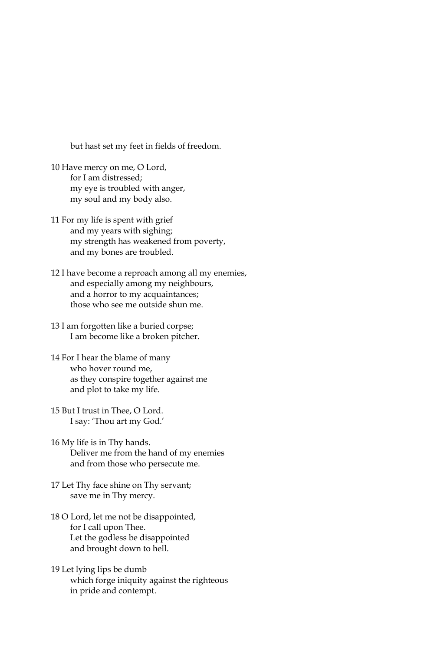but hast set my feet in fields of freedom.

- 10 Have mercy on me, O Lord, for I am distressed: my eye is troubled with anger, my soul and my body also.
- 11 For my life is spent with grief and my years with sighing; my strength has weakened from poverty, and my bones are troubled.
- 12 I have become a reproach among all my enemies, and especially among my neighbours, and a horror to my acquaintances; those who see me outside shun me.
- 13 I am forgotten like a buried corpse; I am become like a broken pitcher.
- 14 For I hear the blame of many who hover round me, as they conspire together against me and plot to take my life.
- 15 But I trust in Thee, O Lord. I say: 'Thou art my God.'
- 16 My life is in Thy hands. Deliver me from the hand of my enemies and from those who persecute me.
- 17 Let Thy face shine on Thy servant; save me in Thy mercy.
- 18 O Lord, let me not be disappointed, for I call upon Thee. Let the godless be disappointed and brought down to hell.
- 19 Let lying lips be dumb which forge iniquity against the righteous in pride and contempt.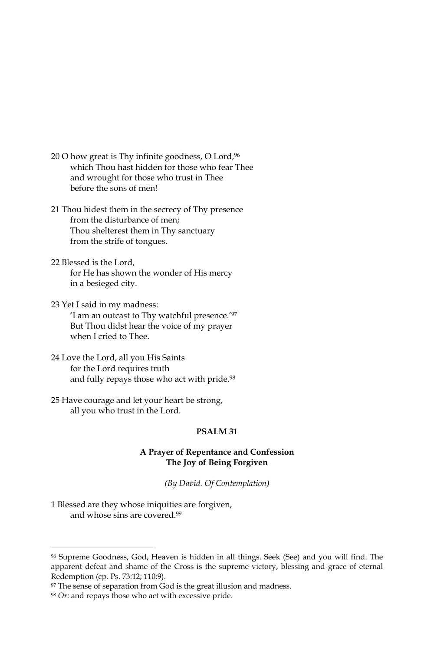- 20 O how great is Thy infinite goodness, O Lord, 96 which Thou hast hidden for those who fear Thee and wrought for those who trust in Thee before the sons of men!
- 21 Thou hidest them in the secrecy of Thy presence from the disturbance of men; Thou shelterest them in Thy sanctuary from the strife of tongues.
- 22 Blessed is the Lord, for He has shown the wonder of His mercy in a besieged city.
- 23 Yet I said in my madness: 'I am an outcast to Thy watchful presence.'97 But Thou didst hear the voice of my prayer when I cried to Thee.
- 24 Love the Lord, all you His Saints for the Lord requires truth and fully repays those who act with pride.98
- 25 Have courage and let your heart be strong, all you who trust in the Lord.

# PSALM<sub>31</sub>

# A Prayer of Repentance and Confession The Joy of Being Forgiven

(By David. Of Contemplation)

1 Blessed are they whose iniquities are forgiven, and whose sins are covered.<sup>99</sup>

<sup>%</sup> Supreme Goodness, God, Heaven is hidden in all things. Seek (See) and you will find. The apparent defeat and shame of the Cross is the supreme victory, blessing and grace of eternal Redemption (cp. Ps. 73:12; 110:9).

<sup>&</sup>lt;sup>97</sup> The sense of separation from God is the great illusion and madness.

<sup>&</sup>lt;sup>98</sup> Or: and repays those who act with excessive pride.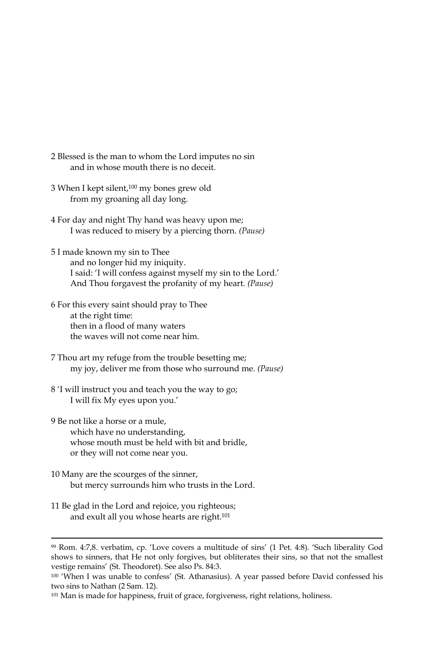- 2 Blessed is the man to whom the Lord imputes no sin and in whose mouth there is no deceit.
- 3 When I kept silent,<sup>100</sup> my bones grew old from my groaning all day long.
- 4 For day and night Thy hand was heavy upon me; I was reduced to misery by a piercing thorn. (Pause)
- 5 I made known my sin to Thee and no longer hid my iniquity. I said: 'I will confess against myself my sin to the Lord.' And Thou forgavest the profanity of my heart. (Pause)
- 6 For this every saint should pray to Thee at the right time: then in a flood of many waters the waves will not come near him.
- 7 Thou art my refuge from the trouble besetting me; my joy, deliver me from those who surround me. (Pause)
- 8 'I will instruct you and teach you the way to go; I will fix My eyes upon you.'
- 9 Be not like a horse or a mule, which have no understanding, whose mouth must be held with bit and bridle, or they will not come near you.
- 10 Many are the scourges of the sinner, but mercy surrounds him who trusts in the Lord.
- 11 Be glad in the Lord and rejoice, you righteous; and exult all you whose hearts are right.<sup>101</sup>

<sup>&</sup>lt;sup>99</sup> Rom. 4:7,8. verbatim, cp. 'Love covers a multitude of sins' (1 Pet. 4:8). 'Such liberality God shows to sinners, that He not only forgives, but obliterates their sins, so that not the smallest vestige remains' (St. Theodoret). See also Ps. 84:3.

<sup>&</sup>lt;sup>100</sup> 'When I was unable to confess' (St. Athanasius). A year passed before David confessed his two sins to Nathan (2 Sam. 12).

<sup>101</sup> Man is made for happiness, fruit of grace, forgiveness, right relations, holiness.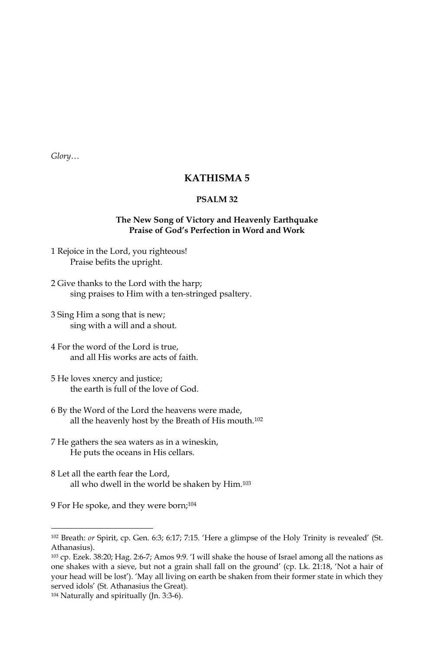$Glory...$ 

# **KATHISMA5**

### PSALM<sub>32</sub>

### The New Song of Victory and Heavenly Earthquake Praise of God's Perfection in Word and Work

- 1 Rejoice in the Lord, you righteous! Praise befits the upright.
- 2 Give thanks to the Lord with the harp; sing praises to Him with a ten-stringed psaltery.
- 3 Sing Him a song that is new; sing with a will and a shout.
- 4 For the word of the Lord is true, and all His works are acts of faith.
- 5 He loves xnercy and justice; the earth is full of the love of God.
- 6 By the Word of the Lord the heavens were made, all the heavenly host by the Breath of His mouth.<sup>102</sup>
- 7 He gathers the sea waters as in a wineskin, He puts the oceans in His cellars.
- 8 Let all the earth fear the Lord, all who dwell in the world be shaken by Him.<sup>103</sup>

9 For He spoke, and they were born;<sup>104</sup>

<sup>102</sup> Breath: or Spirit, cp. Gen. 6:3; 6:17; 7:15. 'Here a glimpse of the Holy Trinity is revealed' (St. Athanasius).

<sup>103</sup> cp. Ezek. 38:20; Hag. 2:6-7; Amos 9:9. 'I will shake the house of Israel among all the nations as one shakes with a sieve, but not a grain shall fall on the ground' (cp. Lk. 21:18, 'Not a hair of your head will be lost'). 'May all living on earth be shaken from their former state in which they served idols' (St. Athanasius the Great).

<sup>&</sup>lt;sup>104</sup> Naturally and spiritually (Jn. 3:3-6).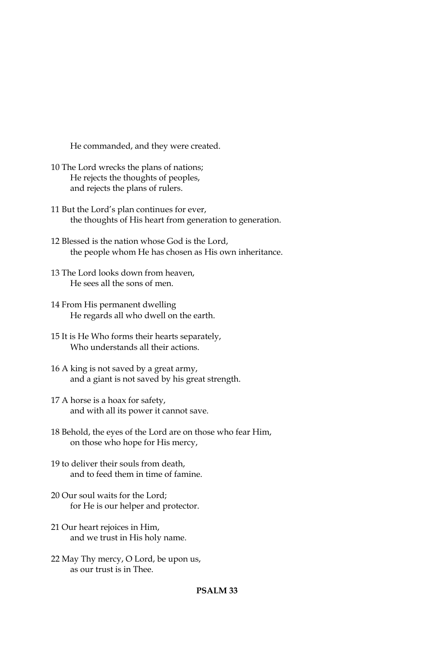He commanded, and they were created.

- 10 The Lord wrecks the plans of nations; He rejects the thoughts of peoples, and rejects the plans of rulers.
- 11 But the Lord's plan continues for ever, the thoughts of His heart from generation to generation.
- 12 Blessed is the nation whose God is the Lord, the people whom He has chosen as His own inheritance.
- 13 The Lord looks down from heaven, He sees all the sons of men.
- 14 From His permanent dwelling He regards all who dwell on the earth.
- 15 It is He Who forms their hearts separately, Who understands all their actions.
- 16 A king is not saved by a great army, and a giant is not saved by his great strength.
- 17 A horse is a hoax for safety, and with all its power it cannot save.
- 18 Behold, the eyes of the Lord are on those who fear Him, on those who hope for His mercy,
- 19 to deliver their souls from death, and to feed them in time of famine.
- 20 Our soul waits for the Lord: for He is our helper and protector.
- 21 Our heart rejoices in Him, and we trust in His holy name.
- 22 May Thy mercy, O Lord, be upon us, as our trust is in Thee.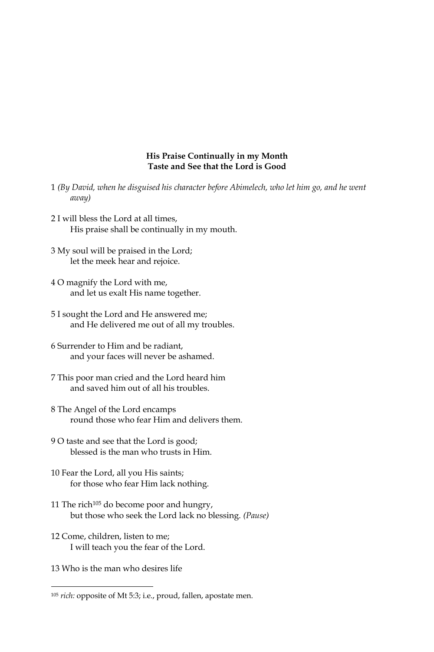#### His Praise Continually in my Month Taste and See that the Lord is Good

- 1 (By David, when he disguised his character before Abimelech, who let him go, and he went away)
- 2 I will bless the Lord at all times, His praise shall be continually in my mouth.
- 3 My soul will be praised in the Lord; let the meek hear and rejoice.
- 4 O magnify the Lord with me, and let us exalt His name together.
- 5 I sought the Lord and He answered me; and He delivered me out of all my troubles.
- 6 Surrender to Him and be radiant. and your faces will never be ashamed.
- 7 This poor man cried and the Lord heard him and saved him out of all his troubles.
- 8 The Angel of the Lord encamps round those who fear Him and delivers them.
- 9 O taste and see that the Lord is good; blessed is the man who trusts in Him.
- 10 Fear the Lord, all you His saints; for those who fear Him lack nothing.
- 11 The rich<sup>105</sup> do become poor and hungry, but those who seek the Lord lack no blessing. (Pause)
- 12 Come, children, listen to me; I will teach you the fear of the Lord.
- 13 Who is the man who desires life

<sup>&</sup>lt;sup>105</sup> rich: opposite of Mt 5:3; i.e., proud, fallen, apostate men.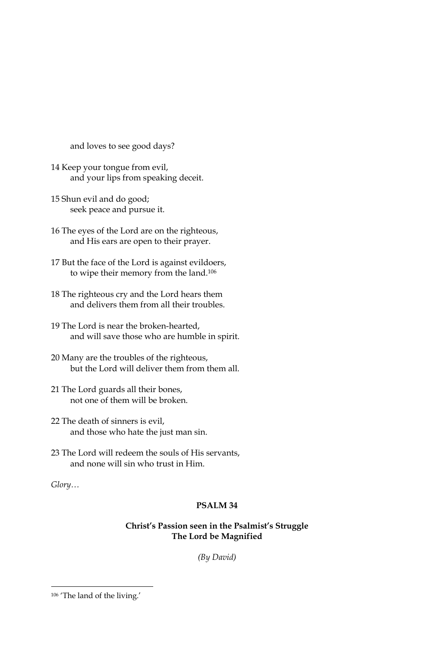and loves to see good days?

- 14 Keep your tongue from evil, and your lips from speaking deceit.
- 15 Shun evil and do good; seek peace and pursue it.
- 16 The eyes of the Lord are on the righteous, and His ears are open to their prayer.
- 17 But the face of the Lord is against evildoers, to wipe their memory from the land.<sup>106</sup>
- 18 The righteous cry and the Lord hears them and delivers them from all their troubles.
- 19 The Lord is near the broken-hearted, and will save those who are humble in spirit.
- 20 Many are the troubles of the righteous, but the Lord will deliver them from them all.
- 21 The Lord guards all their bones, not one of them will be broken.
- 22 The death of sinners is evil, and those who hate the just man sin.
- 23 The Lord will redeem the souls of His servants, and none will sin who trust in Him

Glory...

# PSALM<sub>34</sub>

# Christ's Passion seen in the Psalmist's Struggle The Lord be Magnified

(By David)

<sup>&</sup>lt;sup>106</sup> 'The land of the living.'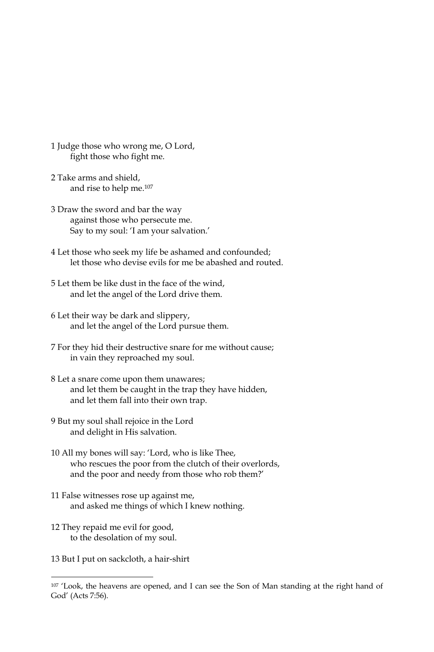- 1 Judge those who wrong me, O Lord, fight those who fight me.
- 2 Take arms and shield, and rise to help me.<sup>107</sup>
- 3 Draw the sword and bar the way against those who persecute me. Say to my soul: 'I am your salvation.'
- 4 Let those who seek my life be ashamed and confounded; let those who devise evils for me be abashed and routed.
- 5 Let them be like dust in the face of the wind, and let the angel of the Lord drive them.
- 6 Let their way be dark and slippery, and let the angel of the Lord pursue them.
- 7 For they hid their destructive snare for me without cause; in vain they reproached my soul.
- 8 Let a snare come upon them unawares; and let them be caught in the trap they have hidden, and let them fall into their own trap.
- 9 But my soul shall rejoice in the Lord and delight in His salvation.
- 10 All my bones will say: 'Lord, who is like Thee, who rescues the poor from the clutch of their overlords, and the poor and needy from those who rob them?'
- 11 False witnesses rose up against me, and asked me things of which I knew nothing.
- 12 They repaid me evil for good, to the desolation of my soul.
- 13 But I put on sackcloth, a hair-shirt

<sup>&</sup>lt;sup>107</sup> 'Look, the heavens are opened, and I can see the Son of Man standing at the right hand of God' (Acts 7:56).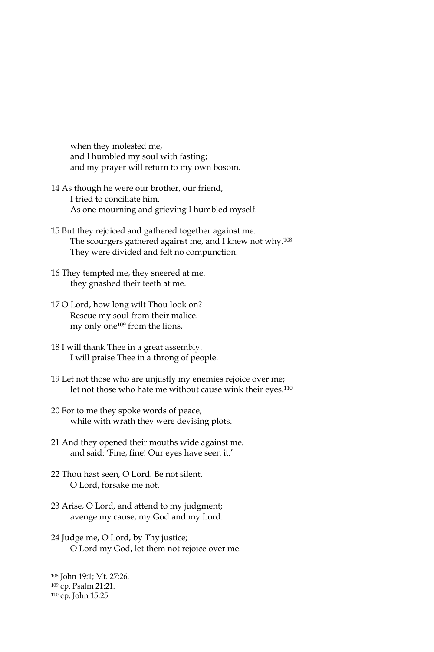when they molested me, and I humbled my soul with fasting; and my prayer will return to my own bosom.

- 14 As though he were our brother, our friend, I tried to conciliate him. As one mourning and grieving I humbled myself.
- 15 But they rejoiced and gathered together against me. The scourgers gathered against me, and I knew not why.<sup>108</sup> They were divided and felt no compunction.
- 16 They tempted me, they sneered at me. they gnashed their teeth at me.
- 17 O Lord, how long wilt Thou look on? Rescue my soul from their malice. my only one<sup>109</sup> from the lions,
- 18 I will thank Thee in a great assembly. I will praise Thee in a throng of people.
- 19 Let not those who are unjustly my enemies rejoice over me; let not those who hate me without cause wink their eyes.<sup>110</sup>
- 20 For to me they spoke words of peace, while with wrath they were devising plots.
- 21 And they opened their mouths wide against me. and said: 'Fine, fine! Our eyes have seen it.'
- 22 Thou hast seen. O Lord. Be not silent. O Lord, forsake me not.
- 23 Arise, O Lord, and attend to my judgment; avenge my cause, my God and my Lord.
- 24 Judge me, O Lord, by Thy justice; O Lord my God, let them not rejoice over me.

<sup>108</sup> John 19:1; Mt. 27:26.

<sup>&</sup>lt;sup>109</sup> cp. Psalm 21:21.

<sup>110</sup> cp. John 15:25.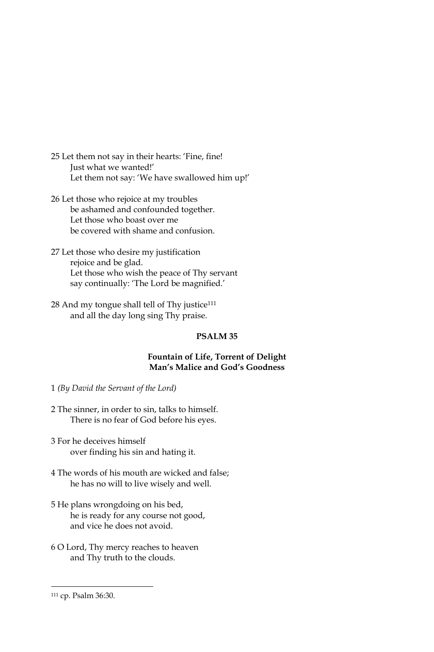- 25 Let them not say in their hearts: 'Fine, fine! Just what we wanted!' Let them not say: 'We have swallowed him up!'
- 26 Let those who rejoice at my troubles be ashamed and confounded together. Let those who boast over me be covered with shame and confusion.
- 27 Let those who desire my justification rejoice and be glad. Let those who wish the peace of Thy servant say continually: 'The Lord be magnified.'
- 28 And my tongue shall tell of Thy justice<sup>111</sup> and all the day long sing Thy praise.

#### PSALM<sub>35</sub>

### Fountain of Life, Torrent of Delight Man's Malice and God's Goodness

- 1 (By David the Servant of the Lord)
- 2 The sinner, in order to sin, talks to himself. There is no fear of God before his eyes.
- 3 For he deceives himself over finding his sin and hating it.
- 4 The words of his mouth are wicked and false; he has no will to live wisely and well.
- 5 He plans wrongdoing on his bed, he is ready for any course not good, and vice he does not avoid.
- 6 O Lord, Thy mercy reaches to heaven and Thy truth to the clouds.

<sup>111</sup> cp. Psalm 36:30.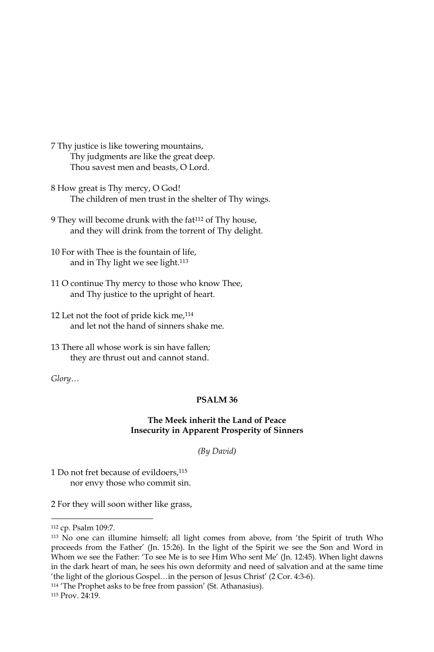- 7 Thy justice is like towering mountains, Thy judgments are like the great deep. Thou savest men and beasts, O Lord.
- 8 How great is Thy mercy, O God! The children of men trust in the shelter of Thy wings.
- 9 They will become drunk with the fat<sup>112</sup> of Thy house, and they will drink from the torrent of Thy delight.
- 10 For with Thee is the fountain of life, and in Thy light we see light.<sup>113</sup>
- 11 O continue Thy mercy to those who know Thee, and Thy justice to the upright of heart.
- 12 Let not the foot of pride kick me,<sup>114</sup> and let not the hand of sinners shake me.
- 13 There all whose work is sin have fallen; they are thrust out and cannot stand.

Glory...

#### PSALM<sub>36</sub>

### The Meek inherit the Land of Peace **Insecurity in Apparent Prosperity of Sinners**

(By David)

1 Do not fret because of evildoers,<sup>115</sup> nor envy those who commit sin.

2 For they will soon wither like grass,

<sup>114</sup> 'The Prophet asks to be free from passion' (St. Athanasius).

<sup>112</sup> cp. Psalm 109:7.

<sup>113</sup> No one can illumine himself; all light comes from above, from 'the Spirit of truth Who proceeds from the Father' (Jn. 15:26). In the light of the Spirit we see the Son and Word in Whom we see the Father: 'To see Me is to see Him Who sent Me' (Jn. 12:45). When light dawns in the dark heart of man, he sees his own deformity and need of salvation and at the same time 'the light of the glorious Gospel...in the person of Jesus Christ' (2 Cor. 4:3-6).

<sup>115</sup> Prov. 24:19.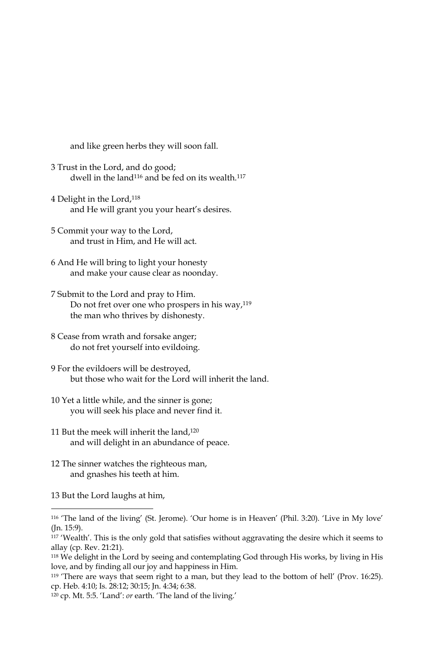and like green herbs they will soon fall.

- 3 Trust in the Lord, and do good; dwell in the land<sup>116</sup> and be fed on its wealth.<sup>117</sup>
- 4 Delight in the Lord,<sup>118</sup> and He will grant you your heart's desires.
- 5 Commit your way to the Lord, and trust in Him, and He will act.
- 6 And He will bring to light your honesty and make your cause clear as noonday.
- 7 Submit to the Lord and pray to Him. Do not fret over one who prospers in his way,<sup>119</sup> the man who thrives by dishonesty.
- 8 Cease from wrath and forsake anger; do not fret yourself into evildoing.
- 9 For the evildoers will be destroyed, but those who wait for the Lord will inherit the land.
- 10 Yet a little while, and the sinner is gone; you will seek his place and never find it.
- 11 But the meek will inherit the land,<sup>120</sup> and will delight in an abundance of peace.
- 12 The sinner watches the righteous man, and gnashes his teeth at him.
- 13 But the Lord laughs at him,

<sup>&</sup>lt;sup>116</sup> 'The land of the living' (St. Jerome). 'Our home is in Heaven' (Phil. 3:20). 'Live in My love'  $(In. 15:9).$ 

<sup>117 &#</sup>x27;Wealth'. This is the only gold that satisfies without aggravating the desire which it seems to allay (cp. Rev. 21:21).

<sup>&</sup>lt;sup>118</sup> We delight in the Lord by seeing and contemplating God through His works, by living in His love, and by finding all our joy and happiness in Him.

<sup>&</sup>lt;sup>119</sup> 'There are ways that seem right to a man, but they lead to the bottom of hell' (Prov. 16:25). cp. Heb. 4:10; Is. 28:12; 30:15; Jn. 4:34; 6:38.

<sup>&</sup>lt;sup>120</sup> cp. Mt. 5:5. 'Land': or earth. 'The land of the living.'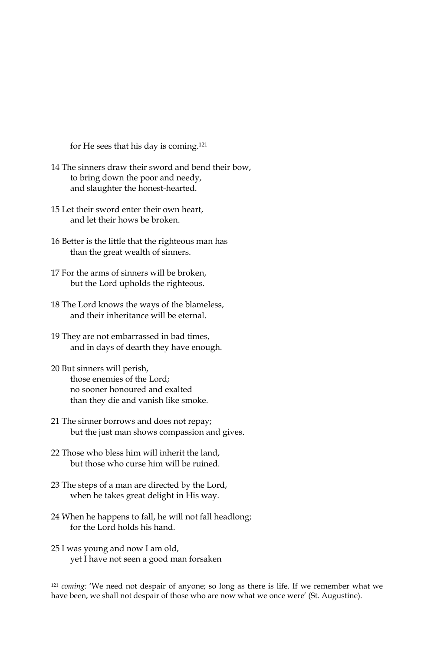for He sees that his day is coming.<sup>121</sup>

- 14 The sinners draw their sword and bend their bow, to bring down the poor and needy, and slaughter the honest-hearted.
- 15 Let their sword enter their own heart, and let their hows be broken.
- 16 Better is the little that the righteous man has than the great wealth of sinners.
- 17 For the arms of sinners will be broken, but the Lord upholds the righteous.
- 18 The Lord knows the ways of the blameless, and their inheritance will be eternal.
- 19 They are not embarrassed in bad times, and in days of dearth they have enough.
- 20 But sinners will perish, those enemies of the Lord: no sooner honoured and exalted than they die and vanish like smoke.
- 21 The sinner borrows and does not repay; but the just man shows compassion and gives.
- 22 Those who bless him will inherit the land, but those who curse him will be ruined.
- 23 The steps of a man are directed by the Lord, when he takes great delight in His way.
- 24 When he happens to fall, he will not fall headlong; for the Lord holds his hand.
- 25 I was young and now I am old, yet I have not seen a good man forsaken

<sup>&</sup>lt;sup>121</sup> coming: 'We need not despair of anyone; so long as there is life. If we remember what we have been, we shall not despair of those who are now what we once were' (St. Augustine).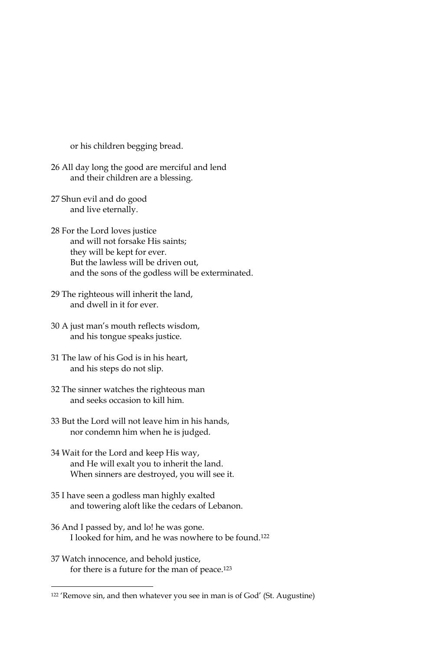or his children begging bread.

- 26 All day long the good are merciful and lend and their children are a blessing.
- 27 Shun evil and do good and live eternally.
- 28 For the Lord loves justice and will not forsake His saints; they will be kept for ever. But the lawless will be driven out, and the sons of the godless will be exterminated.
- 29 The righteous will inherit the land, and dwell in it for ever.
- 30 A just man's mouth reflects wisdom, and his tongue speaks justice.
- 31 The law of his God is in his heart, and his steps do not slip.
- 32 The sinner watches the righteous man and seeks occasion to kill him.
- 33 But the Lord will not leave him in his hands, nor condemn him when he is judged.
- 34 Wait for the Lord and keep His way, and He will exalt you to inherit the land. When sinners are destroyed, you will see it.
- 35 I have seen a godless man highly exalted and towering aloft like the cedars of Lebanon.
- 36 And I passed by, and lo! he was gone. I looked for him, and he was nowhere to be found.<sup>122</sup>
- 37 Watch innocence, and behold justice, for there is a future for the man of peace.<sup>123</sup>

<sup>&</sup>lt;sup>122</sup> 'Remove sin, and then whatever you see in man is of God' (St. Augustine)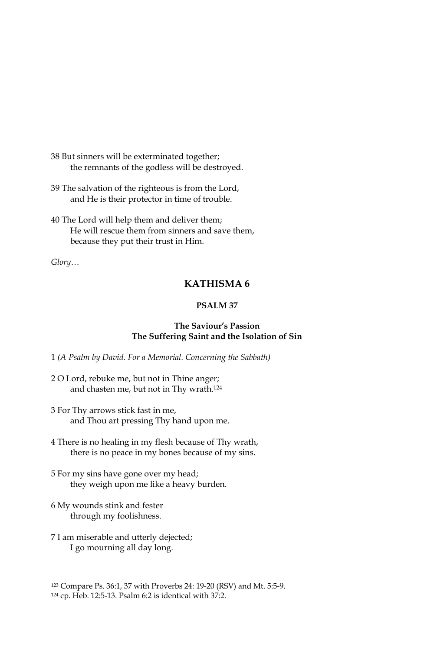38 But sinners will be exterminated together; the remnants of the godless will be destroyed.

39 The salvation of the righteous is from the Lord, and He is their protector in time of trouble.

40 The Lord will help them and deliver them; He will rescue them from sinners and save them, because they put their trust in Him.

 $Glory...$ 

# KATHISMA 6

# PSALM 37

# The Saviour's Passion The Suffering Saint and the Isolation of Sin

1 (A Psalm by David. For a Memorial. Concerning the Sabbath)

- 2 O Lord, rebuke me, but not in Thine anger; and chasten me, but not in Thy wrath.<sup>124</sup>
- 3 For Thy arrows stick fast in me, and Thou art pressing Thy hand upon me.
- 4 There is no healing in my flesh because of Thy wrath, there is no peace in my bones because of my sins.
- 5 For my sins have gone over my head; they weigh upon me like a heavy burden.
- 6 My wounds stink and fester through my foolishness.
- 7 I am miserable and utterly dejected; I go mourning all day long.

<sup>&</sup>lt;sup>123</sup> Compare Ps. 36:1, 37 with Proverbs 24: 19-20 (RSV) and Mt. 5:5-9.

<sup>&</sup>lt;sup>124</sup> cp. Heb. 12:5-13. Psalm 6:2 is identical with 37:2.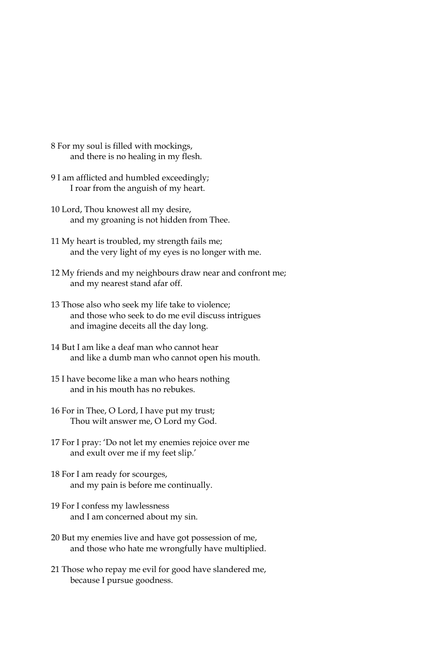- 8 For my soul is filled with mockings, and there is no healing in my flesh.
- 9 I am afflicted and humbled exceedingly; I roar from the anguish of my heart.
- 10 Lord, Thou knowest all my desire, and my groaning is not hidden from Thee.
- 11 My heart is troubled, my strength fails me; and the very light of my eyes is no longer with me.
- 12 My friends and my neighbours draw near and confront me; and my nearest stand afar off.
- 13 Those also who seek my life take to violence; and those who seek to do me evil discuss intrigues and imagine deceits all the day long.
- 14 But I am like a deaf man who cannot hear and like a dumb man who cannot open his mouth.
- 15 I have become like a man who hears nothing and in his mouth has no rebukes.
- 16 For in Thee, O Lord, I have put my trust; Thou wilt answer me, O Lord my God.
- 17 For I pray: 'Do not let my enemies rejoice over me and exult over me if my feet slip.'
- 18 For I am ready for scourges, and my pain is before me continually.
- 19 For I confess my lawlessness and I am concerned about my sin.
- 20 But my enemies live and have got possession of me, and those who hate me wrongfully have multiplied.
- 21 Those who repay me evil for good have slandered me, because I pursue goodness.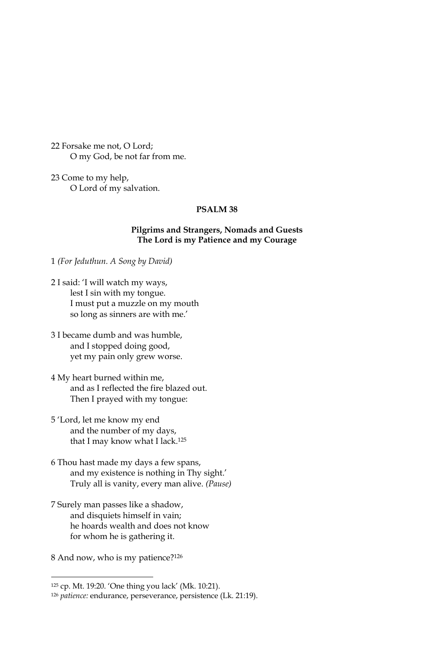22 Forsake me not, O Lord; O my God, be not far from me.

23 Come to my help, O Lord of my salvation.

### PSALM<sub>38</sub>

### **Pilgrims and Strangers, Nomads and Guests** The Lord is my Patience and my Courage

1 (For Jeduthun. A Song by David)

- 2 I said: 'I will watch my ways, lest I sin with my tongue. I must put a muzzle on my mouth so long as sinners are with me.'
- 3 I became dumb and was humble, and I stopped doing good, yet my pain only grew worse.
- 4 My heart burned within me, and as I reflected the fire blazed out. Then I prayed with my tongue:
- 5 'Lord, let me know my end and the number of my days, that I may know what I lack.<sup>125</sup>
- 6 Thou hast made my days a few spans, and my existence is nothing in Thy sight.' Truly all is vanity, every man alive. (Pause)
- 7 Surely man passes like a shadow, and disquiets himself in vain; he hoards wealth and does not know for whom he is gathering it.
- 8 And now, who is my patience?126

<sup>&</sup>lt;sup>125</sup> cp. Mt. 19:20. 'One thing you lack' (Mk. 10:21).

<sup>&</sup>lt;sup>126</sup> patience: endurance, perseverance, persistence (Lk. 21:19).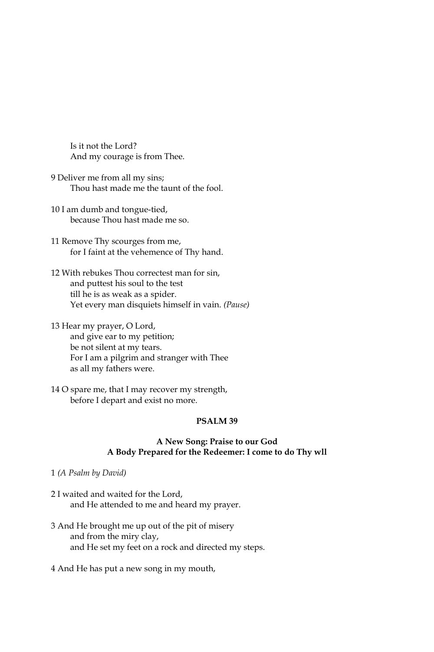Is it not the Lord? And my courage is from Thee.

- 9 Deliver me from all my sins; Thou hast made me the taunt of the fool.
- 10 I am dumb and tongue-tied, because Thou hast made me so.
- 11 Remove Thy scourges from me, for I faint at the vehemence of Thy hand.
- 12 With rebukes Thou correctest man for sin, and puttest his soul to the test till he is as weak as a spider. Yet every man disquiets himself in vain. (Pause)
- 13 Hear my prayer, O Lord, and give ear to my petition; be not silent at my tears. For I am a pilgrim and stranger with Thee as all my fathers were.
- 14 O spare me, that I may recover my strength, before I depart and exist no more.

## PSALM<sub>39</sub>

### A New Song: Praise to our God A Body Prepared for the Redeemer: I come to do Thy wll

- 1 (A Psalm by David)
- 2 I waited and waited for the Lord, and He attended to me and heard my prayer.
- 3 And He brought me up out of the pit of misery and from the miry clay, and He set my feet on a rock and directed my steps.
- 4 And He has put a new song in my mouth,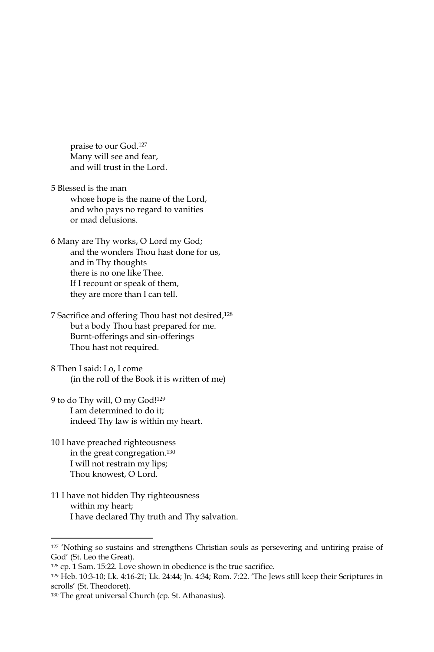praise to our God.<sup>127</sup> Many will see and fear, and will trust in the Lord.

- 5 Blessed is the man whose hope is the name of the Lord, and who pays no regard to vanities or mad delusions.
- 6 Many are Thy works, O Lord my God; and the wonders Thou hast done for us, and in Thy thoughts there is no one like Thee. If I recount or speak of them, they are more than I can tell.
- 7 Sacrifice and offering Thou hast not desired,<sup>128</sup> but a body Thou hast prepared for me. Burnt-offerings and sin-offerings Thou hast not required.
- 8 Then I said: Lo, I come (in the roll of the Book it is written of me)
- 9 to do Thy will, O my God!129 I am determined to do it; indeed Thy law is within my heart.
- 10 I have preached righteousness in the great congregation.<sup>130</sup> I will not restrain my lips; Thou knowest, O Lord.
- 11 I have not hidden Thy righteousness within my heart; I have declared Thy truth and Thy salvation.

<sup>&</sup>lt;sup>127</sup> 'Nothing so sustains and strengthens Christian souls as persevering and untiring praise of God' (St. Leo the Great).

<sup>&</sup>lt;sup>128</sup> cp. 1 Sam. 15:22. Love shown in obedience is the true sacrifice.

<sup>129</sup> Heb. 10:3-10; Lk. 4:16-21; Lk. 24:44; Jn. 4:34; Rom. 7:22. 'The Jews still keep their Scriptures in scrolls' (St. Theodoret).

<sup>&</sup>lt;sup>130</sup> The great universal Church (cp. St. Athanasius).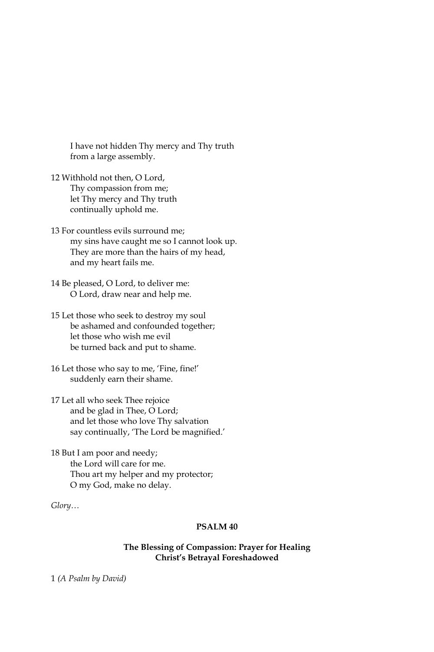I have not hidden Thy mercy and Thy truth from a large assembly.

- 12 Withhold not then, O Lord, Thy compassion from me; let Thy mercy and Thy truth continually uphold me.
- 13 For countless evils surround me: my sins have caught me so I cannot look up. They are more than the hairs of my head, and my heart fails me.
- 14 Be pleased, O Lord, to deliver me: O Lord, draw near and help me.
- 15 Let those who seek to destroy my soul be ashamed and confounded together; let those who wish me evil be turned back and put to shame.
- 16 Let those who say to me, 'Fine, fine!' suddenly earn their shame.
- 17 Let all who seek Thee rejoice and be glad in Thee, O Lord; and let those who love Thy salvation say continually, 'The Lord be magnified.'

18 But I am poor and needy; the Lord will care for me. Thou art my helper and my protector; O my God, make no delay.

 $Glory...$ 

# PSALM<sub>40</sub>

## The Blessing of Compassion: Prayer for Healing Christ's Betrayal Foreshadowed

1 (A Psalm by David)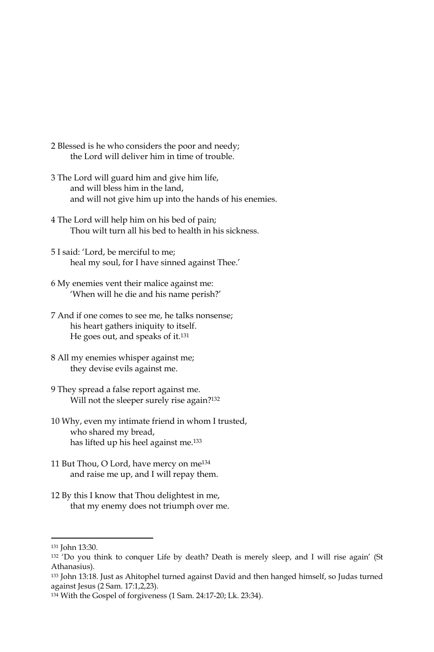- 2 Blessed is he who considers the poor and needy; the Lord will deliver him in time of trouble.
- 3 The Lord will guard him and give him life, and will bless him in the land, and will not give him up into the hands of his enemies.
- 4 The Lord will help him on his bed of pain; Thou wilt turn all his bed to health in his sickness.
- 5 I said: 'Lord, be merciful to me; heal my soul, for I have sinned against Thee.'
- 6 My enemies vent their malice against me: 'When will he die and his name perish?'
- 7 And if one comes to see me, he talks nonsense; his heart gathers iniquity to itself. He goes out, and speaks of it.<sup>131</sup>
- 8 All my enemies whisper against me; they devise evils against me.
- 9 They spread a false report against me. Will not the sleeper surely rise again?<sup>132</sup>
- 10 Why, even my intimate friend in whom I trusted, who shared my bread, has lifted up his heel against me.<sup>133</sup>
- 11 But Thou, O Lord, have mercy on me<sup>134</sup> and raise me up, and I will repay them.
- 12 By this I know that Thou delightest in me, that my enemy does not triumph over me.

<sup>&</sup>lt;sup>131</sup> John 13:30.

<sup>132 &#</sup>x27;Do you think to conquer Life by death? Death is merely sleep, and I will rise again' (St Athanasius).

<sup>133</sup> John 13:18. Just as Ahitophel turned against David and then hanged himself, so Judas turned against Jesus (2 Sam. 17:1,2,23).

<sup>134</sup> With the Gospel of forgiveness (1 Sam. 24:17-20; Lk. 23:34).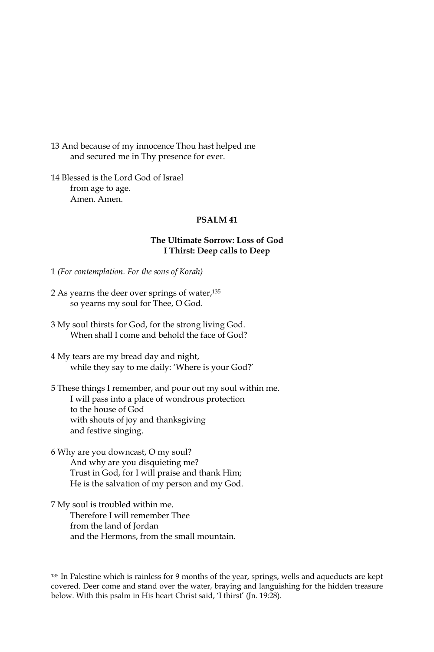13 And because of my innocence Thou hast helped me and secured me in Thy presence for ever.

14 Blessed is the Lord God of Israel from age to age. Amen, Amen.

# PSALM<sub>41</sub>

### The Ultimate Sorrow: Loss of God I Thirst: Deep calls to Deep

1 (For contemplation. For the sons of Korah)

- 2 As yearns the deer over springs of water,<sup>135</sup> so yearns my soul for Thee, O God.
- 3 My soul thirsts for God, for the strong living God. When shall I come and behold the face of God?
- 4 My tears are my bread day and night, while they say to me daily: 'Where is your God?'

5 These things I remember, and pour out my soul within me. I will pass into a place of wondrous protection to the house of God with shouts of joy and thanksgiving and festive singing.

- 6 Why are you downcast, O my soul? And why are you disquieting me? Trust in God, for I will praise and thank Him; He is the salvation of my person and my God.
- 7 My soul is troubled within me. Therefore I will remember Thee from the land of Jordan and the Hermons, from the small mountain.

<sup>135</sup> In Palestine which is rainless for 9 months of the year, springs, wells and aqueducts are kept covered. Deer come and stand over the water, braying and languishing for the hidden treasure below. With this psalm in His heart Christ said, 'I thirst' (Jn. 19:28).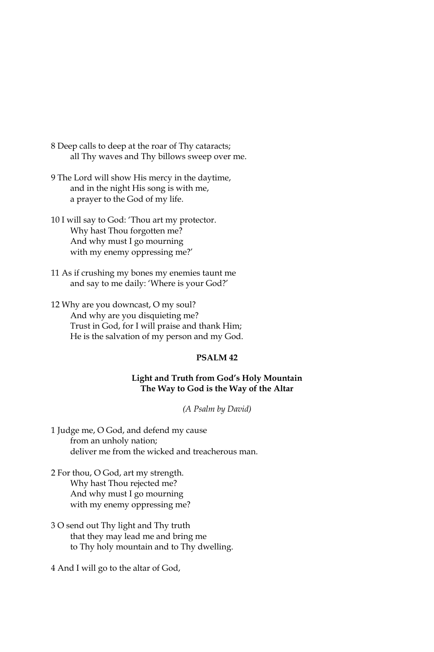- 8 Deep calls to deep at the roar of Thy cataracts; all Thy waves and Thy billows sweep over me.
- 9 The Lord will show His mercy in the daytime, and in the night His song is with me, a prayer to the God of my life.
- 10 I will say to God: 'Thou art my protector. Why hast Thou forgotten me? And why must I go mourning with my enemy oppressing me?'
- 11 As if crushing my bones my enemies taunt me and say to me daily: 'Where is your God?'
- 12 Why are you downcast, O my soul? And why are you disquieting me? Trust in God, for I will praise and thank Him; He is the salvation of my person and my God.

# PSALM<sub>42</sub>

### Light and Truth from God's Holy Mountain The Way to God is the Way of the Altar

(A Psalm by David)

1 Judge me, O God, and defend my cause from an unholy nation: deliver me from the wicked and treacherous man.

- 2 For thou, O God, art my strength. Why hast Thou rejected me? And why must I go mourning with my enemy oppressing me?
- 3 O send out Thy light and Thy truth that they may lead me and bring me to Thy holy mountain and to Thy dwelling.

4 And I will go to the altar of God,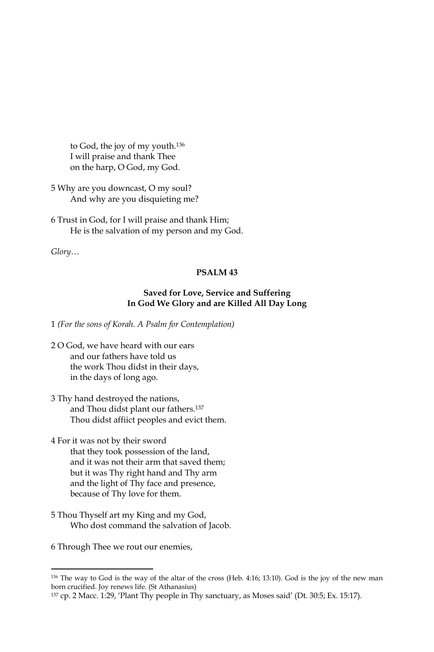to God, the joy of my youth.<sup>136</sup> I will praise and thank Thee on the harp, O God, my God.

5 Why are you downcast, O my soul? And why are you disquieting me?

6 Trust in God, for I will praise and thank Him; He is the salvation of my person and my God.

 $Glory...$ 

# **PSALM 43**

# Saved for Love, Service and Suffering In God We Glory and are Killed All Day Long

1 (For the sons of Korah. A Psalm for Contemplation)

- 2 O God, we have heard with our ears and our fathers have told us the work Thou didst in their days, in the days of long ago.
- 3 Thy hand destroyed the nations, and Thou didst plant our fathers.<sup>137</sup> Thou didst affiict peoples and evict them.
- 4 For it was not by their sword that they took possession of the land, and it was not their arm that saved them; but it was Thy right hand and Thy arm and the light of Thy face and presence, because of Thy love for them.
- 5 Thou Thyself art my King and my God, Who dost command the salvation of Jacob.

6 Through Thee we rout our enemies,

<sup>&</sup>lt;sup>136</sup> The way to God is the way of the altar of the cross (Heb. 4:16; 13:10). God is the joy of the new man born crucified. Joy renews life. (St Athanasius)

<sup>&</sup>lt;sup>137</sup> cp. 2 Macc. 1:29, 'Plant Thy people in Thy sanctuary, as Moses said' (Dt. 30:5; Ex. 15:17).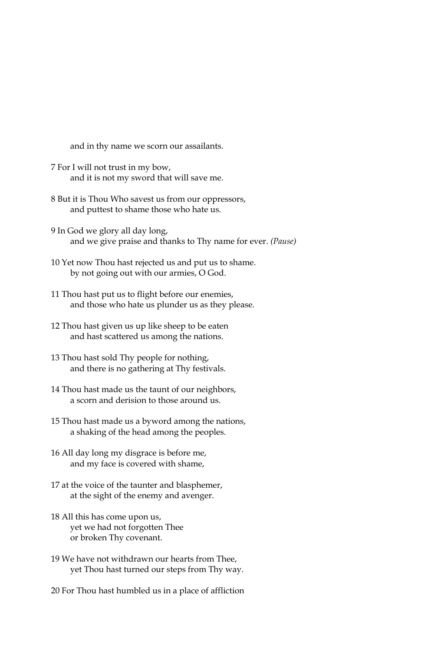and in thy name we scorn our assailants.

- 7 For I will not trust in my bow, and it is not my sword that will save me.
- 8 But it is Thou Who savest us from our oppressors, and puttest to shame those who hate us.
- 9 In God we glory all day long, and we give praise and thanks to Thy name for ever. (Pause)
- 10 Yet now Thou hast rejected us and put us to shame. by not going out with our armies, O God.
- 11 Thou hast put us to flight before our enemies, and those who hate us plunder us as they please.
- 12 Thou hast given us up like sheep to be eaten and hast scattered us among the nations.
- 13 Thou hast sold Thy people for nothing, and there is no gathering at Thy festivals.
- 14 Thou hast made us the taunt of our neighbors, a scorn and derision to those around us.
- 15 Thou hast made us a byword among the nations, a shaking of the head among the peoples.
- 16 All day long my disgrace is before me, and my face is covered with shame,
- 17 at the voice of the taunter and blasphemer, at the sight of the enemy and avenger.
- 18 All this has come upon us, yet we had not forgotten Thee or broken Thy covenant.
- 19 We have not withdrawn our hearts from Thee. yet Thou hast turned our steps from Thy way.
- 20 For Thou hast humbled us in a place of affliction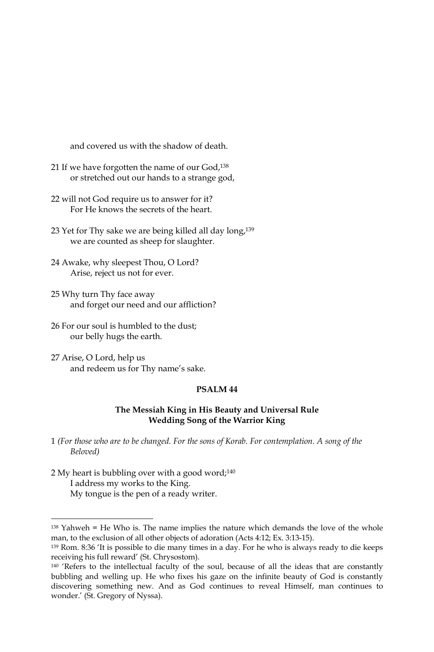and covered us with the shadow of death.

- 21 If we have forgotten the name of our God,<sup>138</sup> or stretched out our hands to a strange god,
- 22 will not God require us to answer for it? For He knows the secrets of the heart
- 23 Yet for Thy sake we are being killed all day long,<sup>139</sup> we are counted as sheep for slaughter.
- 24 Awake, why sleepest Thou, O Lord? Arise, reject us not for ever.
- 25 Why turn Thy face away and forget our need and our affliction?
- 26 For our soul is humbled to the dust; our belly hugs the earth.
- 27 Arise, O Lord, help us and redeem us for Thy name's sake.

#### PSALM<sub>44</sub>

# The Messiah King in His Beauty and Universal Rule **Wedding Song of the Warrior King**

1 (For those who are to be changed. For the sons of Korab. For contemplation. A song of the Beloved)

2 My heart is bubbling over with a good word;<sup>140</sup> I address my works to the King. My tongue is the pen of a ready writer.

<sup>&</sup>lt;sup>138</sup> Yahweh = He Who is. The name implies the nature which demands the love of the whole man, to the exclusion of all other objects of adoration (Acts 4:12; Ex. 3:13-15).

<sup>139</sup> Rom. 8:36 'It is possible to die many times in a day. For he who is always ready to die keeps receiving his full reward' (St. Chrysostom).

<sup>&</sup>lt;sup>140</sup> 'Refers to the intellectual faculty of the soul, because of all the ideas that are constantly bubbling and welling up. He who fixes his gaze on the infinite beauty of God is constantly discovering something new. And as God continues to reveal Himself, man continues to wonder.' (St. Gregory of Nyssa).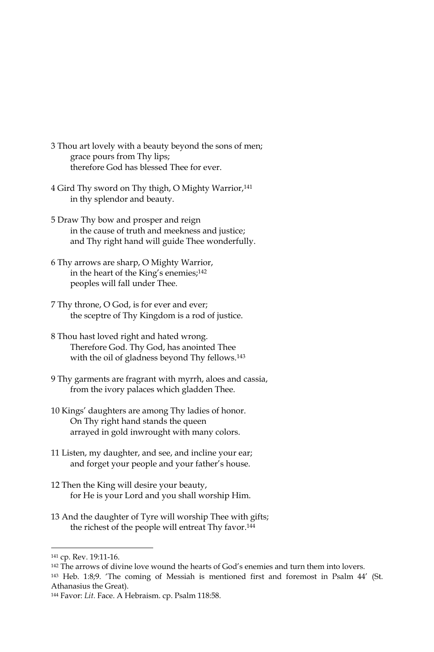- 3 Thou art lovely with a beauty beyond the sons of men; grace pours from Thy lips; therefore God has blessed Thee for ever.
- 4 Gird Thy sword on Thy thigh, O Mighty Warrior,<sup>141</sup> in thy splendor and beauty.
- 5 Draw Thy bow and prosper and reign in the cause of truth and meekness and justice; and Thy right hand will guide Thee wonderfully.
- 6 Thy arrows are sharp, O Mighty Warrior, in the heart of the King's enemies;<sup>142</sup> peoples will fall under Thee.
- 7 Thy throne, O God, is for ever and ever; the sceptre of Thy Kingdom is a rod of justice.
- 8 Thou hast loved right and hated wrong. Therefore God. Thy God, has anointed Thee with the oil of gladness beyond Thy fellows.<sup>143</sup>
- 9 Thy garments are fragrant with myrrh, aloes and cassia, from the ivory palaces which gladden Thee.
- 10 Kings' daughters are among Thy ladies of honor. On Thy right hand stands the queen arrayed in gold inwrought with many colors.
- 11 Listen, my daughter, and see, and incline your ear; and forget your people and your father's house.
- 12 Then the King will desire your beauty, for He is your Lord and you shall worship Him.
- 13 And the daughter of Tyre will worship Thee with gifts; the richest of the people will entreat Thy favor.<sup>144</sup>

<sup>141</sup> cp. Rev. 19:11-16.

<sup>&</sup>lt;sup>142</sup> The arrows of divine love wound the hearts of God's enemies and turn them into lovers.

<sup>&</sup>lt;sup>143</sup> Heb. 1:8;9. 'The coming of Messiah is mentioned first and foremost in Psalm 44' (St. Athanasius the Great).

<sup>144</sup> Favor: Lit. Face. A Hebraism. cp. Psalm 118:58.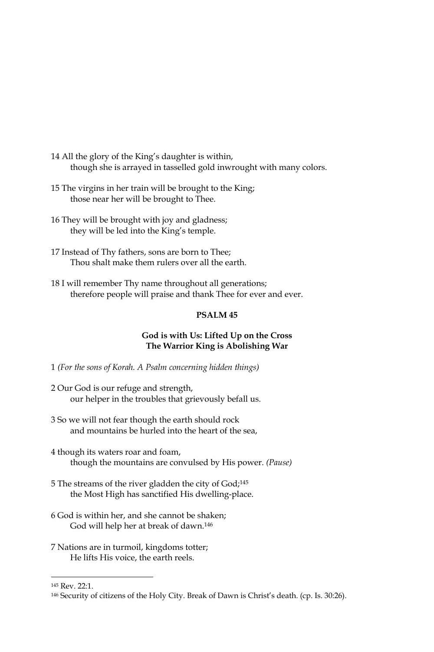- 14 All the glory of the King's daughter is within, though she is arrayed in tasselled gold inwrought with many colors.
- 15 The virgins in her train will be brought to the King; those near her will be brought to Thee.
- 16 They will be brought with joy and gladness; they will be led into the King's temple.
- 17 Instead of Thy fathers, sons are born to Thee; Thou shalt make them rulers over all the earth.
- 18 I will remember Thy name throughout all generations; therefore people will praise and thank Thee for ever and ever.

#### PSALM<sub>45</sub>

#### God is with Us: Lifted Up on the Cross The Warrior King is Abolishing War

- 1 (For the sons of Korah. A Psalm concerning hidden things)
- 2 Our God is our refuge and strength, our helper in the troubles that grievously befall us.
- 3 So we will not fear though the earth should rock and mountains be hurled into the heart of the sea,
- 4 though its waters roar and foam, though the mountains are convulsed by His power. (Pause)
- 5 The streams of the river gladden the city of God;<sup>145</sup> the Most High has sanctified His dwelling-place.
- 6 God is within her, and she cannot be shaken; God will help her at break of dawn.<sup>146</sup>
- 7 Nations are in turmoil, kingdoms totter; He lifts His voice, the earth reels.

<sup>145</sup> Rev. 22:1.

<sup>&</sup>lt;sup>146</sup> Security of citizens of the Holy City. Break of Dawn is Christ's death. (cp. Is. 30:26).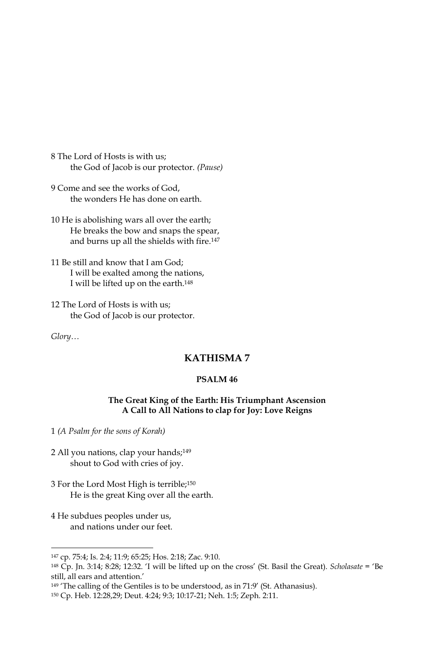8 The Lord of Hosts is with us; the God of Jacob is our protector. (Pause)

- 9 Come and see the works of God, the wonders He has done on earth.
- 10 He is abolishing wars all over the earth; He breaks the bow and snaps the spear, and burns up all the shields with fire.<sup>147</sup>
- 11 Be still and know that I am God; I will be exalted among the nations, I will be lifted up on the earth.<sup>148</sup>
- 12 The Lord of Hosts is with us; the God of Jacob is our protector.

 $Glory...$ 

# **KATHISMA7**

## PSALM<sub>46</sub>

# The Great King of the Earth: His Triumphant Ascension A Call to All Nations to clap for Joy: Love Reigns

1 (A Psalm for the sons of Korah)

- 2 All you nations, clap your hands;<sup>149</sup> shout to God with cries of joy.
- 3 For the Lord Most High is terrible;<sup>150</sup> He is the great King over all the earth.
- 4 He subdues peoples under us, and nations under our feet.

<sup>149</sup> 'The calling of the Gentiles is to be understood, as in 71:9' (St. Athanasius).

<sup>147</sup> cp. 75:4; Is. 2:4; 11:9; 65:25; Hos. 2:18; Zac. 9:10.

<sup>148</sup> Cp. Jn. 3:14; 8:28; 12:32. 'I will be lifted up on the cross' (St. Basil the Great). Scholasate = 'Be still, all ears and attention.'

<sup>150</sup> Cp. Heb. 12:28,29; Deut. 4:24; 9:3; 10:17-21; Neh. 1:5; Zeph. 2:11.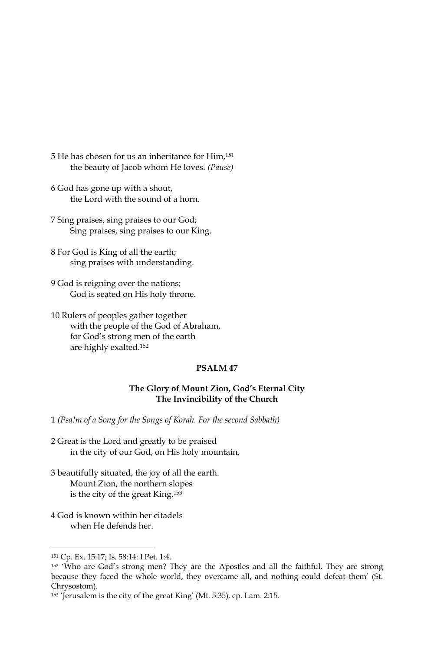- 5 He has chosen for us an inheritance for Him,<sup>151</sup> the beauty of Jacob whom He loves. (Pause)
- 6 God has gone up with a shout, the Lord with the sound of a horn.
- 7 Sing praises, sing praises to our God; Sing praises, sing praises to our King.
- 8 For God is King of all the earth; sing praises with understanding.
- 9 God is reigning over the nations; God is seated on His holy throne.
- 10 Rulers of peoples gather together with the people of the God of Abraham, for God's strong men of the earth are highly exalted.<sup>152</sup>

### PSALM<sub>47</sub>

#### The Glory of Mount Zion, God's Eternal City The Invincibility of the Church

1 (Psa!m of a Song for the Songs of Korah. For the second Sabbath)

- 2 Great is the Lord and greatly to be praised in the city of our God, on His holy mountain,
- 3 beautifully situated, the joy of all the earth. Mount Zion, the northern slopes is the city of the great King.<sup>153</sup>
- 4 God is known within her citadels when He defends her.

<sup>151</sup> Cp. Ex. 15:17; Is. 58:14: I Pet. 1:4.

<sup>&</sup>lt;sup>152</sup> 'Who are God's strong men? They are the Apostles and all the faithful. They are strong because they faced the whole world, they overcame all, and nothing could defeat them' (St. Chrysostom).

<sup>&</sup>lt;sup>153</sup> 'Jerusalem is the city of the great King' (Mt. 5:35). cp. Lam. 2:15.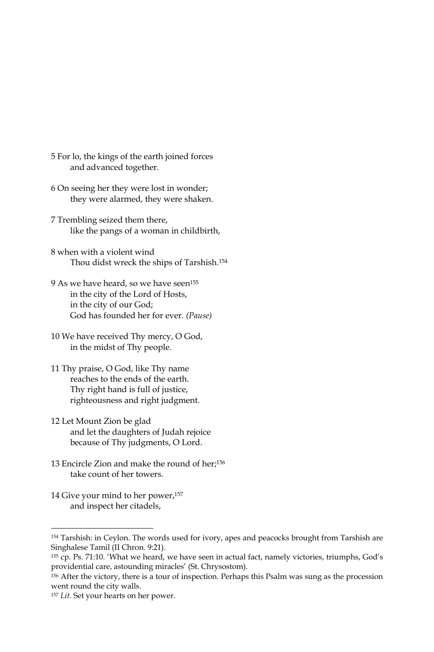- 5 For lo, the kings of the earth joined forces and advanced together.
- 6 On seeing her they were lost in wonder; they were alarmed, they were shaken.
- 7 Trembling seized them there, like the pangs of a woman in childbirth,
- 8 when with a violent wind Thou didst wreck the ships of Tarshish.<sup>154</sup>
- 9 As we have heard, so we have seen<sup>155</sup> in the city of the Lord of Hosts, in the city of our God; God has founded her for ever. (Pause)
- 10 We have received Thy mercy, O God, in the midst of Thy people.
- 11 Thy praise, O God, like Thy name reaches to the ends of the earth. Thy right hand is full of justice, righteousness and right judgment.
- 12 Let Mount Zion be glad and let the daughters of Judah rejoice because of Thy judgments, O Lord.
- 13 Encircle Zion and make the round of her;156 take count of her towers.
- 14 Give your mind to her power,<sup>157</sup> and inspect her citadels,

<sup>154</sup> Tarshish: in Ceylon. The words used for ivory, apes and peacocks brought from Tarshish are Singhalese Tamil (II Chron. 9:21).

<sup>155</sup> cp. Ps. 71:10. 'What we heard, we have seen in actual fact, namely victories, triumphs, God's providential care, astounding miracles' (St. Chrysostom).

<sup>156</sup> After the victory, there is a tour of inspection. Perhaps this Psalm was sung as the procession went round the city walls.

<sup>&</sup>lt;sup>157</sup> Lit. Set your hearts on her power.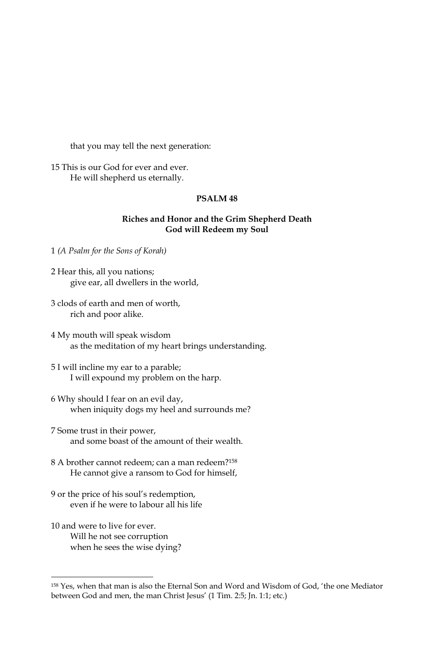that you may tell the next generation:

15 This is our God for ever and ever. He will shepherd us eternally.

# PSALM<sub>48</sub>

### Riches and Honor and the Grim Shepherd Death God will Redeem my Soul

1 (A Psalm for the Sons of Korah)

- 2 Hear this, all you nations; give ear, all dwellers in the world,
- 3 clods of earth and men of worth, rich and poor alike.
- 4 My mouth will speak wisdom as the meditation of my heart brings understanding.
- 5 I will incline my ear to a parable; I will expound my problem on the harp.
- 6 Why should I fear on an evil day, when iniquity dogs my heel and surrounds me?
- 7 Some trust in their power, and some boast of the amount of their wealth.
- 8 A brother cannot redeem; can a man redeem?<sup>158</sup> He cannot give a ransom to God for himself,
- 9 or the price of his soul's redemption, even if he were to labour all his life
- 10 and were to live for ever. Will he not see corruption when he sees the wise dying?

<sup>&</sup>lt;sup>158</sup> Yes, when that man is also the Eternal Son and Word and Wisdom of God, 'the one Mediator between God and men, the man Christ Jesus' (1 Tim. 2:5; Jn. 1:1; etc.)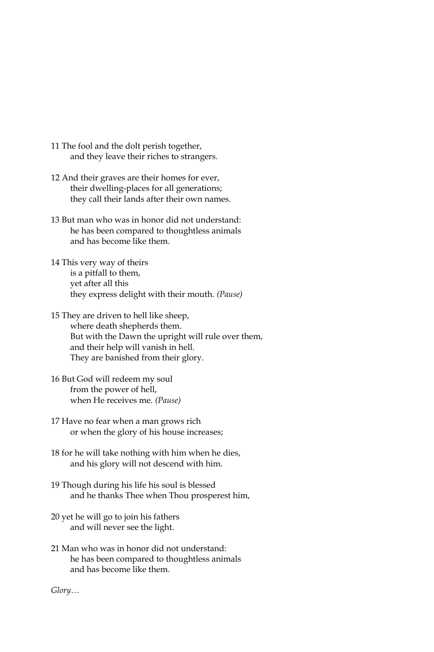- 11 The fool and the dolt perish together, and they leave their riches to strangers.
- 12 And their graves are their homes for ever, their dwelling-places for all generations; they call their lands after their own names.
- 13 But man who was in honor did not understand: he has been compared to thoughtless animals and has become like them.
- 14 This very way of theirs is a pitfall to them, yet after all this they express delight with their mouth. (Pause)
- 15 They are driven to hell like sheep, where death shepherds them. But with the Dawn the upright will rule over them, and their help will vanish in hell. They are banished from their glory.
- 16 But God will redeem my soul from the power of hell, when He receives me. (Pause)
- 17 Have no fear when a man grows rich or when the glory of his house increases;
- 18 for he will take nothing with him when he dies, and his glory will not descend with him.
- 19 Though during his life his soul is blessed and he thanks Thee when Thou prosperest him,
- 20 yet he will go to join his fathers and will never see the light.
- 21 Man who was in honor did not understand: he has been compared to thoughtless animals and has become like them.

 $Glory...$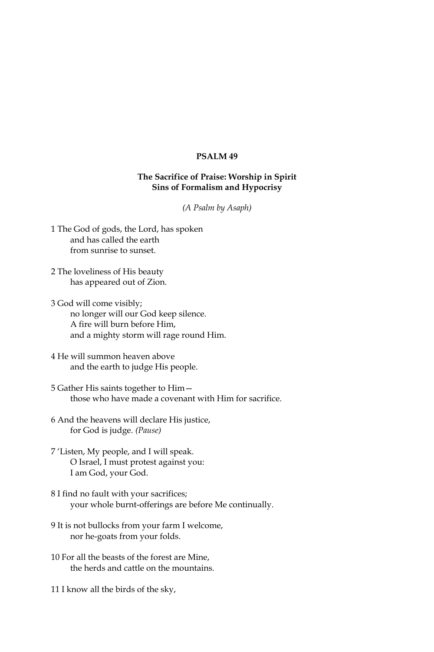# **PSALM 49**

# The Sacrifice of Praise: Worship in Spirit Sins of Formalism and Hypocrisy

(A Psalm by Asaph)

- 1 The God of gods, the Lord, has spoken and has called the earth from sunrise to sunset.
- 2 The loveliness of His beauty has appeared out of Zion.
- 3 God will come visibly; no longer will our God keep silence. A fire will burn before Him, and a mighty storm will rage round Him.
- 4 He will summon heaven above and the earth to judge His people.
- 5 Gather His saints together to Himthose who have made a covenant with Him for sacrifice.
- 6 And the heavens will declare His justice, for God is judge. (Pause)
- 7 'Listen, My people, and I will speak. O Israel, I must protest against you: I am God, your God.
- 8 I find no fault with your sacrifices; your whole burnt-offerings are before Me continually.
- 9 It is not bullocks from your farm I welcome, nor he-goats from your folds.
- 10 For all the beasts of the forest are Mine, the herds and cattle on the mountains
- 11 I know all the birds of the sky,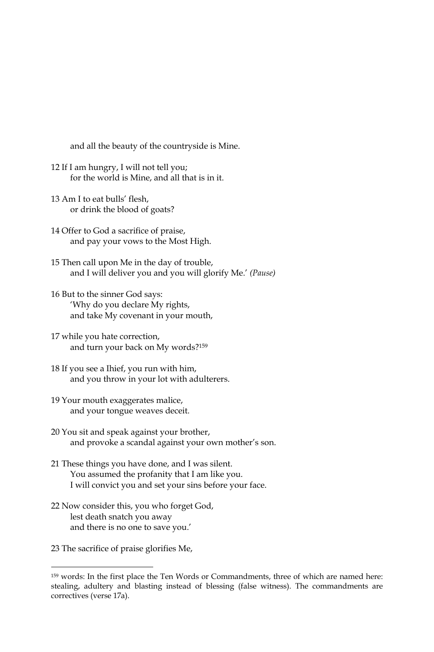and all the beauty of the countryside is Mine.

- 12 If I am hungry, I will not tell you; for the world is Mine, and all that is in it.
- 13 Am I to eat bulls' flesh. or drink the blood of goats?
- 14 Offer to God a sacrifice of praise, and pay your vows to the Most High.
- 15 Then call upon Me in the day of trouble, and I will deliver you and you will glorify Me.' (Pause)
- 16 But to the sinner God says: 'Why do you declare My rights, and take My covenant in your mouth,
- 17 while you hate correction, and turn your back on My words?<sup>159</sup>
- 18 If you see a Ihief, you run with him, and you throw in your lot with adulterers.
- 19 Your mouth exaggerates malice, and your tongue weaves deceit.
- 20 You sit and speak against your brother, and provoke a scandal against your own mother's son.
- 21 These things you have done, and I was silent. You assumed the profanity that I am like you. I will convict you and set your sins before your face.
- 22 Now consider this, you who forget God, lest death snatch you away and there is no one to save you.'
- 23 The sacrifice of praise glorifies Me,

<sup>&</sup>lt;sup>159</sup> words: In the first place the Ten Words or Commandments, three of which are named here: stealing, adultery and blasting instead of blessing (false witness). The commandments are correctives (verse 17a).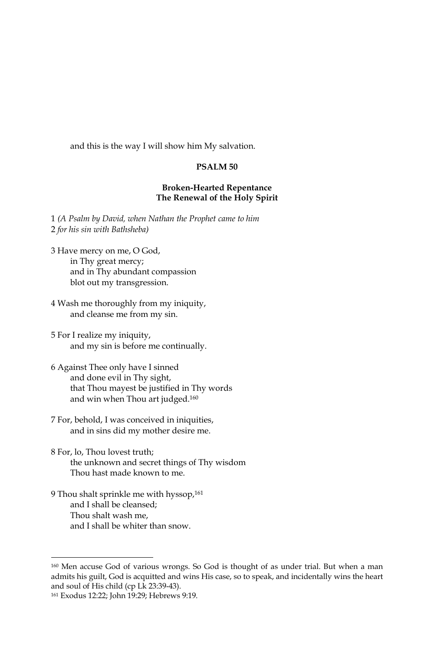and this is the way I will show him My salvation.

#### PSALM<sub>50</sub>

### **Broken-Hearted Repentance** The Renewal of the Holy Spirit

1 (A Psalm by David, when Nathan the Prophet came to him 2 for his sin with Bathsheba)

- 3 Have mercy on me, O God, in Thy great mercy; and in Thy abundant compassion blot out my transgression.
- 4 Wash me thoroughly from my iniquity, and cleanse me from my sin.
- 5 For I realize my iniquity, and my sin is before me continually.
- 6 Against Thee only have I sinned and done evil in Thy sight, that Thou mayest be justified in Thy words and win when Thou art judged.<sup>160</sup>
- 7 For, behold, I was conceived in iniquities, and in sins did my mother desire me.
- 8 For, lo, Thou lovest truth; the unknown and secret things of Thy wisdom Thou hast made known to me.
- 9 Thou shalt sprinkle me with hyssop,<sup>161</sup> and I shall be cleansed; Thou shalt wash me. and I shall be whiter than snow.

<sup>&</sup>lt;sup>160</sup> Men accuse God of various wrongs. So God is thought of as under trial. But when a man admits his guilt, God is acquitted and wins His case, so to speak, and incidentally wins the heart and soul of His child (cp Lk 23:39-43).

<sup>161</sup> Exodus 12:22; John 19:29; Hebrews 9:19.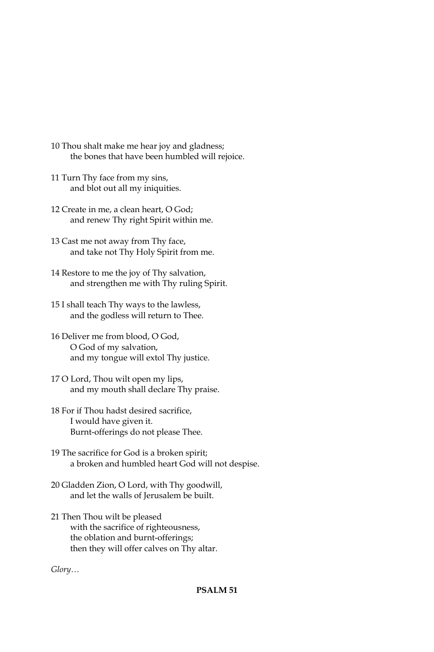- 10 Thou shalt make me hear joy and gladness; the bones that have been humbled will rejoice.
- 11 Turn Thy face from my sins, and blot out all my iniquities.
- 12 Create in me, a clean heart, O God; and renew Thy right Spirit within me.
- 13 Cast me not away from Thy face, and take not Thy Holy Spirit from me.
- 14 Restore to me the joy of Thy salvation, and strengthen me with Thy ruling Spirit.
- 15 I shall teach Thy ways to the lawless, and the godless will return to Thee.
- 16 Deliver me from blood, O God, O God of my salvation, and my tongue will extol Thy justice.
- 17 O Lord, Thou wilt open my lips, and my mouth shall declare Thy praise.
- 18 For if Thou hadst desired sacrifice, I would have given it. Burnt-offerings do not please Thee.
- 19 The sacrifice for God is a broken spirit; a broken and humbled heart God will not despise.
- 20 Gladden Zion, O Lord, with Thy goodwill, and let the walls of Jerusalem be built.
- 21 Then Thou wilt be pleased with the sacrifice of righteousness, the oblation and burnt-offerings; then they will offer calves on Thy altar.

 $Glory...$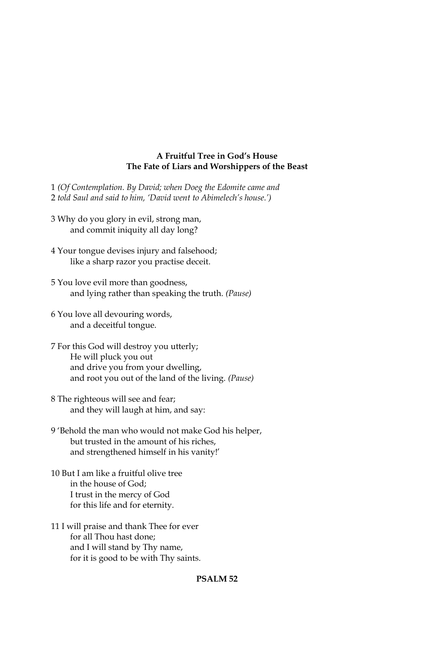### A Fruitful Tree in God's House The Fate of Liars and Worshippers of the Beast

- 1 (Of Contemplation. By David; when Doeg the Edomite came and 2 told Saul and said to him, 'David went to Abimelech's house.')
- 3 Why do you glory in evil, strong man, and commit iniquity all day long?
- 4 Your tongue devises injury and falsehood; like a sharp razor you practise deceit.
- 5 You love evil more than goodness, and lying rather than speaking the truth. (Pause)
- 6 You love all devouring words, and a deceitful tongue.
- 7 For this God will destroy you utterly; He will pluck you out and drive you from your dwelling, and root you out of the land of the living. (Pause)
- 8 The righteous will see and fear; and they will laugh at him, and say:
- 9 'Behold the man who would not make God his helper, but trusted in the amount of his riches, and strengthened himself in his vanity!'
- 10 But I am like a fruitful olive tree in the house of God: I trust in the mercy of God for this life and for eternity.
- 11 I will praise and thank Thee for ever for all Thou hast done: and I will stand by Thy name, for it is good to be with Thy saints.

# **PSALM 52**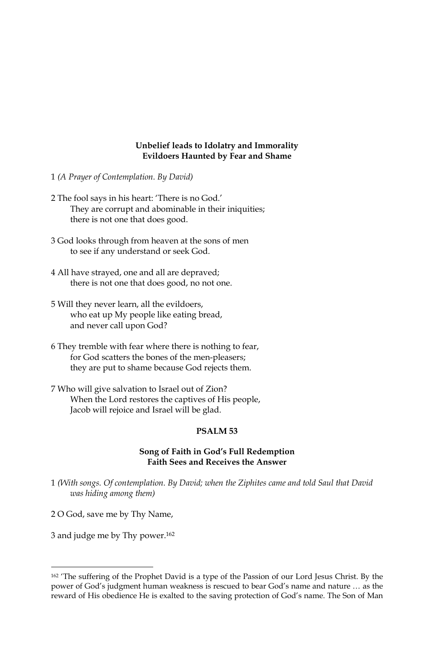### Unbelief leads to Idolatry and Immorality **Evildoers Haunted by Fear and Shame**

- 1 (A Prayer of Contemplation. By David)
- 2 The fool says in his heart: 'There is no God.' They are corrupt and abominable in their iniquities; there is not one that does good.
- 3 God looks through from heaven at the sons of men to see if any understand or seek God.
- 4 All have strayed, one and all are depraved; there is not one that does good, no not one.
- 5 Will they never learn, all the evildoers, who eat up My people like eating bread, and never call upon God?
- 6 They tremble with fear where there is nothing to fear, for God scatters the bones of the men-pleasers; they are put to shame because God rejects them.
- 7 Who will give salvation to Israel out of Zion? When the Lord restores the captives of His people, Jacob will rejoice and Israel will be glad.

#### PSALM<sub>53</sub>

### Song of Faith in God's Full Redemption **Faith Sees and Receives the Answer**

- 1 (With songs. Of contemplation. By David; when the Ziphites came and told Saul that David was hiding among them)
- 2 O God, save me by Thy Name,
- 3 and judge me by Thy power.<sup>162</sup>

<sup>&</sup>lt;sup>162</sup> 'The suffering of the Prophet David is a type of the Passion of our Lord Jesus Christ. By the power of God's judgment human weakness is rescued to bear God's name and nature ... as the reward of His obedience He is exalted to the saving protection of God's name. The Son of Man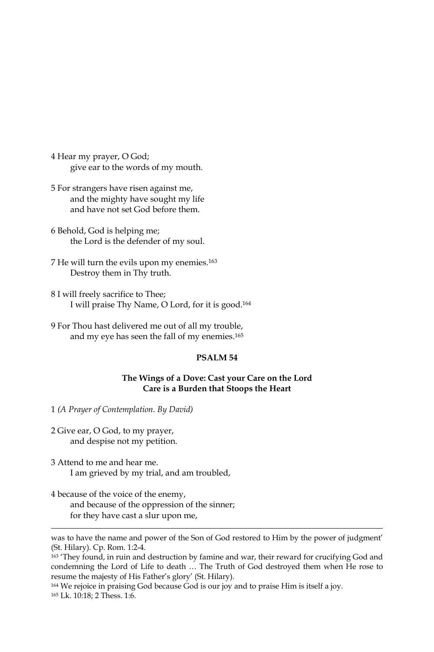4 Hear my prayer, O God; give ear to the words of my mouth.

- 5 For strangers have risen against me, and the mighty have sought my life and have not set God before them
- 6 Behold, God is helping me; the Lord is the defender of my soul.
- 7 He will turn the evils upon my enemies.<sup>163</sup> Destroy them in Thy truth.
- 8 I will freely sacrifice to Thee; I will praise Thy Name, O Lord, for it is good.<sup>164</sup>
- 9 For Thou hast delivered me out of all my trouble, and my eye has seen the fall of my enemies.<sup>165</sup>

# PSALM<sub>54</sub>

### The Wings of a Dove: Cast your Care on the Lord Care is a Burden that Stoops the Heart

1 (A Prayer of Contemplation. By David)

- 2 Give ear, O God, to my prayer, and despise not my petition.
- 3 Attend to me and hear me. I am grieved by my trial, and am troubled,
- 4 because of the voice of the enemy, and because of the oppression of the sinner; for they have cast a slur upon me,

was to have the name and power of the Son of God restored to Him by the power of judgment' (St. Hilary). Cp. Rom. 1:2-4.

<sup>163</sup> 'They found, in ruin and destruction by famine and war, their reward for crucifying God and condemning the Lord of Life to death ... The Truth of God destroyed them when He rose to resume the majesty of His Father's glory' (St. Hilary).

<sup>164</sup> We rejoice in praising God because God is our joy and to praise Him is itself a joy. 165 Lk. 10:18: 2 Thess. 1:6.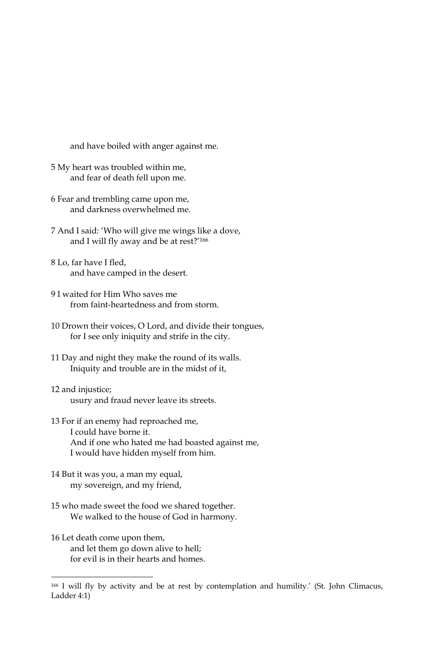and have boiled with anger against me.

- 5 My heart was troubled within me, and fear of death fell upon me.
- 6 Fear and trembling came upon me, and darkness overwhelmed me
- 7 And I said: 'Who will give me wings like a dove, and I will fly away and be at rest?'166
- 8 Lo, far have I fled, and have camped in the desert.
- 9 I waited for Him Who saves me from faint-heartedness and from storm.
- 10 Drown their voices, O Lord, and divide their tongues, for I see only iniquity and strife in the city.
- 11 Day and night they make the round of its walls. Iniquity and trouble are in the midst of it,
- 12 and injustice; usury and fraud never leave its streets.
- 13 For if an enemy had reproached me, I could have borne it. And if one who hated me had boasted against me, I would have hidden myself from him.
- 14 But it was you, a man my equal, my sovereign, and my friend,
- 15 who made sweet the food we shared together. We walked to the house of God in harmony.
- 16 Let death come upon them, and let them go down alive to hell; for evil is in their hearts and homes.

<sup>&</sup>lt;sup>166</sup> I will fly by activity and be at rest by contemplation and humility.' (St. John Climacus, Ladder 4:1)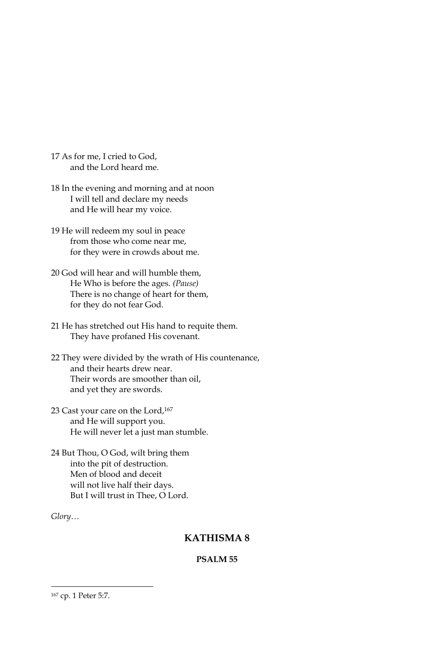- 17 As for me, I cried to God, and the Lord heard me.
- 18 In the evening and morning and at noon I will tell and declare my needs and He will hear my voice.
- 19 He will redeem my soul in peace from those who come near me, for they were in crowds about me.
- 20 God will hear and will humble them, He Who is before the ages. (Pause) There is no change of heart for them, for they do not fear God.
- 21 He has stretched out His hand to requite them. They have profaned His covenant.
- 22 They were divided by the wrath of His countenance, and their hearts drew near. Their words are smoother than oil, and yet they are swords.
- 23 Cast your care on the Lord, 167 and He will support you. He will never let a just man stumble.
- 24 But Thou, O God, wilt bring them into the pit of destruction. Men of blood and deceit will not live half their days. But I will trust in Thee, O Lord.

 $Glory...$ 

# **KATHISMA8**

# PSALM<sub>55</sub>

<sup>167</sup> cp. 1 Peter 5:7.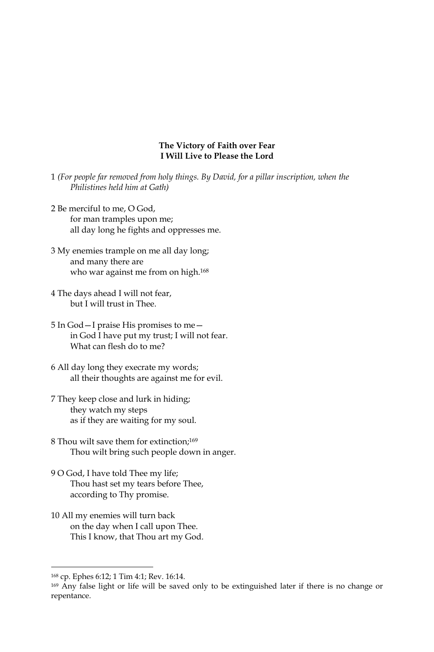### The Victory of Faith over Fear I Will Live to Please the Lord

- 1 (For people far removed from holy things. By David, for a pillar inscription, when the Philistines held him at Gath)
- 2 Be merciful to me. O God. for man tramples upon me; all day long he fights and oppresses me.
- 3 My enemies trample on me all day long; and many there are who war against me from on high.<sup>168</sup>
- 4 The days ahead I will not fear, but I will trust in Thee.
- 5 In God I praise His promises to me in God I have put my trust; I will not fear. What can flesh do to me?
- 6 All day long they execrate my words; all their thoughts are against me for evil.
- 7 They keep close and lurk in hiding; they watch my steps as if they are waiting for my soul.
- 8 Thou wilt save them for extinction;<sup>169</sup> Thou wilt bring such people down in anger.
- 9 O God, I have told Thee my life; Thou hast set my tears before Thee, according to Thy promise.
- 10 All my enemies will turn back on the day when I call upon Thee. This I know, that Thou art my God.

<sup>168</sup> cp. Ephes 6:12; 1 Tim 4:1; Rev. 16:14.

<sup>&</sup>lt;sup>169</sup> Any false light or life will be saved only to be extinguished later if there is no change or repentance.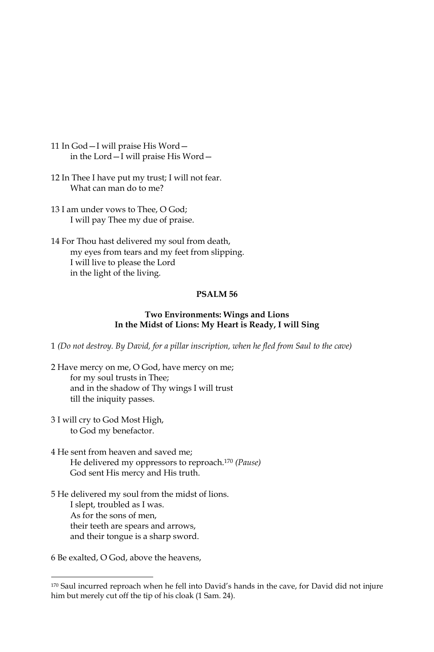- 11 In God-I will praise His Wordin the Lord-I will praise His Word-
- 12 In Thee I have put my trust; I will not fear. What can man do to me?
- 13 I am under vows to Thee, O God; I will pay Thee my due of praise.
- 14 For Thou hast delivered my soul from death, my eyes from tears and my feet from slipping. I will live to please the Lord in the light of the living.

# PSALM<sub>56</sub>

### Two Environments: Wings and Lions In the Midst of Lions: My Heart is Ready, I will Sing

1 (Do not destroy. By David, for a pillar inscription, when he fled from Saul to the cave)

- 2 Have mercy on me, O God, have mercy on me; for my soul trusts in Thee; and in the shadow of Thy wings I will trust till the iniquity passes.
- 3 I will cry to God Most High, to God my benefactor.
- 4 He sent from heaven and saved me; He delivered my oppressors to reproach.<sup>170</sup> (Pause) God sent His mercy and His truth.
- 5 He delivered my soul from the midst of lions. I slept, troubled as I was. As for the sons of men, their teeth are spears and arrows, and their tongue is a sharp sword.

6 Be exalted, O God, above the heavens,

<sup>170</sup> Saul incurred reproach when he fell into David's hands in the cave, for David did not injure him but merely cut off the tip of his cloak (1 Sam. 24).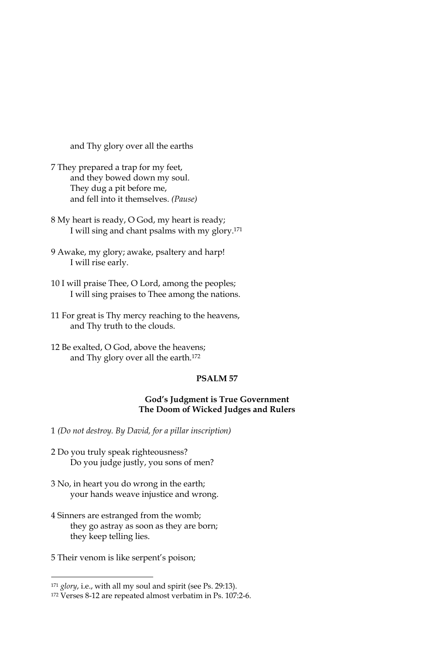and Thy glory over all the earths

- 7 They prepared a trap for my feet, and they bowed down my soul. They dug a pit before me, and fell into it themselves. (Pause)
- 8 My heart is ready, O God, my heart is ready; I will sing and chant psalms with my glory.<sup>171</sup>
- 9 Awake, my glory; awake, psaltery and harp! I will rise early.
- 10 I will praise Thee, O Lord, among the peoples; I will sing praises to Thee among the nations.
- 11 For great is Thy mercy reaching to the heavens, and Thy truth to the clouds.
- 12 Be exalted, O God, above the heavens; and Thy glory over all the earth.<sup>172</sup>

# PSALM<sub>57</sub>

### **God's Judgment is True Government** The Doom of Wicked Judges and Rulers

1 (Do not destroy. By David, for a pillar inscription)

- 2 Do you truly speak righteousness? Do you judge justly, you sons of men?
- 3 No, in heart you do wrong in the earth; your hands weave injustice and wrong.
- 4 Sinners are estranged from the womb; they go astray as soon as they are born; they keep telling lies.
- 5 Their venom is like serpent's poison;

<sup>&</sup>lt;sup>171</sup> glory, i.e., with all my soul and spirit (see Ps. 29:13).

<sup>&</sup>lt;sup>172</sup> Verses 8-12 are repeated almost verbatim in Ps. 107:2-6.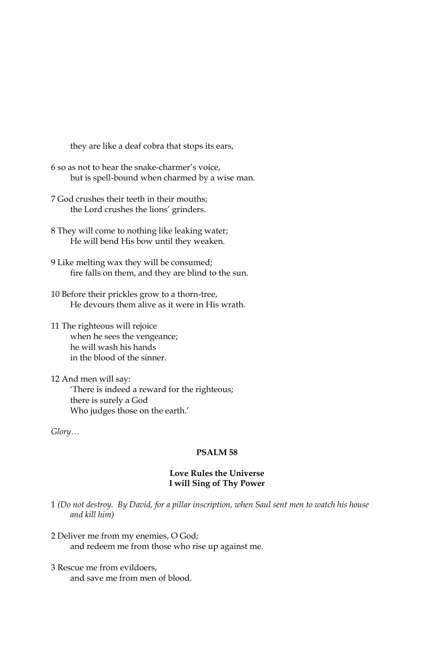they are like a deaf cobra that stops its ears,

- 6 so as not to hear the snake-charmer's voice, but is spell-bound when charmed by a wise man.
- 7 God crushes their teeth in their mouths; the Lord crushes the lions' grinders.
- 8 They will come to nothing like leaking water; He will bend His bow until they weaken.
- 9 Like melting wax they will be consumed; fire falls on them, and they are blind to the sun.
- 10 Before their prickles grow to a thorn-tree, He devours them alive as it were in His wrath.
- 11 The righteous will rejoice when he sees the vengeance; he will wash his hands in the blood of the sinner.
- 12 And men will say: 'There is indeed a reward for the righteous; there is surely a God Who judges those on the earth.'

 $Glory...$ 

# PSALM<sub>58</sub>

#### **Love Rules the Universe** I will Sing of Thy Power

- 1 (Do not destroy. By David, for a pillar inscription, when Saul sent men to watch his house and kill him)
- 2 Deliver me from my enemies, O God; and redeem me from those who rise up against me.
- 3 Rescue me from evildoers. and save me from men of blood.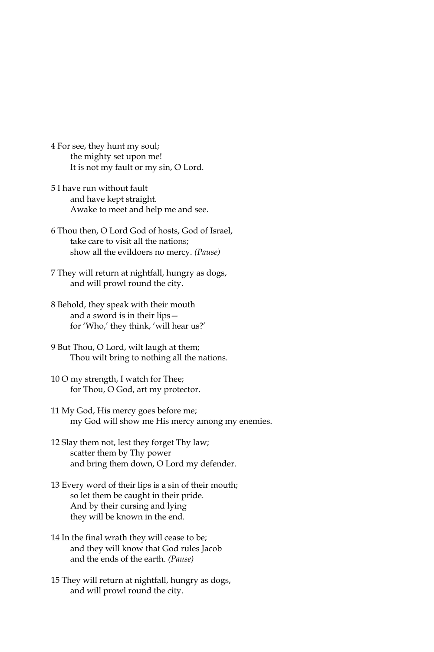- 4 For see, they hunt my soul; the mighty set upon me! It is not my fault or my sin, O Lord.
- 5 I have run without fault and have kept straight. Awake to meet and help me and see.
- 6 Thou then, O Lord God of hosts, God of Israel, take care to visit all the nations; show all the evildoers no mercy. (Pause)
- 7 They will return at nightfall, hungry as dogs, and will prowl round the city.
- 8 Behold, they speak with their mouth and a sword is in their lipsfor 'Who,' they think, 'will hear us?'
- 9 But Thou, O Lord, wilt laugh at them; Thou wilt bring to nothing all the nations.
- 10 O my strength, I watch for Thee; for Thou, O God, art my protector.
- 11 My God, His mercy goes before me; my God will show me His mercy among my enemies.
- 12 Slay them not, lest they forget Thy law; scatter them by Thy power and bring them down, O Lord my defender.
- 13 Every word of their lips is a sin of their mouth; so let them be caught in their pride. And by their cursing and lying they will be known in the end.
- 14 In the final wrath they will cease to be; and they will know that God rules Jacob and the ends of the earth. (Pause)
- 15 They will return at nightfall, hungry as dogs, and will prowl round the city.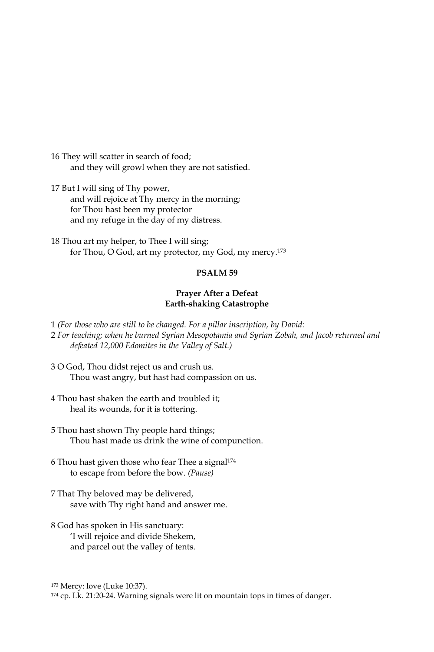16 They will scatter in search of food; and they will growl when they are not satisfied.

17 But I will sing of Thy power, and will rejoice at Thy mercy in the morning; for Thou hast been my protector and my refuge in the day of my distress.

18 Thou art my helper, to Thee I will sing; for Thou, O God, art my protector, my God, my mercy.<sup>173</sup>

# **PSALM 59**

### Prayer After a Defeat **Earth-shaking Catastrophe**

1 (For those who are still to be changed. For a pillar inscription, by David: 2 For teaching; when he burned Syrian Mesopotamia and Syrian Zobah, and Jacob returned and defeated 12,000 Edomites in the Valley of Salt.)

- 3 O God, Thou didst reject us and crush us. Thou wast angry, but hast had compassion on us.
- 4 Thou hast shaken the earth and troubled it; heal its wounds, for it is tottering.
- 5 Thou hast shown Thy people hard things; Thou hast made us drink the wine of compunction.
- 6 Thou hast given those who fear Thee a signal<sup>174</sup> to escape from before the bow. (Pause)
- 7 That Thy beloved may be delivered, save with Thy right hand and answer me.
- 8 God has spoken in His sanctuary: 'I will rejoice and divide Shekem, and parcel out the valley of tents.

<sup>&</sup>lt;sup>173</sup> Mercy: love (Luke 10:37).

<sup>174</sup> cp. Lk. 21:20-24. Warning signals were lit on mountain tops in times of danger.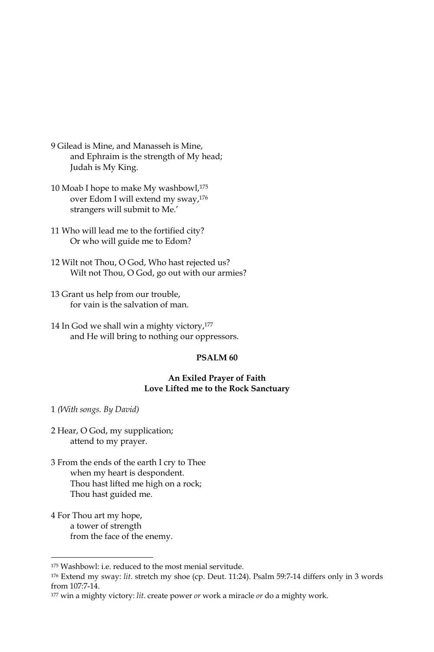- 9 Gilead is Mine, and Manasseh is Mine, and Ephraim is the strength of My head; Judah is My King.
- 10 Moab I hope to make My washbowl,<sup>175</sup> over Edom I will extend my sway,<sup>176</sup> strangers will submit to Me.'
- 11 Who will lead me to the fortified city? Or who will guide me to Edom?
- 12 Wilt not Thou, O God, Who hast rejected us? Wilt not Thou, O God, go out with our armies?
- 13 Grant us help from our trouble, for vain is the salvation of man.
- 14 In God we shall win a mighty victory,<sup>177</sup> and He will bring to nothing our oppressors.

#### PSALM<sub>60</sub>

#### An Exiled Prayer of Faith Love Lifted me to the Rock Sanctuary

1 (With songs. By David)

- 2 Hear, O God, my supplication; attend to my prayer.
- 3 From the ends of the earth I cry to Thee when my heart is despondent. Thou hast lifted me high on a rock; Thou hast guided me.
- 4 For Thou art my hope, a tower of strength from the face of the enemy.

<sup>&</sup>lt;sup>175</sup> Washbowl: i.e. reduced to the most menial servitude.

<sup>176</sup> Extend my sway: lit. stretch my shoe (cp. Deut. 11:24). Psalm 59:7-14 differs only in 3 words from 107:7-14.

<sup>177</sup> win a mighty victory: lit. create power or work a miracle or do a mighty work.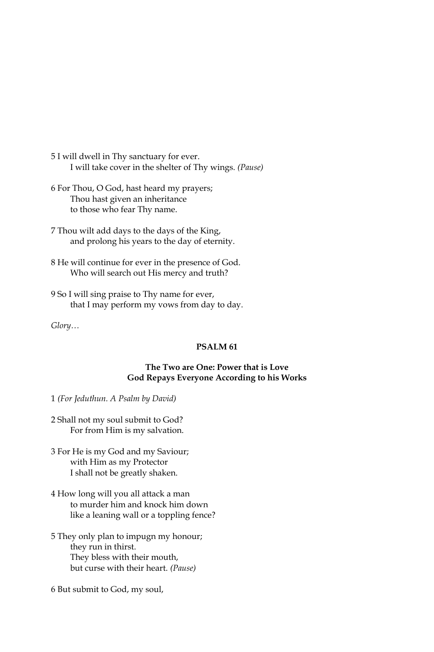5 I will dwell in Thy sanctuary for ever. I will take cover in the shelter of Thy wings. (Pause)

- 6 For Thou, O God, hast heard my prayers; Thou hast given an inheritance to those who fear Thy name.
- 7 Thou wilt add days to the days of the King, and prolong his years to the day of eternity.
- 8 He will continue for ever in the presence of God. Who will search out His mercy and truth?
- 9 So I will sing praise to Thy name for ever, that I may perform my vows from day to day.

Glory...

# PSALM<sub>61</sub>

# The Two are One: Power that is Love God Repays Everyone According to his Works

1 (For Jeduthun. A Psalm by David)

2 Shall not my soul submit to God? For from Him is my salvation.

- 3 For He is my God and my Saviour; with Him as my Protector I shall not be greatly shaken.
- 4 How long will you all attack a man to murder him and knock him down like a leaning wall or a toppling fence?
- 5 They only plan to impugn my honour; they run in thirst. They bless with their mouth, but curse with their heart. (Pause)
- 6 But submit to God, my soul,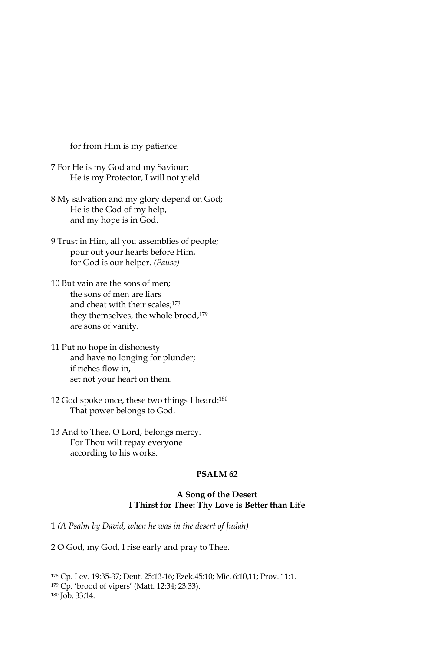for from Him is my patience.

- 7 For He is my God and my Saviour; He is my Protector, I will not yield.
- 8 My salvation and my glory depend on God; He is the God of my help, and my hope is in God.
- 9 Trust in Him, all you assemblies of people; pour out your hearts before Him, for God is our helper. (Pause)
- 10 But vain are the sons of men; the sons of men are liars and cheat with their scales;178 they themselves, the whole brood,<sup>179</sup> are sons of vanity.
- 11 Put no hope in dishonesty and have no longing for plunder; if riches flow in, set not your heart on them.
- 12 God spoke once, these two things I heard:180 That power belongs to God.
- 13 And to Thee, O Lord, belongs mercy. For Thou wilt repay everyone according to his works.

#### PSALM<sub>62</sub>

## A Song of the Desert I Thirst for Thee: Thy Love is Better than Life

1 (A Psalm by David, when he was in the desert of Judah)

2 O God, my God, I rise early and pray to Thee.

<sup>178</sup> Cp. Lev. 19:35-37; Deut. 25:13-16; Ezek. 45:10; Mic. 6:10, 11; Prov. 11:1.

<sup>&</sup>lt;sup>179</sup> Cp. 'brood of vipers' (Matt. 12:34; 23:33).

<sup>180</sup> Job. 33:14.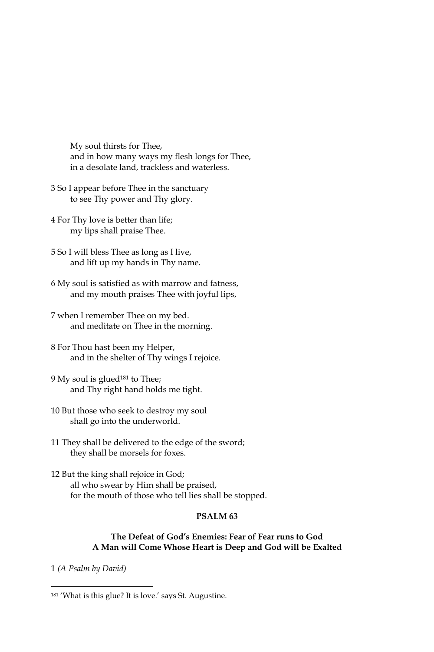My soul thirsts for Thee, and in how many ways my flesh longs for Thee, in a desolate land, trackless and waterless.

- 3 So I appear before Thee in the sanctuary to see Thy power and Thy glory.
- 4 For Thy love is better than life; my lips shall praise Thee.
- 5 So I will bless Thee as long as I live, and lift up my hands in Thy name.
- 6 My soul is satisfied as with marrow and fatness, and my mouth praises Thee with joyful lips,
- 7 when I remember Thee on my bed. and meditate on Thee in the morning.
- 8 For Thou hast been my Helper, and in the shelter of Thy wings I rejoice.
- 9 My soul is glued<sup>181</sup> to Thee; and Thy right hand holds me tight.
- 10 But those who seek to destroy my soul shall go into the underworld.
- 11 They shall be delivered to the edge of the sword; they shall be morsels for foxes.
- 12 But the king shall rejoice in God; all who swear by Him shall be praised, for the mouth of those who tell lies shall be stopped.

# PSALM<sub>63</sub>

# The Defeat of God's Enemies: Fear of Fear runs to God A Man will Come Whose Heart is Deep and God will be Exalted

1 (A Psalm by David)

<sup>&</sup>lt;sup>181</sup> 'What is this glue? It is love.' says St. Augustine.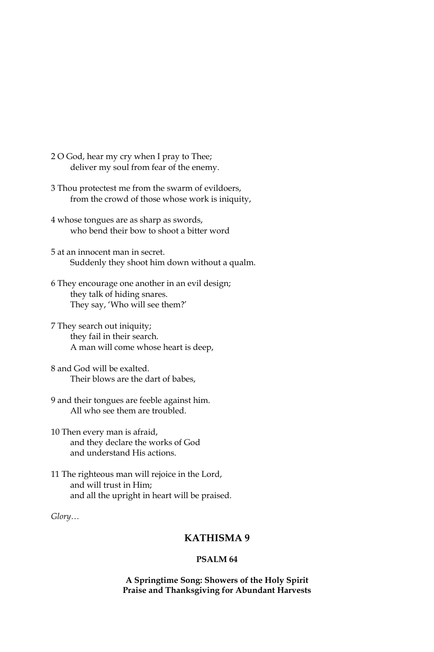- 2 O God, hear my cry when I pray to Thee; deliver my soul from fear of the enemy.
- 3 Thou protectest me from the swarm of evildoers, from the crowd of those whose work is iniquity,
- 4 whose tongues are as sharp as swords, who bend their bow to shoot a bitter word
- 5 at an innocent man in secret. Suddenly they shoot him down without a qualm.
- 6 They encourage one another in an evil design; they talk of hiding snares. They say, 'Who will see them?'
- 7 They search out iniquity; they fail in their search. A man will come whose heart is deep,
- 8 and God will be exalted. Their blows are the dart of babes,
- 9 and their tongues are feeble against him. All who see them are troubled.
- 10 Then every man is afraid, and they declare the works of God and understand His actions.
- 11 The righteous man will rejoice in the Lord, and will trust in Him: and all the upright in heart will be praised.

 $Glory...$ 

# KATHISMA 9

## PSALM<sub>64</sub>

A Springtime Song: Showers of the Holy Spirit Praise and Thanksgiving for Abundant Harvests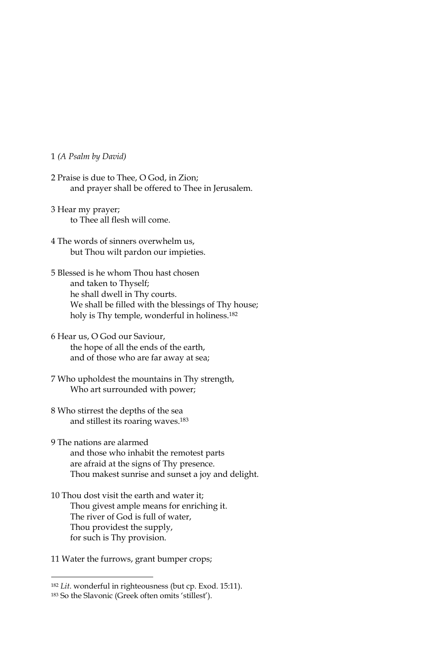# 1 (A Psalm by David)

- 2 Praise is due to Thee, O God, in Zion; and prayer shall be offered to Thee in Jerusalem.
- 3 Hear my prayer; to Thee all flesh will come.
- 4 The words of sinners overwhelm us, but Thou wilt pardon our impieties.
- 5 Blessed is he whom Thou hast chosen and taken to Thyself; he shall dwell in Thy courts. We shall be filled with the blessings of Thy house; holy is Thy temple, wonderful in holiness.<sup>182</sup>
- 6 Hear us, O God our Saviour, the hope of all the ends of the earth, and of those who are far away at sea;
- 7 Who upholdest the mountains in Thy strength, Who art surrounded with power;
- 8 Who stirrest the depths of the sea and stillest its roaring waves.<sup>183</sup>
- 9 The nations are alarmed and those who inhabit the remotest parts are afraid at the signs of Thy presence. Thou makest sunrise and sunset a joy and delight.
- 10 Thou dost visit the earth and water it; Thou givest ample means for enriching it. The river of God is full of water, Thou providest the supply, for such is Thy provision.
- 11 Water the furrows, grant bumper crops;

<sup>&</sup>lt;sup>182</sup> Lit. wonderful in righteousness (but cp. Exod. 15:11).

<sup>183</sup> So the Slavonic (Greek often omits 'stillest').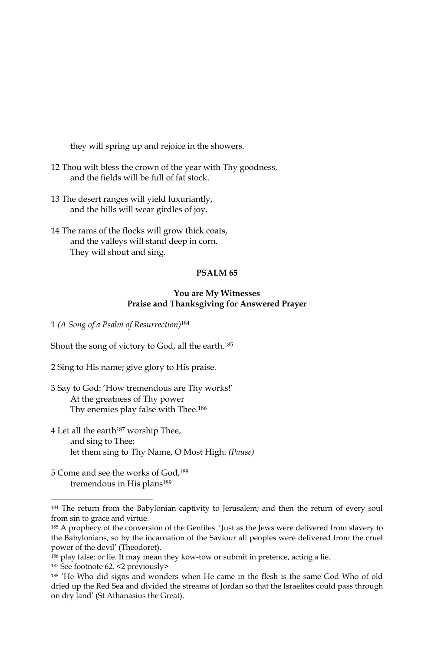they will spring up and rejoice in the showers.

- 12 Thou wilt bless the crown of the year with Thy goodness, and the fields will be full of fat stock.
- 13 The desert ranges will yield luxuriantly, and the hills will wear girdles of joy.
- 14 The rams of the flocks will grow thick coats, and the valleys will stand deep in corn. They will shout and sing.

# PSALM<sub>65</sub>

#### You are My Witnesses Praise and Thanksgiving for Answered Prayer

1 (A Song of a Psalm of Resurrection)<sup>184</sup>

Shout the song of victory to God, all the earth.<sup>185</sup>

2 Sing to His name; give glory to His praise.

- 3 Say to God: 'How tremendous are Thy works!' At the greatness of Thy power Thy enemies play false with Thee.<sup>186</sup>
- 4 Let all the earth<sup>187</sup> worship Thee, and sing to Thee; let them sing to Thy Name, O Most High. (Pause)
- 5 Come and see the works of God,<sup>188</sup> tremendous in His plans<sup>189</sup>

<sup>&</sup>lt;sup>184</sup> The return from the Babylonian captivity to Jerusalem; and then the return of every soul from sin to grace and virtue.

<sup>185</sup> A prophecy of the conversion of the Gentiles. 'Just as the Jews were delivered from slavery to the Babylonians, so by the incarnation of the Saviour all peoples were delivered from the cruel power of the devil' (Theodoret).

<sup>186</sup> play false: or lie. It may mean they kow-tow or submit in pretence, acting a lie.

<sup>&</sup>lt;sup>187</sup> See footnote 62. <2 previously>

<sup>188 &#</sup>x27;He Who did signs and wonders when He came in the flesh is the same God Who of old dried up the Red Sea and divided the streams of Jordan so that the Israelites could pass through on dry land' (St Athanasius the Great).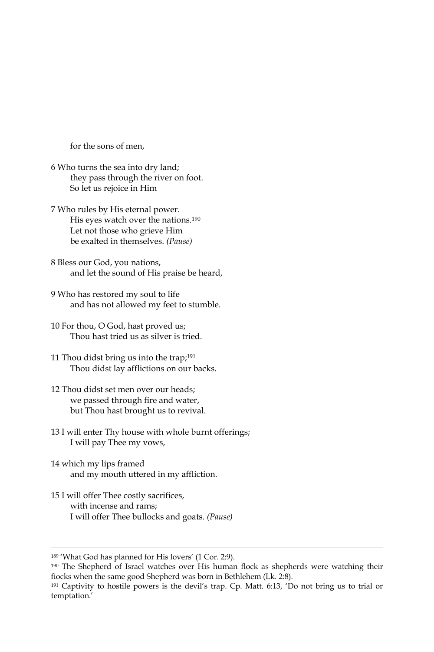for the sons of men.

- 6 Who turns the sea into dry land; they pass through the river on foot. So let us rejoice in Him
- 7 Who rules by His eternal power. His eyes watch over the nations.<sup>190</sup> Let not those who grieve Him be exalted in themselves. (Pause)
- 8 Bless our God, you nations, and let the sound of His praise be heard,
- 9 Who has restored my soul to life and has not allowed my feet to stumble.
- 10 For thou, O God, hast proved us; Thou hast tried us as silver is tried.
- 11 Thou didst bring us into the trap;<sup>191</sup> Thou didst lay afflictions on our backs.
- 12 Thou didst set men over our heads: we passed through fire and water, but Thou hast brought us to revival.
- 13 I will enter Thy house with whole burnt offerings; I will pay Thee my vows,
- 14 which my lips framed and my mouth uttered in my affliction.
- 15 I will offer Thee costly sacrifices, with incense and rams; I will offer Thee bullocks and goats. (Pause)

<sup>&</sup>lt;sup>189</sup> 'What God has planned for His lovers' (1 Cor. 2:9).

<sup>&</sup>lt;sup>190</sup> The Shepherd of Israel watches over His human flock as shepherds were watching their fiocks when the same good Shepherd was born in Bethlehem (Lk. 2:8).

<sup>&</sup>lt;sup>191</sup> Captivity to hostile powers is the devil's trap. Cp. Matt. 6:13, 'Do not bring us to trial or temptation.'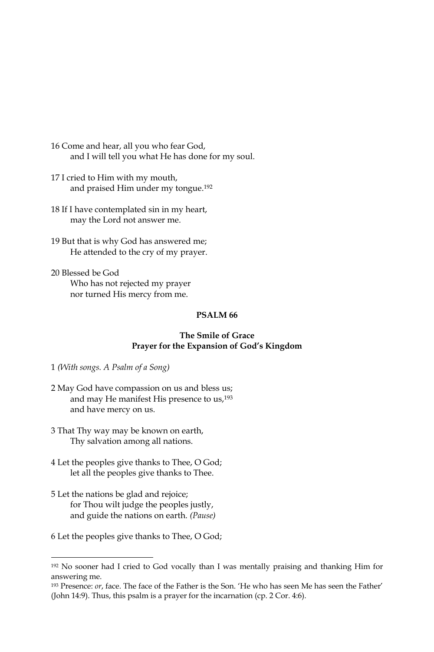- 16 Come and hear, all you who fear God, and I will tell you what He has done for my soul.
- 17 I cried to Him with my mouth, and praised Him under my tongue.<sup>192</sup>
- 18 If I have contemplated sin in my heart, may the Lord not answer me.
- 19 But that is why God has answered me; He attended to the cry of my prayer.
- 20 Blessed be God Who has not rejected my prayer nor turned His mercy from me.

# PSALM<sub>66</sub>

#### The Smile of Grace Prayer for the Expansion of God's Kingdom

- 1 (With songs. A Psalm of a Song)
- 2 May God have compassion on us and bless us; and may He manifest His presence to us,<sup>193</sup> and have mercy on us.
- 3 That Thy way may be known on earth, Thy salvation among all nations.
- 4 Let the peoples give thanks to Thee, O God; let all the peoples give thanks to Thee.
- 5 Let the nations be glad and rejoice; for Thou wilt judge the peoples justly, and guide the nations on earth. (Pause)
- 6 Let the peoples give thanks to Thee, O God;

<sup>&</sup>lt;sup>192</sup> No sooner had I cried to God vocally than I was mentally praising and thanking Him for answering me.

<sup>&</sup>lt;sup>193</sup> Presence: or, face. The face of the Father is the Son. 'He who has seen Me has seen the Father' (John 14:9). Thus, this psalm is a prayer for the incarnation (cp. 2 Cor. 4:6).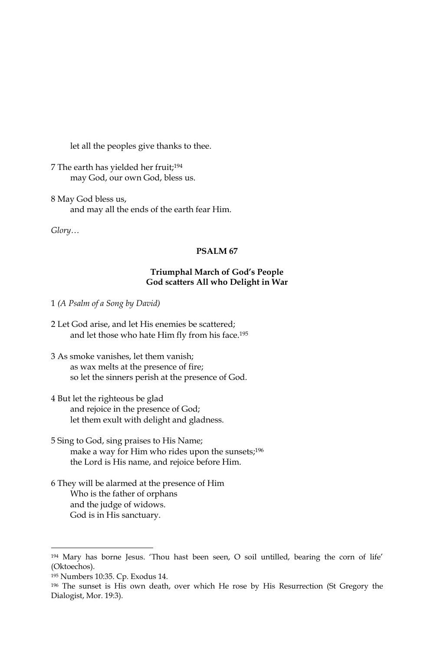let all the peoples give thanks to thee.

7 The earth has yielded her fruit;<sup>194</sup> may God, our own God, bless us.

8 May God bless us, and may all the ends of the earth fear Him.

Glory...

# PSALM 67

# Triumphal March of God's People God scatters All who Delight in War

1 (A Psalm of a Song by David)

- 2 Let God arise, and let His enemies be scattered; and let those who hate Him fly from his face.<sup>195</sup>
- 3 As smoke vanishes, let them vanish; as wax melts at the presence of fire; so let the sinners perish at the presence of God.
- 4 But let the righteous be glad and rejoice in the presence of God; let them exult with delight and gladness.
- 5 Sing to God, sing praises to His Name; make a way for Him who rides upon the sunsets;<sup>196</sup> the Lord is His name, and rejoice before Him.
- 6 They will be alarmed at the presence of Him Who is the father of orphans and the judge of widows. God is in His sanctuary.

<sup>194</sup> Mary has borne Jesus. 'Thou hast been seen, O soil untilled, bearing the corn of life' (Oktoechos).

<sup>&</sup>lt;sup>195</sup> Numbers 10:35. Cp. Exodus 14.

<sup>&</sup>lt;sup>196</sup> The sunset is His own death, over which He rose by His Resurrection (St Gregory the Dialogist, Mor. 19:3).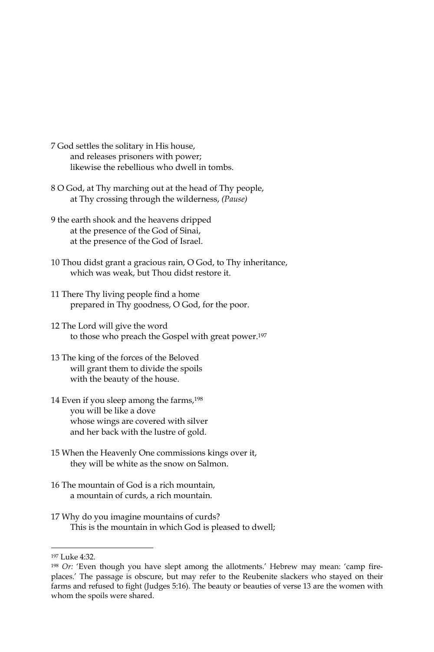- 7 God settles the solitary in His house, and releases prisoners with power; likewise the rebellious who dwell in tombs.
- 8 O God, at Thy marching out at the head of Thy people, at Thy crossing through the wilderness, (Pause)
- 9 the earth shook and the heavens dripped at the presence of the God of Sinai, at the presence of the God of Israel.
- 10 Thou didst grant a gracious rain, O God, to Thy inheritance, which was weak, but Thou didst restore it.
- 11 There Thy living people find a home prepared in Thy goodness, O God, for the poor.
- 12 The Lord will give the word to those who preach the Gospel with great power.<sup>197</sup>
- 13 The king of the forces of the Beloved will grant them to divide the spoils with the beauty of the house.
- 14 Even if you sleep among the farms,<sup>198</sup> you will be like a dove whose wings are covered with silver and her back with the lustre of gold.
- 15 When the Heavenly One commissions kings over it, they will be white as the snow on Salmon.
- 16 The mountain of God is a rich mountain. a mountain of curds, a rich mountain.
- 17 Why do you imagine mountains of curds? This is the mountain in which God is pleased to dwell;

<sup>&</sup>lt;sup>197</sup> Luke 4:32.

<sup>&</sup>lt;sup>198</sup> Or: 'Even though you have slept among the allotments.' Hebrew may mean: 'camp fireplaces.' The passage is obscure, but may refer to the Reubenite slackers who stayed on their farms and refused to fight (Judges 5:16). The beauty or beauties of verse 13 are the women with whom the spoils were shared.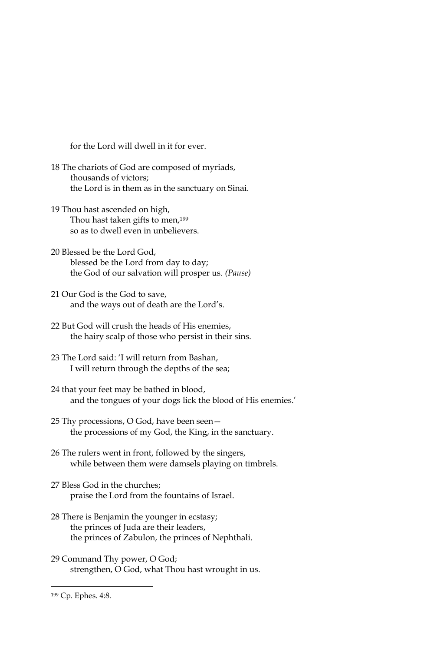for the Lord will dwell in it for ever.

- 18 The chariots of God are composed of myriads, thousands of victors: the Lord is in them as in the sanctuary on Sinai.
- 19 Thou hast ascended on high, Thou hast taken gifts to men,<sup>199</sup> so as to dwell even in unbelievers.
- 20 Blessed be the Lord God, blessed be the Lord from day to day; the God of our salvation will prosper us. (Pause)
- 21 Our God is the God to save, and the ways out of death are the Lord's.
- 22 But God will crush the heads of His enemies, the hairy scalp of those who persist in their sins.
- 23 The Lord said: 'I will return from Bashan, I will return through the depths of the sea;
- 24 that your feet may be bathed in blood, and the tongues of your dogs lick the blood of His enemies.'
- 25 Thy processions, O God, have been seen the processions of my God, the King, in the sanctuary.
- 26 The rulers went in front, followed by the singers, while between them were damsels playing on timbrels.
- 27 Bless God in the churches: praise the Lord from the fountains of Israel.
- 28 There is Benjamin the younger in ecstasy; the princes of Juda are their leaders, the princes of Zabulon, the princes of Nephthali.
- 29 Command Thy power, O God; strengthen, O God, what Thou hast wrought in us.

<sup>&</sup>lt;sup>199</sup> Cp. Ephes. 4:8.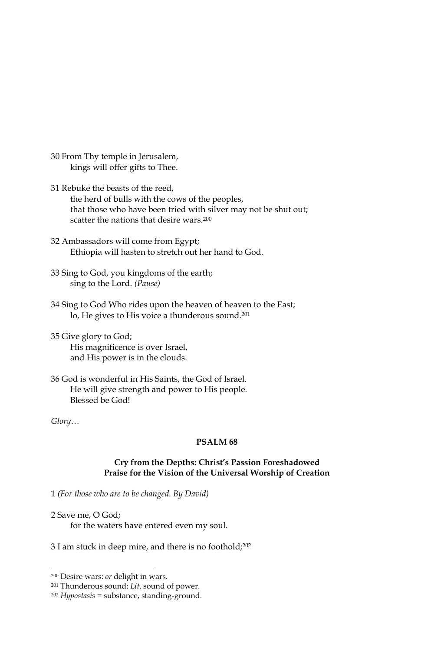- 30 From Thy temple in Jerusalem, kings will offer gifts to Thee.
- 31 Rebuke the beasts of the reed, the herd of bulls with the cows of the peoples, that those who have been tried with silver may not be shut out; scatter the nations that desire wars.<sup>200</sup>
- 32 Ambassadors will come from Egypt; Ethiopia will hasten to stretch out her hand to God.
- 33 Sing to God, you kingdoms of the earth; sing to the Lord. (Pause)
- 34 Sing to God Who rides upon the heaven of heaven to the East; lo, He gives to His voice a thunderous sound.<sup>201</sup>
- 35 Give glory to God; His magnificence is over Israel, and His power is in the clouds.
- 36 God is wonderful in His Saints, the God of Israel. He will give strength and power to His people. Blessed be God!

 $Glory...$ 

#### PSALM<sub>68</sub>

#### Cry from the Depths: Christ's Passion Foreshadowed Praise for the Vision of the Universal Worship of Creation

1 (For those who are to be changed. By David)

- 2 Save me. O God: for the waters have entered even my soul.
- 3 I am stuck in deep mire, and there is no foothold;<sup>202</sup>

<sup>&</sup>lt;sup>200</sup> Desire wars: or delight in wars.

<sup>&</sup>lt;sup>201</sup> Thunderous sound: Lit. sound of power.

<sup>&</sup>lt;sup>202</sup> Hypostasis = substance, standing-ground.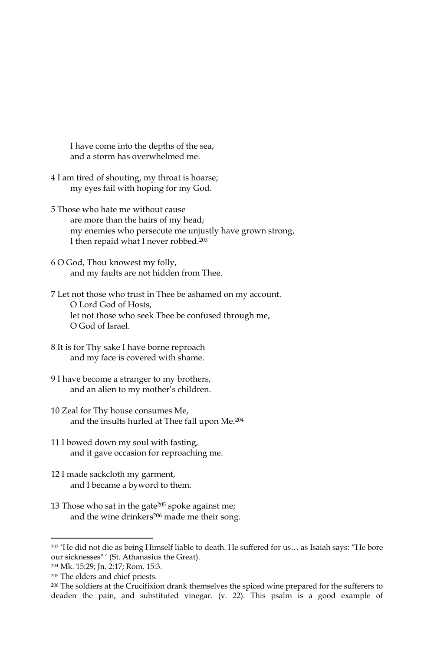I have come into the depths of the sea, and a storm has overwhelmed me.

- 4 I am tired of shouting, my throat is hoarse; my eyes fail with hoping for my God.
- 5 Those who hate me without cause are more than the hairs of my head: my enemies who persecute me unjustly have grown strong, I then repaid what I never robbed.<sup>203</sup>
- 6 O God, Thou knowest my folly, and my faults are not hidden from Thee.
- 7 Let not those who trust in Thee be ashamed on my account. O Lord God of Hosts, let not those who seek Thee be confused through me, O God of Israel.
- 8 It is for Thy sake I have borne reproach and my face is covered with shame.
- 9 I have become a stranger to my brothers, and an alien to my mother's children.
- 10 Zeal for Thy house consumes Me, and the insults hurled at Thee fall upon Me.<sup>204</sup>
- 11 I bowed down my soul with fasting, and it gave occasion for reproaching me.
- 12 I made sackcloth my garment, and I became a byword to them.
- 13 Those who sat in the gate<sup>205</sup> spoke against me; and the wine drinkers<sup>206</sup> made me their song.

<sup>203 &#</sup>x27;He did not die as being Himself liable to death. He suffered for us... as Isaiah says: "He bore our sicknesses" ' (St. Athanasius the Great).

<sup>&</sup>lt;sup>204</sup> Mk. 15:29; Jn. 2:17; Rom. 15:3.

<sup>&</sup>lt;sup>205</sup> The elders and chief priests.

<sup>206</sup> The soldiers at the Crucifixion drank themselves the spiced wine prepared for the sufferers to deaden the pain, and substituted vinegar. (v. 22). This psalm is a good example of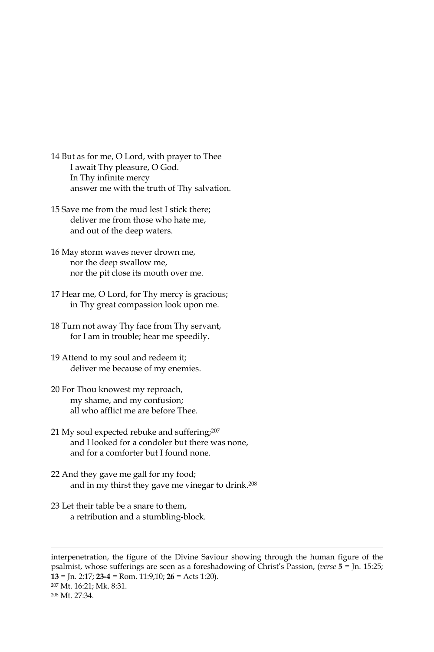- 14 But as for me, O Lord, with prayer to Thee I await Thy pleasure, O God. In Thy infinite mercy answer me with the truth of Thy salvation.
- 15 Save me from the mud lest I stick there; deliver me from those who hate me, and out of the deep waters.
- 16 May storm waves never drown me, nor the deep swallow me, nor the pit close its mouth over me.
- 17 Hear me, O Lord, for Thy mercy is gracious; in Thy great compassion look upon me.
- 18 Turn not away Thy face from Thy servant, for I am in trouble; hear me speedily.
- 19 Attend to my soul and redeem it; deliver me because of my enemies.
- 20 For Thou knowest my reproach, my shame, and my confusion; all who afflict me are before Thee.
- 21 My soul expected rebuke and suffering;207 and I looked for a condoler but there was none, and for a comforter but I found none.
- 22 And they gave me gall for my food; and in my thirst they gave me vinegar to drink.<sup>208</sup>
- 23 Let their table be a snare to them, a retribution and a stumbling-block.

interpenetration, the figure of the Divine Saviour showing through the human figure of the psalmist, whose sufferings are seen as a foreshadowing of Christ's Passion, (verse 5 = Jn. 15:25;  $13 =$  Jn. 2:17; 23-4 = Rom. 11:9,10; 26 = Acts 1:20). <sup>207</sup> Mt. 16:21; Mk. 8:31. <sup>208</sup> Mt. 27:34.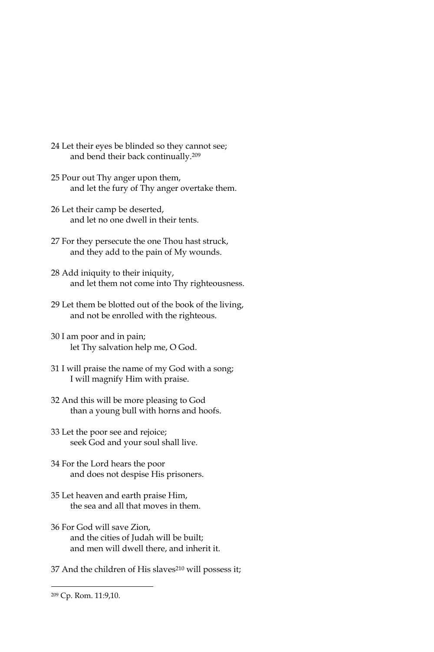- 24 Let their eyes be blinded so they cannot see; and bend their back continually.<sup>209</sup>
- 25 Pour out Thy anger upon them, and let the fury of Thy anger overtake them.
- 26 Let their camp be deserted, and let no one dwell in their tents.
- 27 For they persecute the one Thou hast struck, and they add to the pain of My wounds.
- 28 Add iniquity to their iniquity, and let them not come into Thy righteousness.
- 29 Let them be blotted out of the book of the living, and not be enrolled with the righteous.
- 30 I am poor and in pain; let Thy salvation help me, O God.
- 31 I will praise the name of my God with a song; I will magnify Him with praise.
- 32 And this will be more pleasing to God than a young bull with horns and hoofs.
- 33 Let the poor see and rejoice; seek God and your soul shall live.
- 34 For the Lord hears the poor and does not despise His prisoners.
- 35 Let heaven and earth praise Him, the sea and all that moves in them.
- 36 For God will save Zion, and the cities of Judah will be built; and men will dwell there, and inherit it.
- 37 And the children of His slaves<sup>210</sup> will possess it;

<sup>&</sup>lt;sup>209</sup> Cp. Rom. 11:9,10.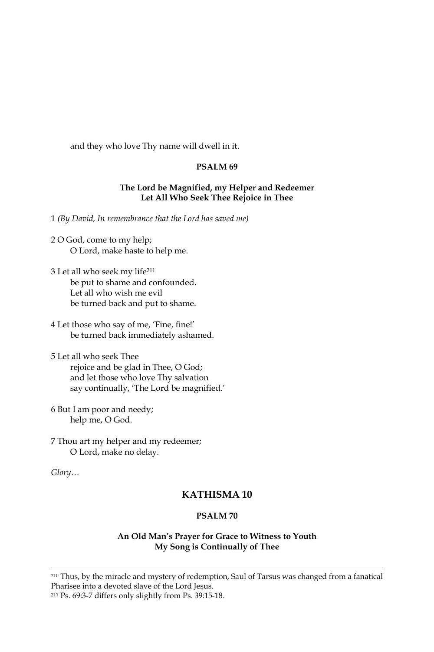and they who love Thy name will dwell in it.

## PSALM<sub>69</sub>

### The Lord be Magnified, my Helper and Redeemer Let All Who Seek Thee Rejoice in Thee

1 (By David, In remembrance that the Lord has saved me)

- 2 O God, come to my help; O Lord, make haste to help me.
- 3 Let all who seek my life<sup>211</sup> be put to shame and confounded. Let all who wish me evil be turned back and put to shame.
- 4 Let those who say of me, 'Fine, fine!' be turned back immediately ashamed.
- 5 Let all who seek Thee rejoice and be glad in Thee, O God; and let those who love Thy salvation say continually, 'The Lord be magnified.'
- 6 But I am poor and needy; help me, O God.
- 7 Thou art my helper and my redeemer; O Lord, make no delay.

 $Glory...$ 

# **KATHISMA10**

## PSALM 70

#### An Old Man's Prayer for Grace to Witness to Youth My Song is Continually of Thee

<sup>210</sup> Thus, by the miracle and mystery of redemption, Saul of Tarsus was changed from a fanatical Pharisee into a devoted slave of the Lord Jesus. <sup>211</sup> Ps. 69:3-7 differs only slightly from Ps. 39:15-18.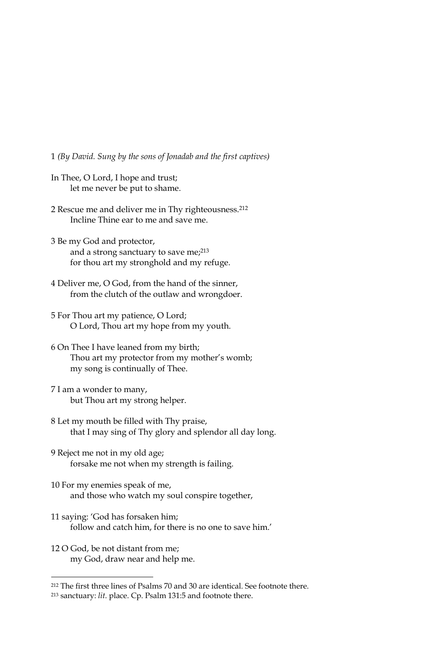1 (By David. Sung by the sons of Jonadab and the first captives)

- In Thee, O Lord, I hope and trust; let me never be put to shame.
- 2 Rescue me and deliver me in Thy righteousness.<sup>212</sup> Incline Thine ear to me and save me.
- 3 Be my God and protector, and a strong sanctuary to save me;<sup>213</sup> for thou art my stronghold and my refuge.
- 4 Deliver me, O God, from the hand of the sinner, from the clutch of the outlaw and wrongdoer.
- 5 For Thou art my patience, O Lord; O Lord, Thou art my hope from my youth.
- 6 On Thee I have leaned from my birth; Thou art my protector from my mother's womb; my song is continually of Thee.
- 7 I am a wonder to many, but Thou art my strong helper.
- 8 Let my mouth be filled with Thy praise, that I may sing of Thy glory and splendor all day long.
- 9 Reject me not in my old age; forsake me not when my strength is failing.
- 10 For my enemies speak of me, and those who watch my soul conspire together,
- 11 saying: 'God has forsaken him; follow and catch him, for there is no one to save him.'
- 12 O God, be not distant from me; my God, draw near and help me.

<sup>&</sup>lt;sup>212</sup> The first three lines of Psalms 70 and 30 are identical. See footnote there.

<sup>&</sup>lt;sup>213</sup> sanctuary: lit. place. Cp. Psalm 131:5 and footnote there.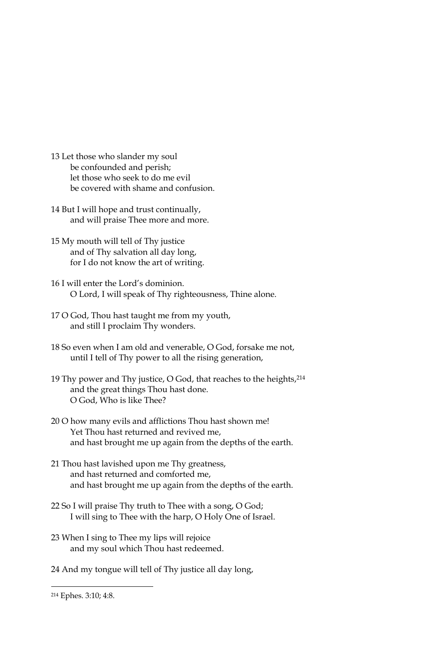- 13 Let those who slander my soul be confounded and perish; let those who seek to do me evil be covered with shame and confusion.
- 14 But I will hope and trust continually, and will praise Thee more and more.
- 15 My mouth will tell of Thy justice and of Thy salvation all day long, for I do not know the art of writing.
- 16 I will enter the Lord's dominion. O Lord, I will speak of Thy righteousness, Thine alone.
- 17 O God, Thou hast taught me from my youth, and still I proclaim Thy wonders.
- 18 So even when I am old and venerable, O God, forsake me not, until I tell of Thy power to all the rising generation,
- 19 Thy power and Thy justice, O God, that reaches to the heights, 214 and the great things Thou hast done. O God. Who is like Thee?
- 20 O how many evils and afflictions Thou hast shown me! Yet Thou hast returned and revived me, and hast brought me up again from the depths of the earth.
- 21 Thou hast lavished upon me Thy greatness, and hast returned and comforted me, and hast brought me up again from the depths of the earth.
- 22 So I will praise Thy truth to Thee with a song, O God; I will sing to Thee with the harp, O Holy One of Israel.
- 23 When I sing to Thee my lips will rejoice and my soul which Thou hast redeemed.
- 24 And my tongue will tell of Thy justice all day long,

<sup>&</sup>lt;sup>214</sup> Ephes. 3:10; 4:8.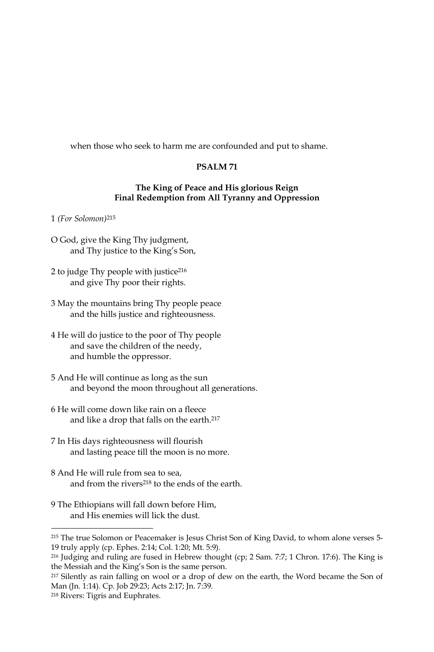when those who seek to harm me are confounded and put to shame.

# PSALM<sub>71</sub>

# The King of Peace and His glorious Reign Final Redemption from All Tyranny and Oppression

1 (For Solomon)<sup>215</sup>

- O God, give the King Thy judgment, and Thy justice to the King's Son,
- 2 to judge Thy people with justice<sup>216</sup> and give Thy poor their rights.
- 3 May the mountains bring Thy people peace and the hills justice and righteousness.
- 4 He will do justice to the poor of Thy people and save the children of the needy, and humble the oppressor.
- 5 And He will continue as long as the sun and beyond the moon throughout all generations.
- 6 He will come down like rain on a fleece and like a drop that falls on the earth.<sup>217</sup>
- 7 In His days righteousness will flourish and lasting peace till the moon is no more.
- 8 And He will rule from sea to sea, and from the rivers<sup>218</sup> to the ends of the earth.
- 9 The Ethiopians will fall down before Him, and His enemies will lick the dust.

<sup>&</sup>lt;sup>215</sup> The true Solomon or Peacemaker is Jesus Christ Son of King David, to whom alone verses 5-19 truly apply (cp. Ephes. 2:14; Col. 1:20; Mt. 5:9).

<sup>&</sup>lt;sup>216</sup> Judging and ruling are fused in Hebrew thought (cp; 2 Sam. 7:7; 1 Chron. 17:6). The King is the Messiah and the King's Son is the same person.

<sup>&</sup>lt;sup>217</sup> Silently as rain falling on wool or a drop of dew on the earth, the Word became the Son of Man (Jn. 1:14). Cp. Job 29:23; Acts 2:17; Jn. 7:39.

<sup>&</sup>lt;sup>218</sup> Rivers: Tigris and Euphrates.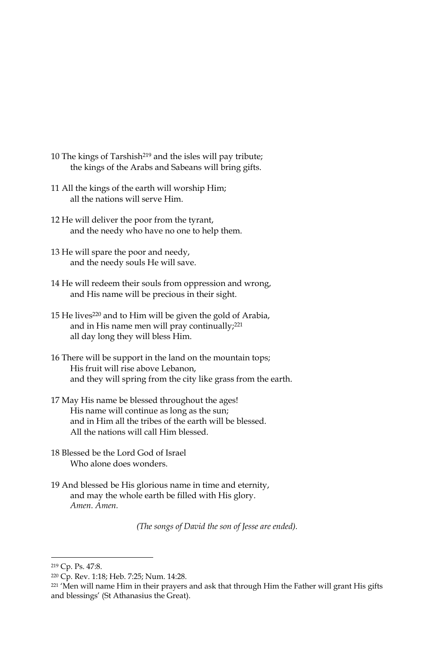- 10 The kings of Tarshish<sup>219</sup> and the isles will pay tribute; the kings of the Arabs and Sabeans will bring gifts.
- 11 All the kings of the earth will worship Him; all the nations will serve Him.
- 12 He will deliver the poor from the tyrant, and the needy who have no one to help them.
- 13 He will spare the poor and needy, and the needy souls He will save.
- 14 He will redeem their souls from oppression and wrong, and His name will be precious in their sight.
- 15 He lives<sup>220</sup> and to Him will be given the gold of Arabia, and in His name men will pray continually;<sup>221</sup> all day long they will bless Him.
- 16 There will be support in the land on the mountain tops; His fruit will rise above Lebanon, and they will spring from the city like grass from the earth.
- 17 May His name be blessed throughout the ages! His name will continue as long as the sun; and in Him all the tribes of the earth will be blessed. All the nations will call Him blessed.
- 18 Blessed be the Lord God of Israel Who alone does wonders
- 19 And blessed be His glorious name in time and eternity, and may the whole earth be filled with His glory. Amen. Amen.

(The songs of David the son of Jesse are ended).

<sup>&</sup>lt;sup>219</sup> Cp. Ps. 47:8.

<sup>&</sup>lt;sup>220</sup> Cp. Rev. 1:18; Heb. 7:25; Num. 14:28.

<sup>&</sup>lt;sup>221</sup> 'Men will name Him in their prayers and ask that through Him the Father will grant His gifts and blessings' (St Athanasius the Great).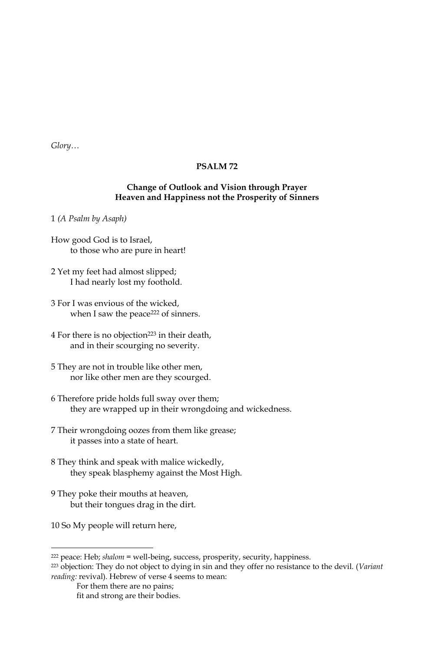$Glory...$ 

# PSALM72

### Change of Outlook and Vision through Prayer Heaven and Happiness not the Prosperity of Sinners

1 (A Psalm by Asaph)

- How good God is to Israel, to those who are pure in heart!
- 2 Yet my feet had almost slipped; I had nearly lost my foothold.
- 3 For I was envious of the wicked, when I saw the peace<sup>222</sup> of sinners.
- 4 For there is no objection<sup>223</sup> in their death, and in their scourging no severity.
- 5 They are not in trouble like other men, nor like other men are they scourged.
- 6 Therefore pride holds full sway over them; they are wrapped up in their wrongdoing and wickedness.
- 7 Their wrongdoing oozes from them like grease; it passes into a state of heart.
- 8 They think and speak with malice wickedly, they speak blasphemy against the Most High.
- 9 They poke their mouths at heaven, but their tongues drag in the dirt.
- 10 So My people will return here,

<sup>&</sup>lt;sup>222</sup> peace: Heb; shalom = well-being, success, prosperity, security, happiness.

<sup>&</sup>lt;sup>223</sup> objection: They do not object to dying in sin and they offer no resistance to the devil. (Variant reading: revival). Hebrew of verse 4 seems to mean:

For them there are no pains; fit and strong are their bodies.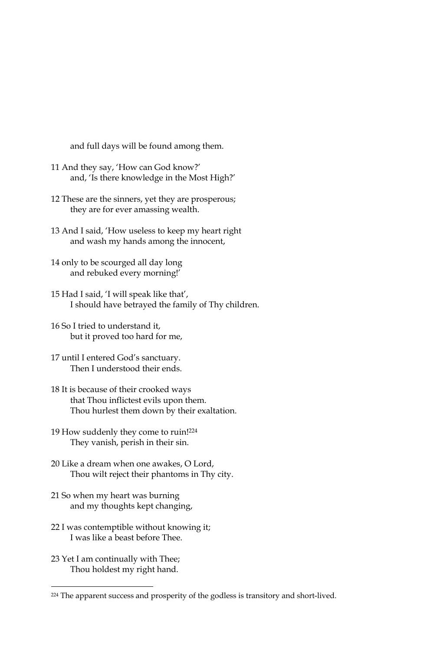and full days will be found among them.

- 11 And they say, 'How can God know?' and, 'Is there knowledge in the Most High?'
- 12 These are the sinners, yet they are prosperous; they are for ever amassing wealth.
- 13 And I said, 'How useless to keep my heart right and wash my hands among the innocent,
- 14 only to be scourged all day long and rebuked every morning!'
- 15 Had I said, 'I will speak like that', I should have betrayed the family of Thy children.
- 16 So I tried to understand it, but it proved too hard for me,
- 17 until I entered God's sanctuary. Then Lunderstood their ends.
- 18 It is because of their crooked ways that Thou inflictest evils upon them. Thou hurlest them down by their exaltation.
- 19 How suddenly they come to ruin!224 They vanish, perish in their sin.
- 20 Like a dream when one awakes, O Lord, Thou wilt reject their phantoms in Thy city.
- 21 So when my heart was burning and my thoughts kept changing,
- 22 I was contemptible without knowing it; I was like a beast before Thee.
- 23 Yet I am continually with Thee; Thou holdest my right hand.

<sup>&</sup>lt;sup>224</sup> The apparent success and prosperity of the godless is transitory and short-lived.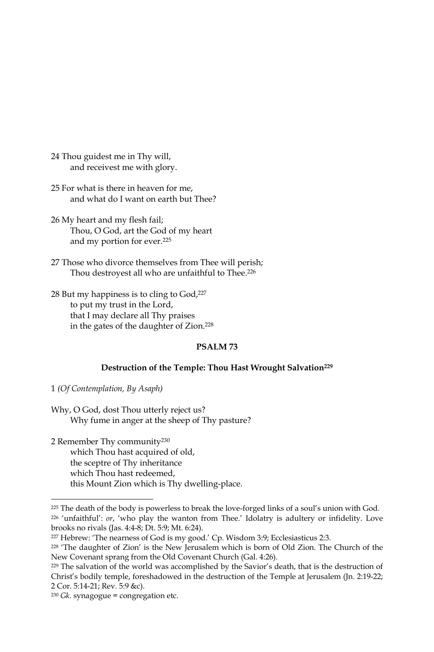24 Thou guidest me in Thy will, and receivest me with glory.

25 For what is there in heaven for me, and what do I want on earth but Thee?

- 26 My heart and my flesh fail; Thou, O God, art the God of my heart and my portion for ever.<sup>225</sup>
- 27 Those who divorce themselves from Thee will perish; Thou destroyest all who are unfaithful to Thee.<sup>226</sup>
- 28 But my happiness is to cling to God, 227 to put my trust in the Lord, that I may declare all Thy praises in the gates of the daughter of Zion.<sup>228</sup>

#### PSALM<sub>73</sub>

#### Destruction of the Temple: Thou Hast Wrought Salvation<sup>229</sup>

1 (Of Contemplation, By Asaph)

Why, O God, dost Thou utterly reject us? Why fume in anger at the sheep of Thy pasture?

2 Remember Thy community<sup>230</sup> which Thou hast acquired of old, the sceptre of Thy inheritance which Thou hast redeemed, this Mount Zion which is Thy dwelling-place.

<sup>&</sup>lt;sup>225</sup> The death of the body is powerless to break the love-forged links of a soul's union with God. <sup>226</sup> 'unfaithful': or, 'who play the wanton from Thee.' Idolatry is adultery or infidelity. Love brooks no rivals (Jas. 4:4-8; Dt. 5:9; Mt. 6:24).

<sup>&</sup>lt;sup>227</sup> Hebrew: 'The nearness of God is my good.' Cp. Wisdom 3:9; Ecclesiasticus 2:3.

<sup>&</sup>lt;sup>228</sup> 'The daughter of Zion' is the New Jerusalem which is born of Old Zion. The Church of the New Covenant sprang from the Old Covenant Church (Gal. 4:26).

<sup>&</sup>lt;sup>229</sup> The salvation of the world was accomplished by the Savior's death, that is the destruction of Christ's bodily temple, foreshadowed in the destruction of the Temple at Jerusalem (Jn. 2:19-22; 2 Cor. 5:14-21; Rev. 5:9 &c).

 $230$  Gk. synagogue = congregation etc.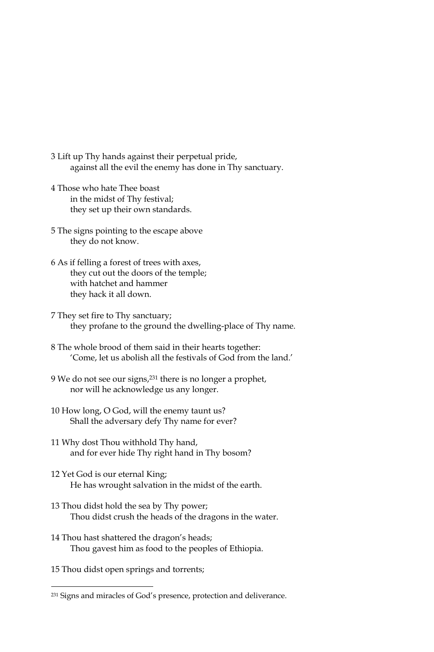- 3 Lift up Thy hands against their perpetual pride, against all the evil the enemy has done in Thy sanctuary.
- 4 Those who hate Thee boast in the midst of Thy festival; they set up their own standards.
- 5 The signs pointing to the escape above they do not know.
- 6 As if felling a forest of trees with axes, they cut out the doors of the temple; with hatchet and hammer they hack it all down.
- 7 They set fire to Thy sanctuary; they profane to the ground the dwelling-place of Thy name.
- 8 The whole brood of them said in their hearts together: 'Come, let us abolish all the festivals of God from the land.'
- 9 We do not see our signs,<sup>231</sup> there is no longer a prophet, nor will he acknowledge us any longer.
- 10 How long, O God, will the enemy taunt us? Shall the adversary defy Thy name for ever?
- 11 Why dost Thou withhold Thy hand, and for ever hide Thy right hand in Thy bosom?
- 12 Yet God is our eternal King; He has wrought salvation in the midst of the earth.
- 13 Thou didst hold the sea by Thy power; Thou didst crush the heads of the dragons in the water.
- 14 Thou hast shattered the dragon's heads; Thou gavest him as food to the peoples of Ethiopia.
- 15 Thou didst open springs and torrents;

<sup>&</sup>lt;sup>231</sup> Signs and miracles of God's presence, protection and deliverance.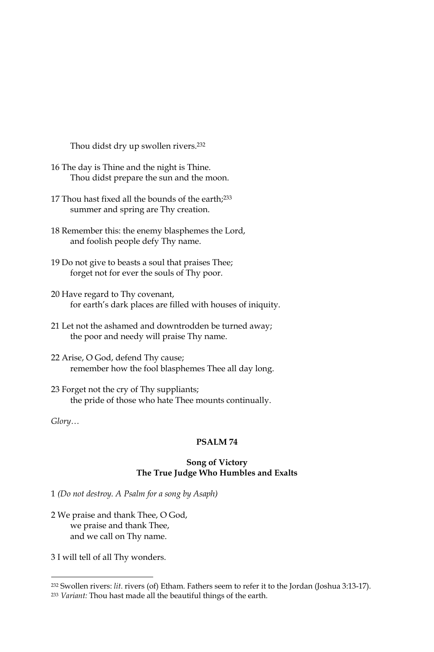Thou didst dry up swollen rivers.<sup>232</sup>

- 16 The day is Thine and the night is Thine. Thou didst prepare the sun and the moon.
- 17 Thou hast fixed all the bounds of the earth;<sup>233</sup> summer and spring are Thy creation.
- 18 Remember this: the enemy blasphemes the Lord, and foolish people defy Thy name.
- 19 Do not give to beasts a soul that praises Thee; forget not for ever the souls of Thy poor.
- 20 Have regard to Thy covenant, for earth's dark places are filled with houses of iniquity.
- 21 Let not the ashamed and downtrodden be turned away; the poor and needy will praise Thy name.
- 22 Arise, O God, defend Thy cause; remember how the fool blasphemes Thee all day long.
- 23 Forget not the cry of Thy suppliants; the pride of those who hate Thee mounts continually.

#### $Glory...$

## PSALM<sub>74</sub>

#### Song of Victory The True Judge Who Humbles and Exalts

1 (Do not destroy. A Psalm for a song by Asaph)

2 We praise and thank Thee, O God, we praise and thank Thee, and we call on Thy name.

3 I will tell of all Thy wonders.

<sup>&</sup>lt;sup>232</sup> Swollen rivers: *lit.* rivers (of) Etham. Fathers seem to refer it to the Jordan (Joshua 3:13-17).

<sup>&</sup>lt;sup>233</sup> Variant: Thou hast made all the beautiful things of the earth.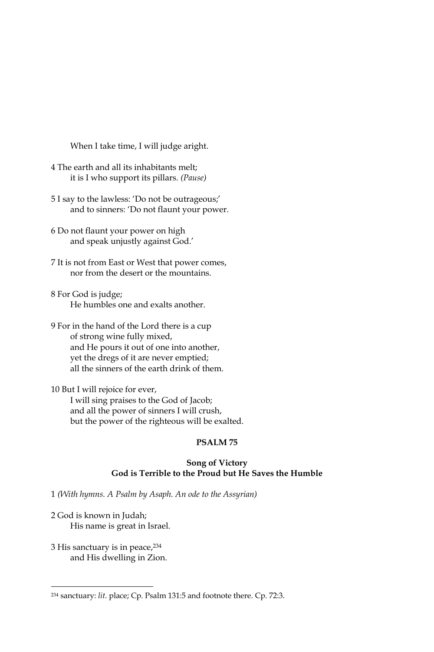When I take time, I will judge aright.

- 4 The earth and all its inhabitants melt; it is I who support its pillars. (Pause)
- 5 I say to the lawless: 'Do not be outrageous;' and to sinners: 'Do not flaunt your power.
- 6 Do not flaunt your power on high and speak unjustly against God.'
- 7 It is not from East or West that power comes, nor from the desert or the mountains.
- 8 For God is judge; He humbles one and exalts another.
- 9 For in the hand of the Lord there is a cup of strong wine fully mixed, and He pours it out of one into another, yet the dregs of it are never emptied; all the sinners of the earth drink of them.

10 But I will rejoice for ever, I will sing praises to the God of Jacob; and all the power of sinners I will crush, but the power of the righteous will be exalted.

## PSALM<sub>75</sub>

#### **Song of Victory** God is Terrible to the Proud but He Saves the Humble

1 (With hymns. A Psalm by Asaph. An ode to the Assyrian)

- 2 God is known in Judah; His name is great in Israel.
- 3 His sanctuary is in peace, 234 and His dwelling in Zion.

<sup>&</sup>lt;sup>234</sup> sanctuary: lit. place; Cp. Psalm 131:5 and footnote there. Cp. 72:3.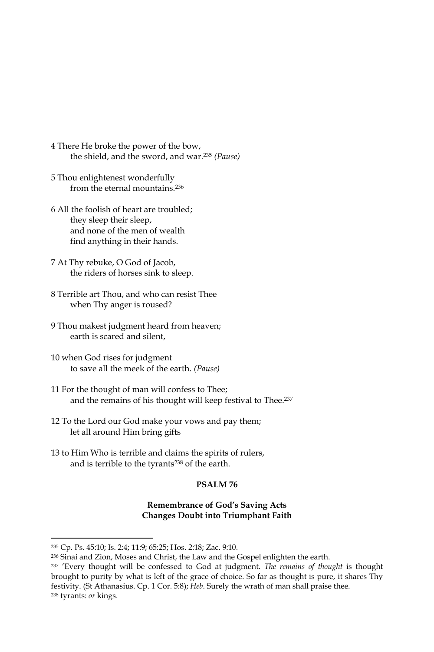- 4 There He broke the power of the bow, the shield, and the sword, and war.<sup>235</sup> (Pause)
- 5 Thou enlightenest wonderfully from the eternal mountains.<sup>236</sup>
- 6 All the foolish of heart are troubled; they sleep their sleep, and none of the men of wealth find anything in their hands.
- 7 At Thy rebuke, O God of Jacob, the riders of horses sink to sleep.
- 8 Terrible art Thou, and who can resist Thee when Thy anger is roused?
- 9 Thou makest judgment heard from heaven; earth is scared and silent.
- 10 when God rises for judgment to save all the meek of the earth. (Pause)
- 11 For the thought of man will confess to Thee; and the remains of his thought will keep festival to Thee.<sup>237</sup>
- 12 To the Lord our God make your vows and pay them; let all around Him bring gifts
- 13 to Him Who is terrible and claims the spirits of rulers, and is terrible to the tyrants<sup>238</sup> of the earth.

#### **PSALM 76**

## **Remembrance of God's Saving Acts Changes Doubt into Triumphant Faith**

<sup>&</sup>lt;sup>235</sup> Cp. Ps. 45:10; Is. 2:4; 11:9; 65:25; Hos. 2:18; Zac. 9:10.

<sup>&</sup>lt;sup>236</sup> Sinai and Zion, Moses and Christ, the Law and the Gospel enlighten the earth.

<sup>&</sup>lt;sup>237</sup> 'Every thought will be confessed to God at judgment. The remains of thought is thought brought to purity by what is left of the grace of choice. So far as thought is pure, it shares Thy festivity. (St Athanasius. Cp. 1 Cor. 5:8); Heb. Surely the wrath of man shall praise thee. <sup>238</sup> tyrants: or kings.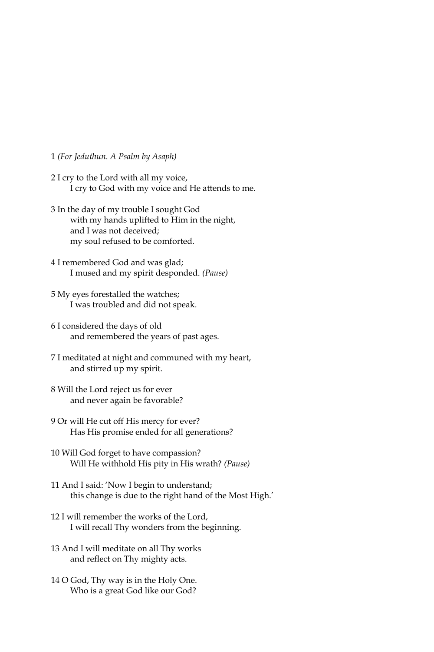1 (For Jeduthun. A Psalm by Asaph)

- 2 I cry to the Lord with all my voice, I cry to God with my voice and He attends to me.
- 3 In the day of my trouble I sought God with my hands uplifted to Him in the night, and I was not deceived: my soul refused to be comforted.
- 4 I remembered God and was glad; I mused and my spirit desponded. (Pause)
- 5 My eyes forestalled the watches; I was troubled and did not speak.
- 6 I considered the days of old and remembered the years of past ages.
- 7 I meditated at night and communed with my heart, and stirred up my spirit.
- 8 Will the Lord reject us for ever and never again be favorable?
- 9 Or will He cut off His mercy for ever? Has His promise ended for all generations?
- 10 Will God forget to have compassion? Will He withhold His pity in His wrath? (Pause)
- 11 And I said: 'Now I begin to understand; this change is due to the right hand of the Most High.'
- 12 I will remember the works of the Lord, I will recall Thy wonders from the beginning.
- 13 And I will meditate on all Thy works and reflect on Thy mighty acts.
- 14 O God, Thy way is in the Holy One. Who is a great God like our God?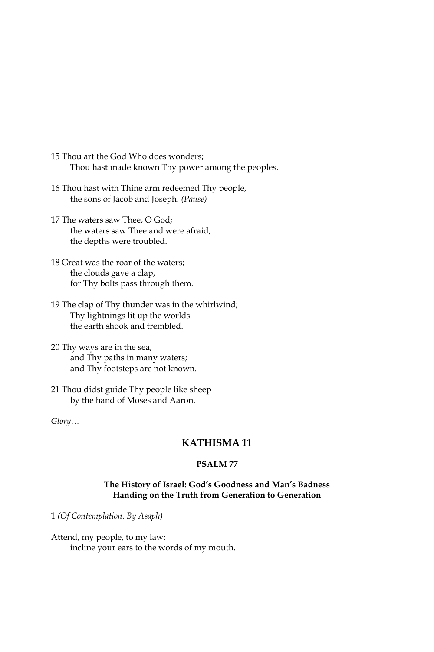15 Thou art the God Who does wonders; Thou hast made known Thy power among the peoples.

- 16 Thou hast with Thine arm redeemed Thy people, the sons of Jacob and Joseph. (Pause)
- 17 The waters saw Thee, O God; the waters saw Thee and were afraid, the depths were troubled.
- 18 Great was the roar of the waters; the clouds gave a clap, for Thy bolts pass through them.
- 19 The clap of Thy thunder was in the whirlwind; Thy lightnings lit up the worlds the earth shook and trembled.
- 20 Thy ways are in the sea, and Thy paths in many waters; and Thy footsteps are not known.
- 21 Thou didst guide Thy people like sheep by the hand of Moses and Aaron.

Glory...

# **KATHISMA11**

# **PSALM77**

### The History of Israel: God's Goodness and Man's Badness Handing on the Truth from Generation to Generation

1 (Of Contemplation. By Asaph)

Attend, my people, to my law; incline your ears to the words of my mouth.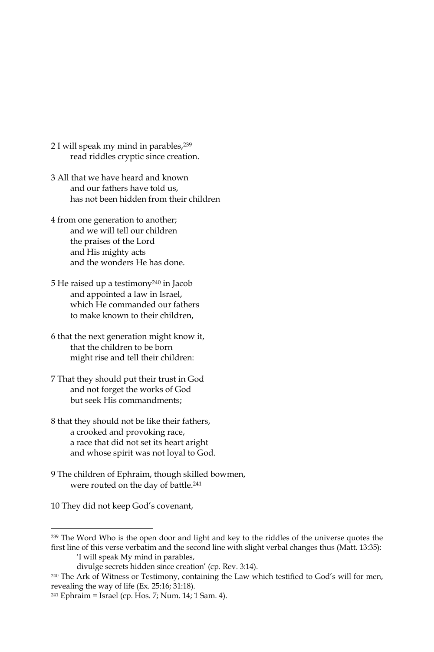- 2 I will speak my mind in parables, 239 read riddles cryptic since creation.
- 3 All that we have heard and known and our fathers have told us. has not been hidden from their children
- 4 from one generation to another; and we will tell our children the praises of the Lord and His mighty acts and the wonders He has done.
- 5 He raised up a testimony<sup>240</sup> in Jacob and appointed a law in Israel, which He commanded our fathers to make known to their children,
- 6 that the next generation might know it, that the children to be born might rise and tell their children:
- 7 That they should put their trust in God and not forget the works of God but seek His commandments:
- 8 that they should not be like their fathers, a crooked and provoking race, a race that did not set its heart aright and whose spirit was not loyal to God.
- 9 The children of Ephraim, though skilled bowmen, were routed on the day of battle.<sup>241</sup>

10 They did not keep God's covenant,

<sup>&</sup>lt;sup>239</sup> The Word Who is the open door and light and key to the riddles of the universe quotes the first line of this verse verbatim and the second line with slight verbal changes thus (Matt. 13:35):

<sup>&#</sup>x27;I will speak My mind in parables,

divulge secrets hidden since creation' (cp. Rev. 3:14).

<sup>&</sup>lt;sup>240</sup> The Ark of Witness or Testimony, containing the Law which testified to God's will for men, revealing the way of life (Ex. 25:16; 31:18).

<sup>&</sup>lt;sup>241</sup> Ephraim = Israel (cp. Hos. 7; Num. 14; 1 Sam. 4).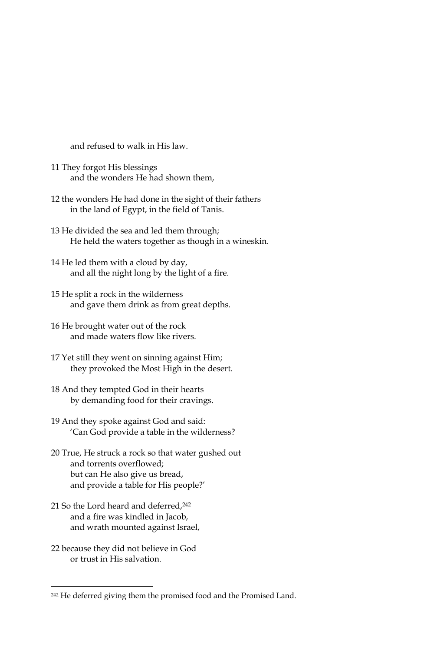and refused to walk in His law.

- 11 They forgot His blessings and the wonders He had shown them,
- 12 the wonders He had done in the sight of their fathers in the land of Egypt, in the field of Tanis.
- 13 He divided the sea and led them through; He held the waters together as though in a wineskin.
- 14 He led them with a cloud by day, and all the night long by the light of a fire.
- 15 He split a rock in the wilderness and gave them drink as from great depths.
- 16 He brought water out of the rock and made waters flow like rivers.
- 17 Yet still they went on sinning against Him; they provoked the Most High in the desert.
- 18 And they tempted God in their hearts by demanding food for their cravings.
- 19 And they spoke against God and said: 'Can God provide a table in the wilderness?
- 20 True, He struck a rock so that water gushed out and torrents overflowed; but can He also give us bread, and provide a table for His people?'
- 21 So the Lord heard and deferred, 242 and a fire was kindled in Jacob, and wrath mounted against Israel,
- 22 because they did not believe in God or trust in His salvation.

<sup>&</sup>lt;sup>242</sup> He deferred giving them the promised food and the Promised Land.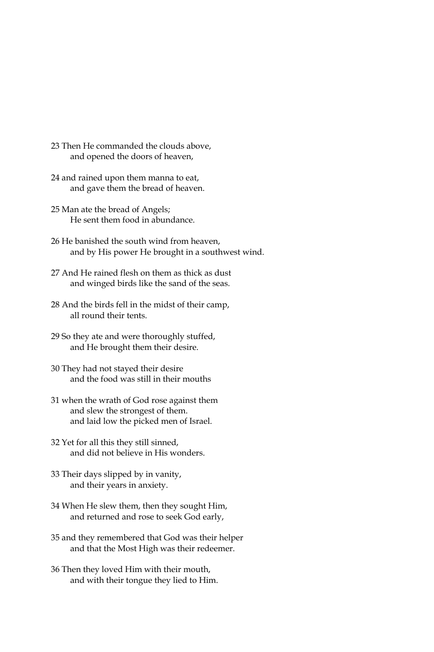- 23 Then He commanded the clouds above, and opened the doors of heaven,
- 24 and rained upon them manna to eat, and gave them the bread of heaven.
- 25 Man ate the bread of Angels; He sent them food in abundance.
- 26 He banished the south wind from heaven, and by His power He brought in a southwest wind.
- 27 And He rained flesh on them as thick as dust and winged birds like the sand of the seas.
- 28 And the birds fell in the midst of their camp, all round their tents.
- 29 So they ate and were thoroughly stuffed, and He brought them their desire.
- 30 They had not stayed their desire and the food was still in their mouths
- 31 when the wrath of God rose against them and slew the strongest of them. and laid low the picked men of Israel.
- 32 Yet for all this they still sinned, and did not believe in His wonders.
- 33 Their days slipped by in vanity, and their years in anxiety.
- 34 When He slew them, then they sought Him, and returned and rose to seek God early,
- 35 and they remembered that God was their helper and that the Most High was their redeemer.
- 36 Then they loved Him with their mouth, and with their tongue they lied to Him.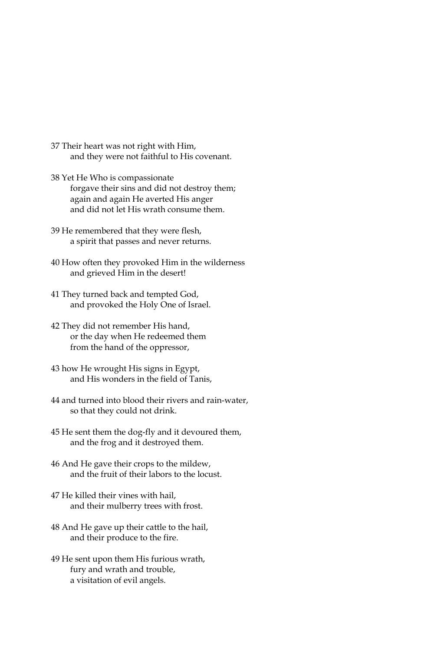- 37 Their heart was not right with Him, and they were not faithful to His covenant.
- 38 Yet He Who is compassionate forgave their sins and did not destroy them; again and again He averted His anger and did not let His wrath consume them
- 39 He remembered that they were flesh, a spirit that passes and never returns.
- 40 How often they provoked Him in the wilderness and grieved Him in the desert!
- 41 They turned back and tempted God, and provoked the Holy One of Israel.
- 42 They did not remember His hand, or the day when He redeemed them from the hand of the oppressor,
- 43 how He wrought His signs in Egypt, and His wonders in the field of Tanis,
- 44 and turned into blood their rivers and rain-water, so that they could not drink.
- 45 He sent them the dog-fly and it devoured them, and the frog and it destroyed them.
- 46 And He gave their crops to the mildew, and the fruit of their labors to the locust.
- 47 He killed their vines with hail. and their mulberry trees with frost.
- 48 And He gave up their cattle to the hail, and their produce to the fire.
- 49 He sent upon them His furious wrath, fury and wrath and trouble, a visitation of evil angels.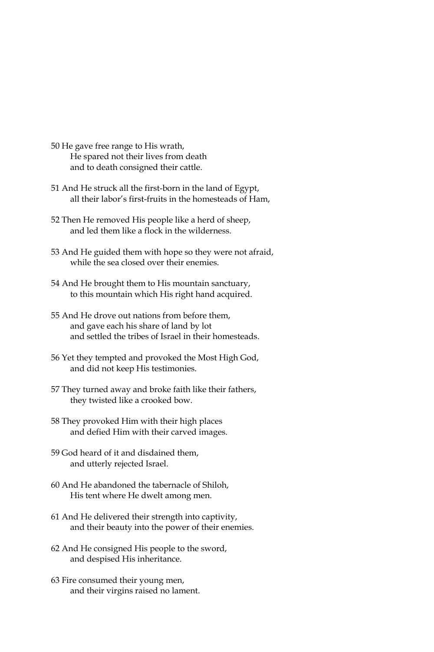- 50 He gave free range to His wrath, He spared not their lives from death and to death consigned their cattle.
- 51 And He struck all the first-born in the land of Egypt, all their labor's first-fruits in the homesteads of Ham,
- 52 Then He removed His people like a herd of sheep, and led them like a flock in the wilderness.
- 53 And He guided them with hope so they were not afraid, while the sea closed over their enemies.
- 54 And He brought them to His mountain sanctuary, to this mountain which His right hand acquired.
- 55 And He drove out nations from before them, and gave each his share of land by lot and settled the tribes of Israel in their homesteads.
- 56 Yet they tempted and provoked the Most High God, and did not keep His testimonies.
- 57 They turned away and broke faith like their fathers, they twisted like a crooked bow.
- 58 They provoked Him with their high places and defied Him with their carved images.
- 59 God heard of it and disdained them, and utterly rejected Israel.
- 60 And He abandoned the tabernacle of Shiloh, His tent where He dwelt among men.
- 61 And He delivered their strength into captivity, and their beauty into the power of their enemies.
- 62 And He consigned His people to the sword, and despised His inheritance.
- 63 Fire consumed their young men, and their virgins raised no lament.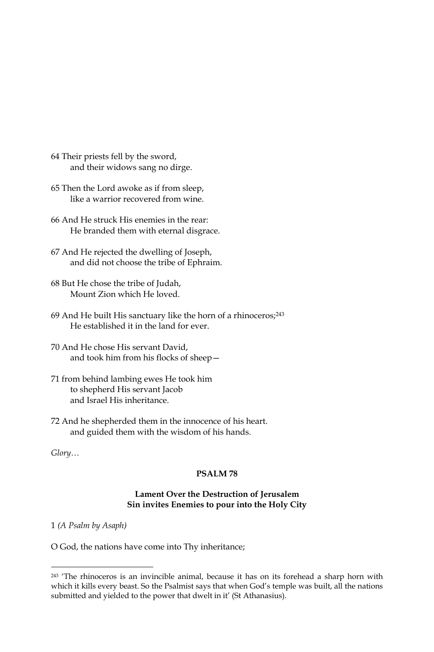- 64 Their priests fell by the sword, and their widows sang no dirge.
- 65 Then the Lord awoke as if from sleep, like a warrior recovered from wine.
- 66 And He struck His enemies in the rear: He branded them with eternal disgrace.
- 67 And He rejected the dwelling of Joseph, and did not choose the tribe of Ephraim.
- 68 But He chose the tribe of Judah, Mount Zion which He loved.
- 69 And He built His sanctuary like the horn of a rhinoceros;<sup>243</sup> He established it in the land for ever.
- 70 And He chose His servant David, and took him from his flocks of sheep-
- 71 from behind lambing ewes He took him to shepherd His servant Jacob and Israel His inheritance.
- 72 And he shepherded them in the innocence of his heart. and guided them with the wisdom of his hands.

 $Glory...$ 

## PSALM78

#### Lament Over the Destruction of Jerusalem Sin invites Enemies to pour into the Holy City

1 (A Psalm by Asaph)

O God, the nations have come into Thy inheritance;

<sup>&</sup>lt;sup>243</sup> 'The rhinoceros is an invincible animal, because it has on its forehead a sharp horn with which it kills every beast. So the Psalmist says that when God's temple was built, all the nations submitted and yielded to the power that dwelt in it' (St Athanasius).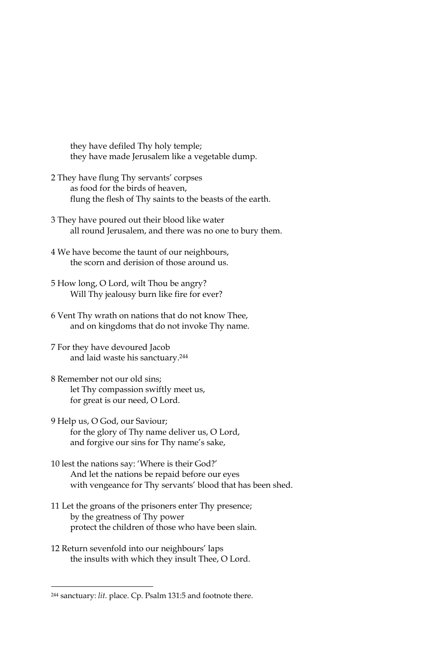they have defiled Thy holy temple; they have made Jerusalem like a vegetable dump.

- 2 They have flung Thy servants' corpses as food for the birds of heaven, flung the flesh of Thy saints to the beasts of the earth.
- 3 They have poured out their blood like water all round Jerusalem, and there was no one to bury them.
- 4 We have become the taunt of our neighbours, the scorn and derision of those around us.
- 5 How long, O Lord, wilt Thou be angry? Will Thy jealousy burn like fire for ever?
- 6 Vent Thy wrath on nations that do not know Thee, and on kingdoms that do not invoke Thy name.
- 7 For they have devoured Jacob and laid waste his sanctuary.<sup>244</sup>
- 8 Remember not our old sins; let Thy compassion swiftly meet us, for great is our need, O Lord.
- 9 Help us, O God, our Saviour; for the glory of Thy name deliver us, O Lord, and forgive our sins for Thy name's sake,
- 10 lest the nations say: 'Where is their God?' And let the nations be repaid before our eyes with vengeance for Thy servants' blood that has been shed.
- 11 Let the groans of the prisoners enter Thy presence; by the greatness of Thy power protect the children of those who have been slain.
- 12 Return sevenfold into our neighbours' laps the insults with which they insult Thee, O Lord.

<sup>&</sup>lt;sup>244</sup> sanctuary: lit. place. Cp. Psalm 131:5 and footnote there.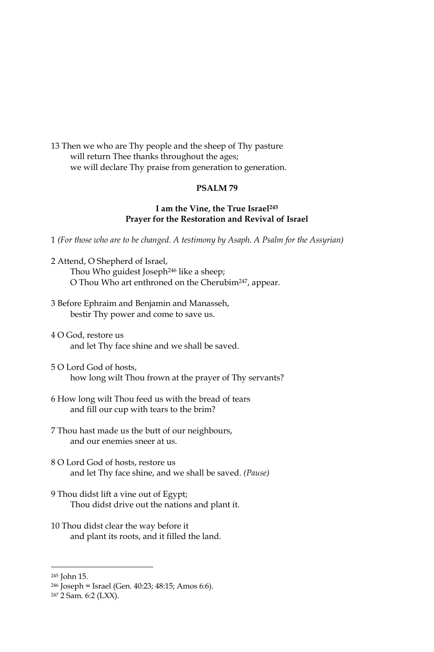13 Then we who are Thy people and the sheep of Thy pasture will return Thee thanks throughout the ages; we will declare Thy praise from generation to generation.

#### PSALM<sub>79</sub>

### I am the Vine, the True Israel<sup>245</sup> Prayer for the Restoration and Revival of Israel

1 (For those who are to be changed. A testimony by Asaph. A Psalm for the Assyrian)

- 2 Attend, O Shepherd of Israel, Thou Who guidest Joseph<sup>246</sup> like a sheep; O Thou Who art enthroned on the Cherubim<sup>247</sup>, appear.
- 3 Before Ephraim and Benjamin and Manasseh, bestir Thy power and come to save us.
- 4 O God, restore us and let Thy face shine and we shall be saved.
- 5 O Lord God of hosts, how long wilt Thou frown at the prayer of Thy servants?
- 6 How long wilt Thou feed us with the bread of tears and fill our cup with tears to the brim?
- 7 Thou hast made us the butt of our neighbours, and our enemies sneer at us.
- 8 O Lord God of hosts, restore us and let Thy face shine, and we shall be saved. (Pause)
- 9 Thou didst lift a vine out of Egypt; Thou didst drive out the nations and plant it.
- 10 Thou didst clear the way before it and plant its roots, and it filled the land.

<sup>&</sup>lt;sup>245</sup> John 15.

<sup>&</sup>lt;sup>246</sup> Joseph = Israel (Gen. 40:23; 48:15; Amos 6:6).

<sup>&</sup>lt;sup>247</sup> 2 Sam. 6:2 (LXX).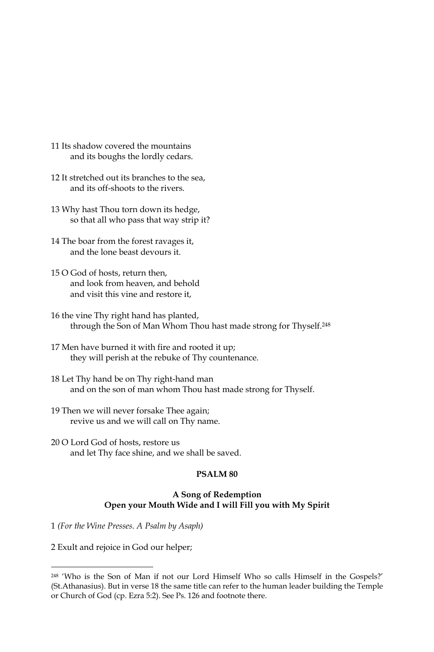- 11 Its shadow covered the mountains and its boughs the lordly cedars.
- 12 It stretched out its branches to the sea, and its off-shoots to the rivers.
- 13 Why hast Thou torn down its hedge, so that all who pass that way strip it?
- 14 The boar from the forest ravages it, and the lone beast devours it.
- 15 O God of hosts, return then, and look from heaven, and behold and visit this vine and restore it,
- 16 the vine Thy right hand has planted, through the Son of Man Whom Thou hast made strong for Thyself.<sup>248</sup>
- 17 Men have burned it with fire and rooted it up; they will perish at the rebuke of Thy countenance.
- 18 Let Thy hand be on Thy right-hand man and on the son of man whom Thou hast made strong for Thyself.
- 19 Then we will never forsake Thee again; revive us and we will call on Thy name.
- 20 O Lord God of hosts, restore us and let Thy face shine, and we shall be saved.

#### PSALM<sub>80</sub>

### A Song of Redemption Open your Mouth Wide and I will Fill you with My Spirit

1 (For the Wine Presses. A Psalm by Asaph)

2 Exult and rejoice in God our helper;

<sup>&</sup>lt;sup>248</sup> 'Who is the Son of Man if not our Lord Himself Who so calls Himself in the Gospels?' (St.Athanasius). But in verse 18 the same title can refer to the human leader building the Temple or Church of God (cp. Ezra 5:2). See Ps. 126 and footnote there.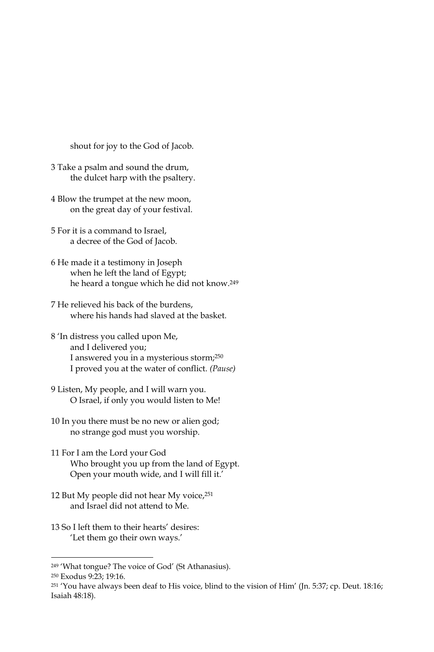shout for joy to the God of Jacob.

- 3 Take a psalm and sound the drum, the dulcet harp with the psaltery.
- 4 Blow the trumpet at the new moon, on the great day of your festival.
- 5 For it is a command to Israel. a decree of the God of Jacob.
- 6 He made it a testimony in Joseph when he left the land of Egypt; he heard a tongue which he did not know.<sup>249</sup>
- 7 He relieved his back of the burdens, where his hands had slaved at the basket.
- 8 'In distress you called upon Me, and I delivered you; I answered you in a mysterious storm;<sup>250</sup> I proved you at the water of conflict. (Pause)
- 9 Listen, My people, and I will warn you. O Israel, if only you would listen to Me!
- 10 In you there must be no new or alien god; no strange god must you worship.
- 11 For I am the Lord your God Who brought you up from the land of Egypt. Open your mouth wide, and I will fill it.'
- 12 But My people did not hear My voice, 251 and Israel did not attend to Me.
- 13 So I left them to their hearts' desires: 'Let them go their own ways.'

<sup>&</sup>lt;sup>249</sup> 'What tongue? The voice of God' (St Athanasius).

<sup>&</sup>lt;sup>250</sup> Exodus 9:23; 19:16.

<sup>&</sup>lt;sup>251</sup> 'You have always been deaf to His voice, blind to the vision of Him' (Jn. 5:37; cp. Deut. 18:16; Isaiah 48:18).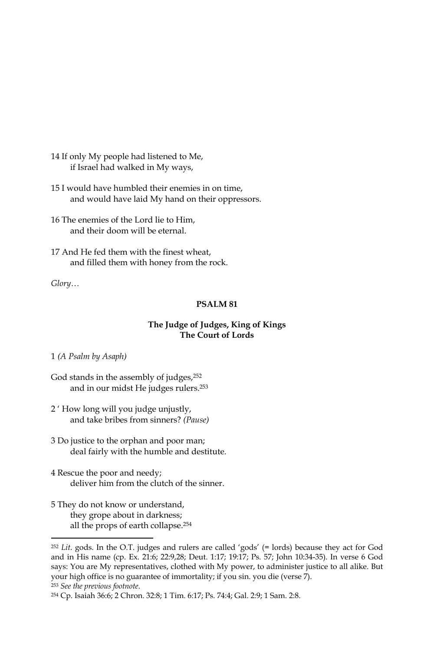14 If only My people had listened to Me, if Israel had walked in My ways,

15 I would have humbled their enemies in on time, and would have laid My hand on their oppressors.

16 The enemies of the Lord lie to Him. and their doom will be eternal.

17 And He fed them with the finest wheat, and filled them with honey from the rock.

Glory...

#### PSALM<sub>81</sub>

### The Judge of Judges, King of Kings The Court of Lords

#### 1 (A Psalm by Asaph)

God stands in the assembly of judges,<sup>252</sup> and in our midst He judges rulers.<sup>253</sup>

- 2' How long will you judge unjustly, and take bribes from sinners? (Pause)
- 3 Do justice to the orphan and poor man; deal fairly with the humble and destitute.
- 4 Rescue the poor and needy; deliver him from the clutch of the sinner.
- 5 They do not know or understand, they grope about in darkness; all the props of earth collapse.<sup>254</sup>

<sup>253</sup> See the previous footnote.

 $252$  Lit. gods. In the O.T. judges and rulers are called 'gods' (= lords) because they act for God and in His name (cp. Ex. 21:6; 22:9,28; Deut. 1:17; 19:17; Ps. 57; John 10:34-35). In verse 6 God says: You are My representatives, clothed with My power, to administer justice to all alike. But your high office is no guarantee of immortality; if you sin. you die (verse 7).

<sup>&</sup>lt;sup>254</sup> Cp. Isaiah 36:6; 2 Chron. 32:8; 1 Tim. 6:17; Ps. 74:4; Gal. 2:9; 1 Sam. 2:8.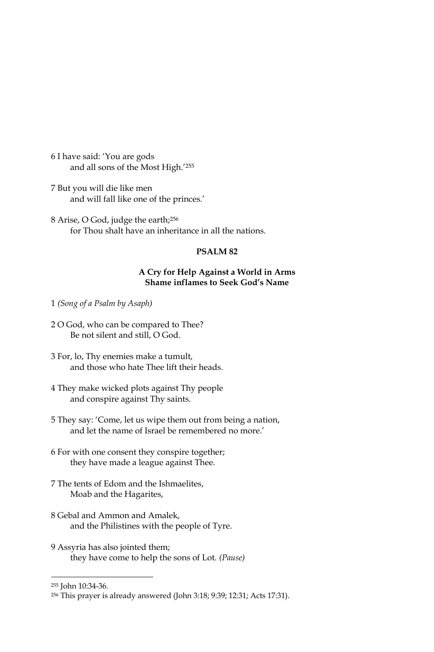6 I have said: 'You are gods and all sons of the Most High.'255

7 But you will die like men and will fall like one of the princes.'

8 Arise, O God, judge the earth;<sup>256</sup> for Thou shalt have an inheritance in all the nations.

## PSALM<sub>82</sub>

### A Cry for Help Against a World in Arms **Shame inflames to Seek God's Name**

1 (Song of a Psalm by Asaph)

- 2 O God, who can be compared to Thee? Be not silent and still, O God.
- 3 For, lo, Thy enemies make a tumult, and those who hate Thee lift their heads.
- 4 They make wicked plots against Thy people and conspire against Thy saints.
- 5 They say: 'Come, let us wipe them out from being a nation, and let the name of Israel be remembered no more.'
- 6 For with one consent they conspire together; they have made a league against Thee.
- 7 The tents of Edom and the Ishmaelites, Moab and the Hagarites,
- 8 Gebal and Ammon and Amalek, and the Philistines with the people of Tyre.
- 9 Assyria has also jointed them; they have come to help the sons of Lot. (Pause)

<sup>255</sup> John 10:34-36.

<sup>&</sup>lt;sup>256</sup> This prayer is already answered (John 3:18; 9:39; 12:31; Acts 17:31).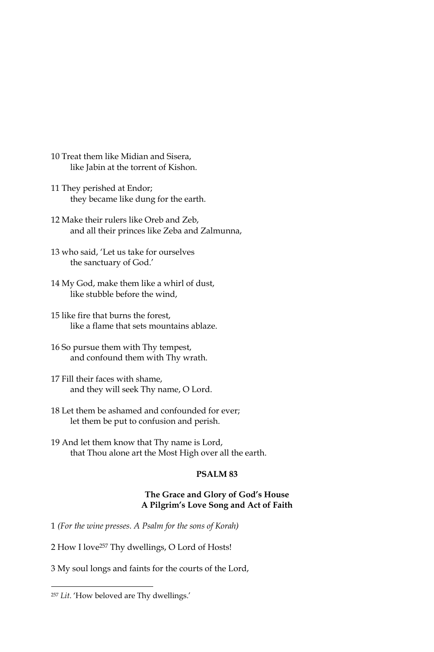- 10 Treat them like Midian and Sisera. like Jabin at the torrent of Kishon.
- 11 They perished at Endor; they became like dung for the earth.
- 12 Make their rulers like Oreb and Zeb, and all their princes like Zeba and Zalmunna,
- 13 who said, 'Let us take for ourselves the sanctuary of God.'
- 14 My God, make them like a whirl of dust, like stubble before the wind,
- 15 like fire that burns the forest, like a flame that sets mountains ablaze.
- 16 So pursue them with Thy tempest, and confound them with Thy wrath.
- 17 Fill their faces with shame, and they will seek Thy name, O Lord.
- 18 Let them be ashamed and confounded for ever; let them be put to confusion and perish.
- 19 And let them know that Thy name is Lord, that Thou alone art the Most High over all the earth.

#### PSALM<sub>83</sub>

### The Grace and Glory of God's House A Pilgrim's Love Song and Act of Faith

- 1 (For the wine presses. A Psalm for the sons of Korah)
- 2 How I love<sup>257</sup> Thy dwellings, O Lord of Hosts!
- 3 My soul longs and faints for the courts of the Lord,

<sup>&</sup>lt;sup>257</sup> Lit. 'How beloved are Thy dwellings.'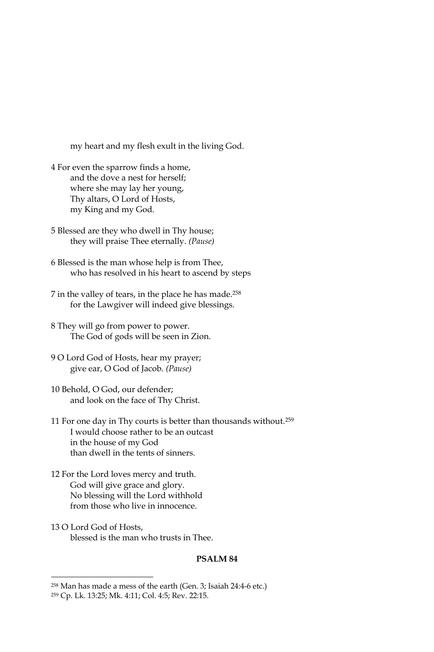my heart and my flesh exult in the living God.

- 4 For even the sparrow finds a home, and the dove a nest for herself; where she may lay her young, Thy altars, O Lord of Hosts, my King and my God.
- 5 Blessed are they who dwell in Thy house; they will praise Thee eternally. (Pause)
- 6 Blessed is the man whose help is from Thee, who has resolved in his heart to ascend by steps
- 7 in the valley of tears, in the place he has made.<sup>258</sup> for the Lawgiver will indeed give blessings.
- 8 They will go from power to power. The God of gods will be seen in Zion.
- 9 O Lord God of Hosts, hear my prayer; give ear, O God of Jacob. (Pause)
- 10 Behold, O God, our defender; and look on the face of Thy Christ.
- 11 For one day in Thy courts is better than thousands without.<sup>259</sup> I would choose rather to be an outcast in the house of my God than dwell in the tents of sinners.
- 12 For the Lord loves mercy and truth. God will give grace and glory. No blessing will the Lord withhold from those who live in innocence.
- 13 O Lord God of Hosts. blessed is the man who trusts in Thee.

#### PSALM<sub>84</sub>

<sup>&</sup>lt;sup>258</sup> Man has made a mess of the earth (Gen. 3; Isaiah 24:4-6 etc.)

<sup>&</sup>lt;sup>259</sup> Cp. Lk. 13:25; Mk. 4:11; Col. 4:5; Rev. 22:15.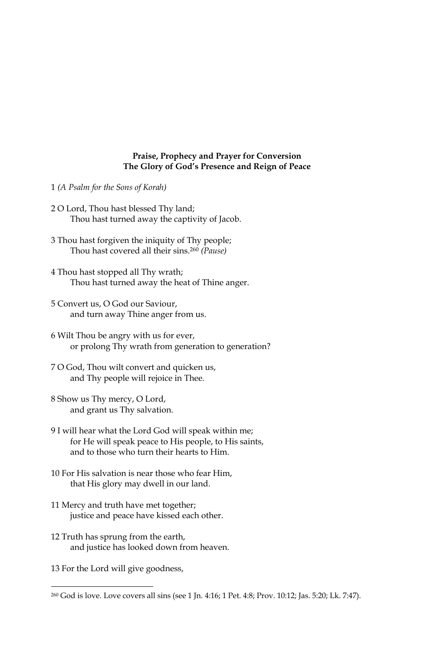### Praise, Prophecy and Prayer for Conversion The Glory of God's Presence and Reign of Peace

- 1 (A Psalm for the Sons of Korah)
- 2 O Lord, Thou hast blessed Thy land; Thou hast turned away the captivity of Jacob.
- 3 Thou hast forgiven the iniquity of Thy people; Thou hast covered all their sins.<sup>260</sup> (Pause)
- 4 Thou hast stopped all Thy wrath; Thou hast turned away the heat of Thine anger.
- 5 Convert us, O God our Saviour, and turn away Thine anger from us.
- 6 Wilt Thou be angry with us for ever, or prolong Thy wrath from generation to generation?
- 7 O God, Thou wilt convert and quicken us, and Thy people will rejoice in Thee.
- 8 Show us Thy mercy, O Lord, and grant us Thy salvation.
- 9 I will hear what the Lord God will speak within me; for He will speak peace to His people, to His saints, and to those who turn their hearts to Him.
- 10 For His salvation is near those who fear Him, that His glory may dwell in our land.
- 11 Mercy and truth have met together; justice and peace have kissed each other.
- 12 Truth has sprung from the earth, and justice has looked down from heaven.
- 13 For the Lord will give goodness,

<sup>&</sup>lt;sup>260</sup> God is love. Love covers all sins (see 1 Jn. 4:16; 1 Pet. 4:8; Prov. 10:12; Jas. 5:20; Lk. 7:47).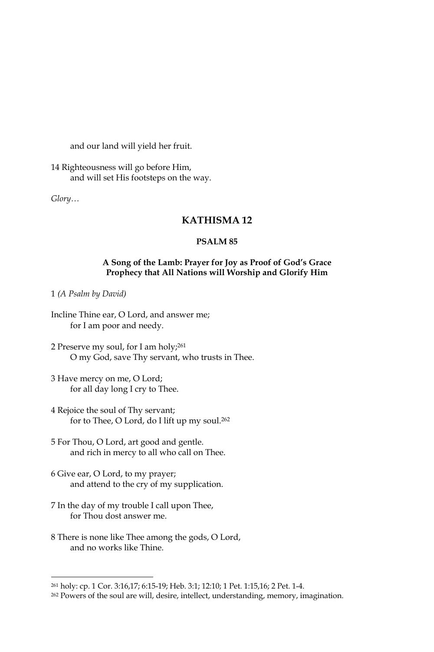and our land will yield her fruit.

14 Righteousness will go before Him, and will set His footsteps on the way.

 $Glory...$ 

## **KATHISMA12**

#### PSALM<sub>85</sub>

## A Song of the Lamb: Prayer for Joy as Proof of God's Grace Prophecy that All Nations will Worship and Glorify Him

1 (A Psalm by David)

- Incline Thine ear, O Lord, and answer me; for I am poor and needy.
- 2 Preserve my soul, for I am holy;<sup>261</sup> O my God, save Thy servant, who trusts in Thee.
- 3 Have mercy on me, O Lord; for all day long I cry to Thee.
- 4 Rejoice the soul of Thy servant; for to Thee, O Lord, do I lift up my soul.<sup>262</sup>
- 5 For Thou, O Lord, art good and gentle. and rich in mercy to all who call on Thee.
- 6 Give ear, O Lord, to my prayer; and attend to the cry of my supplication.
- 7 In the day of my trouble I call upon Thee, for Thou dost answer me.
- 8 There is none like Thee among the gods, O Lord, and no works like Thine.

<sup>&</sup>lt;sup>261</sup> holy: cp. 1 Cor. 3:16,17; 6:15-19; Heb. 3:1; 12:10; 1 Pet. 1:15,16; 2 Pet. 1-4.

<sup>&</sup>lt;sup>262</sup> Powers of the soul are will, desire, intellect, understanding, memory, imagination.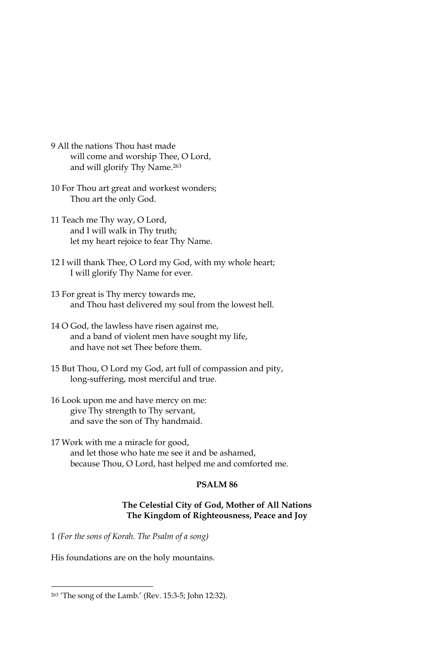- 9 All the nations Thou hast made will come and worship Thee, O Lord, and will glorify Thy Name.<sup>263</sup>
- 10 For Thou art great and workest wonders; Thou art the only God.
- 11 Teach me Thy way, O Lord, and I will walk in Thy truth; let my heart rejoice to fear Thy Name.
- 12 I will thank Thee, O Lord my God, with my whole heart; I will glorify Thy Name for ever.
- 13 For great is Thy mercy towards me, and Thou hast delivered my soul from the lowest hell.
- 14 O God, the lawless have risen against me, and a band of violent men have sought my life, and have not set Thee before them.
- 15 But Thou, O Lord my God, art full of compassion and pity, long-suffering, most merciful and true.
- 16 Look upon me and have mercy on me: give Thy strength to Thy servant, and save the son of Thy handmaid.
- 17 Work with me a miracle for good, and let those who hate me see it and be ashamed, because Thou, O Lord, hast helped me and comforted me.

### PSALM<sub>86</sub>

### The Celestial City of God, Mother of All Nations The Kingdom of Righteousness, Peace and Joy

1 (For the sons of Korah. The Psalm of a song)

His foundations are on the holy mountains.

<sup>&</sup>lt;sup>263</sup> 'The song of the Lamb.' (Rev. 15:3-5; John 12:32).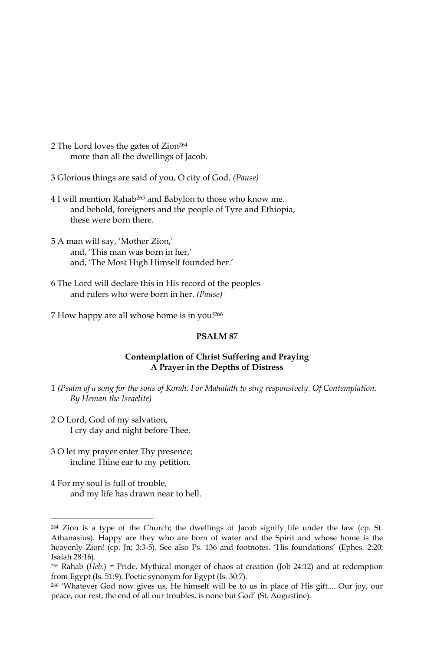- 2 The Lord loves the gates of Zion<sup>264</sup> more than all the dwellings of Jacob.
- 3 Glorious things are said of you, O city of God. (Pause)
- 4 I will mention Rahab<sup>265</sup> and Babylon to those who know me. and behold, foreigners and the people of Tyre and Ethiopia, these were born there.
- 5 A man will say, 'Mother Zion,' and, 'This man was born in her,' and, 'The Most High Himself founded her.'
- 6 The Lord will declare this in His record of the peoples and rulers who were born in her. (Pause)
- 7 How happy are all whose home is in you!266

### PSALM<sub>87</sub>

### **Contemplation of Christ Suffering and Praying** A Prayer in the Depths of Distress

- 1 (Psalm of a song for the sons of Korah, For Mahalath to sing responsively. Of Contemplation, By Heman the Israelite)
- 2 O Lord, God of my salvation, I cry day and night before Thee.
- 3 O let my prayer enter Thy presence; incline Thine ear to my petition.
- 4 For my soul is full of trouble, and my life has drawn near to hell.

<sup>&</sup>lt;sup>264</sup> Zion is a type of the Church; the dwellings of Jacob signify life under the law (cp. St. Athanasius). Happy are they who are born of water and the Spirit and whose home is the heavenly Zion! (cp. Jn; 3:3-5). See also Ps. 136 and footnotes. 'His foundations' (Ephes. 2:20: Isaiah 28:16).

 $265$  Rahab (Heb.) = Pride. Mythical monger of chaos at creation (Job 24:12) and at redemption from Egypt (Is. 51:9). Poetic synonym for Egypt (Is. 30:7).

<sup>266 &#</sup>x27;Whatever God now gives us, He himself will be to us in place of His gift.... Our joy, our peace, our rest, the end of all our troubles, is none but God' (St. Augustine).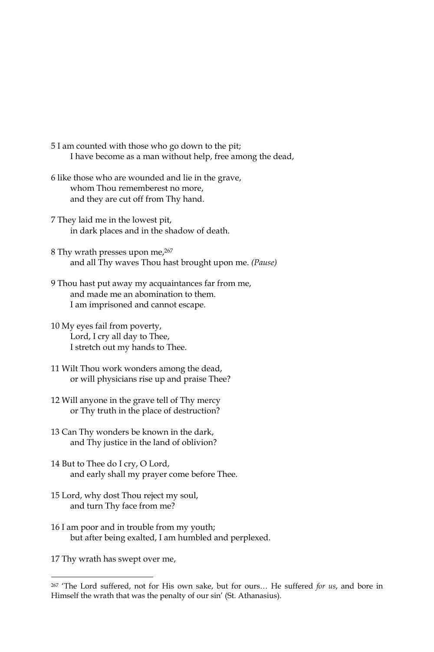- 5 I am counted with those who go down to the pit; I have become as a man without help, free among the dead,
- 6 like those who are wounded and lie in the grave, whom Thou rememberest no more, and they are cut off from Thy hand.
- 7 They laid me in the lowest pit, in dark places and in the shadow of death.
- 8 Thy wrath presses upon me, 267 and all Thy waves Thou hast brought upon me. (Pause)
- 9 Thou hast put away my acquaintances far from me, and made me an abomination to them. I am imprisoned and cannot escape.
- 10 My eyes fail from poverty, Lord, I cry all day to Thee, I stretch out my hands to Thee.
- 11 Wilt Thou work wonders among the dead, or will physicians rise up and praise Thee?
- 12 Will anyone in the grave tell of Thy mercy or Thy truth in the place of destruction?
- 13 Can Thy wonders be known in the dark, and Thy justice in the land of oblivion?
- 14 But to Thee do I cry, O Lord, and early shall my prayer come before Thee.
- 15 Lord, why dost Thou reject my soul, and turn Thy face from me?
- 16 I am poor and in trouble from my youth; but after being exalted, I am humbled and perplexed.

17 Thy wrath has swept over me,

<sup>267 &#</sup>x27;The Lord suffered, not for His own sake, but for ours... He suffered for us, and bore in Himself the wrath that was the penalty of our sin' (St. Athanasius).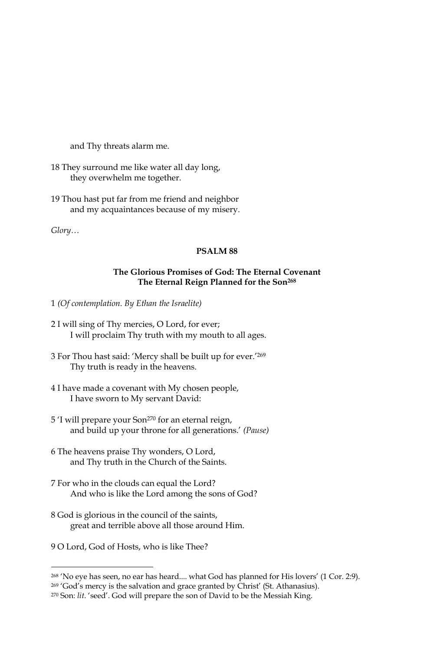and Thy threats alarm me.

- 18 They surround me like water all day long, they overwhelm me together.
- 19 Thou hast put far from me friend and neighbor and my acquaintances because of my misery.

Glory...

## **PSALM 88**

## The Glorious Promises of God: The Eternal Covenant The Eternal Reign Planned for the Son<sup>268</sup>

- 1 (Of contemplation. By Ethan the Israelite)
- 2 I will sing of Thy mercies, O Lord, for ever; I will proclaim Thy truth with my mouth to all ages.
- 3 For Thou hast said: 'Mercy shall be built up for ever.'269 Thy truth is ready in the heavens.
- 4 I have made a covenant with My chosen people, I have sworn to My servant David:
- 5 'I will prepare your Son<sup>270</sup> for an eternal reign, and build up your throne for all generations.' (Pause)
- 6 The heavens praise Thy wonders, O Lord, and Thy truth in the Church of the Saints.
- 7 For who in the clouds can equal the Lord? And who is like the Lord among the sons of God?
- 8 God is glorious in the council of the saints, great and terrible above all those around Him.
- 9 O Lord, God of Hosts, who is like Thee?

<sup>&</sup>lt;sup>268</sup> 'No eye has seen, no ear has heard.... what God has planned for His lovers' (1 Cor. 2:9).

<sup>&</sup>lt;sup>269</sup> 'God's mercy is the salvation and grace granted by Christ' (St. Athanasius).

<sup>&</sup>lt;sup>270</sup> Son: lit. 'seed'. God will prepare the son of David to be the Messiah King.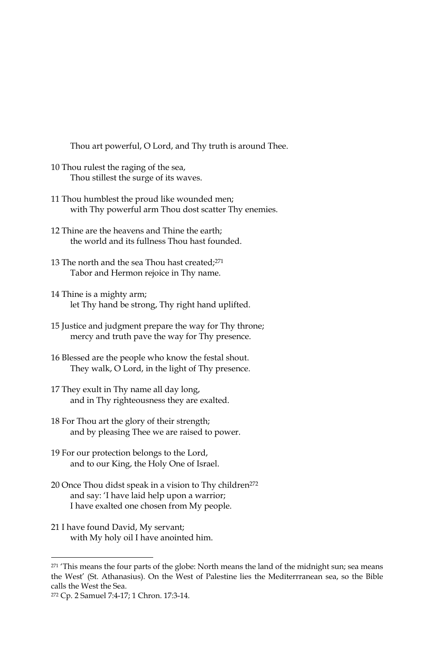Thou art powerful, O Lord, and Thy truth is around Thee.

- 10 Thou rulest the raging of the sea, Thou stillest the surge of its waves.
- 11 Thou humblest the proud like wounded men; with Thy powerful arm Thou dost scatter Thy enemies.
- 12 Thine are the heavens and Thine the earth; the world and its fullness Thou hast founded.
- 13 The north and the sea Thou hast created;<sup>271</sup> Tabor and Hermon rejoice in Thy name.
- 14 Thine is a mighty arm; let Thy hand be strong, Thy right hand uplifted.
- 15 Justice and judgment prepare the way for Thy throne; mercy and truth pave the way for Thy presence.
- 16 Blessed are the people who know the festal shout. They walk, O Lord, in the light of Thy presence.
- 17 They exult in Thy name all day long, and in Thy righteousness they are exalted.
- 18 For Thou art the glory of their strength; and by pleasing Thee we are raised to power.
- 19 For our protection belongs to the Lord, and to our King, the Holy One of Israel.
- 20 Once Thou didst speak in a vision to Thy children<sup>272</sup> and say: 'I have laid help upon a warrior; I have exalted one chosen from My people.
- 21 I have found David, My servant; with My holy oil I have anointed him.

<sup>&</sup>lt;sup>271</sup> 'This means the four parts of the globe: North means the land of the midnight sun; sea means the West' (St. Athanasius). On the West of Palestine lies the Mediterrranean sea, so the Bible calls the West the Sea.

<sup>272</sup> Cp. 2 Samuel 7:4-17; 1 Chron. 17:3-14.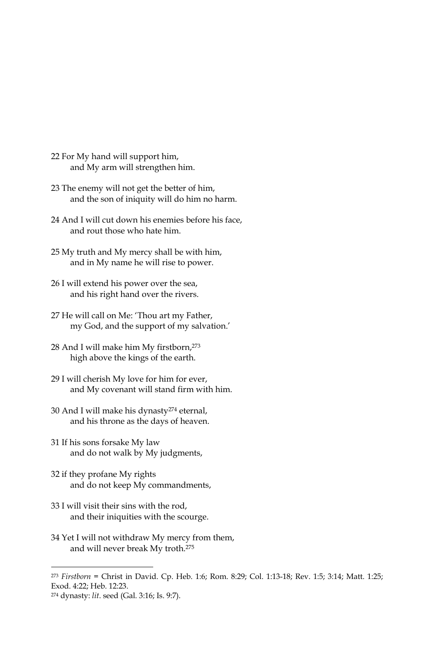- 22 For My hand will support him, and My arm will strengthen him.
- 23 The enemy will not get the better of him, and the son of iniquity will do him no harm.
- 24 And I will cut down his enemies before his face, and rout those who hate him.
- 25 My truth and My mercy shall be with him, and in My name he will rise to power.
- 26 I will extend his power over the sea, and his right hand over the rivers.
- 27 He will call on Me: 'Thou art my Father, my God, and the support of my salvation.'
- 28 And I will make him My firstborn, 273 high above the kings of the earth.
- 29 I will cherish My love for him for ever, and My covenant will stand firm with him.
- 30 And I will make his dynasty<sup>274</sup> eternal, and his throne as the days of heaven.
- 31 If his sons forsake My law and do not walk by My judgments,
- 32 if they profane My rights and do not keep My commandments,
- 33 I will visit their sins with the rod, and their iniquities with the scourge.
- 34 Yet I will not withdraw My mercy from them, and will never break My troth.<sup>275</sup>

 $273$  Firstborn = Christ in David. Cp. Heb. 1:6; Rom. 8:29; Col. 1:13-18; Rev. 1:5; 3:14; Matt. 1:25; Exod. 4:22; Heb. 12:23.

<sup>&</sup>lt;sup>274</sup> dynasty: lit. seed (Gal. 3:16; Is. 9:7).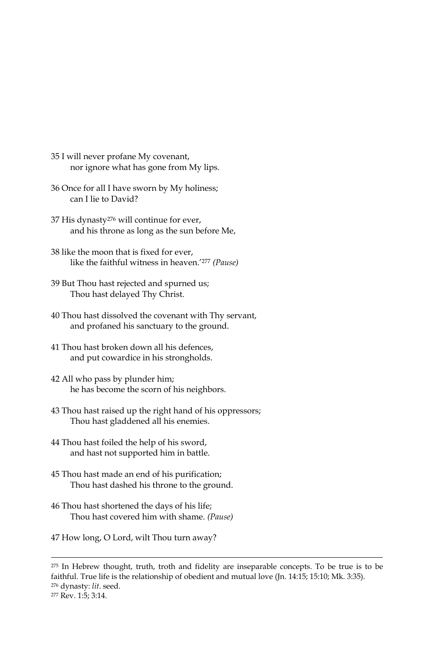- 35 I will never profane My covenant, nor ignore what has gone from My lips.
- 36 Once for all I have sworn by My holiness; can I lie to David?
- 37 His dynasty<sup>276</sup> will continue for ever, and his throne as long as the sun before Me,
- 38 like the moon that is fixed for ever, like the faithful witness in heaven.'277 (Pause)
- 39 But Thou hast rejected and spurned us; Thou hast delayed Thy Christ.
- 40 Thou hast dissolved the covenant with Thy servant, and profaned his sanctuary to the ground.
- 41 Thou hast broken down all his defences, and put cowardice in his strongholds.
- 42 All who pass by plunder him; he has become the scorn of his neighbors.
- 43 Thou hast raised up the right hand of his oppressors; Thou hast gladdened all his enemies.
- 44 Thou hast foiled the help of his sword, and hast not supported him in battle.
- 45 Thou hast made an end of his purification; Thou hast dashed his throne to the ground.
- 46 Thou hast shortened the days of his life; Thou hast covered him with shame. (Pause)
- 47 How long, O Lord, wilt Thou turn away?

<sup>&</sup>lt;sup>275</sup> In Hebrew thought, truth, troth and fidelity are inseparable concepts. To be true is to be faithful. True life is the relationship of obedient and mutual love (Jn. 14:15; 15:10; Mk. 3:35). <sup>276</sup> dynasty: lit. seed.

<sup>&</sup>lt;sup>277</sup> Rev. 1:5; 3:14.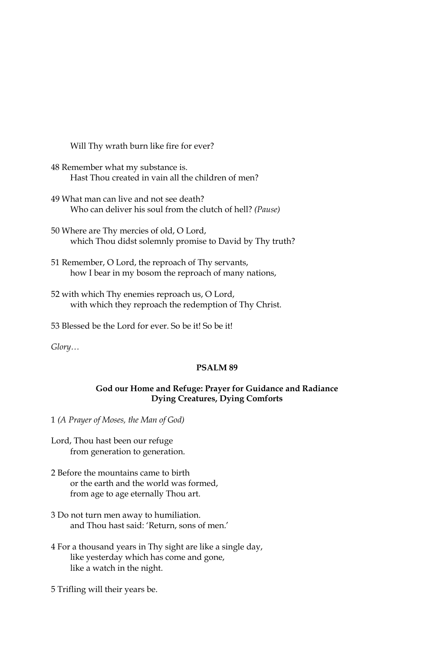Will Thy wrath burn like fire for ever?

- 48 Remember what my substance is. Hast Thou created in vain all the children of men?
- 49 What man can live and not see death? Who can deliver his soul from the clutch of hell? (Pause)
- 50 Where are Thy mercies of old, O Lord, which Thou didst solemnly promise to David by Thy truth?
- 51 Remember, O Lord, the reproach of Thy servants, how I bear in my bosom the reproach of many nations,
- 52 with which Thy enemies reproach us, O Lord, with which they reproach the redemption of Thy Christ.
- 53 Blessed be the Lord for ever. So be it! So be it!

 $Glory...$ 

### PSALM<sub>89</sub>

### God our Home and Refuge: Prayer for Guidance and Radiance **Dying Creatures, Dying Comforts**

1 (A Prayer of Moses, the Man of God)

- Lord, Thou hast been our refuge from generation to generation.
- 2 Before the mountains came to birth or the earth and the world was formed, from age to age eternally Thou art.
- 3 Do not turn men away to humiliation. and Thou hast said: 'Return, sons of men.'
- 4 For a thousand years in Thy sight are like a single day, like yesterday which has come and gone, like a watch in the night.
- 5 Trifling will their years be.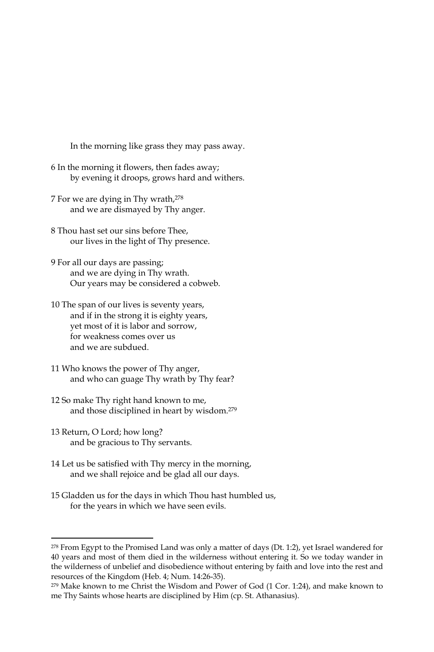In the morning like grass they may pass away.

- 6 In the morning it flowers, then fades away; by evening it droops, grows hard and withers.
- 7 For we are dying in Thy wrath, 278 and we are dismayed by Thy anger.
- 8 Thou hast set our sins before Thee. our lives in the light of Thy presence.
- 9 For all our days are passing; and we are dying in Thy wrath. Our years may be considered a cobweb.
- 10 The span of our lives is seventy years, and if in the strong it is eighty years, yet most of it is labor and sorrow, for weakness comes over us and we are subdued.
- 11 Who knows the power of Thy anger, and who can guage Thy wrath by Thy fear?
- 12 So make Thy right hand known to me, and those disciplined in heart by wisdom.<sup>279</sup>
- 13 Return, O Lord; how long? and be gracious to Thy servants.
- 14 Let us be satisfied with Thy mercy in the morning, and we shall rejoice and be glad all our days.
- 15 Gladden us for the days in which Thou hast humbled us, for the years in which we have seen evils.

<sup>&</sup>lt;sup>278</sup> From Egypt to the Promised Land was only a matter of days (Dt. 1:2), yet Israel wandered for 40 years and most of them died in the wilderness without entering it. So we today wander in the wilderness of unbelief and disobedience without entering by faith and love into the rest and resources of the Kingdom (Heb. 4; Num. 14:26-35).

<sup>&</sup>lt;sup>279</sup> Make known to me Christ the Wisdom and Power of God (1 Cor. 1:24), and make known to me Thy Saints whose hearts are disciplined by Him (cp. St. Athanasius).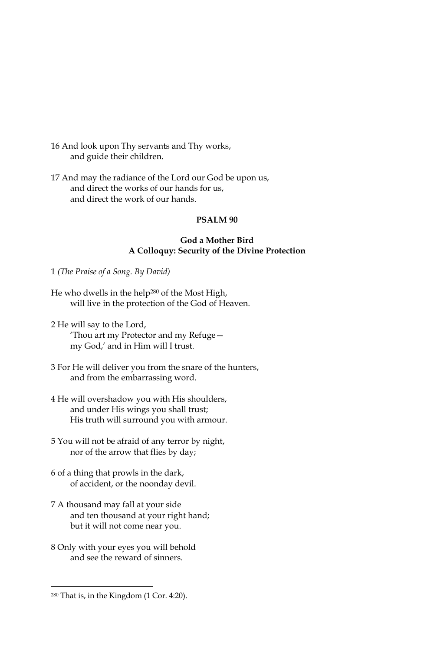- 16 And look upon Thy servants and Thy works, and guide their children.
- 17 And may the radiance of the Lord our God be upon us, and direct the works of our hands for us, and direct the work of our hands.

## PSALM<sub>90</sub>

#### **God a Mother Bird** A Colloquy: Security of the Divine Protection

1 (The Praise of a Song. By David)

- He who dwells in the help<sup>280</sup> of the Most High, will live in the protection of the God of Heaven.
- 2 He will say to the Lord, 'Thou art my Protector and my Refugemy God,' and in Him will I trust.
- 3 For He will deliver you from the snare of the hunters, and from the embarrassing word.
- 4 He will overshadow you with His shoulders, and under His wings you shall trust; His truth will surround you with armour.
- 5 You will not be afraid of any terror by night, nor of the arrow that flies by day;
- 6 of a thing that prowls in the dark, of accident, or the noonday devil.
- 7 A thousand may fall at your side and ten thousand at your right hand; but it will not come near you.
- 8 Only with your eyes you will behold and see the reward of sinners.

<sup>&</sup>lt;sup>280</sup> That is, in the Kingdom (1 Cor. 4:20).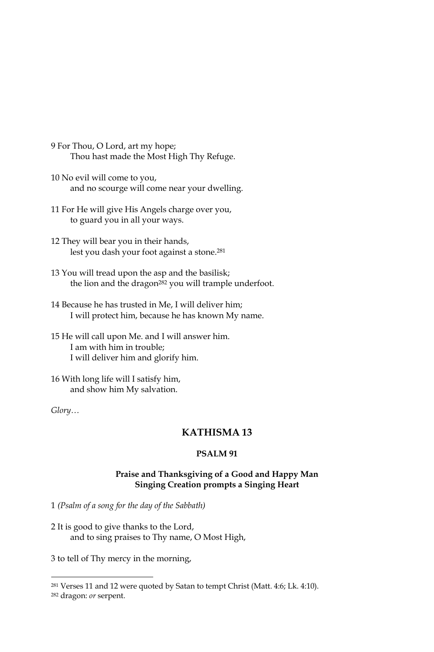- 9 For Thou, O Lord, art my hope; Thou hast made the Most High Thy Refuge.
- 10 No evil will come to you, and no scourge will come near your dwelling.
- 11 For He will give His Angels charge over you, to guard you in all your ways.
- 12 They will bear you in their hands, lest you dash your foot against a stone.<sup>281</sup>
- 13 You will tread upon the asp and the basilisk; the lion and the dragon<sup>282</sup> you will trample underfoot.
- 14 Because he has trusted in Me, I will deliver him; I will protect him, because he has known My name.
- 15 He will call upon Me. and I will answer him. I am with him in trouble; I will deliver him and glorify him.

16 With long life will I satisfy him, and show him My salvation.

 $Glory...$ 

## **KATHISMA13**

### PSALM<sub>91</sub>

## Praise and Thanksgiving of a Good and Happy Man **Singing Creation prompts a Singing Heart**

1 (Psalm of a song for the day of the Sabbath)

2 It is good to give thanks to the Lord, and to sing praises to Thy name, O Most High,

3 to tell of Thy mercy in the morning,

<sup>&</sup>lt;sup>281</sup> Verses 11 and 12 were quoted by Satan to tempt Christ (Matt. 4:6; Lk. 4:10).

<sup>&</sup>lt;sup>282</sup> dragon: *or* serpent.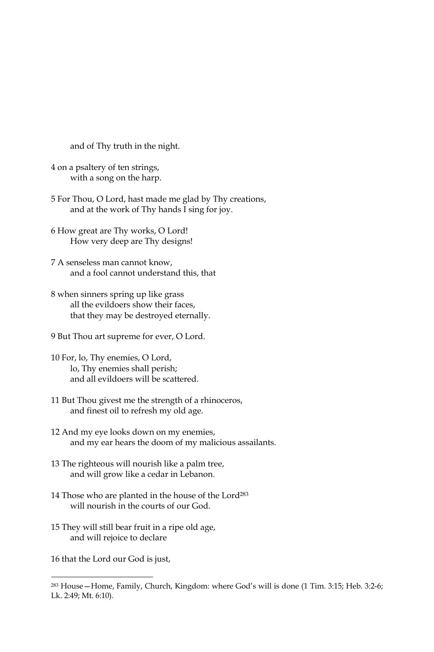and of Thy truth in the night.

- 4 on a psaltery of ten strings, with a song on the harp.
- 5 For Thou, O Lord, hast made me glad by Thy creations, and at the work of Thy hands I sing for joy.
- 6 How great are Thy works, O Lord! How very deep are Thy designs!
- 7 A senseless man cannot know, and a fool cannot understand this, that
- 8 when sinners spring up like grass all the evildoers show their faces, that they may be destroyed eternally.
- 9 But Thou art supreme for ever, O Lord.
- 10 For, lo, Thy enemies, O Lord, lo, Thy enemies shall perish; and all evildoers will be scattered.
- 11 But Thou givest me the strength of a rhinoceros, and finest oil to refresh my old age.
- 12 And my eye looks down on my enemies, and my ear hears the doom of my malicious assailants.
- 13 The righteous will nourish like a palm tree, and will grow like a cedar in Lebanon.
- 14 Those who are planted in the house of the Lord<sup>283</sup> will nourish in the courts of our God
- 15 They will still bear fruit in a ripe old age, and will rejoice to declare

16 that the Lord our God is just,

<sup>&</sup>lt;sup>283</sup> House – Home, Family, Church, Kingdom: where God's will is done (1 Tim. 3:15; Heb. 3:2-6; Lk. 2:49; Mt. 6:10).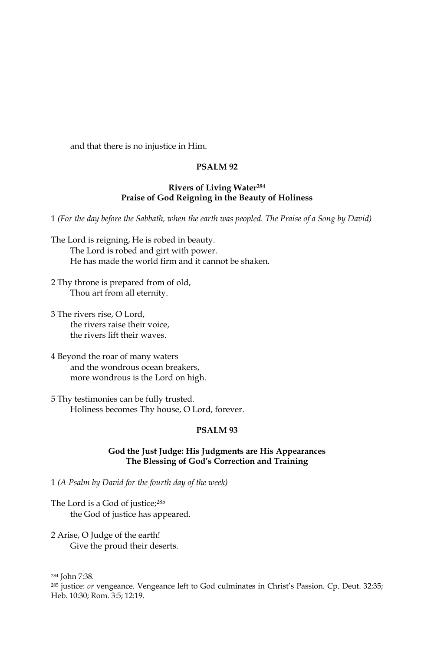and that there is no injustice in Him.

#### PSALM<sub>92</sub>

### **Rivers of Living Water<sup>284</sup>** Praise of God Reigning in the Beauty of Holiness

1 (For the day before the Sabbath, when the earth was peopled. The Praise of a Song by David)

- The Lord is reigning, He is robed in beauty. The Lord is robed and girt with power. He has made the world firm and it cannot be shaken.
- 2 Thy throne is prepared from of old, Thou art from all eternity.
- 3 The rivers rise, O Lord, the rivers raise their voice. the rivers lift their waves.
- 4 Beyond the roar of many waters and the wondrous ocean breakers. more wondrous is the Lord on high.
- 5 Thy testimonies can be fully trusted. Holiness becomes Thy house, O Lord, forever.

#### PSALM<sub>93</sub>

### God the Just Judge: His Judgments are His Appearances The Blessing of God's Correction and Training

1 (A Psalm by David for the fourth day of the week)

- The Lord is a God of justice;<sup>285</sup> the God of justice has appeared.
- 2 Arise, O Judge of the earth! Give the proud their deserts.

<sup>&</sup>lt;sup>284</sup> John 7:38.

<sup>285</sup> justice: or vengeance. Vengeance left to God culminates in Christ's Passion. Cp. Deut. 32:35; Heb. 10:30; Rom. 3:5; 12:19.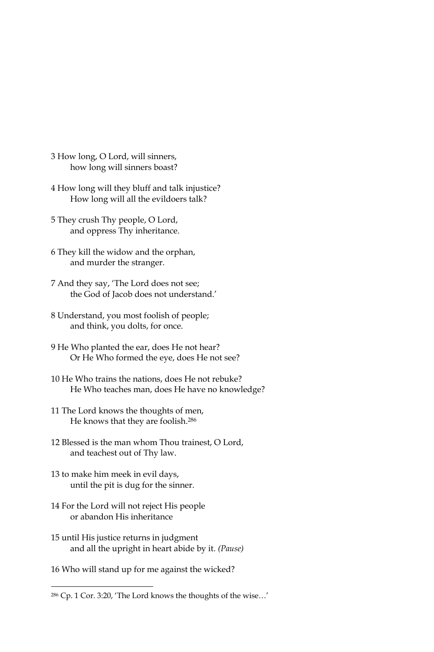- 3 How long, O Lord, will sinners, how long will sinners boast?
- 4 How long will they bluff and talk injustice? How long will all the evildoers talk?
- 5 They crush Thy people, O Lord, and oppress Thy inheritance.
- 6 They kill the widow and the orphan, and murder the stranger.
- 7 And they say, 'The Lord does not see; the God of Jacob does not understand.'
- 8 Understand, you most foolish of people; and think, you dolts, for once.
- 9 He Who planted the ear, does He not hear? Or He Who formed the eye, does He not see?
- 10 He Who trains the nations, does He not rebuke? He Who teaches man, does He have no knowledge?
- 11 The Lord knows the thoughts of men, He knows that they are foolish.<sup>286</sup>
- 12 Blessed is the man whom Thou trainest, O Lord, and teachest out of Thy law.
- 13 to make him meek in evil days, until the pit is dug for the sinner.
- 14 For the Lord will not reject His people or abandon His inheritance
- 15 until His justice returns in judgment and all the upright in heart abide by it. (Pause)
- 16 Who will stand up for me against the wicked?

<sup>&</sup>lt;sup>286</sup> Cp. 1 Cor. 3:20, 'The Lord knows the thoughts of the wise...'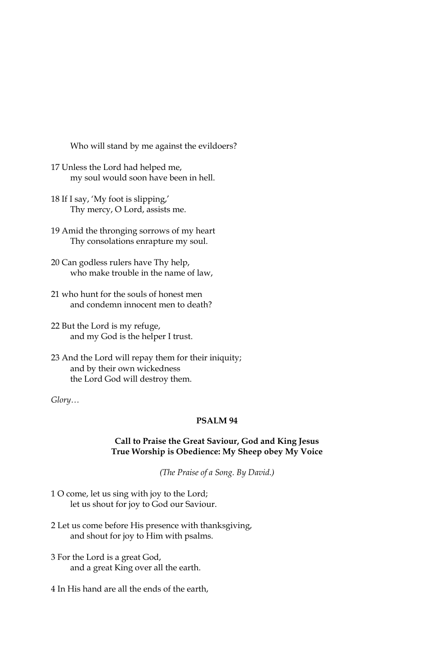Who will stand by me against the evildoers?

- 17 Unless the Lord had helped me, my soul would soon have been in hell.
- 18 If I say, 'My foot is slipping,' Thy mercy, O Lord, assists me.
- 19 Amid the thronging sorrows of my heart Thy consolations enrapture my soul.
- 20 Can godless rulers have Thy help, who make trouble in the name of law,
- 21 who hunt for the souls of honest men and condemn innocent men to death?
- 22 But the Lord is my refuge, and my God is the helper I trust.
- 23 And the Lord will repay them for their iniquity; and by their own wickedness the Lord God will destroy them.

Glory...

# PSALM 94

#### Call to Praise the Great Saviour, God and King Jesus True Worship is Obedience: My Sheep obey My Voice

(The Praise of a Song. By David.)

- 1 O come, let us sing with joy to the Lord; let us shout for joy to God our Saviour.
- 2 Let us come before His presence with thanksgiving, and shout for joy to Him with psalms.
- 3 For the Lord is a great God, and a great King over all the earth.
- 4 In His hand are all the ends of the earth,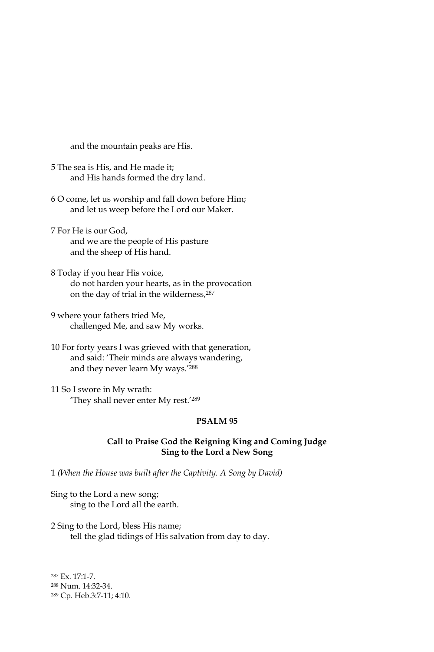and the mountain peaks are His.

- 5 The sea is His, and He made it; and His hands formed the dry land.
- 6 O come, let us worship and fall down before Him; and let us weep before the Lord our Maker.
- 7 For He is our God. and we are the people of His pasture and the sheep of His hand.
- 8 Today if you hear His voice, do not harden your hearts, as in the provocation on the day of trial in the wilderness, 287
- 9 where your fathers tried Me, challenged Me, and saw My works.
- 10 For forty years I was grieved with that generation, and said: 'Their minds are always wandering, and they never learn My ways.'288

11 So I swore in My wrath: 'They shall never enter My rest.'289

## PSALM<sub>95</sub>

### Call to Praise God the Reigning King and Coming Judge Sing to the Lord a New Song

1 (When the House was built after the Captivity. A Song by David)

Sing to the Lord a new song; sing to the Lord all the earth.

2 Sing to the Lord, bless His name; tell the glad tidings of His salvation from day to day.

<sup>287</sup> Ex. 17:1-7.

<sup>&</sup>lt;sup>288</sup> Num. 14:32-34.

<sup>&</sup>lt;sup>289</sup> Cp. Heb.3:7-11; 4:10.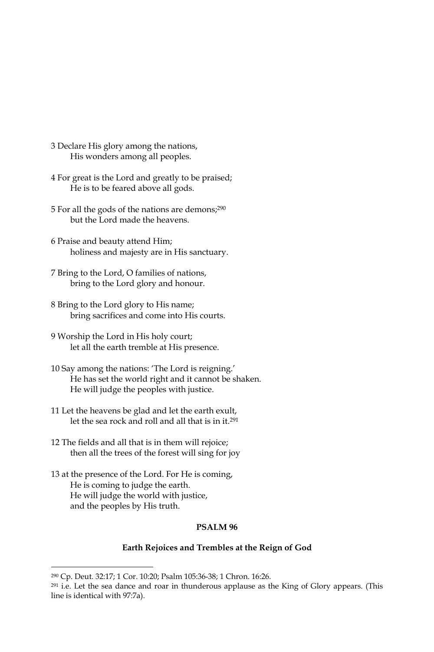- 3 Declare His glory among the nations, His wonders among all peoples.
- 4 For great is the Lord and greatly to be praised; He is to be feared above all gods.
- 5 For all the gods of the nations are demons;<sup>290</sup> but the Lord made the heavens.
- 6 Praise and beauty attend Him; holiness and majesty are in His sanctuary.
- 7 Bring to the Lord, O families of nations, bring to the Lord glory and honour.
- 8 Bring to the Lord glory to His name; bring sacrifices and come into His courts.
- 9 Worship the Lord in His holy court; let all the earth tremble at His presence.
- 10 Say among the nations: 'The Lord is reigning.' He has set the world right and it cannot be shaken. He will judge the peoples with justice.
- 11 Let the heavens be glad and let the earth exult, let the sea rock and roll and all that is in it.<sup>291</sup>
- 12 The fields and all that is in them will rejoice; then all the trees of the forest will sing for joy
- 13 at the presence of the Lord. For He is coming, He is coming to judge the earth. He will judge the world with justice, and the peoples by His truth.

### PSALM<sub>96</sub>

#### Earth Rejoices and Trembles at the Reign of God

<sup>&</sup>lt;sup>290</sup> Cp. Deut. 32:17; 1 Cor. 10:20; Psalm 105:36-38; 1 Chron. 16:26.

<sup>&</sup>lt;sup>291</sup> i.e. Let the sea dance and roar in thunderous applause as the King of Glory appears. (This line is identical with 97:7a).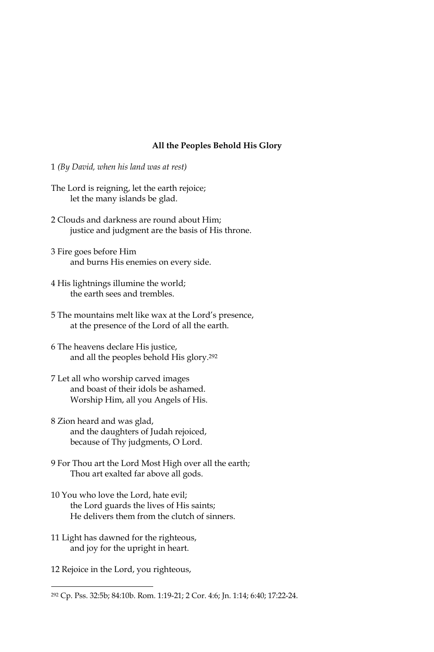#### All the Peoples Behold His Glory

- 1 (By David, when his land was at rest)
- The Lord is reigning, let the earth rejoice; let the many islands be glad.
- 2 Clouds and darkness are round about Him; justice and judgment are the basis of His throne.
- 3 Fire goes before Him and burns His enemies on every side.
- 4 His lightnings illumine the world; the earth sees and trembles.
- 5 The mountains melt like wax at the Lord's presence, at the presence of the Lord of all the earth.
- 6 The heavens declare His justice, and all the peoples behold His glory.<sup>292</sup>
- 7 Let all who worship carved images and boast of their idols be ashamed. Worship Him, all you Angels of His.
- 8 Zion heard and was glad, and the daughters of Judah rejoiced, because of Thy judgments, O Lord.
- 9 For Thou art the Lord Most High over all the earth; Thou art exalted far above all gods.
- 10 You who love the Lord, hate evil; the Lord guards the lives of His saints; He delivers them from the clutch of sinners.
- 11 Light has dawned for the righteous, and joy for the upright in heart.
- 12 Rejoice in the Lord, you righteous,

<sup>&</sup>lt;sup>292</sup> Cp. Pss. 32:5b; 84:10b. Rom. 1:19-21; 2 Cor. 4:6; Jn. 1:14; 6:40; 17:22-24.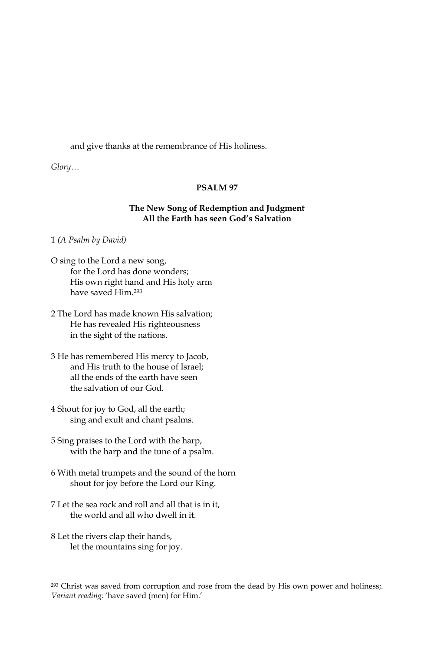and give thanks at the remembrance of His holiness.

 $Glory...$ 

#### PSALM<sub>97</sub>

### The New Song of Redemption and Judgment All the Earth has seen God's Salvation

1 (A Psalm by David)

- O sing to the Lord a new song, for the Lord has done wonders; His own right hand and His holy arm have saved Him.<sup>293</sup>
- 2 The Lord has made known His salvation; He has revealed His righteousness in the sight of the nations.
- 3 He has remembered His mercy to Jacob, and His truth to the house of Israel; all the ends of the earth have seen the salvation of our God.
- 4 Shout for joy to God, all the earth; sing and exult and chant psalms.
- 5 Sing praises to the Lord with the harp, with the harp and the tune of a psalm.
- 6 With metal trumpets and the sound of the horn shout for joy before the Lord our King.
- 7 Let the sea rock and roll and all that is in it, the world and all who dwell in it.
- 8 Let the rivers clap their hands, let the mountains sing for joy.

<sup>&</sup>lt;sup>293</sup> Christ was saved from corruption and rose from the dead by His own power and holiness;. Variant reading: 'have saved (men) for Him.'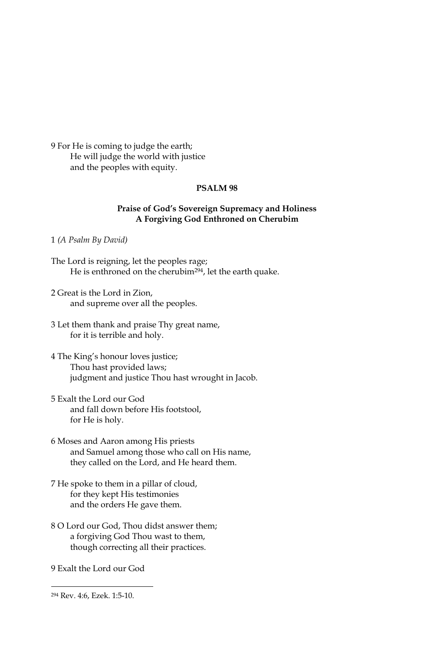9 For He is coming to judge the earth; He will judge the world with justice and the peoples with equity.

#### **PSALM 98**

## Praise of God's Sovereign Supremacy and Holiness A Forgiving God Enthroned on Cherubim

1 (A Psalm By David)

- The Lord is reigning, let the peoples rage; He is enthroned on the cherubim<sup>294</sup>, let the earth quake.
- 2 Great is the Lord in Zion, and supreme over all the peoples.
- 3 Let them thank and praise Thy great name, for it is terrible and holy.
- 4 The King's honour loves justice; Thou hast provided laws; judgment and justice Thou hast wrought in Jacob.
- 5 Exalt the Lord our God and fall down before His footstool, for He is holy.
- 6 Moses and Aaron among His priests and Samuel among those who call on His name, they called on the Lord, and He heard them.
- 7 He spoke to them in a pillar of cloud, for they kept His testimonies and the orders He gave them.
- 8 O Lord our God, Thou didst answer them; a forgiving God Thou wast to them, though correcting all their practices.

9 Exalt the Lord our God

<sup>&</sup>lt;sup>294</sup> Rev. 4:6, Ezek. 1:5-10.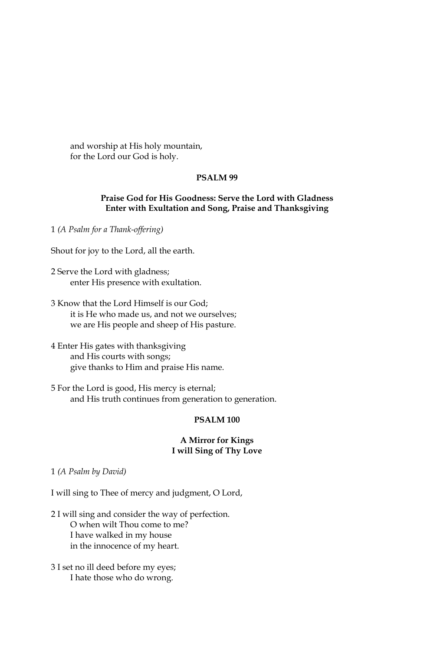and worship at His holy mountain, for the Lord our God is holy.

## PSALM<sub>99</sub>

#### Praise God for His Goodness: Serve the Lord with Gladness Enter with Exultation and Song, Praise and Thanksgiving

1 (A Psalm for a Thank-offering)

Shout for joy to the Lord, all the earth.

- 2 Serve the Lord with gladness; enter His presence with exultation.
- 3 Know that the Lord Himself is our God: it is He who made us, and not we ourselves; we are His people and sheep of His pasture.
- 4 Enter His gates with thanksgiving and His courts with songs; give thanks to Him and praise His name.
- 5 For the Lord is good, His mercy is eternal; and His truth continues from generation to generation.

#### PSALM<sub>100</sub>

#### **A Mirror for Kings** I will Sing of Thy Love

1 (A Psalm by David)

I will sing to Thee of mercy and judgment, O Lord,

2 I will sing and consider the way of perfection. O when wilt Thou come to me? I have walked in my house in the innocence of my heart.

3 I set no ill deed before my eyes; I hate those who do wrong.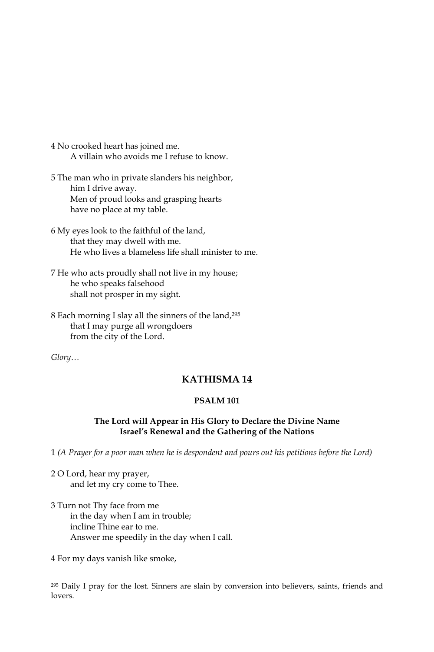- 4 No crooked heart has joined me. A villain who avoids me I refuse to know.
- 5 The man who in private slanders his neighbor, him I drive away. Men of proud looks and grasping hearts have no place at my table.
- 6 My eyes look to the faithful of the land, that they may dwell with me. He who lives a blameless life shall minister to me.
- 7 He who acts proudly shall not live in my house; he who speaks falsehood shall not prosper in my sight.
- 8 Each morning I slay all the sinners of the land, 295 that I may purge all wrongdoers from the city of the Lord.

Glory...

# **KATHISMA14**

# **PSALM 101**

### The Lord will Appear in His Glory to Declare the Divine Name Israel's Renewal and the Gathering of the Nations

1 (A Prayer for a poor man when he is despondent and pours out his petitions before the Lord)

- 2 O Lord, hear my prayer, and let my cry come to Thee.
- 3 Turn not Thy face from me in the day when I am in trouble; incline Thine ear to me. Answer me speedily in the day when I call.

4 For my days vanish like smoke,

<sup>&</sup>lt;sup>295</sup> Daily I pray for the lost. Sinners are slain by conversion into believers, saints, friends and lovers.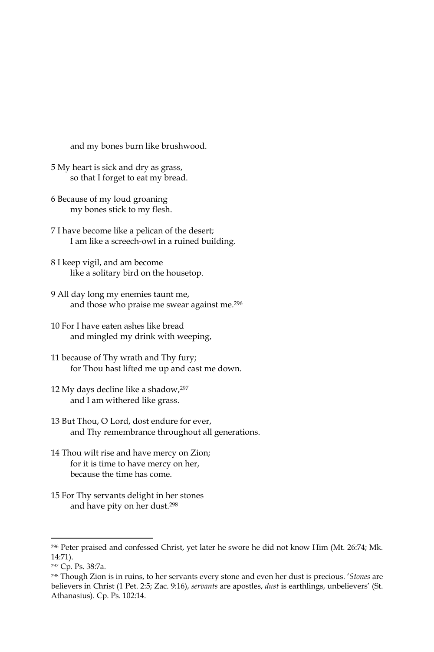and my bones burn like brushwood.

- 5 My heart is sick and dry as grass, so that I forget to eat my bread.
- 6 Because of my loud groaning my bones stick to my flesh.
- 7 I have become like a pelican of the desert; I am like a screech-owl in a ruined building.
- 8 I keep vigil, and am become like a solitary bird on the housetop.
- 9 All day long my enemies taunt me, and those who praise me swear against me.<sup>296</sup>
- 10 For I have eaten ashes like bread and mingled my drink with weeping,
- 11 because of Thy wrath and Thy fury; for Thou hast lifted me up and cast me down.
- 12 My days decline like a shadow, 297 and I am withered like grass.
- 13 But Thou, O Lord, dost endure for ever, and Thy remembrance throughout all generations.
- 14 Thou wilt rise and have mercy on Zion; for it is time to have mercy on her, because the time has come.
- 15 For Thy servants delight in her stones and have pity on her dust.<sup>298</sup>

<sup>&</sup>lt;sup>296</sup> Peter praised and confessed Christ, yet later he swore he did not know Him (Mt. 26:74; Mk. 14:71).

<sup>&</sup>lt;sup>297</sup> Cp. Ps. 38:7a.

<sup>&</sup>lt;sup>298</sup> Though Zion is in ruins, to her servants every stone and even her dust is precious. 'Stones are believers in Christ (1 Pet. 2:5; Zac. 9:16), servants are apostles, dust is earthlings, unbelievers' (St. Athanasius). Cp. Ps. 102:14.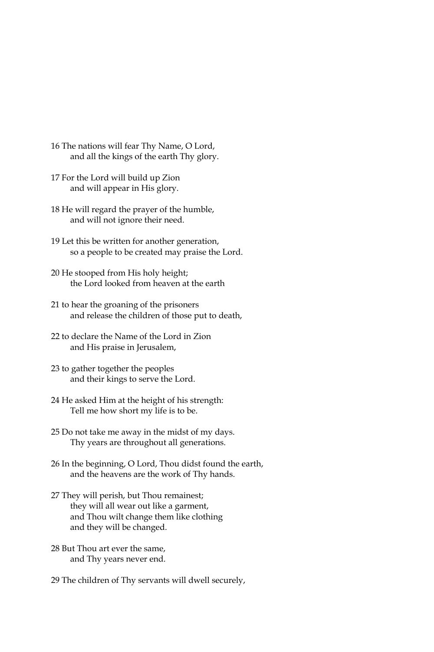- 16 The nations will fear Thy Name, O Lord, and all the kings of the earth Thy glory.
- 17 For the Lord will build up Zion and will appear in His glory.
- 18 He will regard the prayer of the humble, and will not ignore their need.
- 19 Let this be written for another generation, so a people to be created may praise the Lord.
- 20 He stooped from His holy height; the Lord looked from heaven at the earth
- 21 to hear the groaning of the prisoners and release the children of those put to death,
- 22 to declare the Name of the Lord in Zion and His praise in Jerusalem,
- 23 to gather together the peoples and their kings to serve the Lord.
- 24 He asked Him at the height of his strength: Tell me how short my life is to be.
- 25 Do not take me away in the midst of my days. Thy years are throughout all generations.
- 26 In the beginning, O Lord, Thou didst found the earth, and the heavens are the work of Thy hands.
- 27 They will perish, but Thou remainest; they will all wear out like a garment, and Thou wilt change them like clothing and they will be changed.
- 28 But Thou art ever the same, and Thy years never end.
- 29 The children of Thy servants will dwell securely,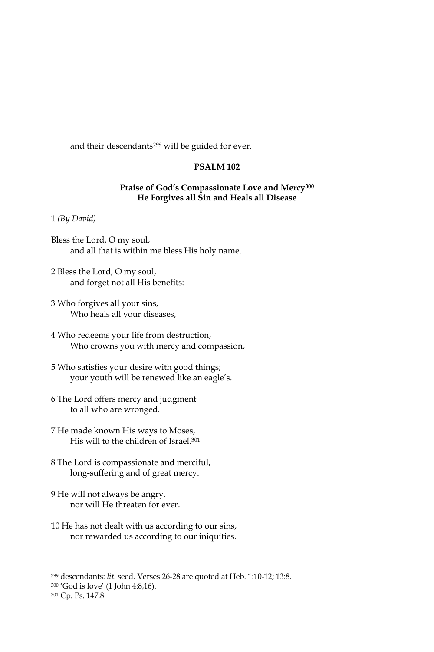and their descendants<sup>299</sup> will be guided for ever.

## **PSALM 102**

### Praise of God's Compassionate Love and Mercy<sup>300</sup> He Forgives all Sin and Heals all Disease

#### $1$  (By David)

- Bless the Lord, O my soul, and all that is within me bless His holy name.
- 2 Bless the Lord, O my soul, and forget not all His benefits:
- 3 Who forgives all your sins, Who heals all your diseases,
- 4 Who redeems your life from destruction, Who crowns you with mercy and compassion,
- 5 Who satisfies your desire with good things; your youth will be renewed like an eagle's.
- 6 The Lord offers mercy and judgment to all who are wronged.
- 7 He made known His ways to Moses, His will to the children of Israel.<sup>301</sup>
- 8 The Lord is compassionate and merciful, long-suffering and of great mercy.
- 9 He will not always be angry, nor will He threaten for ever.
- 10 He has not dealt with us according to our sins, nor rewarded us according to our iniquities.

<sup>&</sup>lt;sup>299</sup> descendants: lit. seed. Verses 26-28 are quoted at Heb. 1:10-12; 13:8.

<sup>&</sup>lt;sup>300</sup> 'God is love' (1 John 4:8,16).

<sup>&</sup>lt;sup>301</sup> Cp. Ps. 147:8.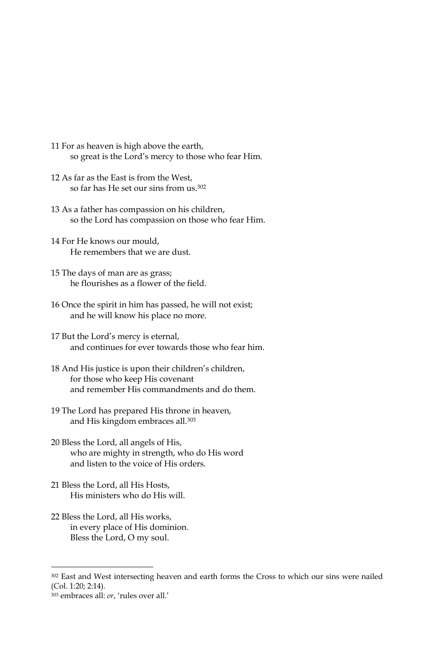- 11 For as heaven is high above the earth, so great is the Lord's mercy to those who fear Him.
- 12 As far as the East is from the West, so far has He set our sins from us.<sup>302</sup>
- 13 As a father has compassion on his children, so the Lord has compassion on those who fear Him.
- 14 For He knows our mould, He remembers that we are dust.
- 15 The days of man are as grass; he flourishes as a flower of the field.
- 16 Once the spirit in him has passed, he will not exist; and he will know his place no more.
- 17 But the Lord's mercy is eternal, and continues for ever towards those who fear him.
- 18 And His justice is upon their children's children, for those who keep His covenant and remember His commandments and do them.
- 19 The Lord has prepared His throne in heaven, and His kingdom embraces all.<sup>303</sup>
- 20 Bless the Lord, all angels of His, who are mighty in strength, who do His word and listen to the voice of His orders
- 21 Bless the Lord, all His Hosts, His ministers who do His will.
- 22 Bless the Lord, all His works, in every place of His dominion. Bless the Lord, O my soul.

<sup>302</sup> East and West intersecting heaven and earth forms the Cross to which our sins were nailed (Col. 1:20; 2:14).

<sup>303</sup> embraces all: or, 'rules over all.'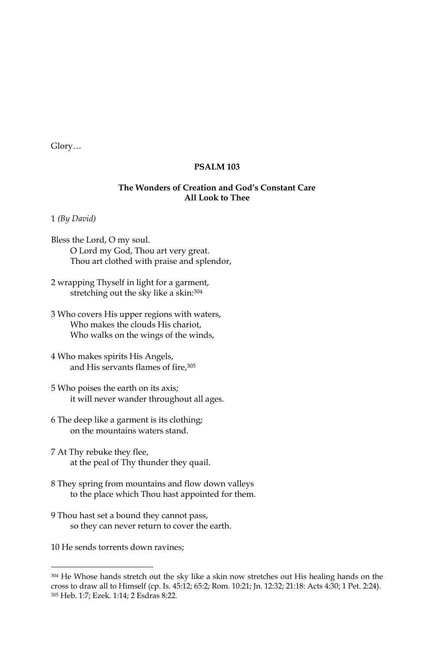### **PSALM 103**

### The Wonders of Creation and God's Constant Care **All Look to Thee**

1 (By David)

- Bless the Lord, O my soul. O Lord my God, Thou art very great. Thou art clothed with praise and splendor,
- 2 wrapping Thyself in light for a garment, stretching out the sky like a skin: 304
- 3 Who covers His upper regions with waters, Who makes the clouds His chariot, Who walks on the wings of the winds,
- 4 Who makes spirits His Angels, and His servants flames of fire, 305
- 5 Who poises the earth on its axis; it will never wander throughout all ages.
- 6 The deep like a garment is its clothing; on the mountains waters stand.
- 7 At Thy rebuke they flee, at the peal of Thy thunder they quail.
- 8 They spring from mountains and flow down valleys to the place which Thou hast appointed for them.
- 9 Thou hast set a bound they cannot pass, so they can never return to cover the earth.

10 He sends torrents down ravines;

<sup>304</sup> He Whose hands stretch out the sky like a skin now stretches out His healing hands on the cross to draw all to Himself (cp. Is. 45:12; 65:2; Rom. 10:21; Jn. 12:32; 21:18: Acts 4:30; 1 Pet. 2:24). 305 Heb. 1:7; Ezek. 1:14; 2 Esdras 8:22.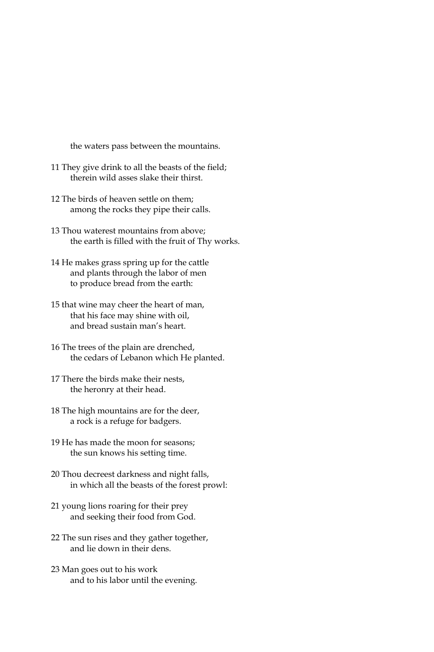the waters pass between the mountains.

- 11 They give drink to all the beasts of the field; therein wild asses slake their thirst.
- 12 The birds of heaven settle on them: among the rocks they pipe their calls.
- 13 Thou waterest mountains from above: the earth is filled with the fruit of Thy works.
- 14 He makes grass spring up for the cattle and plants through the labor of men to produce bread from the earth:
- 15 that wine may cheer the heart of man, that his face may shine with oil, and bread sustain man's heart.
- 16 The trees of the plain are drenched, the cedars of Lebanon which He planted.
- 17 There the birds make their nests, the heronry at their head.
- 18 The high mountains are for the deer, a rock is a refuge for badgers.
- 19 He has made the moon for seasons; the sun knows his setting time.
- 20 Thou decreest darkness and night falls, in which all the beasts of the forest prowl:
- 21 young lions roaring for their prey and seeking their food from God.
- 22 The sun rises and they gather together, and lie down in their dens.
- 23 Man goes out to his work and to his labor until the evening.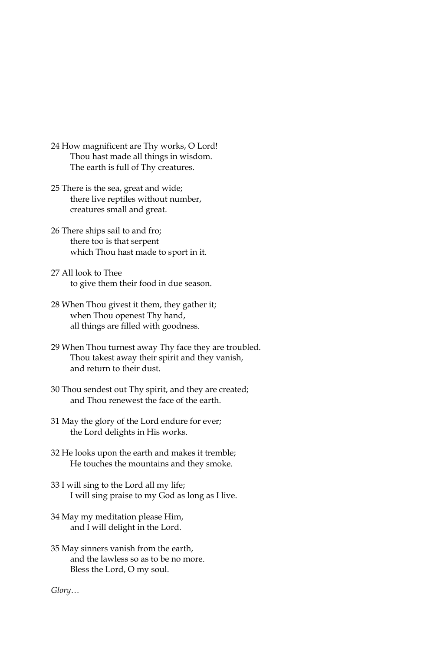- 24 How magnificent are Thy works, O Lord! Thou hast made all things in wisdom. The earth is full of Thy creatures.
- 25 There is the sea, great and wide; there live reptiles without number, creatures small and great.
- 26 There ships sail to and fro; there too is that serpent which Thou hast made to sport in it.
- 27 All look to Thee to give them their food in due season.
- 28 When Thou givest it them, they gather it; when Thou openest Thy hand, all things are filled with goodness.
- 29 When Thou turnest away Thy face they are troubled. Thou takest away their spirit and they vanish, and return to their dust.
- 30 Thou sendest out Thy spirit, and they are created; and Thou renewest the face of the earth.
- 31 May the glory of the Lord endure for ever; the Lord delights in His works.
- 32 He looks upon the earth and makes it tremble; He touches the mountains and they smoke.
- 33 I will sing to the Lord all my life; I will sing praise to my God as long as I live.
- 34 May my meditation please Him, and I will delight in the Lord.
- 35 May sinners vanish from the earth, and the lawless so as to be no more. Bless the Lord, O my soul.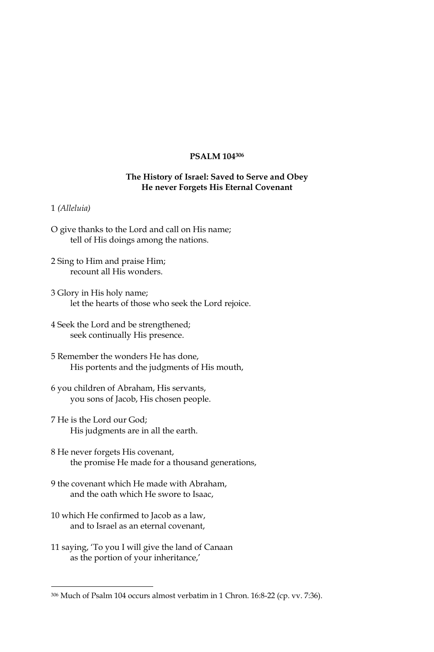#### **PSALM 104306**

## The History of Israel: Saved to Serve and Obey He never Forgets His Eternal Covenant

#### 1 (Alleluia)

- O give thanks to the Lord and call on His name; tell of His doings among the nations.
- 2 Sing to Him and praise Him; recount all His wonders.
- 3 Glory in His holy name; let the hearts of those who seek the Lord rejoice.
- 4 Seek the Lord and be strengthened; seek continually His presence.
- 5 Remember the wonders He has done, His portents and the judgments of His mouth,
- 6 you children of Abraham, His servants, you sons of Jacob, His chosen people.
- 7 He is the Lord our God: His judgments are in all the earth.
- 8 He never forgets His covenant, the promise He made for a thousand generations,
- 9 the covenant which He made with Abraham, and the oath which He swore to Isaac,
- 10 which He confirmed to Jacob as a law, and to Israel as an eternal covenant,
- 11 saying, 'To you I will give the land of Canaan as the portion of your inheritance,'

<sup>306</sup> Much of Psalm 104 occurs almost verbatim in 1 Chron. 16:8-22 (cp. vv. 7:36).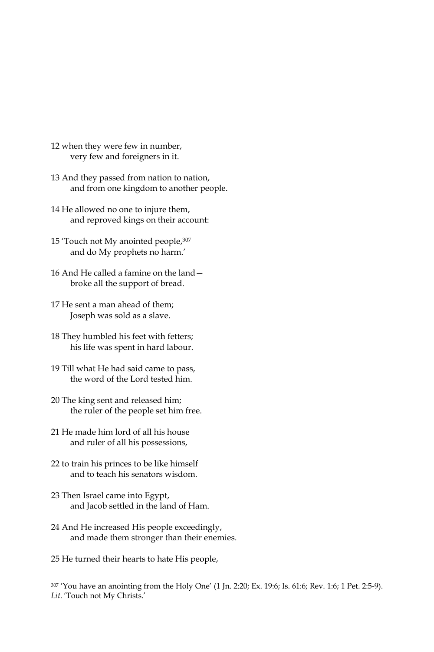- 12 when they were few in number, very few and foreigners in it.
- 13 And they passed from nation to nation, and from one kingdom to another people.
- 14 He allowed no one to injure them, and reproved kings on their account:
- 15 'Touch not My anointed people, 307 and do My prophets no harm.'
- 16 And He called a famine on the land broke all the support of bread.
- 17 He sent a man ahead of them; Joseph was sold as a slave.
- 18 They humbled his feet with fetters; his life was spent in hard labour.
- 19 Till what He had said came to pass, the word of the Lord tested him.
- 20 The king sent and released him; the ruler of the people set him free.
- 21 He made him lord of all his house and ruler of all his possessions,
- 22 to train his princes to be like himself and to teach his senators wisdom.
- 23 Then Israel came into Egypt, and Jacob settled in the land of Ham.
- 24 And He increased His people exceedingly, and made them stronger than their enemies.
- 25 He turned their hearts to hate His people,

<sup>307 &#</sup>x27;You have an anointing from the Holy One' (1 Jn. 2:20; Ex. 19:6; Is. 61:6; Rev. 1:6; 1 Pet. 2:5-9). Lit. 'Touch not My Christs.'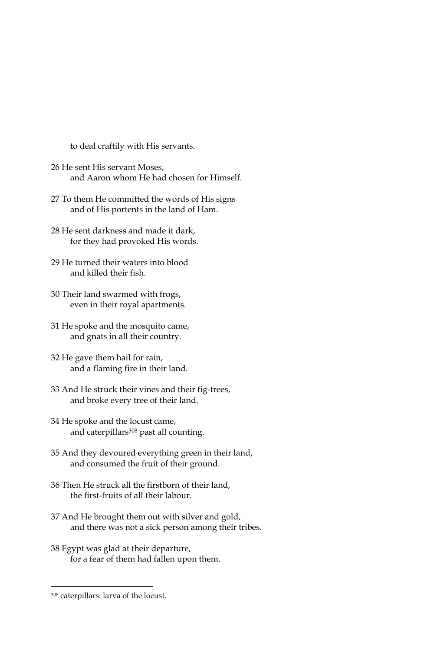to deal craftily with His servants.

- 26 He sent His servant Moses, and Aaron whom He had chosen for Himself.
- 27 To them He committed the words of His signs and of His portents in the land of Ham.
- 28 He sent darkness and made it dark. for they had provoked His words.
- 29 He turned their waters into blood and killed their fish.
- 30 Their land swarmed with frogs, even in their royal apartments.
- 31 He spoke and the mosquito came, and gnats in all their country.
- 32 He gave them hail for rain, and a flaming fire in their land.
- 33 And He struck their vines and their fig-trees, and broke every tree of their land.
- 34 He spoke and the locust came, and caterpillars<sup>308</sup> past all counting.
- 35 And they devoured everything green in their land, and consumed the fruit of their ground.
- 36 Then He struck all the firstborn of their land, the first-fruits of all their labour.
- 37 And He brought them out with silver and gold, and there was not a sick person among their tribes.
- 38 Egypt was glad at their departure, for a fear of them had fallen upon them.

<sup>308</sup> caterpillars: larva of the locust.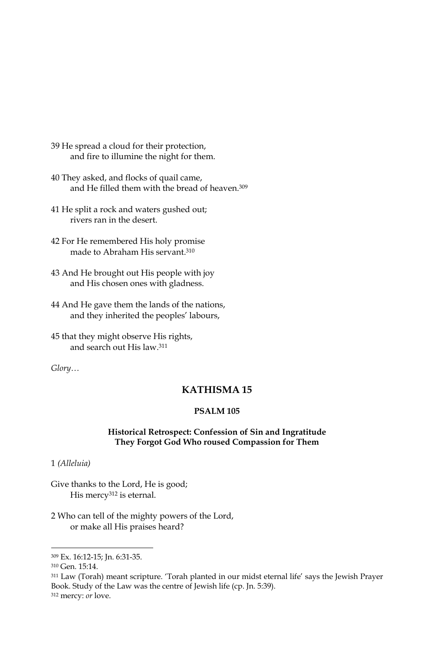- 39 He spread a cloud for their protection, and fire to illumine the night for them.
- 40 They asked, and flocks of quail came, and He filled them with the bread of heaven.<sup>309</sup>
- 41 He split a rock and waters gushed out; rivers ran in the desert.
- 42 For He remembered His holy promise made to Abraham His servant.<sup>310</sup>
- 43 And He brought out His people with joy and His chosen ones with gladness.
- 44 And He gave them the lands of the nations, and they inherited the peoples' labours,

45 that they might observe His rights, and search out His law.<sup>311</sup>

 $Glory...$ 

# **KATHISMA15**

#### **PSALM 105**

### Historical Retrospect: Confession of Sin and Ingratitude They Forgot God Who roused Compassion for Them

1 (Alleluia)

Give thanks to the Lord, He is good; His mercy<sup>312</sup> is eternal.

2 Who can tell of the mighty powers of the Lord, or make all His praises heard?

<sup>309</sup> Ex. 16:12-15; Jn. 6:31-35.

<sup>&</sup>lt;sup>310</sup> Gen. 15:14.

<sup>311</sup> Law (Torah) meant scripture. 'Torah planted in our midst eternal life' says the Jewish Prayer Book. Study of the Law was the centre of Jewish life (cp. Jn. 5:39).

<sup>&</sup>lt;sup>312</sup> mercy: or love.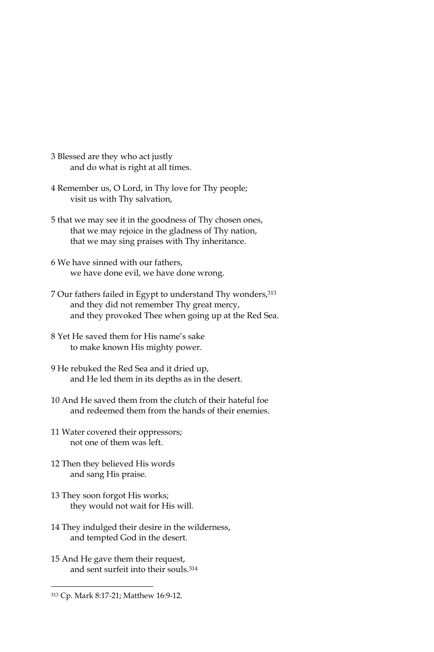- 3 Blessed are they who act justly and do what is right at all times.
- 4 Remember us, O Lord, in Thy love for Thy people; visit us with Thy salvation,
- 5 that we may see it in the goodness of Thy chosen ones, that we may rejoice in the gladness of Thy nation, that we may sing praises with Thy inheritance.
- 6 We have sinned with our fathers, we have done evil, we have done wrong.
- 7 Our fathers failed in Egypt to understand Thy wonders, 313 and they did not remember Thy great mercy, and they provoked Thee when going up at the Red Sea.
- 8 Yet He saved them for His name's sake to make known His mighty power.
- 9 He rebuked the Red Sea and it dried up, and He led them in its depths as in the desert.
- 10 And He saved them from the clutch of their hateful foe and redeemed them from the hands of their enemies.
- 11 Water covered their oppressors; not one of them was left.
- 12 Then they believed His words and sang His praise.
- 13 They soon forgot His works; they would not wait for His will.
- 14 They indulged their desire in the wilderness, and tempted God in the desert.
- 15 And He gave them their request, and sent surfeit into their souls.<sup>314</sup>

<sup>313</sup> Cp. Mark 8:17-21; Matthew 16:9-12.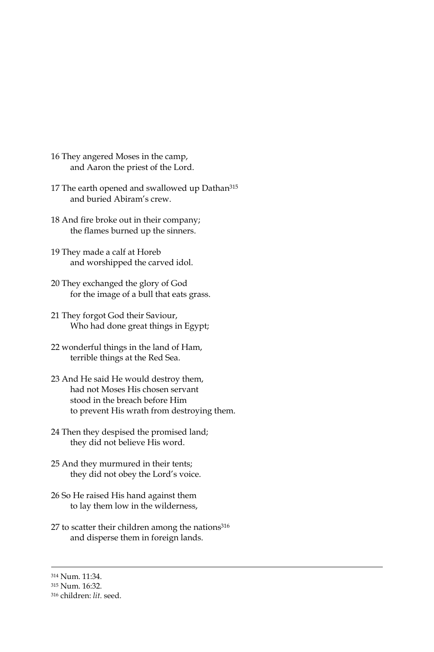- 16 They angered Moses in the camp, and Aaron the priest of the Lord.
- 17 The earth opened and swallowed up Dathan<sup>315</sup> and buried Abiram's crew.
- 18 And fire broke out in their company; the flames burned up the sinners.
- 19 They made a calf at Horeb and worshipped the carved idol.
- 20 They exchanged the glory of God for the image of a bull that eats grass.
- 21 They forgot God their Saviour, Who had done great things in Egypt;
- 22 wonderful things in the land of Ham, terrible things at the Red Sea.
- 23 And He said He would destroy them, had not Moses His chosen servant stood in the breach before Him to prevent His wrath from destroying them.
- 24 Then they despised the promised land; they did not believe His word.
- 25 And they murmured in their tents; they did not obey the Lord's voice.
- 26 So He raised His hand against them to lay them low in the wilderness,
- 27 to scatter their children among the nations<sup>316</sup> and disperse them in foreign lands.
- 314 Num. 11:34.

<sup>315</sup> Num. 16:32.

<sup>316</sup> children: lit. seed.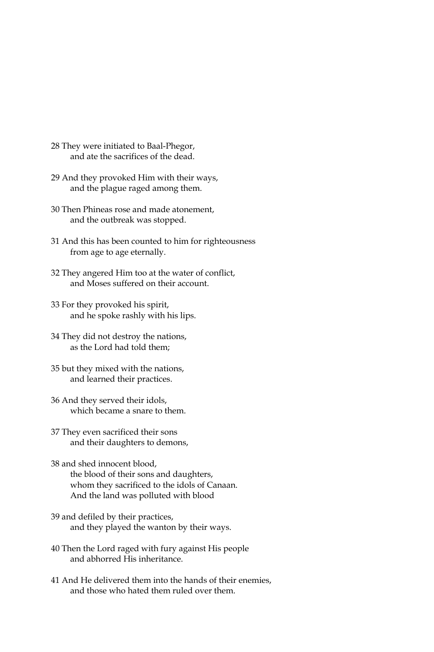- 28 They were initiated to Baal-Phegor, and ate the sacrifices of the dead.
- 29 And they provoked Him with their ways, and the plague raged among them.
- 30 Then Phineas rose and made atonement, and the outbreak was stopped.
- 31 And this has been counted to him for righteousness from age to age eternally.
- 32 They angered Him too at the water of conflict, and Moses suffered on their account.
- 33 For they provoked his spirit, and he spoke rashly with his lips.
- 34 They did not destroy the nations, as the Lord had told them;
- 35 but they mixed with the nations, and learned their practices.
- 36 And they served their idols, which became a snare to them.
- 37 They even sacrificed their sons and their daughters to demons,
- 38 and shed innocent blood, the blood of their sons and daughters, whom they sacrificed to the idols of Canaan. And the land was polluted with blood
- 39 and defiled by their practices, and they played the wanton by their ways.
- 40 Then the Lord raged with fury against His people and abhorred His inheritance.
- 41 And He delivered them into the hands of their enemies, and those who hated them ruled over them.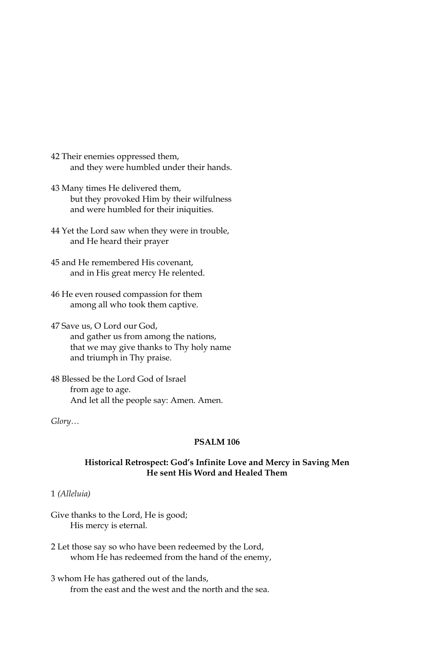- 42 Their enemies oppressed them, and they were humbled under their hands.
- 43 Many times He delivered them, but they provoked Him by their wilfulness and were humbled for their iniquities.
- 44 Yet the Lord saw when they were in trouble, and He heard their prayer
- 45 and He remembered His covenant, and in His great mercy He relented.
- 46 He even roused compassion for them among all who took them captive.
- 47 Save us, O Lord our God, and gather us from among the nations, that we may give thanks to Thy holy name and triumph in Thy praise.
- 48 Blessed be the Lord God of Israel from age to age. And let all the people say: Amen. Amen.

### **PSALM 106**

#### Historical Retrospect: God's Infinite Love and Mercy in Saving Men He sent His Word and Healed Them

### 1 (Alleluia)

Give thanks to the Lord, He is good; His mercy is eternal.

- 2 Let those say so who have been redeemed by the Lord, whom He has redeemed from the hand of the enemy,
- 3 whom He has gathered out of the lands, from the east and the west and the north and the sea.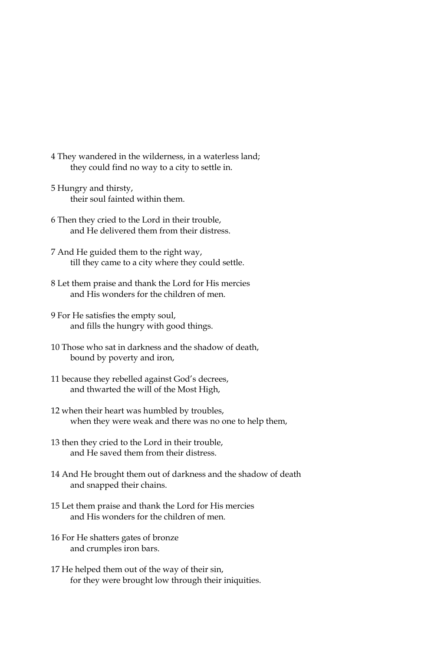- 4 They wandered in the wilderness, in a waterless land; they could find no way to a city to settle in.
- 5 Hungry and thirsty, their soul fainted within them.
- 6 Then they cried to the Lord in their trouble, and He delivered them from their distress.
- 7 And He guided them to the right way, till they came to a city where they could settle.
- 8 Let them praise and thank the Lord for His mercies and His wonders for the children of men.
- 9 For He satisfies the empty soul, and fills the hungry with good things.
- 10 Those who sat in darkness and the shadow of death, bound by poverty and iron,
- 11 because they rebelled against God's decrees, and thwarted the will of the Most High,
- 12 when their heart was humbled by troubles, when they were weak and there was no one to help them,
- 13 then they cried to the Lord in their trouble, and He saved them from their distress.
- 14 And He brought them out of darkness and the shadow of death and snapped their chains.
- 15 Let them praise and thank the Lord for His mercies and His wonders for the children of men.
- 16 For He shatters gates of bronze and crumples iron bars.
- 17 He helped them out of the way of their sin, for they were brought low through their iniquities.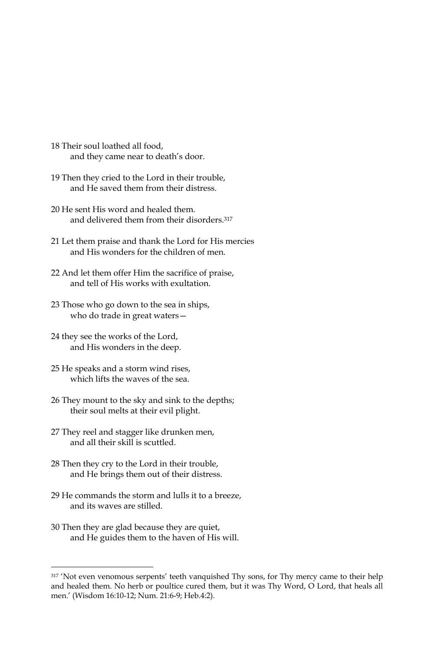- 18 Their soul loathed all food, and they came near to death's door.
- 19 Then they cried to the Lord in their trouble, and He saved them from their distress.
- 20 He sent His word and healed them. and delivered them from their disorders.<sup>317</sup>
- 21 Let them praise and thank the Lord for His mercies and His wonders for the children of men.
- 22 And let them offer Him the sacrifice of praise, and tell of His works with exultation.
- 23 Those who go down to the sea in ships, who do trade in great waters-
- 24 they see the works of the Lord, and His wonders in the deep.
- 25 He speaks and a storm wind rises, which lifts the waves of the sea.
- 26 They mount to the sky and sink to the depths; their soul melts at their evil plight.
- 27 They reel and stagger like drunken men, and all their skill is scuttled.
- 28 Then they cry to the Lord in their trouble, and He brings them out of their distress.
- 29 He commands the storm and lulls it to a breeze. and its waves are stilled.
- 30 Then they are glad because they are quiet, and He guides them to the haven of His will.

<sup>317 &#</sup>x27;Not even venomous serpents' teeth vanquished Thy sons, for Thy mercy came to their help and healed them. No herb or poultice cured them, but it was Thy Word, O Lord, that heals all men.' (Wisdom 16:10-12; Num. 21:6-9; Heb.4:2).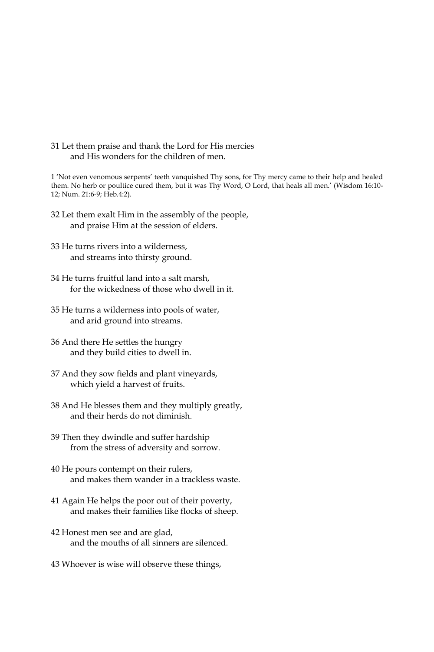31 Let them praise and thank the Lord for His mercies and His wonders for the children of men.

1 'Not even venomous serpents' teeth vanquished Thy sons, for Thy mercy came to their help and healed them. No herb or poultice cured them, but it was Thy Word, O Lord, that heals all men.' (Wisdom 16:10-12; Num. 21:6-9; Heb.4:2).

- 32 Let them exalt Him in the assembly of the people, and praise Him at the session of elders.
- 33 He turns rivers into a wilderness, and streams into thirsty ground.
- 34 He turns fruitful land into a salt marsh, for the wickedness of those who dwell in it.
- 35 He turns a wilderness into pools of water, and arid ground into streams.
- 36 And there He settles the hungry and they build cities to dwell in.
- 37 And they sow fields and plant vineyards, which yield a harvest of fruits.
- 38 And He blesses them and they multiply greatly, and their herds do not diminish.
- 39 Then they dwindle and suffer hardship from the stress of adversity and sorrow.
- 40 He pours contempt on their rulers, and makes them wander in a trackless waste.
- 41 Again He helps the poor out of their poverty, and makes their families like flocks of sheep.
- 42 Honest men see and are glad, and the mouths of all sinners are silenced.
- 43 Whoever is wise will observe these things,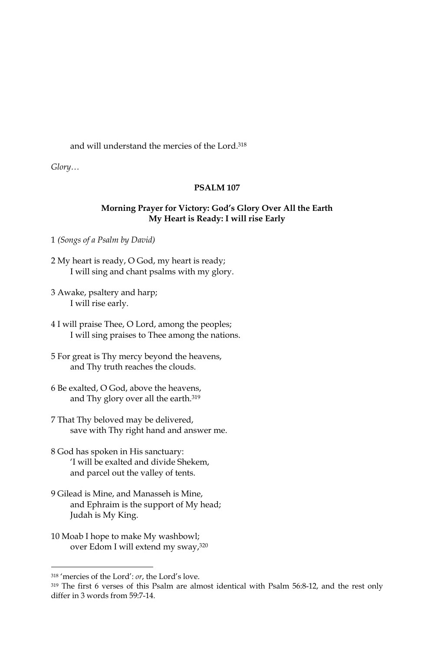### and will understand the mercies of the Lord.<sup>318</sup>

 $Glory...$ 

#### **PSALM 107**

### Morning Prayer for Victory: God's Glory Over All the Earth My Heart is Ready: I will rise Early

1 (Songs of a Psalm by David)

- 2 My heart is ready, O God, my heart is ready; I will sing and chant psalms with my glory.
- 3 Awake, psaltery and harp; I will rise early.
- 4 I will praise Thee, O Lord, among the peoples; I will sing praises to Thee among the nations.
- 5 For great is Thy mercy beyond the heavens, and Thy truth reaches the clouds.
- 6 Be exalted, O God, above the heavens, and Thy glory over all the earth.<sup>319</sup>
- 7 That Thy beloved may be delivered, save with Thy right hand and answer me.
- 8 God has spoken in His sanctuary: 'I will be exalted and divide Shekem, and parcel out the valley of tents.
- 9 Gilead is Mine, and Manasseh is Mine, and Ephraim is the support of My head; Judah is My King.
- 10 Moab I hope to make My washbowl; over Edom I will extend my sway, 320

<sup>&</sup>lt;sup>318</sup> 'mercies of the Lord': or, the Lord's love.

<sup>319</sup> The first 6 verses of this Psalm are almost identical with Psalm 56:8-12, and the rest only differ in 3 words from 59:7-14.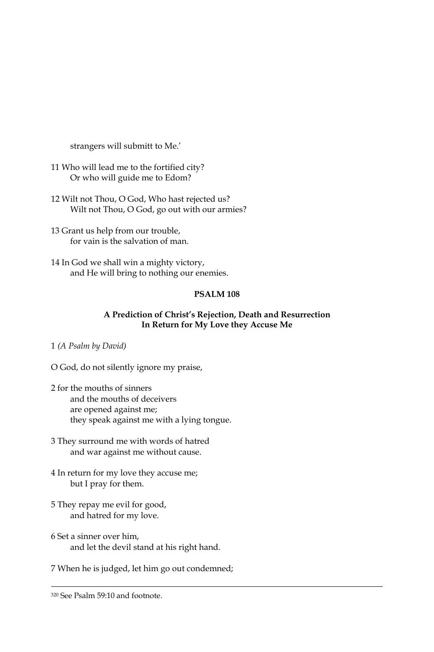strangers will submitt to Me.'

- 11 Who will lead me to the fortified city? Or who will guide me to Edom?
- 12 Wilt not Thou, O God, Who hast rejected us? Wilt not Thou, O God, go out with our armies?
- 13 Grant us help from our trouble, for vain is the salvation of man.
- 14 In God we shall win a mighty victory, and He will bring to nothing our enemies.

# **PSALM 108**

## A Prediction of Christ's Rejection, Death and Resurrection In Return for My Love they Accuse Me

- 1 (A Psalm by David)
- O God, do not silently ignore my praise,
- 2 for the mouths of sinners and the mouths of deceivers are opened against me; they speak against me with a lying tongue.
- 3 They surround me with words of hatred and war against me without cause.
- 4 In return for my love they accuse me; but I pray for them.
- 5 They repay me evil for good, and hatred for my love.
- 6 Set a sinner over him. and let the devil stand at his right hand.

7 When he is judged, let him go out condemned;

<sup>&</sup>lt;sup>320</sup> See Psalm 59:10 and footnote.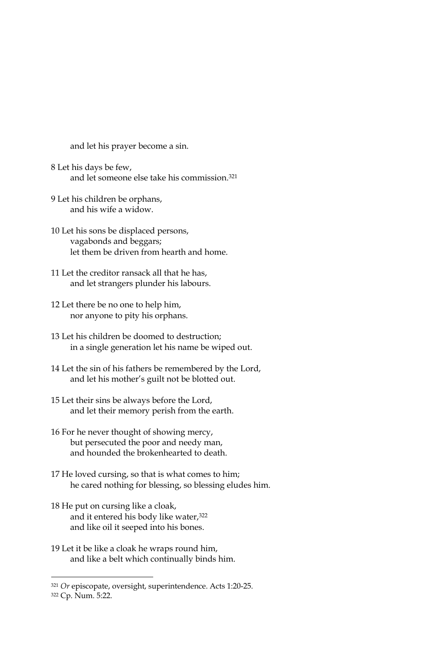and let his prayer become a sin.

- 8 Let his days be few, and let someone else take his commission.<sup>321</sup>
- 9 Let his children be orphans, and his wife a widow
- 10 Let his sons be displaced persons, vagabonds and beggars; let them be driven from hearth and home.
- 11 Let the creditor ransack all that he has, and let strangers plunder his labours.
- 12 Let there be no one to help him, nor anyone to pity his orphans.
- 13 Let his children be doomed to destruction: in a single generation let his name be wiped out.
- 14 Let the sin of his fathers be remembered by the Lord, and let his mother's guilt not be blotted out.
- 15 Let their sins be always before the Lord, and let their memory perish from the earth.
- 16 For he never thought of showing mercy, but persecuted the poor and needy man, and hounded the brokenhearted to death.
- 17 He loved cursing, so that is what comes to him; he cared nothing for blessing, so blessing eludes him.
- 18 He put on cursing like a cloak, and it entered his body like water,<sup>322</sup> and like oil it seeped into his bones.
- 19 Let it be like a cloak he wraps round him, and like a belt which continually binds him.

322 Cp. Num. 5:22.

<sup>321</sup> Or episcopate, oversight, superintendence. Acts 1:20-25.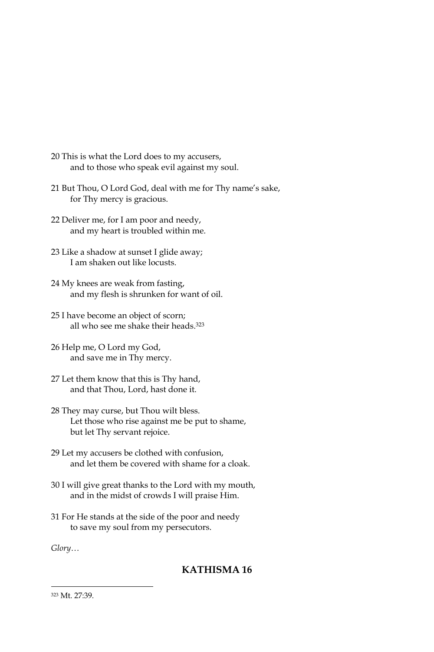- 20 This is what the Lord does to my accusers, and to those who speak evil against my soul.
- 21 But Thou, O Lord God, deal with me for Thy name's sake, for Thy mercy is gracious.
- 22 Deliver me, for I am poor and needy, and my heart is troubled within me.
- 23 Like a shadow at sunset I glide away; I am shaken out like locusts.
- 24 My knees are weak from fasting, and my flesh is shrunken for want of oil.
- 25 I have become an object of scorn; all who see me shake their heads.<sup>323</sup>
- 26 Help me, O Lord my God, and save me in Thy mercy.
- 27 Let them know that this is Thy hand, and that Thou, Lord, hast done it.
- 28 They may curse, but Thou wilt bless. Let those who rise against me be put to shame, but let Thy servant rejoice.
- 29 Let my accusers be clothed with confusion, and let them be covered with shame for a cloak.
- 30 I will give great thanks to the Lord with my mouth, and in the midst of crowds I will praise Him.
- 31 For He stands at the side of the poor and needy to save my soul from my persecutors.

# KATHISMA<sub>16</sub>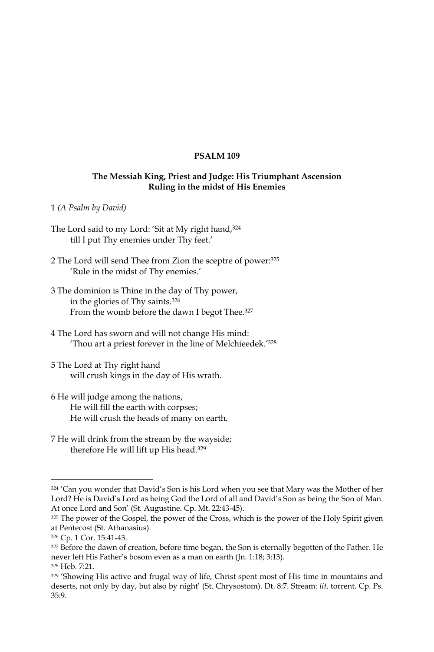#### **PSALM 109**

### The Messiah King, Priest and Judge: His Triumphant Ascension Ruling in the midst of His Enemies

1 (A Psalm by David)

- The Lord said to my Lord: 'Sit at My right hand, 324 till I put Thy enemies under Thy feet.'
- 2 The Lord will send Thee from Zion the sceptre of power: 325 'Rule in the midst of Thy enemies.'
- 3 The dominion is Thine in the day of Thy power, in the glories of Thy saints.<sup>326</sup> From the womb before the dawn I begot Thee.<sup>327</sup>
- 4 The Lord has sworn and will not change His mind: 'Thou art a priest forever in the line of Melchieedek.'328
- 5 The Lord at Thy right hand will crush kings in the day of His wrath.
- 6 He will judge among the nations, He will fill the earth with corpses; He will crush the heads of many on earth.
- 7 He will drink from the stream by the wayside; therefore He will lift up His head.<sup>329</sup>

<sup>324 &#</sup>x27;Can you wonder that David's Son is his Lord when you see that Mary was the Mother of her Lord? He is David's Lord as being God the Lord of all and David's Son as being the Son of Man. At once Lord and Son' (St. Augustine. Cp. Mt. 22:43-45).

<sup>325</sup> The power of the Gospel, the power of the Cross, which is the power of the Holy Spirit given at Pentecost (St. Athanasius).

<sup>326</sup> Cp. 1 Cor. 15:41-43.

<sup>327</sup> Before the dawn of creation, before time began, the Son is eternally begotten of the Father. He never left His Father's bosom even as a man on earth (Jn. 1:18; 3:13). 328 Heb. 7:21.

<sup>329 &#</sup>x27;Showing His active and frugal way of life, Christ spent most of His time in mountains and deserts, not only by day, but also by night' (St. Chrysostom). Dt. 8:7. Stream: lit. torrent. Cp. Ps. 35:9.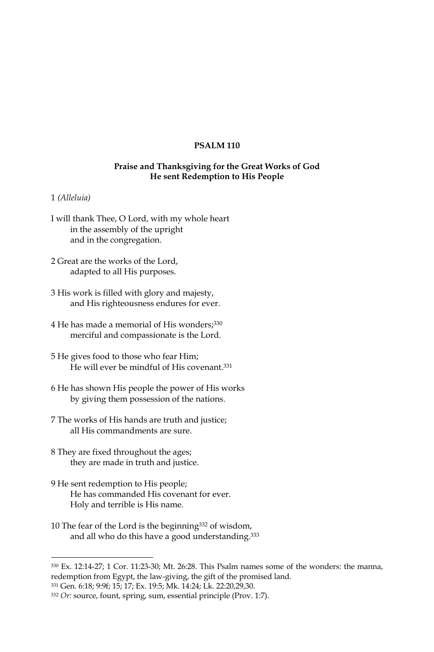# **PSALM 110**

### Praise and Thanksgiving for the Great Works of God He sent Redemption to His People

#### 1 (Alleluia)

- I will thank Thee, O Lord, with my whole heart in the assembly of the upright and in the congregation.
- 2 Great are the works of the Lord, adapted to all His purposes.
- 3 His work is filled with glory and majesty, and His righteousness endures for ever.
- 4 He has made a memorial of His wonders; 330 merciful and compassionate is the Lord.
- 5 He gives food to those who fear Him; He will ever be mindful of His covenant.<sup>331</sup>
- 6 He has shown His people the power of His works by giving them possession of the nations.
- 7 The works of His hands are truth and justice; all His commandments are sure.
- 8 They are fixed throughout the ages; they are made in truth and justice.
- 9 He sent redemption to His people; He has commanded His covenant for ever. Holy and terrible is His name.
- 10 The fear of the Lord is the beginning<sup>332</sup> of wisdom, and all who do this have a good understanding.<sup>333</sup>

331 Gen. 6:18; 9:9f; 15; 17; Ex. 19:5; Mk. 14:24; Lk. 22:20,29,30.

<sup>330</sup> Ex. 12:14-27; 1 Cor. 11:23-30; Mt. 26:28. This Psalm names some of the wonders: the manna, redemption from Egypt, the law-giving, the gift of the promised land.

<sup>332</sup> Or: source, fount, spring, sum, essential principle (Prov. 1:7).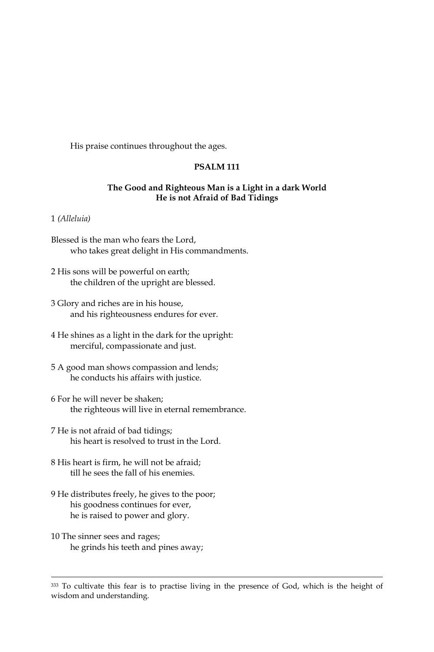His praise continues throughout the ages.

# **PSALM 111**

### The Good and Righteous Man is a Light in a dark World He is not Afraid of Bad Tidings

#### 1 (Alleluia)

- Blessed is the man who fears the Lord, who takes great delight in His commandments.
- 2 His sons will be powerful on earth; the children of the upright are blessed.
- 3 Glory and riches are in his house, and his righteousness endures for ever.
- 4 He shines as a light in the dark for the upright: merciful, compassionate and just.
- 5 A good man shows compassion and lends; he conducts his affairs with justice.
- 6 For he will never be shaken; the righteous will live in eternal remembrance.
- 7 He is not afraid of bad tidings; his heart is resolved to trust in the Lord.
- 8 His heart is firm, he will not be afraid; till he sees the fall of his enemies.
- 9 He distributes freely, he gives to the poor; his goodness continues for ever, he is raised to power and glory.
- 10 The sinner sees and rages; he grinds his teeth and pines away;

<sup>333</sup> To cultivate this fear is to practise living in the presence of God, which is the height of wisdom and understanding.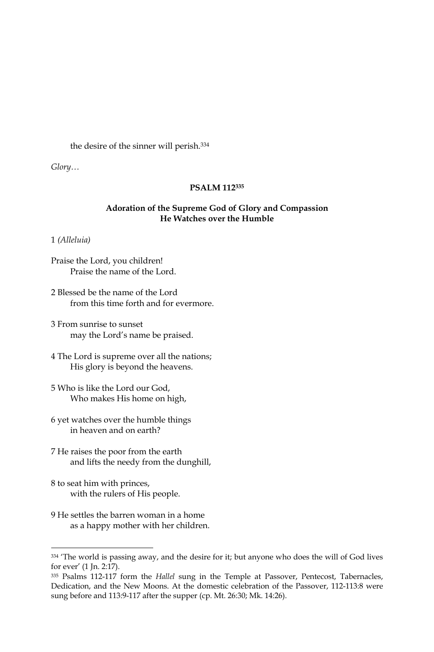the desire of the sinner will perish.<sup>334</sup>

 $Glory...$ 

### PSALM 112335

### Adoration of the Supreme God of Glory and Compassion He Watches over the Humble

1 (Alleluia)

Praise the Lord, you children! Praise the name of the Lord.

- 2 Blessed be the name of the Lord from this time forth and for evermore.
- 3 From sunrise to sunset may the Lord's name be praised.
- 4 The Lord is supreme over all the nations; His glory is beyond the heavens.
- 5 Who is like the Lord our God, Who makes His home on high,
- 6 yet watches over the humble things in heaven and on earth?
- 7 He raises the poor from the earth and lifts the needy from the dunghill,
- 8 to seat him with princes, with the rulers of His people.
- 9 He settles the barren woman in a home as a happy mother with her children.

<sup>334 &#</sup>x27;The world is passing away, and the desire for it; but anyone who does the will of God lives for ever' (1 Jn. 2:17).

<sup>335</sup> Psalms 112-117 form the Hallel sung in the Temple at Passover, Pentecost, Tabernacles, Dedication, and the New Moons. At the domestic celebration of the Passover, 112-113:8 were sung before and 113:9-117 after the supper (cp. Mt. 26:30; Mk. 14:26).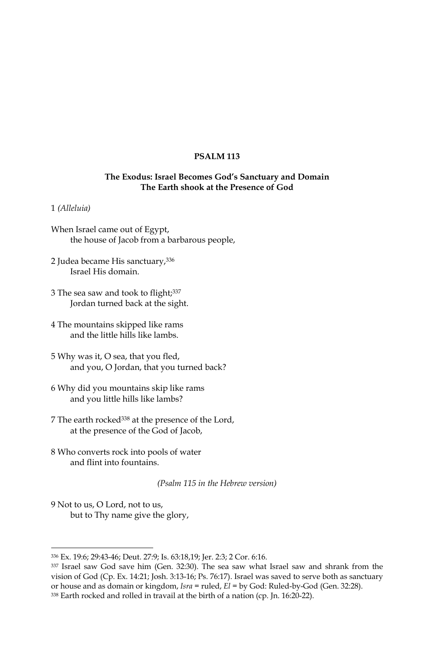#### **PSALM 113**

### The Exodus: Israel Becomes God's Sanctuary and Domain The Earth shook at the Presence of God

#### 1 (Alleluia)

- When Israel came out of Egypt, the house of Jacob from a barbarous people,
- 2 Judea became His sanctuary, 336 Israel His domain.
- 3 The sea saw and took to flight; 337 Jordan turned back at the sight.
- 4 The mountains skipped like rams and the little hills like lambs.
- 5 Why was it, O sea, that you fled, and you, O Jordan, that you turned back?
- 6 Why did you mountains skip like rams and you little hills like lambs?
- 7 The earth rocked<sup>338</sup> at the presence of the Lord, at the presence of the God of Jacob,
- 8 Who converts rock into pools of water and flint into fountains.

(Psalm 115 in the Hebrew version)

9 Not to us, O Lord, not to us, but to Thy name give the glory,

<sup>336</sup> Ex. 19:6; 29:43-46; Deut. 27:9; Is. 63:18,19; Jer. 2:3; 2 Cor. 6:16.

<sup>337</sup> Israel saw God save him (Gen. 32:30). The sea saw what Israel saw and shrank from the vision of God (Cp. Ex. 14:21; Josh. 3:13-16; Ps. 76:17). Israel was saved to serve both as sanctuary or house and as domain or kingdom,  $Isra = ruled$ ,  $El = by God$ : Ruled-by-God (Gen. 32:28). 338 Earth rocked and rolled in travail at the birth of a nation (cp. Jn. 16:20-22).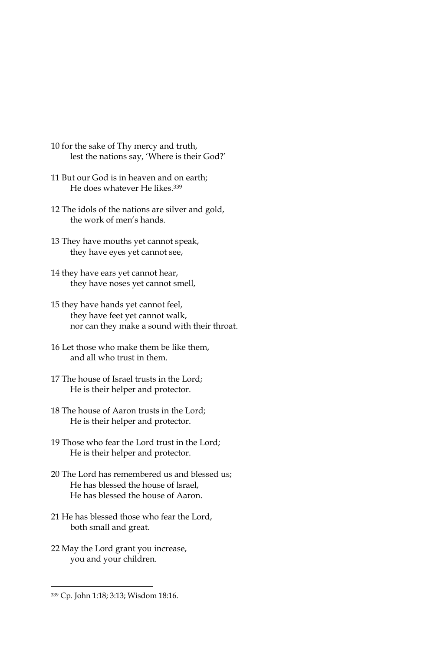- 10 for the sake of Thy mercy and truth, lest the nations say, 'Where is their God?'
- 11 But our God is in heaven and on earth; He does whatever He likes.<sup>339</sup>
- 12 The idols of the nations are silver and gold, the work of men's hands.
- 13 They have mouths yet cannot speak, they have eyes yet cannot see,
- 14 they have ears yet cannot hear, they have noses yet cannot smell,
- 15 they have hands yet cannot feel, they have feet yet cannot walk, nor can they make a sound with their throat.
- 16 Let those who make them be like them, and all who trust in them.
- 17 The house of Israel trusts in the Lord; He is their helper and protector.
- 18 The house of Aaron trusts in the Lord; He is their helper and protector.
- 19 Those who fear the Lord trust in the Lord; He is their helper and protector.
- 20 The Lord has remembered us and blessed us; He has blessed the house of Israel, He has blessed the house of Aaron.
- 21 He has blessed those who fear the Lord, both small and great.
- 22 May the Lord grant you increase, you and your children.

<sup>339</sup> Cp. John 1:18; 3:13; Wisdom 18:16.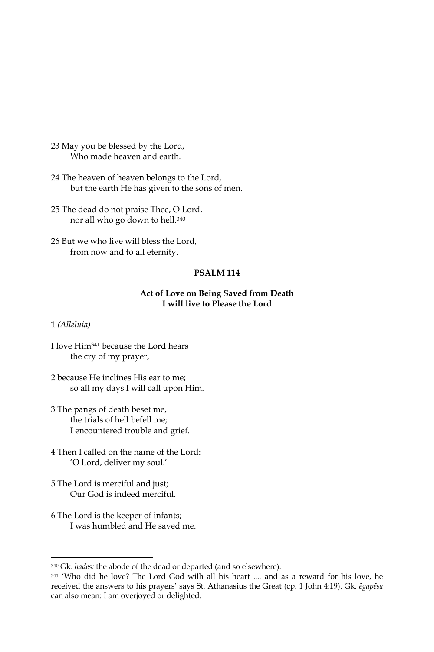23 May you be blessed by the Lord, Who made heaven and earth.

24 The heaven of heaven belongs to the Lord, but the earth He has given to the sons of men.

25 The dead do not praise Thee, O Lord, nor all who go down to hell.<sup>340</sup>

26 But we who live will bless the Lord, from now and to all eternity.

# **PSALM 114**

### Act of Love on Being Saved from Death I will live to Please the Lord

1 (Alleluia)

I love Him<sup>341</sup> because the Lord hears the cry of my prayer,

2 because He inclines His ear to me; so all my days I will call upon Him.

- 3 The pangs of death beset me, the trials of hell befell me: I encountered trouble and grief.
- 4 Then I called on the name of the Lord: 'O Lord, deliver my soul.'
- 5 The Lord is merciful and just; Our God is indeed merciful.
- 6 The Lord is the keeper of infants; I was humbled and He saved me.

<sup>340</sup> Gk. hades: the abode of the dead or departed (and so elsewhere).

<sup>341 &#</sup>x27;Who did he love? The Lord God wilh all his heart .... and as a reward for his love, he received the answers to his prayers' says St. Athanasius the Great (cp. 1 John 4:19). Gk. ēgapēsa can also mean: I am overjoyed or delighted.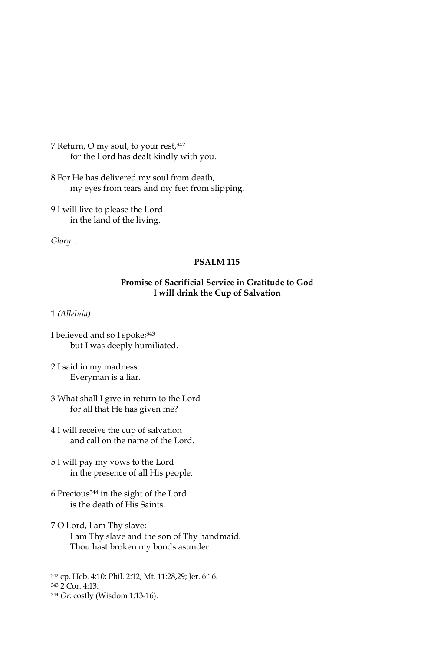7 Return, O my soul, to your rest, 342 for the Lord has dealt kindly with you.

8 For He has delivered my soul from death, my eyes from tears and my feet from slipping.

9 I will live to please the Lord in the land of the living.

 $Glory...$ 

#### **PSALM 115**

# Promise of Sacrificial Service in Gratitude to God I will drink the Cup of Salvation

1 (Alleluia)

- 3 What shall I give in return to the Lord for all that He has given me?
- 4 I will receive the cup of salvation and call on the name of the Lord.
- 5 I will pay my vows to the Lord in the presence of all His people.
- 6 Precious<sup>344</sup> in the sight of the Lord is the death of His Saints.
- 7 O Lord, I am Thy slave; I am Thy slave and the son of Thy handmaid. Thou hast broken my bonds asunder.

I believed and so I spoke; 343 but I was deeply humiliated.

<sup>2</sup> I said in my madness: Everyman is a liar.

<sup>342</sup> cp. Heb. 4:10; Phil. 2:12; Mt. 11:28,29; Jer. 6:16.

<sup>343 2</sup> Cor. 4:13.

<sup>344</sup> Or: costly (Wisdom 1:13-16).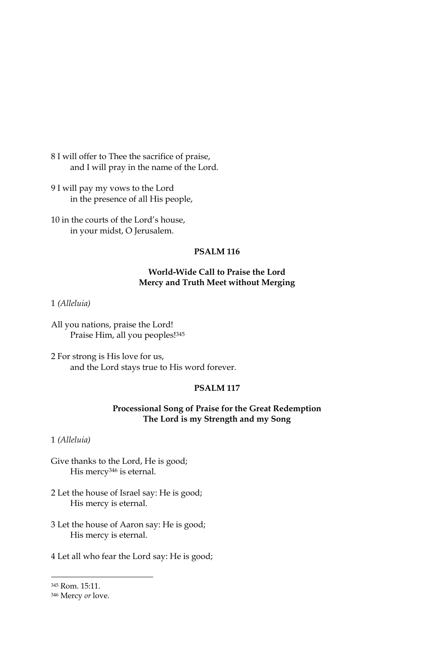8 I will offer to Thee the sacrifice of praise, and I will pray in the name of the Lord.

9 I will pay my vows to the Lord in the presence of all His people,

10 in the courts of the Lord's house, in your midst, O Jerusalem.

# **PSALM 116**

# World-Wide Call to Praise the Lord Mercy and Truth Meet without Merging

#### 1 (Alleluia)

All you nations, praise the Lord! Praise Him, all you peoples!345

2 For strong is His love for us, and the Lord stays true to His word forever.

#### PSALM<sub>117</sub>

# Processional Song of Praise for the Great Redemption The Lord is my Strength and my Song

1 (Alleluia)

Give thanks to the Lord, He is good; His mercy<sup>346</sup> is eternal.

- 2 Let the house of Israel say: He is good; His mercy is eternal.
- 3 Let the house of Aaron say: He is good; His mercy is eternal.
- 4 Let all who fear the Lord say: He is good;

<sup>345</sup> Rom. 15:11.

<sup>346</sup> Mercy or love.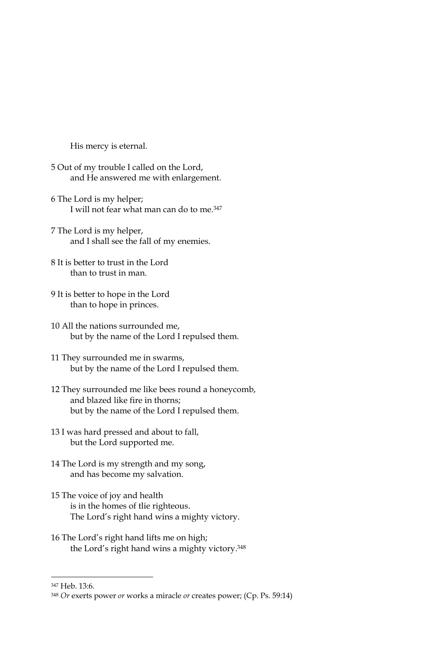His mercy is eternal.

- 5 Out of my trouble I called on the Lord, and He answered me with enlargement.
- 6 The Lord is my helper; I will not fear what man can do to me.<sup>347</sup>
- 7 The Lord is my helper, and I shall see the fall of my enemies.
- 8 It is better to trust in the Lord than to trust in man.
- 9 It is better to hope in the Lord than to hope in princes.
- 10 All the nations surrounded me, but by the name of the Lord I repulsed them.
- 11 They surrounded me in swarms, but by the name of the Lord I repulsed them.
- 12 They surrounded me like bees round a honeycomb, and blazed like fire in thorns: but by the name of the Lord I repulsed them.
- 13 I was hard pressed and about to fall, but the Lord supported me.
- 14 The Lord is my strength and my song, and has become my salvation.
- 15 The voice of joy and health is in the homes of tlie righteous. The Lord's right hand wins a mighty victory.
- 16 The Lord's right hand lifts me on high; the Lord's right hand wins a mighty victory.<sup>348</sup>

347 Heb. 13:6.

<sup>348</sup> Or exerts power or works a miracle or creates power; (Cp. Ps. 59:14)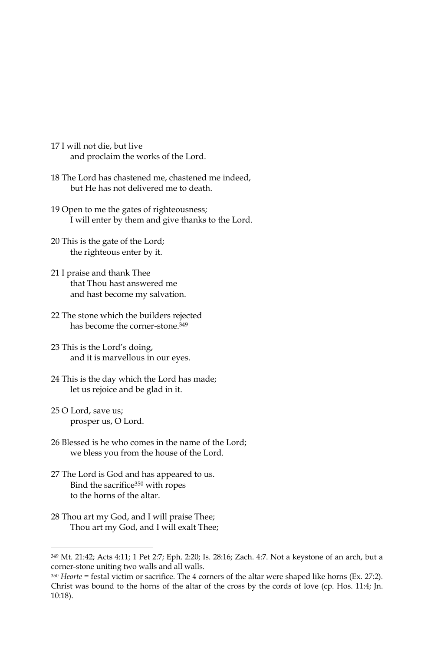- 17 I will not die, but live and proclaim the works of the Lord.
- 18 The Lord has chastened me, chastened me indeed, but He has not delivered me to death.
- 19 Open to me the gates of righteousness; I will enter by them and give thanks to the Lord.
- 20 This is the gate of the Lord; the righteous enter by it.
- 21 I praise and thank Thee that Thou hast answered me and hast become my salvation.
- 22 The stone which the builders rejected has become the corner-stone.<sup>349</sup>
- 23 This is the Lord's doing, and it is marvellous in our eyes.
- 24 This is the day which the Lord has made; let us rejoice and be glad in it.
- 25 O Lord, save us; prosper us, O Lord.
- 26 Blessed is he who comes in the name of the Lord; we bless you from the house of the Lord.
- 27 The Lord is God and has appeared to us. Bind the sacrifice<sup>350</sup> with ropes to the horns of the altar.
- 28 Thou art my God, and I will praise Thee; Thou art my God, and I will exalt Thee;

<sup>349</sup> Mt. 21:42; Acts 4:11; 1 Pet 2:7; Eph. 2:20; Is. 28:16; Zach. 4:7. Not a keystone of an arch, but a corner-stone uniting two walls and all walls.

 $350$  Heorte = festal victim or sacrifice. The 4 corners of the altar were shaped like horns (Ex. 27:2). Christ was bound to the horns of the altar of the cross by the cords of love (cp. Hos. 11:4; Jn.  $10:18$ ).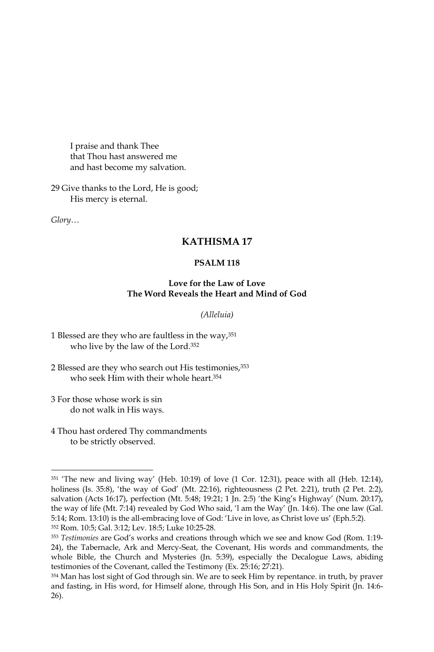I praise and thank Thee that Thou hast answered me and hast become my salvation.

29 Give thanks to the Lord, He is good; His mercy is eternal.

 $Glory...$ 

# **KATHISMA17**

### **PSALM 118**

### Love for the Law of Love The Word Reveals the Heart and Mind of God

#### (Alleluia)

- 1 Blessed are they who are faultless in the way, 351 who live by the law of the Lord.<sup>352</sup>
- 2 Blessed are they who search out His testimonies, 353 who seek Him with their whole heart.<sup>354</sup>
- 3 For those whose work is sin do not walk in His ways.
- 4 Thou hast ordered Thy commandments to be strictly observed.

<sup>&</sup>lt;sup>351</sup> 'The new and living way' (Heb. 10:19) of love (1 Cor. 12:31), peace with all (Heb. 12:14), holiness (Is. 35:8), 'the way of God' (Mt. 22:16), righteousness (2 Pet. 2:21), truth (2 Pet. 2:2), salvation (Acts 16:17), perfection (Mt. 5:48; 19:21; 1 Jn. 2:5) 'the King's Highway' (Num. 20:17), the way of life (Mt. 7:14) revealed by God Who said, '1 am the Way' (Jn. 14:6). The one law (Gal. 5:14; Rom. 13:10) is the all-embracing love of God: 'Live in love, as Christ love us' (Eph.5:2). 352 Rom. 10:5; Gal. 3:12; Lev. 18:5; Luke 10:25-28.

<sup>353</sup> Testimonies are God's works and creations through which we see and know God (Rom. 1:19-24), the Tabernacle, Ark and Mercy-Seat, the Covenant, His words and commandments, the whole Bible, the Church and Mysteries (Jn. 5:39), especially the Decalogue Laws, abiding testimonies of the Covenant, called the Testimony (Ex. 25:16; 27:21).

<sup>354</sup> Man has lost sight of God through sin. We are to seek Him by repentance. in truth, by praver and fasting, in His word, for Himself alone, through His Son, and in His Holy Spirit (Jn. 14:6- $26$ ).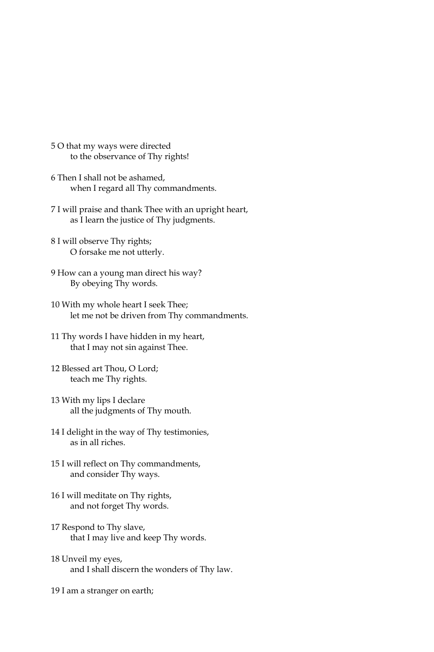- 5 O that my ways were directed to the observance of Thy rights!
- 6 Then I shall not be ashamed, when I regard all Thy commandments.
- 7 I will praise and thank Thee with an upright heart, as I learn the justice of Thy judgments.
- 8 I will observe Thy rights; O forsake me not utterly.
- 9 How can a young man direct his way? By obeying Thy words.
- 10 With my whole heart I seek Thee; let me not be driven from Thy commandments.
- 11 Thy words I have hidden in my heart, that I may not sin against Thee.
- 12 Blessed art Thou, O Lord; teach me Thy rights.
- 13 With my lips I declare all the judgments of Thy mouth.
- 14 I delight in the way of Thy testimonies, as in all riches.
- 15 I will reflect on Thy commandments, and consider Thy ways.
- 16 I will meditate on Thy rights, and not forget Thy words.
- 17 Respond to Thy slave, that I may live and keep Thy words.
- 18 Unveil my eyes, and I shall discern the wonders of Thy law.

19 I am a stranger on earth;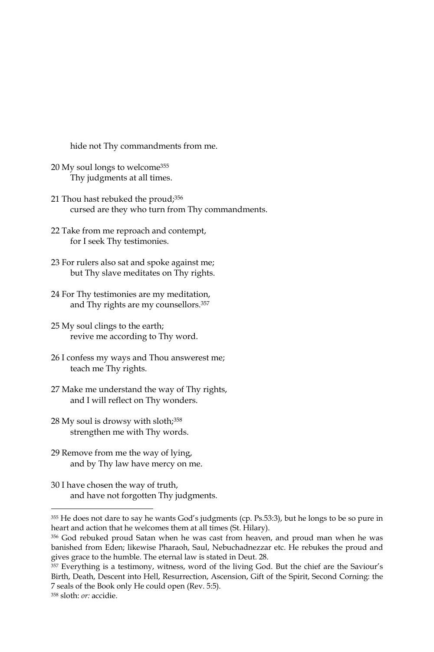hide not Thy commandments from me.

- 20 My soul longs to welcome<sup>355</sup> Thy judgments at all times.
- 21 Thou hast rebuked the proud;<sup>356</sup> cursed are they who turn from Thy commandments.
- 22 Take from me reproach and contempt, for I seek Thy testimonies.
- 23 For rulers also sat and spoke against me; but Thy slave meditates on Thy rights.
- 24 For Thy testimonies are my meditation, and Thy rights are my counsellors.<sup>357</sup>
- 25 My soul clings to the earth; revive me according to Thy word.
- 26 I confess my ways and Thou answerest me; teach me Thy rights.
- 27 Make me understand the way of Thy rights, and I will reflect on Thy wonders.
- 28 My soul is drowsy with sloth;<sup>358</sup> strengthen me with Thy words.
- 29 Remove from me the way of lying, and by Thy law have mercy on me.
- 30 I have chosen the way of truth, and have not forgotten Thy judgments.

<sup>355</sup> He does not dare to say he wants God's judgments (cp. Ps.53:3), but he longs to be so pure in heart and action that he welcomes them at all times (St. Hilary).

<sup>&</sup>lt;sup>356</sup> God rebuked proud Satan when he was cast from heaven, and proud man when he was banished from Eden; likewise Pharaoh, Saul, Nebuchadnezzar etc. He rebukes the proud and gives grace to the humble. The eternal law is stated in Deut. 28.

<sup>357</sup> Everything is a testimony, witness, word of the living God. But the chief are the Saviour's Birth, Death, Descent into Hell, Resurrection, Ascension, Gift of the Spirit, Second Corning: the 7 seals of the Book only He could open (Rev. 5:5).

<sup>&</sup>lt;sup>358</sup> sloth: or: accidie.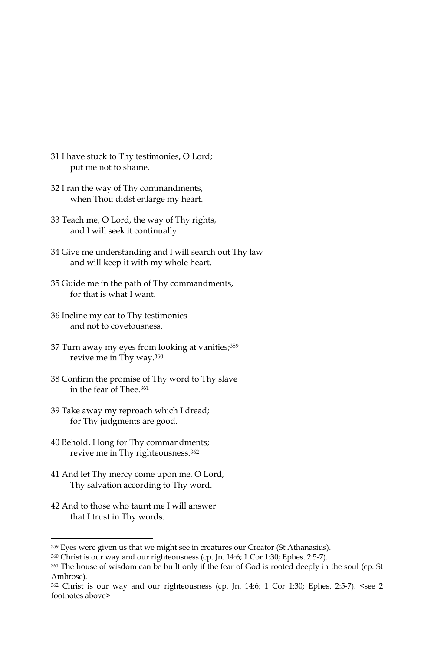- 31 I have stuck to Thy testimonies, O Lord; put me not to shame.
- 32 I ran the way of Thy commandments, when Thou didst enlarge my heart.
- 33 Teach me, O Lord, the way of Thy rights, and I will seek it continually.
- 34 Give me understanding and I will search out Thy law and will keep it with my whole heart.
- 35 Guide me in the path of Thy commandments, for that is what I want.
- 36 Incline my ear to Thy testimonies and not to covetousness.
- 37 Turn away my eyes from looking at vanities; 359 revive me in Thy way.<sup>360</sup>
- 38 Confirm the promise of Thy word to Thy slave in the fear of Thee.<sup>361</sup>
- 39 Take away my reproach which I dread; for Thy judgments are good.
- 40 Behold, I long for Thy commandments; revive me in Thy righteousness.<sup>362</sup>
- 41 And let Thy mercy come upon me, O Lord, Thy salvation according to Thy word.
- 42 And to those who taunt me I will answer that I trust in Thy words.

<sup>359</sup> Eyes were given us that we might see in creatures our Creator (St Athanasius).

<sup>360</sup> Christ is our way and our righteousness (cp. Jn. 14:6; 1 Cor 1:30; Ephes. 2:5-7).

<sup>361</sup> The house of wisdom can be built only if the fear of God is rooted deeply in the soul (cp. St Ambrose).

<sup>362</sup> Christ is our way and our righteousness (cp. Jn. 14:6; 1 Cor 1:30; Ephes. 2:5-7). <see 2 footnotes above>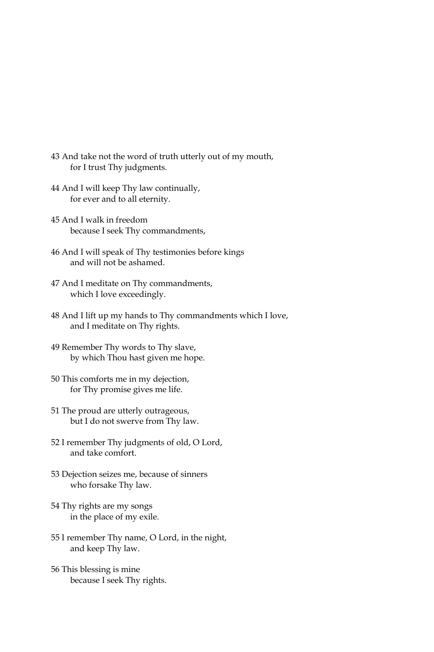- 43 And take not the word of truth utterly out of my mouth, for I trust Thy judgments.
- 44 And I will keep Thy law continually, for ever and to all eternity.
- 45 And I walk in freedom because I seek Thy commandments,
- 46 And I will speak of Thy testimonies before kings and will not be ashamed.
- 47 And I meditate on Thy commandments, which I love exceedingly.
- 48 And I lift up my hands to Thy commandments which I love, and I meditate on Thy rights.
- 49 Remember Thy words to Thy slave, by which Thou hast given me hope.
- 50 This comforts me in my dejection, for Thy promise gives me life.
- 51 The proud are utterly outrageous, but I do not swerve from Thy law.
- 52 I remember Thy judgments of old, O Lord, and take comfort.
- 53 Dejection seizes me, because of sinners who forsake Thy law.
- 54 Thy rights are my songs in the place of my exile.
- 55 I remember Thy name, O Lord, in the night, and keep Thy law.
- 56 This blessing is mine because I seek Thy rights.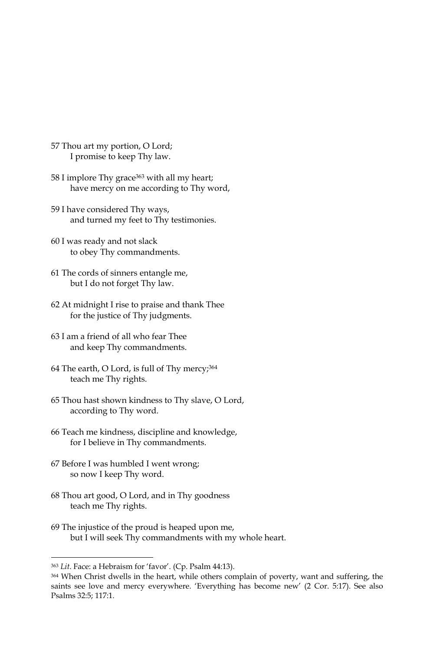- 57 Thou art my portion, O Lord; I promise to keep Thy law.
- 58 I implore Thy grace<sup>363</sup> with all my heart; have mercy on me according to Thy word,
- 59 I have considered Thy ways, and turned my feet to Thy testimonies.
- 60 I was ready and not slack to obey Thy commandments.
- 61 The cords of sinners entangle me, but I do not forget Thy law.
- 62 At midnight I rise to praise and thank Thee for the justice of Thy judgments.
- 63 I am a friend of all who fear Thee and keep Thy commandments.
- 64 The earth, O Lord, is full of Thy mercy;<sup>364</sup> teach me Thy rights.
- 65 Thou hast shown kindness to Thy slave, O Lord, according to Thy word.
- 66 Teach me kindness, discipline and knowledge, for I believe in Thy commandments.
- 67 Before I was humbled I went wrong; so now I keep Thy word.
- 68 Thou art good, O Lord, and in Thy goodness teach me Thy rights.
- 69 The injustice of the proud is heaped upon me, but I will seek Thy commandments with my whole heart.

<sup>363</sup> Lit. Face: a Hebraism for 'favor'. (Cp. Psalm 44:13).

<sup>364</sup> When Christ dwells in the heart, while others complain of poverty, want and suffering, the saints see love and mercy everywhere. 'Everything has become new' (2 Cor. 5:17). See also Psalms 32:5; 117:1.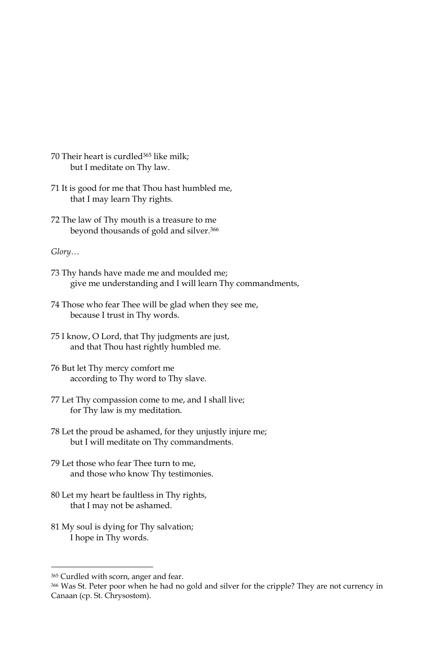- 70 Their heart is curdled<sup>365</sup> like milk; but I meditate on Thy law.
- 71 It is good for me that Thou hast humbled me, that I may learn Thy rights.
- 72 The law of Thy mouth is a treasure to me beyond thousands of gold and silver.<sup>366</sup>

- 73 Thy hands have made me and moulded me; give me understanding and I will learn Thy commandments,
- 74 Those who fear Thee will be glad when they see me, because I trust in Thy words.
- 75 I know, O Lord, that Thy judgments are just, and that Thou hast rightly humbled me.
- 76 But let Thy mercy comfort me according to Thy word to Thy slave.
- 77 Let Thy compassion come to me, and I shall live; for Thy law is my meditation.
- 78 Let the proud be ashamed, for they unjustly injure me; but I will meditate on Thy commandments.
- 79 Let those who fear Thee turn to me, and those who know Thy testimonies.
- 80 Let my heart be faultless in Thy rights, that I may not be ashamed.
- 81 My soul is dying for Thy salvation; I hope in Thy words.

<sup>365</sup> Curdled with scorn, anger and fear.

<sup>366</sup> Was St. Peter poor when he had no gold and silver for the cripple? They are not currency in Canaan (cp. St. Chrysostom).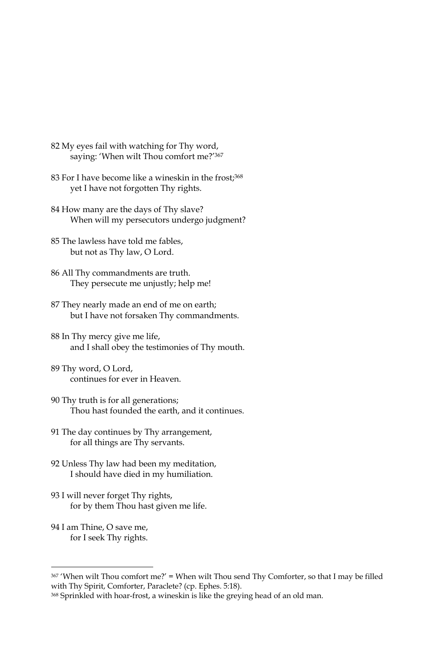- 82 My eyes fail with watching for Thy word, saying: 'When wilt Thou comfort me?'367
- 83 For I have become like a wineskin in the frost;<sup>368</sup> yet I have not forgotten Thy rights.
- 84 How many are the days of Thy slave? When will my persecutors undergo judgment?
- 85 The lawless have told me fables, but not as Thy law, O Lord.
- 86 All Thy commandments are truth. They persecute me unjustly; help me!
- 87 They nearly made an end of me on earth; but I have not forsaken Thy commandments.
- 88 In Thy mercy give me life, and I shall obey the testimonies of Thy mouth.
- 89 Thy word, O Lord, continues for ever in Heaven.
- 90 Thy truth is for all generations; Thou hast founded the earth, and it continues.
- 91 The day continues by Thy arrangement, for all things are Thy servants.
- 92 Unless Thy law had been my meditation, I should have died in my humiliation.
- 93 I will never forget Thy rights, for by them Thou hast given me life.
- 94 I am Thine, O save me, for I seek Thy rights.

<sup>367 &#</sup>x27;When wilt Thou comfort me?' = When wilt Thou send Thy Comforter, so that I may be filled with Thy Spirit, Comforter, Paraclete? (cp. Ephes. 5:18).

<sup>368</sup> Sprinkled with hoar-frost, a wineskin is like the greying head of an old man.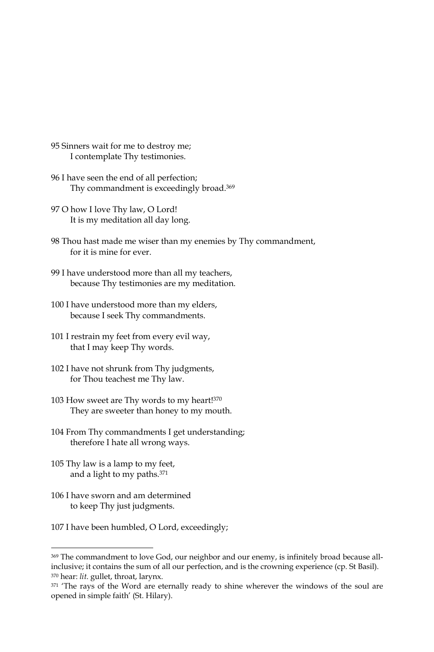- 95 Sinners wait for me to destroy me; I contemplate Thy testimonies.
- 96 I have seen the end of all perfection; Thy commandment is exceedingly broad.<sup>369</sup>
- 97 O how I love Thy law, O Lord! It is my meditation all day long.
- 98 Thou hast made me wiser than my enemies by Thy commandment, for it is mine for ever.
- 99 I have understood more than all my teachers, because Thy testimonies are my meditation.
- 100 I have understood more than my elders, because I seek Thy commandments.
- 101 I restrain my feet from every evil way, that I may keep Thy words.
- 102 I have not shrunk from Thy judgments, for Thou teachest me Thy law.
- 103 How sweet are Thy words to my heart!370 They are sweeter than honey to my mouth.
- 104 From Thy commandments I get understanding; therefore I hate all wrong ways.
- 105 Thy law is a lamp to my feet, and a light to my paths.<sup>371</sup>
- 106 I have sworn and am determined to keep Thy just judgments.
- 107 I have been humbled, O Lord, exceedingly;

<sup>369</sup> The commandment to love God, our neighbor and our enemy, is infinitely broad because allinclusive; it contains the sum of all our perfection, and is the crowning experience (cp. St Basil). <sup>370</sup> hear: lit. gullet, throat, larynx.

<sup>371 &#</sup>x27;The rays of the Word are eternally ready to shine wherever the windows of the soul are opened in simple faith' (St. Hilary).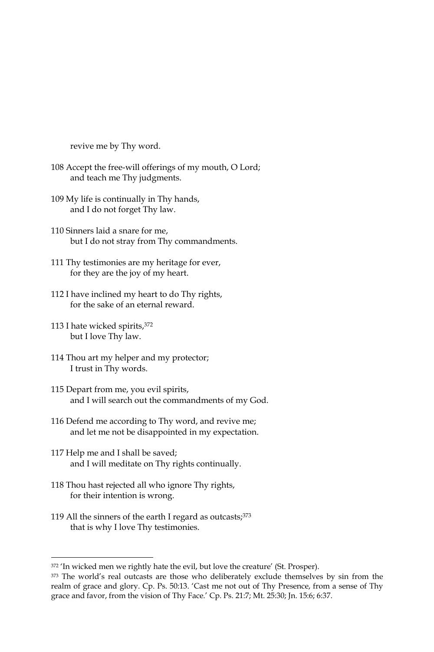revive me by Thy word.

- 108 Accept the free-will offerings of my mouth, O Lord; and teach me Thy judgments.
- 109 My life is continually in Thy hands, and I do not forget Thy law.
- 110 Sinners laid a snare for me. but I do not stray from Thy commandments.
- 111 Thy testimonies are my heritage for ever, for they are the joy of my heart.
- 112 I have inclined my heart to do Thy rights, for the sake of an eternal reward.
- 113 I hate wicked spirits, 372 but I love Thy law.
- 114 Thou art my helper and my protector; I trust in Thy words.
- 115 Depart from me, you evil spirits, and I will search out the commandments of my God.
- 116 Defend me according to Thy word, and revive me; and let me not be disappointed in my expectation.
- 117 Help me and I shall be saved; and I will meditate on Thy rights continually.
- 118 Thou hast rejected all who ignore Thy rights, for their intention is wrong.
- 119 All the sinners of the earth I regard as outcasts; 373 that is why I love Thy testimonies.

<sup>372 &#</sup>x27;In wicked men we rightly hate the evil, but love the creature' (St. Prosper).

<sup>373</sup> The world's real outcasts are those who deliberately exclude themselves by sin from the realm of grace and glory. Cp. Ps. 50:13. 'Cast me not out of Thy Presence, from a sense of Thy grace and favor, from the vision of Thy Face.' Cp. Ps. 21:7; Mt. 25:30; Jn. 15:6; 6:37.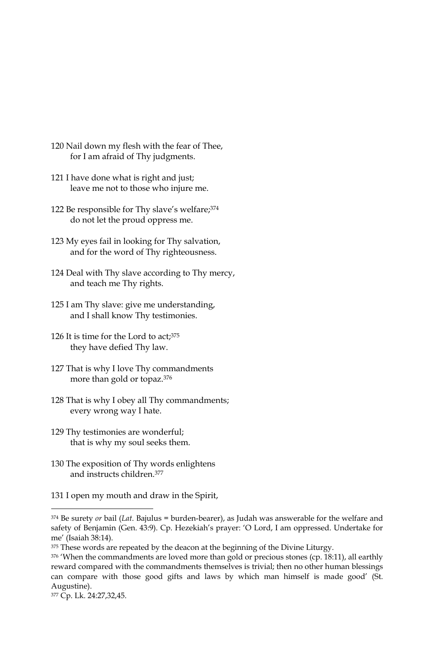- 120 Nail down my flesh with the fear of Thee, for I am afraid of Thy judgments.
- 121 I have done what is right and just; leave me not to those who injure me.
- 122 Be responsible for Thy slave's welfare; 374 do not let the proud oppress me.
- 123 My eyes fail in looking for Thy salvation, and for the word of Thy righteousness.
- 124 Deal with Thy slave according to Thy mercy, and teach me Thy rights.
- 125 I am Thy slave: give me understanding, and I shall know Thy testimonies.
- 126 It is time for the Lord to act;<sup>375</sup> they have defied Thy law.
- 127 That is why I love Thy commandments more than gold or topaz.<sup>376</sup>
- 128 That is why I obey all Thy commandments; every wrong way I hate.
- 129 Thy testimonies are wonderful; that is why my soul seeks them.
- 130 The exposition of Thy words enlightens and instructs children.<sup>377</sup>
- 131 I open my mouth and draw in the Spirit,

 $374$  Be surety or bail (Lat. Bajulus = burden-bearer), as Judah was answerable for the welfare and safety of Benjamin (Gen. 43:9). Cp. Hezekiah's prayer: 'O Lord, I am oppressed. Undertake for me' (Isaiah 38:14).

<sup>375</sup> These words are repeated by the deacon at the beginning of the Divine Liturgy.

<sup>376 &#</sup>x27;When the commandments are loved more than gold or precious stones (cp. 18:11), all earthly reward compared with the commandments themselves is trivial; then no other human blessings can compare with those good gifts and laws by which man himself is made good' (St. Augustine).

<sup>377</sup> Cp. Lk. 24:27,32,45.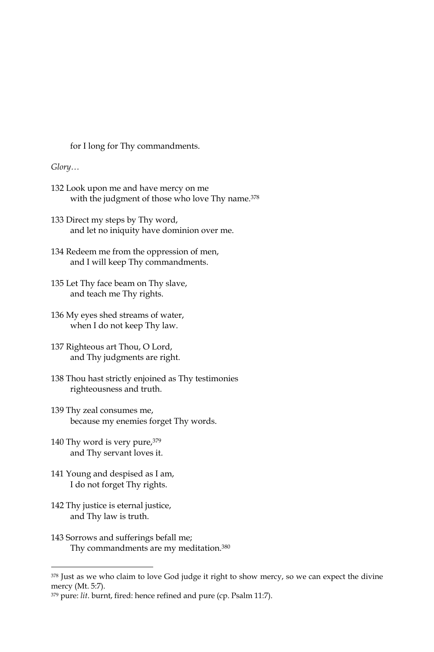for I long for Thy commandments.

### $Glory...$

- 132 Look upon me and have mercy on me with the judgment of those who love Thy name.<sup>378</sup>
- 133 Direct my steps by Thy word, and let no iniquity have dominion over me.
- 134 Redeem me from the oppression of men, and I will keep Thy commandments.
- 135 Let Thy face beam on Thy slave, and teach me Thy rights.
- 136 My eyes shed streams of water, when I do not keep Thy law.
- 137 Righteous art Thou, O Lord, and Thy judgments are right.
- 138 Thou hast strictly enjoined as Thy testimonies righteousness and truth.
- 139 Thy zeal consumes me, because my enemies forget Thy words.
- 140 Thy word is very pure, 379 and Thy servant loves it.
- 141 Young and despised as I am, I do not forget Thy rights.
- 142 Thy justice is eternal justice, and Thy law is truth.
- 143 Sorrows and sufferings befall me; Thy commandments are my meditation.<sup>380</sup>

<sup>&</sup>lt;sup>378</sup> Just as we who claim to love God judge it right to show mercy, so we can expect the divine mercy (Mt. 5:7).

<sup>&</sup>lt;sup>379</sup> pure: lit. burnt, fired: hence refined and pure (cp. Psalm 11:7).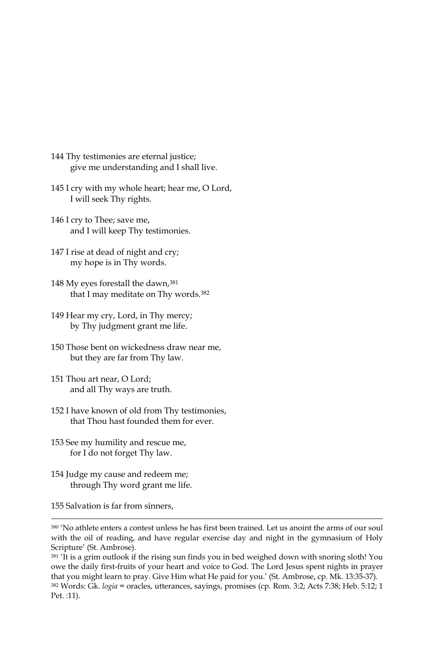- 144 Thy testimonies are eternal justice; give me understanding and I shall live.
- 145 I cry with my whole heart; hear me, O Lord, I will seek Thy rights.
- 146 I cry to Thee; save me, and I will keep Thy testimonies.
- 147 I rise at dead of night and cry; my hope is in Thy words.
- 148 My eyes forestall the dawn, 381 that I may meditate on Thy words.<sup>382</sup>
- 149 Hear my cry, Lord, in Thy mercy; by Thy judgment grant me life.
- 150 Those bent on wickedness draw near me, but they are far from Thy law.
- 151 Thou art near, O Lord; and all Thy ways are truth.
- 152 I have known of old from Thy testimonies, that Thou hast founded them for ever.
- 153 See my humility and rescue me, for I do not forget Thy law.
- 154 Judge my cause and redeem me; through Thy word grant me life.

155 Salvation is far from sinners.

381 'It is a grim outlook if the rising sun finds you in bed weighed down with snoring sloth! You owe the daily first-fruits of your heart and voice to God. The Lord Jesus spent nights in prayer that you might learn to pray. Give Him what He paid for you.' (St. Ambrose, cp. Mk. 13:35-37). 382 Words: Gk. *logia* = oracles, utterances, sayings, promises (cp. Rom. 3:2; Acts 7:38; Heb. 5:12; 1 Pet. :11).

<sup>380 &#</sup>x27;No athlete enters a contest unless he has first been trained. Let us anoint the arms of our soul with the oil of reading, and have regular exercise day and night in the gymnasium of Holy Scripture' (St. Ambrose).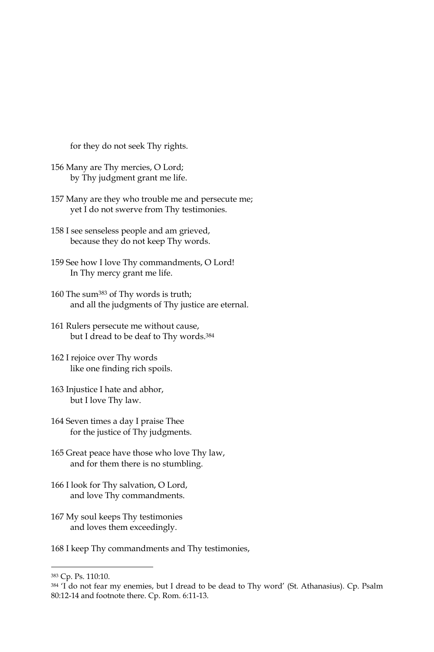for they do not seek Thy rights.

- 156 Many are Thy mercies, O Lord; by Thy judgment grant me life.
- 157 Many are they who trouble me and persecute me; yet I do not swerve from Thy testimonies.
- 158 I see senseless people and am grieved, because they do not keep Thy words.
- 159 See how I love Thy commandments, O Lord! In Thy mercy grant me life.
- 160 The sum<sup>383</sup> of Thy words is truth; and all the judgments of Thy justice are eternal.
- 161 Rulers persecute me without cause, but I dread to be deaf to Thy words.<sup>384</sup>
- 162 I rejoice over Thy words like one finding rich spoils.
- 163 Injustice I hate and abhor, but I love Thy law.
- 164 Seven times a day I praise Thee for the justice of Thy judgments.
- 165 Great peace have those who love Thy law, and for them there is no stumbling.
- 166 I look for Thy salvation, O Lord, and love Thy commandments.
- 167 My soul keeps Thy testimonies and loves them exceedingly.

168 I keep Thy commandments and Thy testimonies,

<sup>383</sup> Cp. Ps. 110:10.

<sup>384 &#</sup>x27;I do not fear my enemies, but I dread to be dead to Thy word' (St. Athanasius). Cp. Psalm 80:12-14 and footnote there. Cp. Rom. 6:11-13.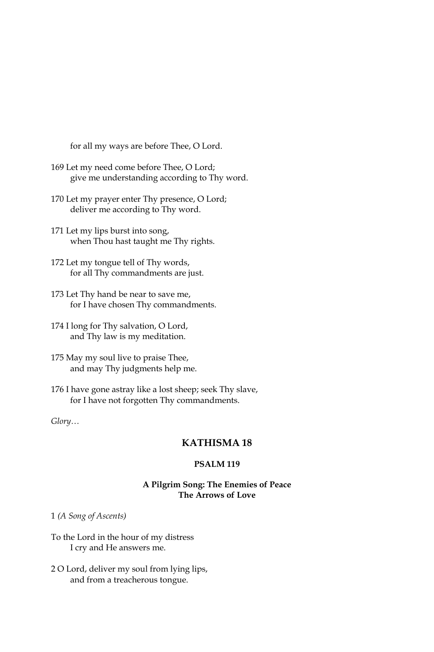for all my ways are before Thee, O Lord.

- 169 Let my need come before Thee, O Lord; give me understanding according to Thy word.
- 170 Let my prayer enter Thy presence, O Lord; deliver me according to Thy word.
- 171 Let my lips burst into song, when Thou hast taught me Thy rights.
- 172 Let my tongue tell of Thy words, for all Thy commandments are just.
- 173 Let Thy hand be near to save me, for I have chosen Thy commandments.
- 174 I long for Thy salvation, O Lord, and Thy law is my meditation.
- 175 May my soul live to praise Thee, and may Thy judgments help me.
- 176 I have gone astray like a lost sheep; seek Thy slave, for I have not forgotten Thy commandments.

## Glory...

# **KATHISMA18**

# **PSALM 119**

## A Pilgrim Song: The Enemies of Peace The Arrows of Love

1 (A Song of Ascents)

- To the Lord in the hour of my distress I cry and He answers me.
- 2 O Lord, deliver my soul from lying lips, and from a treacherous tongue.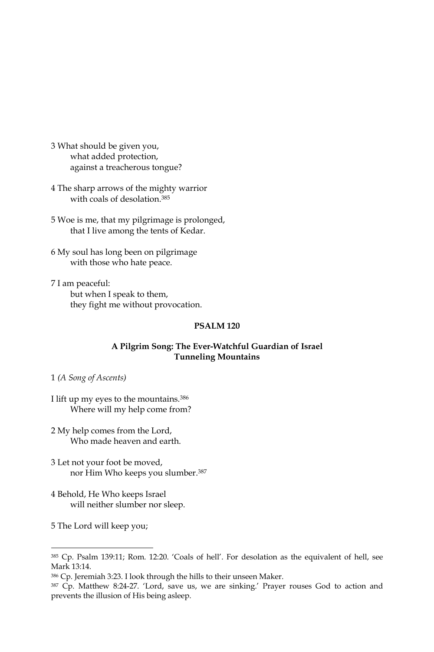- 3 What should be given you, what added protection, against a treacherous tongue?
- 4 The sharp arrows of the mighty warrior with coals of desolation.<sup>385</sup>
- 5 Woe is me, that my pilgrimage is prolonged, that I live among the tents of Kedar.
- 6 My soul has long been on pilgrimage with those who hate peace.
- 7 I am peaceful: but when I speak to them, they fight me without provocation.

### A Pilgrim Song: The Ever-Watchful Guardian of Israel **Tunneling Mountains**

1 (A Song of Ascents)

I lift up my eyes to the mountains.<sup>386</sup> Where will my help come from?

- 2 My help comes from the Lord, Who made heaven and earth.
- 3 Let not your foot be moved, nor Him Who keeps you slumber.<sup>387</sup>
- 4 Behold, He Who keeps Israel will neither slumber nor sleep.
- 5 The Lord will keep you;

<sup>385</sup> Cp. Psalm 139:11; Rom. 12:20. 'Coals of hell'. For desolation as the equivalent of hell, see Mark 13:14.

<sup>386</sup> Cp. Jeremiah 3:23. I look through the hills to their unseen Maker.

<sup>&</sup>lt;sup>387</sup> Cp. Matthew 8:24-27. 'Lord, save us, we are sinking.' Prayer rouses God to action and prevents the illusion of His being asleep.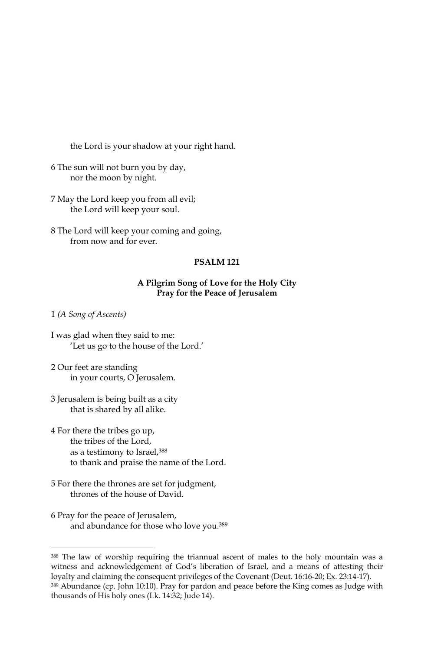the Lord is your shadow at your right hand.

- 6 The sun will not burn you by day, nor the moon by night.
- 7 May the Lord keep you from all evil; the Lord will keep your soul.
- 8 The Lord will keep your coming and going, from now and for ever.

### **PSALM 121**

### A Pilgrim Song of Love for the Holy City Pray for the Peace of Jerusalem

1 (A Song of Ascents)

- I was glad when they said to me: 'Let us go to the house of the Lord.'
- 2 Our feet are standing in your courts, O Jerusalem.
- 3 Jerusalem is being built as a city that is shared by all alike.
- 4 For there the tribes go up, the tribes of the Lord. as a testimony to Israel, 388 to thank and praise the name of the Lord.
- 5 For there the thrones are set for judgment, thrones of the house of David.
- 6 Pray for the peace of Jerusalem, and abundance for those who love you.<sup>389</sup>

<sup>388</sup> The law of worship requiring the triannual ascent of males to the holy mountain was a witness and acknowledgement of God's liberation of Israel, and a means of attesting their loyalty and claiming the consequent privileges of the Covenant (Deut. 16:16-20; Ex. 23:14-17). 389 Abundance (cp. John 10:10). Pray for pardon and peace before the King comes as Judge with

thousands of His holy ones (Lk. 14:32; Jude 14).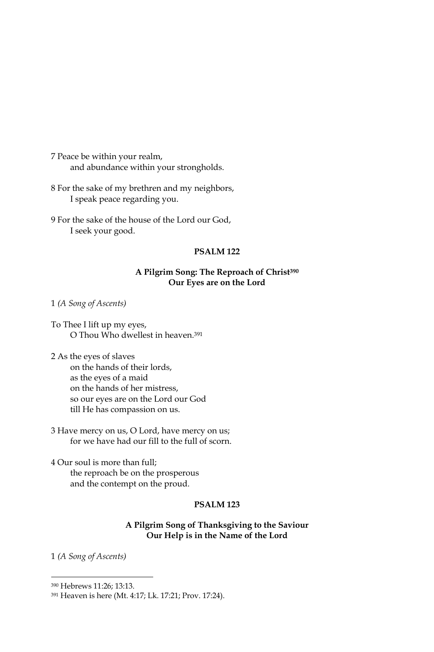7 Peace be within your realm, and abundance within your strongholds.

8 For the sake of my brethren and my neighbors, I speak peace regarding you.

9 For the sake of the house of the Lord our God, I seek your good.

# **PSALM 122**

## A Pilgrim Song: The Reproach of Christ<sup>390</sup> Our Eyes are on the Lord

1 (A Song of Ascents)

- To Thee I lift up my eyes, O Thou Who dwellest in heaven.<sup>391</sup>
- 2 As the eyes of slaves on the hands of their lords, as the eves of a maid on the hands of her mistress, so our eyes are on the Lord our God till He has compassion on us.
- 3 Have mercy on us, O Lord, have mercy on us; for we have had our fill to the full of scorn.

4 Our soul is more than full; the reproach be on the prosperous and the contempt on the proud.

### **PSALM 123**

### A Pilgrim Song of Thanksgiving to the Saviour Our Help is in the Name of the Lord

1 (A Song of Ascents)

<sup>&</sup>lt;sup>390</sup> Hebrews 11:26; 13:13.

<sup>391</sup> Heaven is here (Mt. 4:17; Lk. 17:21; Prov. 17:24).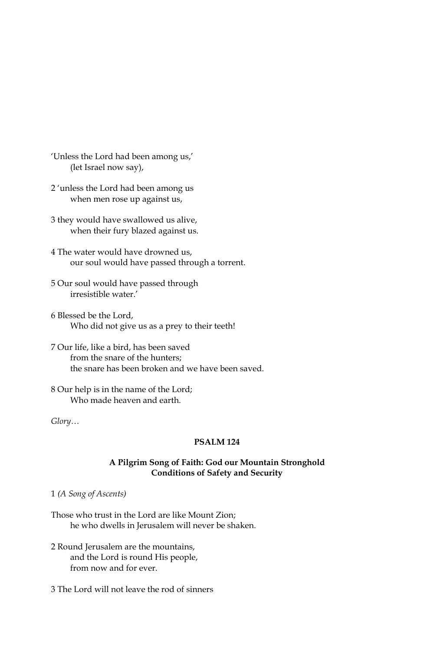- 'Unless the Lord had been among us,' (let Israel now say),
- 2 'unless the Lord had been among us when men rose up against us,
- 3 they would have swallowed us alive, when their fury blazed against us.
- 4 The water would have drowned us, our soul would have passed through a torrent.
- 5 Our soul would have passed through irresistible water.'
- 6 Blessed be the Lord, Who did not give us as a prey to their teeth!
- 7 Our life, like a bird, has been saved from the snare of the hunters: the snare has been broken and we have been saved.
- 8 Our help is in the name of the Lord; Who made heaven and earth.

 $Glory...$ 

# **PSALM 124**

### A Pilgrim Song of Faith: God our Mountain Stronghold **Conditions of Safety and Security**

1 (A Song of Ascents)

Those who trust in the Lord are like Mount Zion; he who dwells in Jerusalem will never be shaken.

- 2 Round Jerusalem are the mountains, and the Lord is round His people, from now and for ever.
- 3 The Lord will not leave the rod of sinners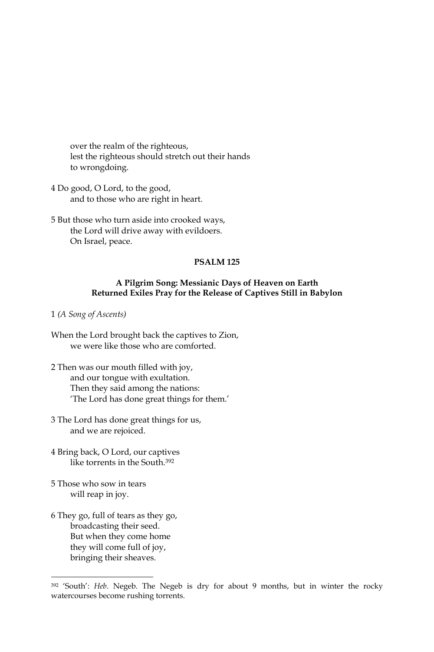over the realm of the righteous, lest the righteous should stretch out their hands to wrongdoing.

- 4 Do good, O Lord, to the good, and to those who are right in heart.
- 5 But those who turn aside into crooked ways, the Lord will drive away with evildoers. On Israel, peace.

### **PSALM 125**

### A Pilgrim Song: Messianic Days of Heaven on Earth Returned Exiles Pray for the Release of Captives Still in Babylon

1 (A Song of Ascents)

- When the Lord brought back the captives to Zion, we were like those who are comforted.
- 2 Then was our mouth filled with joy, and our tongue with exultation. Then they said among the nations: 'The Lord has done great things for them.'
- 3 The Lord has done great things for us, and we are rejoiced.
- 4 Bring back, O Lord, our captives like torrents in the South.<sup>392</sup>
- 5 Those who sow in tears will reap in joy.
- 6 They go, full of tears as they go, broadcasting their seed. But when they come home they will come full of joy, bringing their sheaves.

<sup>&</sup>lt;sup>392</sup> 'South': Heb. Negeb. The Negeb is dry for about 9 months, but in winter the rocky watercourses become rushing torrents.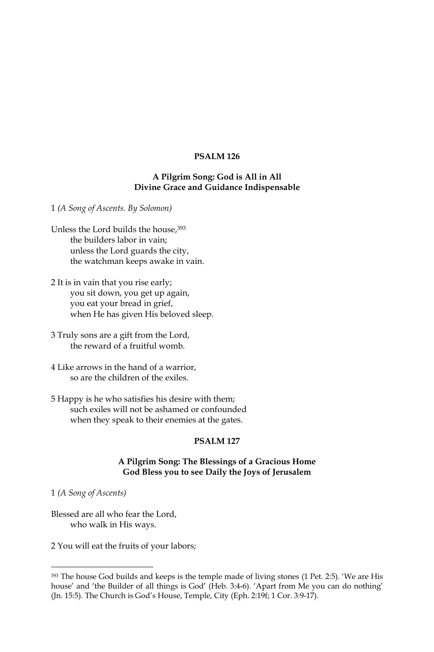# A Pilgrim Song: God is All in All Divine Grace and Guidance Indispensable

1 (A Song of Ascents. By Solomon)

- Unless the Lord builds the house, 393 the builders labor in vain; unless the Lord guards the city, the watchman keeps awake in vain.
- 2 It is in vain that you rise early; you sit down, you get up again, you eat your bread in grief, when He has given His beloved sleep.
- 3 Truly sons are a gift from the Lord, the reward of a fruitful womb.
- 4 Like arrows in the hand of a warrior, so are the children of the exiles.
- 5 Happy is he who satisfies his desire with them; such exiles will not be ashamed or confounded when they speak to their enemies at the gates.

# **PSALM 127**

# A Pilgrim Song: The Blessings of a Gracious Home God Bless you to see Daily the Joys of Jerusalem

1 (A Song of Ascents)

Blessed are all who fear the Lord, who walk in His ways.

2 You will eat the fruits of your labors;

<sup>393</sup> The house God builds and keeps is the temple made of living stones (1 Pet. 2:5). 'We are His house' and 'the Builder of all things is God' (Heb. 3:4-6). 'Apart from Me you can do nothing' (Jn. 15:5). The Church is God's House, Temple, City (Eph. 2:19f; 1 Cor. 3:9-17).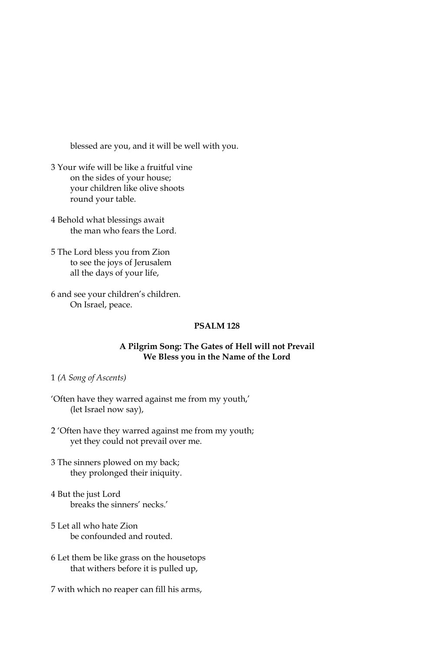blessed are you, and it will be well with you.

- 3 Your wife will be like a fruitful vine on the sides of your house; your children like olive shoots round your table.
- 4 Behold what blessings await the man who fears the Lord.
- 5 The Lord bless you from Zion to see the joys of Jerusalem all the days of your life,
- 6 and see your children's children. On Israel, peace.

# **PSALM 128**

### A Pilgrim Song: The Gates of Hell will not Prevail We Bless you in the Name of the Lord

- 1 (A Song of Ascents)
- 'Often have they warred against me from my youth,' (let Israel now say),
- 2 'Often have they warred against me from my youth; yet they could not prevail over me.
- 3 The sinners plowed on my back; they prolonged their iniquity.
- 4 But the just Lord breaks the sinners' necks.'
- 5 Let all who hate Zion be confounded and routed.
- 6 Let them be like grass on the housetops that withers before it is pulled up,
- 7 with which no reaper can fill his arms,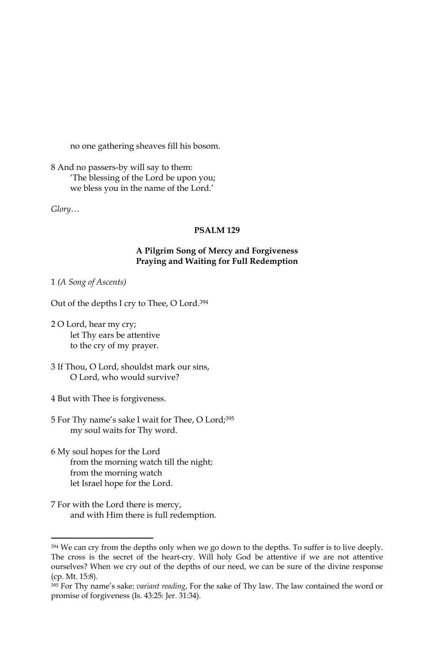no one gathering sheaves fill his bosom.

8 And no passers-by will say to them: 'The blessing of the Lord be upon you; we bless you in the name of the Lord.'

Glory...

### **PSALM 129**

# A Pilgrim Song of Mercy and Forgiveness Praying and Waiting for Full Redemption

#### 1 (A Song of Ascents)

Out of the depths I cry to Thee, O Lord.<sup>394</sup>

- 2 O Lord, hear my cry; let Thy ears be attentive to the cry of my prayer.
- 3 If Thou, O Lord, shouldst mark our sins, O Lord, who would survive?
- 4 But with Thee is forgiveness.
- 5 For Thy name's sake I wait for Thee, O Lord;<sup>395</sup> my soul waits for Thy word.
- 6 My soul hopes for the Lord from the morning watch till the night; from the morning watch let Israel hope for the Lord.
- 7 For with the Lord there is mercy, and with Him there is full redemption.

<sup>394</sup> We can cry from the depths only when we go down to the depths. To suffer is to live deeply. The cross is the secret of the heart-cry. Will holy God be attentive if we are not attentive ourselves? When we cry out of the depths of our need, we can be sure of the divine response (cp. Mt. 15:8).

<sup>&</sup>lt;sup>395</sup> For Thy name's sake: *variant reading*, For the sake of Thy law. The law contained the word or promise of forgiveness (Is. 43:25: Jer. 31:34).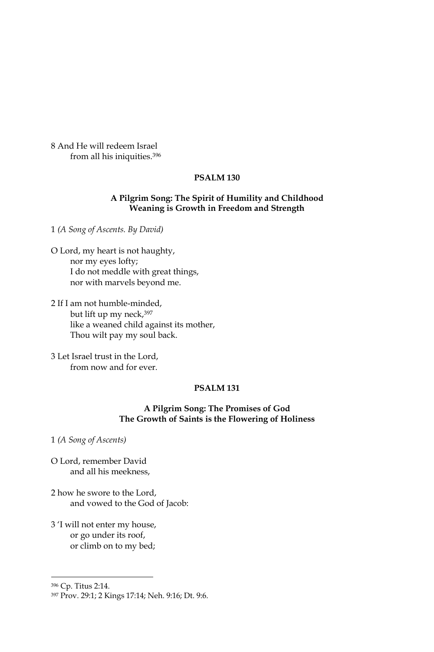8 And He will redeem Israel from all his iniquities.<sup>396</sup>

# **PSALM 130**

### A Pilgrim Song: The Spirit of Humility and Childhood Weaning is Growth in Freedom and Strength

1 (A Song of Ascents. By David)

O Lord, my heart is not haughty, nor my eyes lofty; I do not meddle with great things, nor with marvels beyond me.

2 If I am not humble-minded, but lift up my neck, 397 like a weaned child against its mother, Thou wilt pay my soul back.

3 Let Israel trust in the Lord. from now and for ever.

### PSALM<sub>131</sub>

## A Pilgrim Song: The Promises of God The Growth of Saints is the Flowering of Holiness

1 (A Song of Ascents)

O Lord, remember David and all his meekness,

2 how he swore to the Lord, and vowed to the God of Jacob:

3 'I will not enter my house, or go under its roof, or climb on to my bed;

<sup>&</sup>lt;sup>396</sup> Cp. Titus 2:14.

<sup>397</sup> Prov. 29:1; 2 Kings 17:14; Neh. 9:16; Dt. 9:6.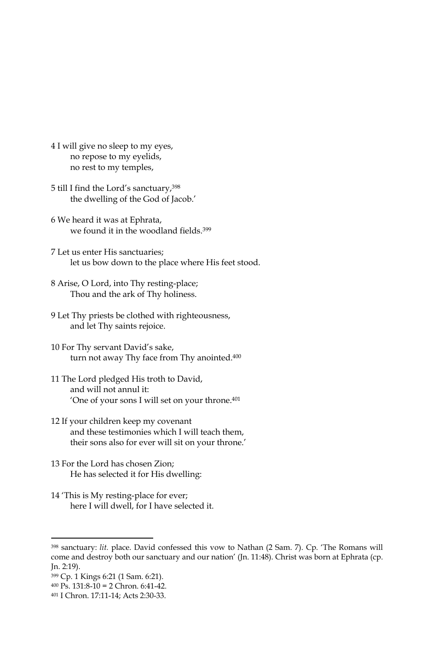- 4 I will give no sleep to my eyes, no repose to my eyelids, no rest to my temples,
- 5 till I find the Lord's sanctuary, 398 the dwelling of the God of Jacob.'
- 6 We heard it was at Ephrata, we found it in the woodland fields.<sup>399</sup>
- 7 Let us enter His sanctuaries; let us bow down to the place where His feet stood.
- 8 Arise, O Lord, into Thy resting-place; Thou and the ark of Thy holiness.
- 9 Let Thy priests be clothed with righteousness, and let Thy saints rejoice.
- 10 For Thy servant David's sake, turn not away Thy face from Thy anointed.<sup>400</sup>
- 11 The Lord pledged His troth to David, and will not annul it: 'One of your sons I will set on your throne.<sup>401</sup>
- 12 If your children keep my covenant and these testimonies which I will teach them, their sons also for ever will sit on your throne.'
- 13 For the Lord has chosen Zion; He has selected it for His dwelling:
- 14 'This is My resting-place for ever; here I will dwell, for I have selected it.

<sup>&</sup>lt;sup>398</sup> sanctuary: lit. place. David confessed this vow to Nathan (2 Sam. 7). Cp. 'The Romans will come and destroy both our sanctuary and our nation' (Jn. 11:48). Christ was born at Ephrata (cp. Jn. 2:19).

<sup>399</sup> Cp. 1 Kings 6:21 (1 Sam. 6:21).

 $400$  Ps. 131:8-10 = 2 Chron. 6:41-42.

<sup>401</sup> I Chron. 17:11-14; Acts 2:30-33.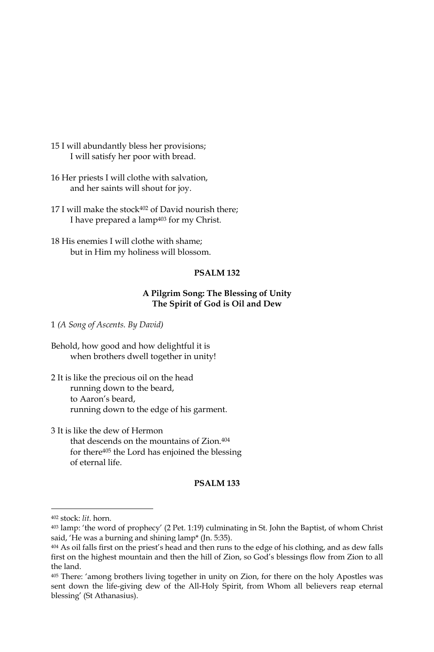- 15 I will abundantly bless her provisions; I will satisfy her poor with bread.
- 16 Her priests I will clothe with salvation, and her saints will shout for joy.
- 17 I will make the stock<sup>402</sup> of David nourish there; I have prepared a lamp<sup>403</sup> for my Christ.
- 18 His enemies I will clothe with shame; but in Him my holiness will blossom.

### A Pilgrim Song: The Blessing of Unity The Spirit of God is Oil and Dew

1 (A Song of Ascents. By David)

- Behold, how good and how delightful it is when brothers dwell together in unity!
- 2 It is like the precious oil on the head running down to the beard, to Aaron's beard, running down to the edge of his garment.
- 3 It is like the dew of Hermon that descends on the mountains of Zion.<sup>404</sup> for there<sup>405</sup> the Lord has enjoined the blessing of eternal life.

### **PSALM 133**

<sup>402</sup> stock: lit. horn.

<sup>403</sup> lamp: 'the word of prophecy' (2 Pet. 1:19) culminating in St. John the Baptist, of whom Christ said, 'He was a burning and shining lamp\* (Jn. 5:35).

<sup>404</sup> As oil falls first on the priest's head and then runs to the edge of his clothing, and as dew falls first on the highest mountain and then the hill of Zion, so God's blessings flow from Zion to all the land.

<sup>405</sup> There: 'among brothers living together in unity on Zion, for there on the holy Apostles was sent down the life-giving dew of the All-Holy Spirit, from Whom all believers reap eternal blessing' (St Athanasius).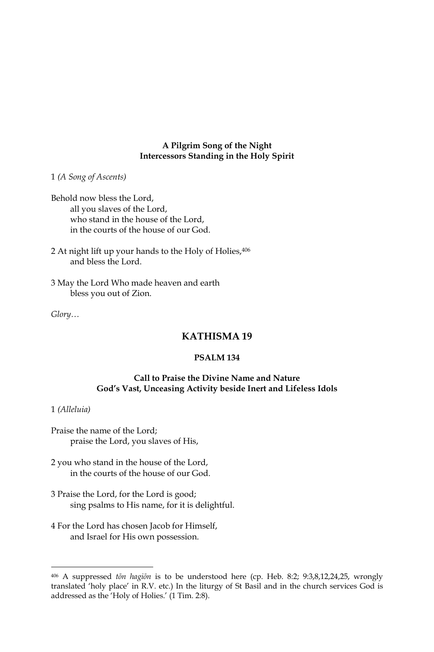## A Pilgrim Song of the Night **Intercessors Standing in the Holy Spirit**

1 (A Song of Ascents)

Behold now bless the Lord, all you slaves of the Lord, who stand in the house of the Lord, in the courts of the house of our God.

- 2 At night lift up your hands to the Holy of Holies, 406 and bless the Lord.
- 3 May the Lord Who made heaven and earth bless you out of Zion.

 $Glory...$ 

# **KATHISMA19**

# **PSALM 134**

## Call to Praise the Divine Name and Nature God's Vast, Unceasing Activity beside Inert and Lifeless Idols

### 1 (Alleluia)

- Praise the name of the Lord; praise the Lord, you slaves of His,
- 2 you who stand in the house of the Lord, in the courts of the house of our God.
- 3 Praise the Lord, for the Lord is good; sing psalms to His name, for it is delightful.
- 4 For the Lord has chosen Jacob for Himself, and Israel for His own possession.

<sup>406</sup> A suppressed ton hagion is to be understood here (cp. Heb. 8:2; 9:3,8,12,24,25, wrongly translated 'holy place' in R.V. etc.) In the liturgy of St Basil and in the church services God is addressed as the 'Holy of Holies.' (1 Tim. 2:8).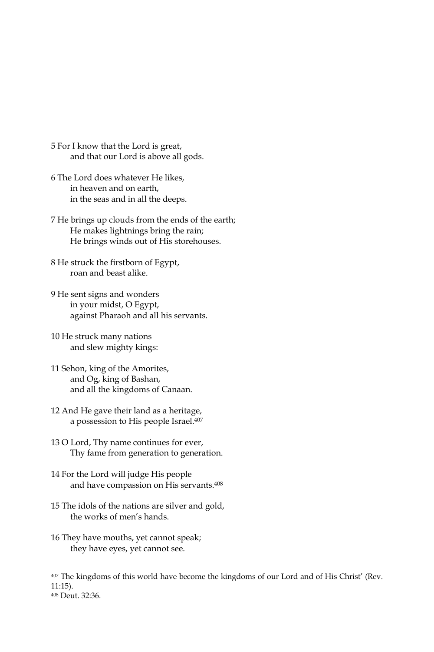- 5 For I know that the Lord is great, and that our Lord is above all gods.
- 6 The Lord does whatever He likes, in heaven and on earth, in the seas and in all the deeps.
- 7 He brings up clouds from the ends of the earth; He makes lightnings bring the rain; He brings winds out of His storehouses.
- 8 He struck the firstborn of Egypt, roan and beast alike.
- 9 He sent signs and wonders in your midst, O Egypt, against Pharaoh and all his servants.
- 10 He struck many nations and slew mighty kings:
- 11 Sehon, king of the Amorites, and Og, king of Bashan, and all the kingdoms of Canaan.
- 12 And He gave their land as a heritage, a possession to His people Israel.407
- 13 O Lord, Thy name continues for ever, Thy fame from generation to generation.
- 14 For the Lord will judge His people and have compassion on His servants.<sup>408</sup>
- 15 The idols of the nations are silver and gold, the works of men's hands.
- 16 They have mouths, yet cannot speak; they have eyes, yet cannot see.

408 Deut. 32:36.

<sup>407</sup> The kingdoms of this world have become the kingdoms of our Lord and of His Christ' (Rev.  $11:15$ ).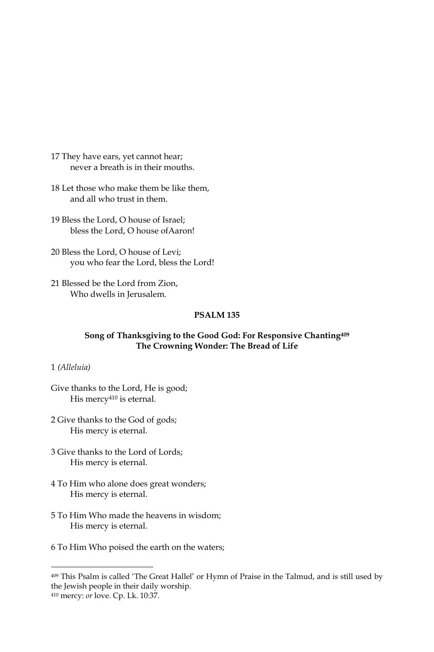- 17 They have ears, yet cannot hear; never a breath is in their mouths.
- 18 Let those who make them be like them, and all who trust in them.
- 19 Bless the Lord. O house of Israel: bless the Lord. O house of Aaron!
- 20 Bless the Lord, O house of Levi; you who fear the Lord, bless the Lord!
- 21 Blessed be the Lord from Zion, Who dwells in Jerusalem.

## Song of Thanksgiving to the Good God: For Responsive Chanting409 The Crowning Wonder: The Bread of Life

### 1 (Alleluia)

Give thanks to the Lord, He is good; His mercy<sup>410</sup> is eternal.

- 2 Give thanks to the God of gods; His mercy is eternal.
- 3 Give thanks to the Lord of Lords; His mercy is eternal.
- 4 To Him who alone does great wonders; His mercy is eternal.
- 5 To Him Who made the heavens in wisdom; His mercy is eternal.
- 6 To Him Who poised the earth on the waters;

<sup>409</sup> This Psalm is called 'The Great Hallel' or Hymn of Praise in the Talmud, and is still used by the Jewish people in their daily worship.

<sup>410</sup> mercy: or love. Cp. Lk. 10:37.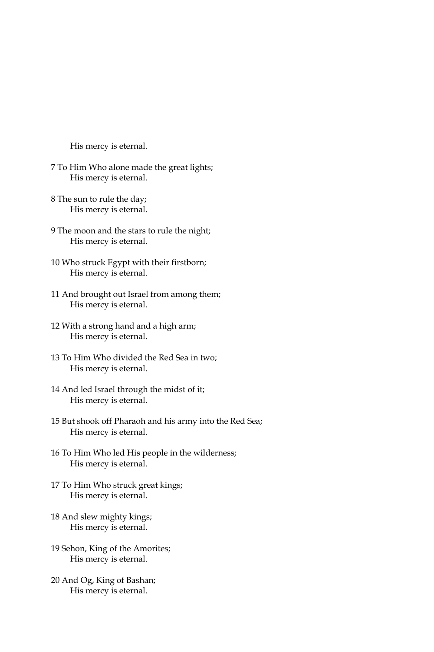His mercy is eternal.

- 7 To Him Who alone made the great lights; His mercy is eternal.
- 8 The sun to rule the day; His mercy is eternal.
- 9 The moon and the stars to rule the night; His mercy is eternal.
- 10 Who struck Egypt with their firstborn; His mercy is eternal.
- 11 And brought out Israel from among them; His mercy is eternal.
- 12 With a strong hand and a high arm; His mercy is eternal.
- 13 To Him Who divided the Red Sea in two; His mercy is eternal.
- 14 And led Israel through the midst of it; His mercy is eternal.
- 15 But shook off Pharaoh and his army into the Red Sea; His mercy is eternal.
- 16 To Him Who led His people in the wilderness; His mercy is eternal.
- 17 To Him Who struck great kings; His mercy is eternal.
- 18 And slew mighty kings; His mercy is eternal.
- 19 Sehon, King of the Amorites; His mercy is eternal.
- 20 And Og, King of Bashan; His mercy is eternal.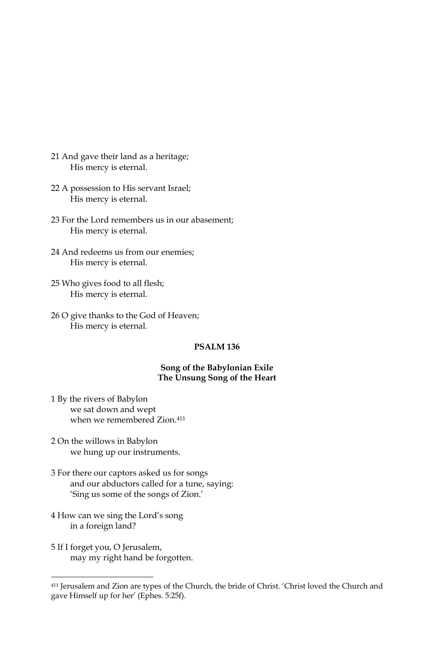- 21 And gave their land as a heritage; His mercy is eternal.
- 22 A possession to His servant Israel; His mercy is eternal.
- 23 For the Lord remembers us in our abasement; His mercy is eternal.
- 24 And redeems us from our enemies; His mercy is eternal.
- 25 Who gives food to all flesh; His mercy is eternal.
- 26 O give thanks to the God of Heaven; His mercy is eternal.

### PSALM<sub>136</sub>

### Song of the Babylonian Exile The Unsung Song of the Heart

- 1 By the rivers of Babylon we sat down and wept when we remembered Zion.<sup>411</sup>
- 2 On the willows in Babylon we hung up our instruments.
- 3 For there our captors asked us for songs and our abductors called for a tune, saying: 'Sing us some of the songs of Zion.'
- 4 How can we sing the Lord's song in a foreign land?
- 5 If I forget you, O Jerusalem, may my right hand be forgotten.

<sup>&</sup>lt;sup>411</sup> Jerusalem and Zion are types of the Church, the bride of Christ. 'Christ loved the Church and gave Himself up for her' (Ephes. 5:25f).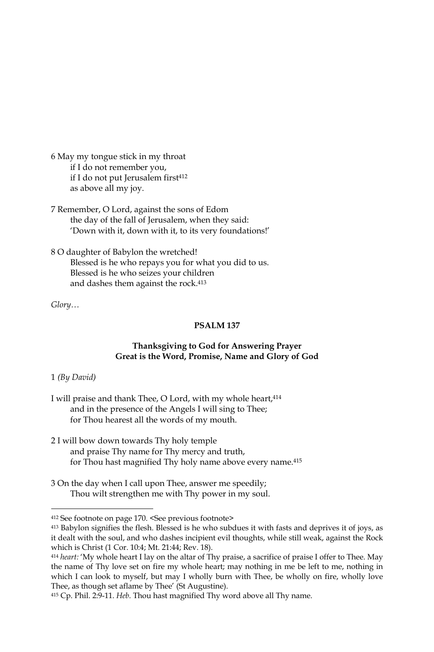- 6 May my tongue stick in my throat if I do not remember you, if I do not put Jerusalem first<sup>412</sup> as above all my joy.
- 7 Remember, O Lord, against the sons of Edom the day of the fall of Jerusalem, when they said: 'Down with it, down with it, to its very foundations!'
- 8 O daughter of Babylon the wretched! Blessed is he who repays you for what you did to us. Blessed is he who seizes your children and dashes them against the rock.<sup>413</sup>

 $Glory...$ 

## PSALM<sub>137</sub>

# Thanksgiving to God for Answering Prayer Great is the Word, Promise, Name and Glory of God

## $1$  (By David)

- I will praise and thank Thee, O Lord, with my whole heart, 414 and in the presence of the Angels I will sing to Thee; for Thou hearest all the words of my mouth.
- 2 I will bow down towards Thy holy temple and praise Thy name for Thy mercy and truth, for Thou hast magnified Thy holy name above every name.<sup>415</sup>
- 3 On the day when I call upon Thee, answer me speedily; Thou wilt strengthen me with Thy power in my soul.

<sup>412</sup> See footnote on page 170. <See previous footnote>

<sup>413</sup> Babylon signifies the flesh. Blessed is he who subdues it with fasts and deprives it of joys, as it dealt with the soul, and who dashes incipient evil thoughts, while still weak, against the Rock which is Christ (1 Cor. 10:4; Mt. 21:44; Rev. 18).

<sup>&</sup>lt;sup>414</sup> heart: 'My whole heart I lay on the altar of Thy praise, a sacrifice of praise I offer to Thee. May the name of Thy love set on fire my whole heart; may nothing in me be left to me, nothing in which I can look to myself, but may I wholly burn with Thee, be wholly on fire, wholly love Thee, as though set aflame by Thee' (St Augustine).

<sup>415</sup> Cp. Phil. 2:9-11. Heb. Thou hast magnified Thy word above all Thy name.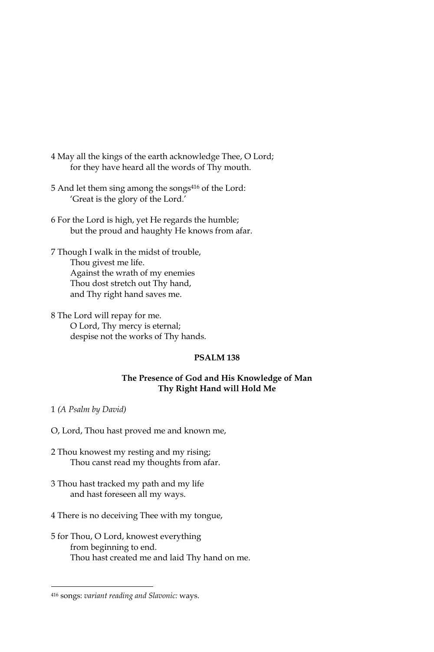- 4 May all the kings of the earth acknowledge Thee, O Lord; for they have heard all the words of Thy mouth.
- 5 And let them sing among the songs<sup>416</sup> of the Lord: 'Great is the glory of the Lord.'
- 6 For the Lord is high, yet He regards the humble; but the proud and haughty He knows from afar.
- 7 Though I walk in the midst of trouble, Thou givest me life. Against the wrath of my enemies Thou dost stretch out Thy hand, and Thy right hand saves me.
- 8 The Lord will repay for me. O Lord, Thy mercy is eternal; despise not the works of Thy hands.

### The Presence of God and His Knowledge of Man Thy Right Hand will Hold Me

1 (A Psalm by David)

O, Lord, Thou hast proved me and known me,

- 2 Thou knowest my resting and my rising; Thou canst read my thoughts from afar.
- 3 Thou hast tracked my path and my life and hast foreseen all my ways.
- 4 There is no deceiving Thee with my tongue,
- 5 for Thou, O Lord, knowest everything from beginning to end. Thou hast created me and laid Thy hand on me.

<sup>416</sup> songs: variant reading and Slavonic: ways.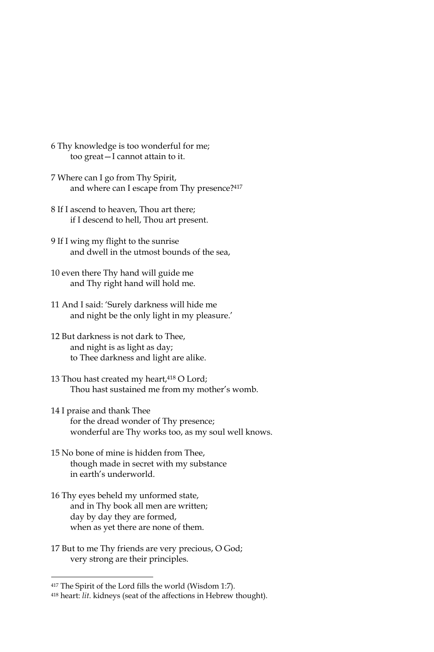- 6 Thy knowledge is too wonderful for me; too great-I cannot attain to it.
- 7 Where can I go from Thy Spirit, and where can I escape from Thy presence?417
- 8 If I ascend to heaven, Thou art there; if I descend to hell, Thou art present.
- 9 If I wing my flight to the sunrise and dwell in the utmost bounds of the sea,
- 10 even there Thy hand will guide me and Thy right hand will hold me.
- 11 And I said: 'Surely darkness will hide me and night be the only light in my pleasure.'
- 12 But darkness is not dark to Thee, and night is as light as day; to Thee darkness and light are alike.
- 13 Thou hast created my heart, 418 O Lord; Thou hast sustained me from my mother's womb.
- 14 I praise and thank Thee for the dread wonder of Thy presence; wonderful are Thy works too, as my soul well knows.
- 15 No bone of mine is hidden from Thee, though made in secret with my substance in earth's underworld.
- 16 Thy eyes beheld my unformed state, and in Thy book all men are written; day by day they are formed, when as yet there are none of them.
- 17 But to me Thy friends are very precious, O God; very strong are their principles.

<sup>&</sup>lt;sup>417</sup> The Spirit of the Lord fills the world (Wisdom 1:7).

<sup>418</sup> heart: lit. kidneys (seat of the affections in Hebrew thought).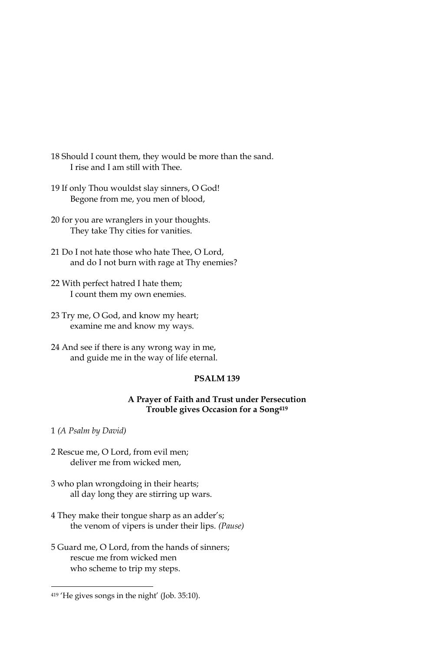18 Should I count them, they would be more than the sand. I rise and I am still with Thee.

- 19 If only Thou wouldst slay sinners, O God! Begone from me, you men of blood,
- 20 for you are wranglers in your thoughts. They take Thy cities for vanities.
- 21 Do I not hate those who hate Thee, O Lord, and do I not burn with rage at Thy enemies?
- 22 With perfect hatred I hate them; I count them my own enemies.
- 23 Try me, O God, and know my heart; examine me and know my ways.
- 24 And see if there is any wrong way in me, and guide me in the way of life eternal.

# **PSALM 139**

## A Prayer of Faith and Trust under Persecution Trouble gives Occasion for a Song419

1 (A Psalm by David)

- 2 Rescue me, O Lord, from evil men; deliver me from wicked men,
- 3 who plan wrongdoing in their hearts; all day long they are stirring up wars.
- 4 They make their tongue sharp as an adder's; the venom of vipers is under their lips. (Pause)
- 5 Guard me, O Lord, from the hands of sinners; rescue me from wicked men who scheme to trip my steps.

<sup>419 &#</sup>x27;He gives songs in the night' (Job. 35:10).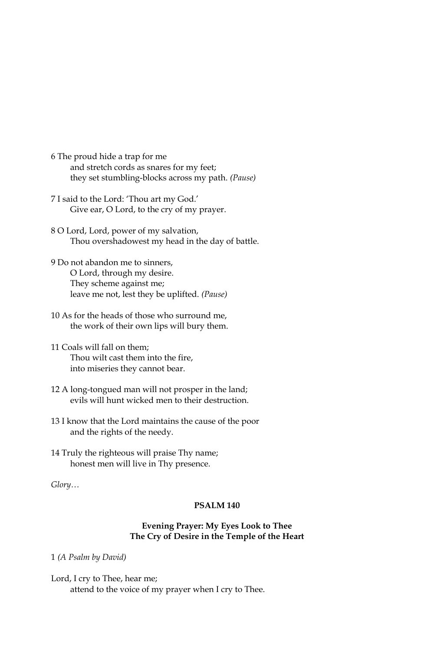6 The proud hide a trap for me and stretch cords as snares for my feet; they set stumbling-blocks across my path. (Pause)

- 7 I said to the Lord: 'Thou art my God.' Give ear, O Lord, to the cry of my prayer.
- 8 O Lord, Lord, power of my salvation, Thou overshadowest my head in the day of battle.
- 9 Do not abandon me to sinners, O Lord, through my desire. They scheme against me; leave me not, lest they be uplifted. (Pause)
- 10 As for the heads of those who surround me, the work of their own lips will bury them.
- 11 Coals will fall on them: Thou wilt cast them into the fire, into miseries they cannot bear.
- 12 A long-tongued man will not prosper in the land; evils will hunt wicked men to their destruction.
- 13 I know that the Lord maintains the cause of the poor and the rights of the needy.
- 14 Truly the righteous will praise Thy name; honest men will live in Thy presence.

Glory...

# **PSALM 140**

## **Evening Prayer: My Eyes Look to Thee** The Cry of Desire in the Temple of the Heart

1 (A Psalm by David)

Lord, I cry to Thee, hear me; attend to the voice of my prayer when I cry to Thee.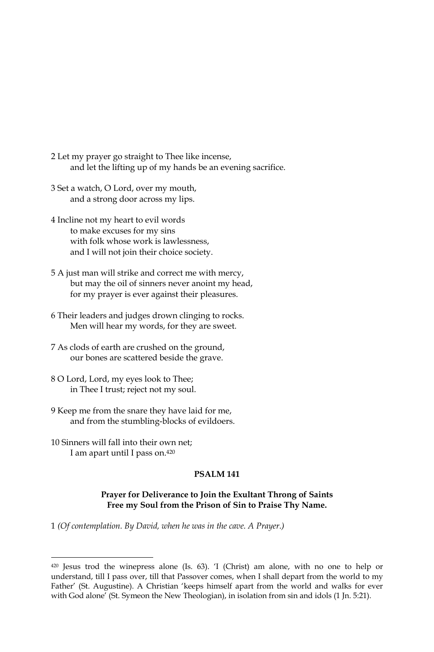- 2 Let my prayer go straight to Thee like incense, and let the lifting up of my hands be an evening sacrifice.
- 3 Set a watch, O Lord, over my mouth, and a strong door across my lips.
- 4 Incline not my heart to evil words to make excuses for my sins with folk whose work is lawlessness, and I will not join their choice society.
- 5 A just man will strike and correct me with mercy, but may the oil of sinners never anoint my head, for my prayer is ever against their pleasures.
- 6 Their leaders and judges drown clinging to rocks. Men will hear my words, for they are sweet.
- 7 As clods of earth are crushed on the ground, our bones are scattered beside the grave.
- 8 O Lord, Lord, my eyes look to Thee; in Thee I trust; reject not my soul.
- 9 Keep me from the snare they have laid for me, and from the stumbling-blocks of evildoers.
- 10 Sinners will fall into their own net; I am apart until I pass on.<sup>420</sup>

## Prayer for Deliverance to Join the Exultant Throng of Saints Free my Soul from the Prison of Sin to Praise Thy Name.

1 (Of contemplation. By David, when he was in the cave. A Prayer.)

<sup>420</sup> Jesus trod the winepress alone (Is. 63). 'I (Christ) am alone, with no one to help or understand, till I pass over, till that Passover comes, when I shall depart from the world to my Father' (St. Augustine). A Christian 'keeps himself apart from the world and walks for ever with God alone' (St. Symeon the New Theologian), in isolation from sin and idols (1 Jn. 5:21).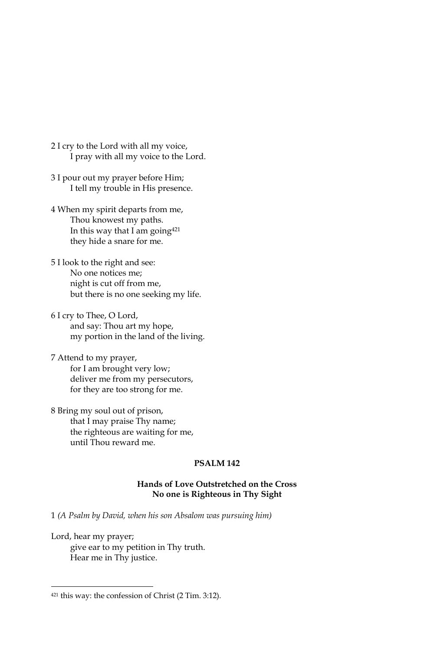- 2 I cry to the Lord with all my voice, I pray with all my voice to the Lord.
- 3 I pour out my prayer before Him; I tell my trouble in His presence.
- 4 When my spirit departs from me, Thou knowest my paths. In this way that I am going<sup>421</sup> they hide a snare for me.
- 5 I look to the right and see: No one notices me; night is cut off from me, but there is no one seeking my life.
- 6 I cry to Thee, O Lord, and say: Thou art my hope, my portion in the land of the living.
- 7 Attend to my prayer, for I am brought very low; deliver me from my persecutors, for they are too strong for me.
- 8 Bring my soul out of prison, that I may praise Thy name; the righteous are waiting for me, until Thou reward me.

## Hands of Love Outstretched on the Cross No one is Righteous in Thy Sight

1 (A Psalm by David, when his son Absalom was pursuing him)

Lord, hear my prayer; give ear to my petition in Thy truth. Hear me in Thy justice.

<sup>421</sup> this way: the confession of Christ (2 Tim. 3:12).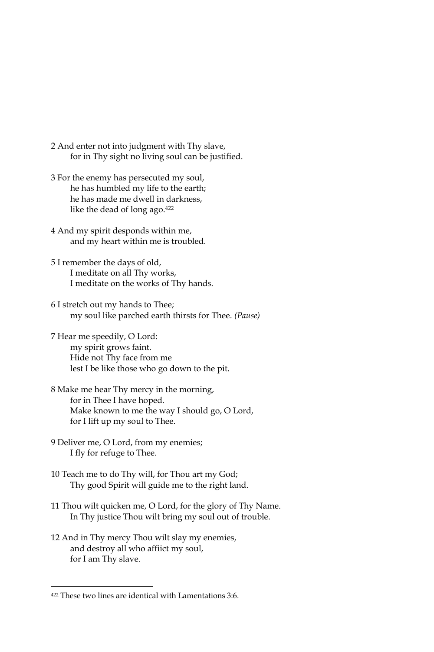- 2 And enter not into judgment with Thy slave, for in Thy sight no living soul can be justified.
- 3 For the enemy has persecuted my soul, he has humbled my life to the earth; he has made me dwell in darkness, like the dead of long ago.<sup>422</sup>
- 4 And my spirit desponds within me, and my heart within me is troubled.
- 5 I remember the days of old, I meditate on all Thy works, I meditate on the works of Thy hands.
- 6 I stretch out my hands to Thee; my soul like parched earth thirsts for Thee. (Pause)
- 7 Hear me speedily, O Lord: my spirit grows faint. Hide not Thy face from me lest I be like those who go down to the pit.
- 8 Make me hear Thy mercy in the morning, for in Thee I have hoped. Make known to me the way I should go, O Lord, for I lift up my soul to Thee.
- 9 Deliver me, O Lord, from my enemies; I fly for refuge to Thee.
- 10 Teach me to do Thy will, for Thou art my God; Thy good Spirit will guide me to the right land.
- 11 Thou wilt quicken me, O Lord, for the glory of Thy Name. In Thy justice Thou wilt bring my soul out of trouble.
- 12 And in Thy mercy Thou wilt slay my enemies, and destroy all who affiict my soul, for I am Thy slave.

<sup>422</sup> These two lines are identical with Lamentations 3:6.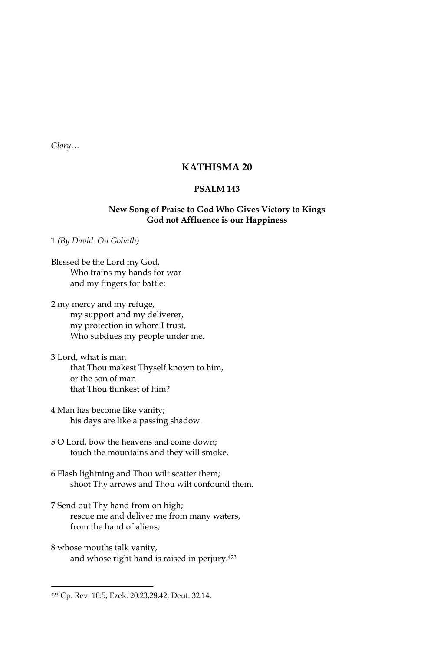Glory...

# **KATHISMA 20**

## **PSALM 143**

## New Song of Praise to God Who Gives Victory to Kings God not Affluence is our Happiness

1 (By David. On Goliath)

Blessed be the Lord my God, Who trains my hands for war and my fingers for battle:

2 my mercy and my refuge, my support and my deliverer, my protection in whom I trust, Who subdues my people under me.

- 3 Lord, what is man that Thou makest Thyself known to him, or the son of man that Thou thinkest of him?
- 4 Man has become like vanity; his days are like a passing shadow.
- 5 O Lord, bow the heavens and come down; touch the mountains and they will smoke.
- 6 Flash lightning and Thou wilt scatter them; shoot Thy arrows and Thou wilt confound them.
- 7 Send out Thy hand from on high; rescue me and deliver me from many waters, from the hand of aliens,
- 8 whose mouths talk vanity, and whose right hand is raised in perjury.<sup>423</sup>

<sup>423</sup> Cp. Rev. 10:5; Ezek. 20:23,28,42; Deut. 32:14.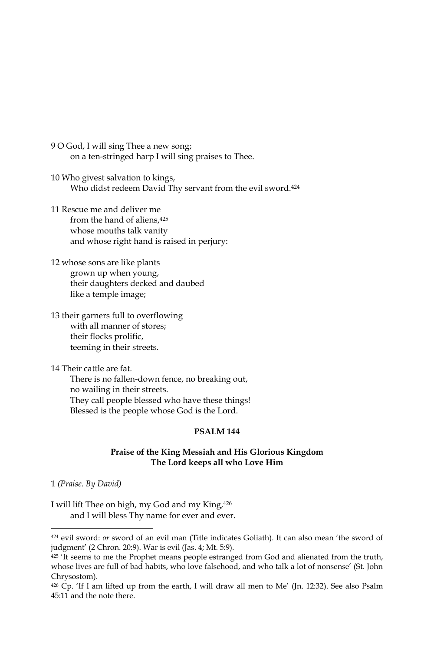- 9 O God, I will sing Thee a new song; on a ten-stringed harp I will sing praises to Thee.
- 10 Who givest salvation to kings, Who didst redeem David Thy servant from the evil sword.<sup>424</sup>
- 11 Rescue me and deliver me from the hand of aliens.<sup>425</sup> whose mouths talk vanity and whose right hand is raised in perjury:
- 12 whose sons are like plants grown up when young, their daughters decked and daubed like a temple image;
- 13 their garners full to overflowing with all manner of stores; their flocks prolific, teeming in their streets.

14 Their cattle are fat There is no fallen-down fence, no breaking out, no wailing in their streets. They call people blessed who have these things! Blessed is the people whose God is the Lord.

## **PSALM 144**

## Praise of the King Messiah and His Glorious Kingdom The Lord keeps all who Love Him

1 (Praise. By David)

I will lift Thee on high, my God and my King, 426 and I will bless Thy name for ever and ever.

<sup>424</sup> evil sword: or sword of an evil man (Title indicates Goliath). It can also mean 'the sword of judgment' (2 Chron. 20:9). War is evil (Jas. 4; Mt. 5:9).

<sup>425 &#</sup>x27;It seems to me the Prophet means people estranged from God and alienated from the truth, whose lives are full of bad habits, who love falsehood, and who talk a lot of nonsense' (St. John Chrysostom).

<sup>426</sup> Cp. 'If I am lifted up from the earth, I will draw all men to Me' (Jn. 12:32). See also Psalm 45:11 and the note there.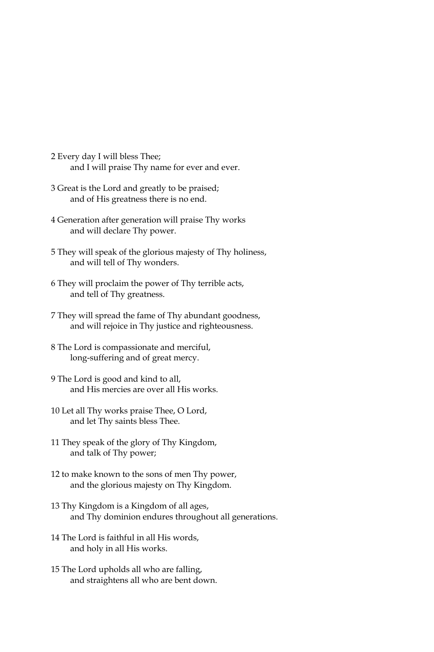- 2 Every day I will bless Thee; and I will praise Thy name for ever and ever.
- 3 Great is the Lord and greatly to be praised; and of His greatness there is no end.
- 4 Generation after generation will praise Thy works and will declare Thy power.
- 5 They will speak of the glorious majesty of Thy holiness, and will tell of Thy wonders.
- 6 They will proclaim the power of Thy terrible acts, and tell of Thy greatness.
- 7 They will spread the fame of Thy abundant goodness, and will rejoice in Thy justice and righteousness.
- 8 The Lord is compassionate and merciful, long-suffering and of great mercy.
- 9 The Lord is good and kind to all, and His mercies are over all His works.
- 10 Let all Thy works praise Thee, O Lord, and let Thy saints bless Thee.
- 11 They speak of the glory of Thy Kingdom, and talk of Thy power;
- 12 to make known to the sons of men Thy power, and the glorious majesty on Thy Kingdom.
- 13 Thy Kingdom is a Kingdom of all ages, and Thy dominion endures throughout all generations.
- 14 The Lord is faithful in all His words, and holy in all His works.
- 15 The Lord upholds all who are falling, and straightens all who are bent down.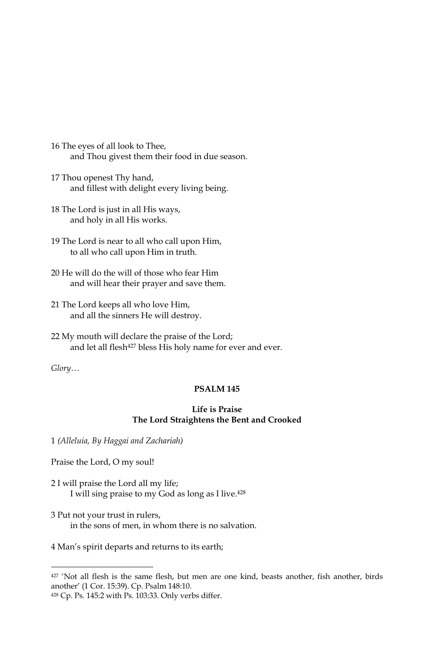- 16 The eyes of all look to Thee, and Thou givest them their food in due season.
- 17 Thou openest Thy hand, and fillest with delight every living being.
- 18 The Lord is just in all His ways, and holy in all His works.
- 19 The Lord is near to all who call upon Him, to all who call upon Him in truth.
- 20 He will do the will of those who fear Him and will hear their prayer and save them.
- 21 The Lord keeps all who love Him, and all the sinners He will destroy.
- 22 My mouth will declare the praise of the Lord; and let all flesh<sup>427</sup> bless His holy name for ever and ever.

 $Glory...$ 

# **PSALM 145**

# **Life is Praise** The Lord Straightens the Bent and Crooked

1 (Alleluia, By Haggai and Zachariah)

Praise the Lord, O my soul!

- 2 I will praise the Lord all my life; I will sing praise to my God as long as I live.<sup>428</sup>
- 3 Put not your trust in rulers, in the sons of men, in whom there is no salvation.

4 Man's spirit departs and returns to its earth;

<sup>427 &#</sup>x27;Not all flesh is the same flesh, but men are one kind, beasts another, fish another, birds another' (1 Cor. 15:39). Cp. Psalm 148:10.

<sup>428</sup> Cp. Ps. 145:2 with Ps. 103:33. Only verbs differ.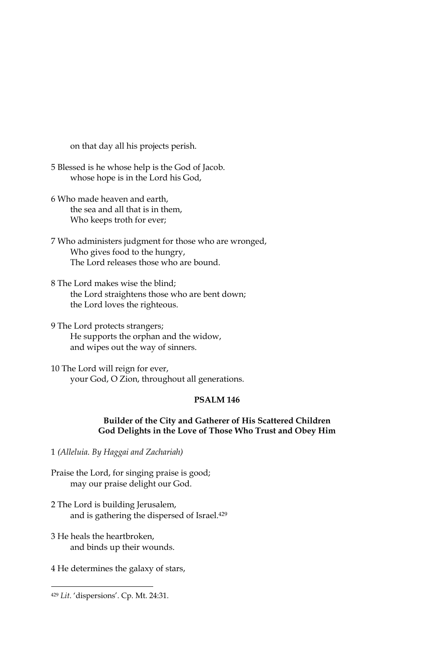on that day all his projects perish.

- 5 Blessed is he whose help is the God of Jacob. whose hope is in the Lord his God,
- 6 Who made heaven and earth, the sea and all that is in them, Who keeps troth for ever;
- 7 Who administers judgment for those who are wronged, Who gives food to the hungry, The Lord releases those who are bound.
- 8 The Lord makes wise the blind; the Lord straightens those who are bent down; the Lord loves the righteous.
- 9 The Lord protects strangers; He supports the orphan and the widow, and wipes out the way of sinners.
- 10 The Lord will reign for ever, your God, O Zion, throughout all generations.

# **PSALM 146**

## Builder of the City and Gatherer of His Scattered Children God Delights in the Love of Those Who Trust and Obey Him

1 (Alleluia. By Haggai and Zachariah)

- Praise the Lord, for singing praise is good; may our praise delight our God.
- 2 The Lord is building Jerusalem, and is gathering the dispersed of Israel.<sup>429</sup>
- 3 He heals the heartbroken. and binds up their wounds.
- 4 He determines the galaxy of stars,

<sup>429</sup> Lit. 'dispersions'. Cp. Mt. 24:31.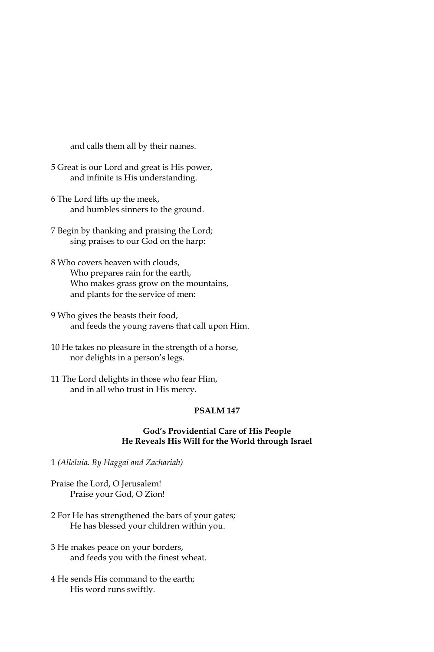and calls them all by their names.

- 5 Great is our Lord and great is His power, and infinite is His understanding.
- 6 The Lord lifts up the meek, and humbles sinners to the ground.
- 7 Begin by thanking and praising the Lord; sing praises to our God on the harp:
- 8 Who covers heaven with clouds, Who prepares rain for the earth, Who makes grass grow on the mountains, and plants for the service of men:
- 9 Who gives the beasts their food, and feeds the young ravens that call upon Him.
- 10 He takes no pleasure in the strength of a horse, nor delights in a person's legs.
- 11 The Lord delights in those who fear Him, and in all who trust in His mercy.

#### PSALM<sub>147</sub>

## God's Providential Care of His People He Reveals His Will for the World through Israel

1 (Alleluia. By Haggai and Zachariah)

Praise the Lord, O Jerusalem! Praise your God, O Zion!

- 2 For He has strengthened the bars of your gates; He has blessed your children within you.
- 3 He makes peace on your borders, and feeds you with the finest wheat.
- 4 He sends His command to the earth; His word runs swiftly.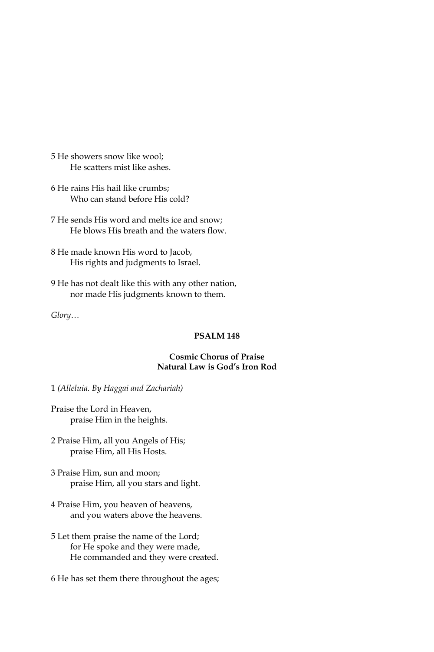5 He showers snow like wool; He scatters mist like ashes.

6 He rains His hail like crumbs; Who can stand before His cold?

7 He sends His word and melts ice and snow: He blows His breath and the waters flow.

8 He made known His word to Jacob, His rights and judgments to Israel.

9 He has not dealt like this with any other nation, nor made His judgments known to them.

 $Glory...$ 

# PSALM<sub>148</sub>

# **Cosmic Chorus of Praise** Natural Law is God's Iron Rod

1 (Alleluia. By Haggai and Zachariah)

Praise the Lord in Heaven, praise Him in the heights.

2 Praise Him, all you Angels of His; praise Him, all His Hosts.

- 3 Praise Him, sun and moon; praise Him, all you stars and light.
- 4 Praise Him, you heaven of heavens, and you waters above the heavens.
- 5 Let them praise the name of the Lord; for He spoke and they were made, He commanded and they were created.

6 He has set them there throughout the ages;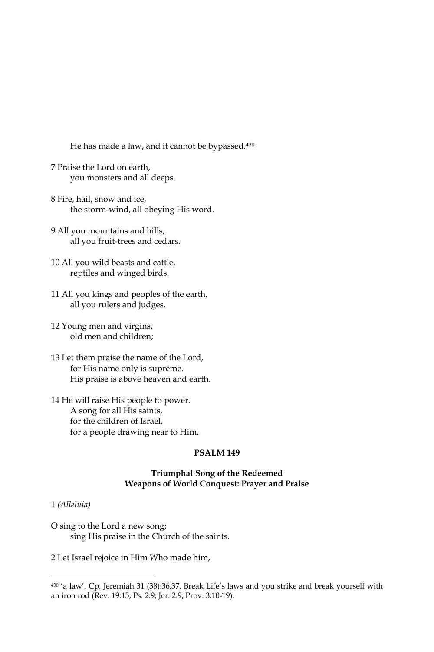He has made a law, and it cannot be bypassed.<sup>430</sup>

- 7 Praise the Lord on earth, you monsters and all deeps.
- 8 Fire, hail, snow and ice, the storm-wind, all obeying His word.
- 9 All you mountains and hills, all you fruit-trees and cedars.
- 10 All you wild beasts and cattle, reptiles and winged birds.
- 11 All you kings and peoples of the earth, all you rulers and judges.
- 12 Young men and virgins, old men and children;
- 13 Let them praise the name of the Lord, for His name only is supreme. His praise is above heaven and earth.
- 14 He will raise His people to power. A song for all His saints, for the children of Israel, for a people drawing near to Him.

## **PSALM 149**

### **Triumphal Song of the Redeemed** Weapons of World Conquest: Prayer and Praise

#### 1 (Alleluia)

O sing to the Lord a new song; sing His praise in the Church of the saints.

2 Let Israel rejoice in Him Who made him,

<sup>430 &#</sup>x27;a law'. Cp. Jeremiah 31 (38):36,37. Break Life's laws and you strike and break yourself with an iron rod (Rev. 19:15; Ps. 2:9; Jer. 2:9; Prov. 3:10-19).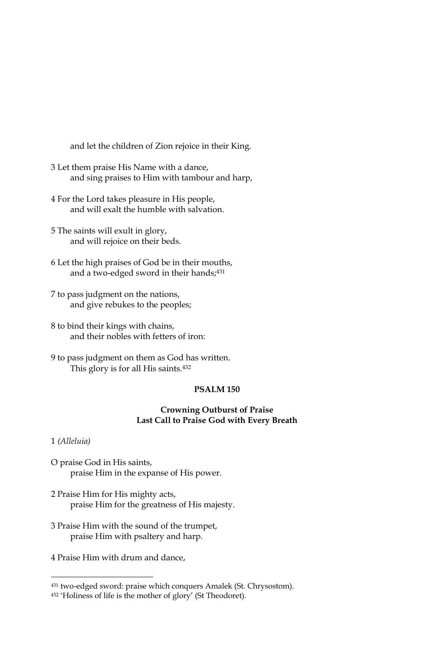and let the children of Zion rejoice in their King.

- 3 Let them praise His Name with a dance, and sing praises to Him with tambour and harp,
- 4 For the Lord takes pleasure in His people, and will exalt the humble with salvation
- 5 The saints will exult in glory, and will rejoice on their beds.
- 6 Let the high praises of God be in their mouths, and a two-edged sword in their hands;<sup>431</sup>
- 7 to pass judgment on the nations, and give rebukes to the peoples;
- 8 to bind their kings with chains, and their nobles with fetters of iron:
- 9 to pass judgment on them as God has written. This glory is for all His saints.<sup>432</sup>

#### **PSALM 150**

## **Crowning Outburst of Praise** Last Call to Praise God with Every Breath

#### 1 (Alleluia)

- O praise God in His saints, praise Him in the expanse of His power.
- 2 Praise Him for His mighty acts, praise Him for the greatness of His majesty.
- 3 Praise Him with the sound of the trumpet, praise Him with psaltery and harp.
- 4 Praise Him with drum and dance,

<sup>431</sup> two-edged sword: praise which conquers Amalek (St. Chrysostom).

<sup>432 &#</sup>x27;Holiness of life is the mother of glory' (St Theodoret).